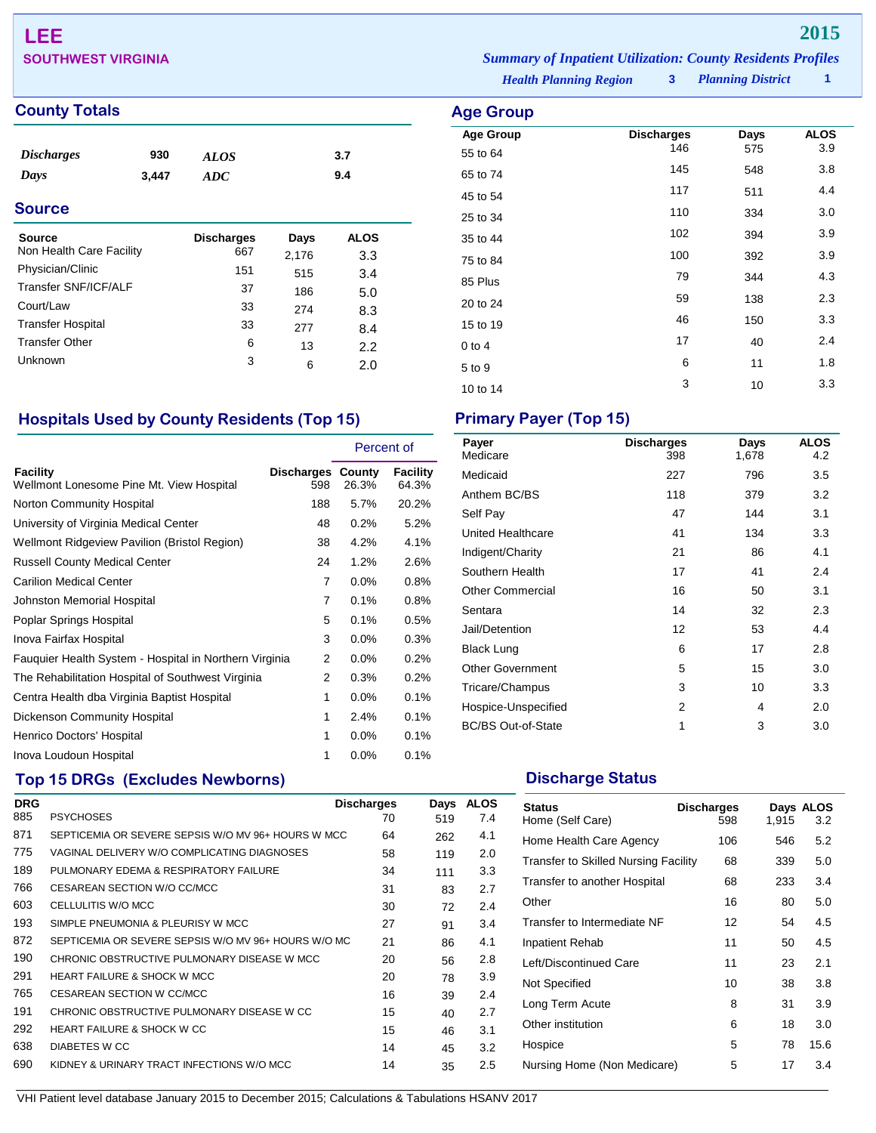# **LEE 2015**

## **County Totals Age Group**

| <i><b>Discharges</b></i> | 930   | <b>ALOS</b> | 3.7 |
|--------------------------|-------|-------------|-----|
| Days                     | 3,447 | ADC         | 9.4 |
|                          |       |             |     |

## **Source**

| <b>Source</b>            | <b>Discharges</b> | Days  | <b>ALOS</b> |
|--------------------------|-------------------|-------|-------------|
| Non Health Care Facility | 667               | 2,176 | 3.3         |
| Physician/Clinic         | 151               | 515   | 3.4         |
| Transfer SNF/ICF/ALF     | 37                | 186   | 5.0         |
| Court/Law                | 33                | 274   | 8.3         |
| <b>Transfer Hospital</b> | 33                | 277   | 8.4         |
| <b>Transfer Other</b>    | 6                 | 13    | 2.2         |
| Unknown                  | 3                 | 6     | 2.0         |

## **Hospitals Used by County Residents (Top 15) Primary Payer (Top 15)**

|                                                        |                | Percent of                        |                   |
|--------------------------------------------------------|----------------|-----------------------------------|-------------------|
| Facility<br>Wellmont Lonesome Pine Mt. View Hospital   | 598            | <b>Discharges County</b><br>26.3% | Facility<br>64.3% |
| Norton Community Hospital                              | 188            | 5.7%                              | 20.2%             |
| University of Virginia Medical Center                  | 48             | 0.2%                              | 5.2%              |
| Wellmont Ridgeview Pavilion (Bristol Region)           | 38             | 4.2%                              | 4.1%              |
| <b>Russell County Medical Center</b>                   | 24             | 1.2%                              | 2.6%              |
| <b>Carilion Medical Center</b>                         | $\overline{7}$ | $0.0\%$                           | $0.8\%$           |
| Johnston Memorial Hospital                             | 7              | 0.1%                              | 0.8%              |
| Poplar Springs Hospital                                | 5              | 0.1%                              | 0.5%              |
| Inova Fairfax Hospital                                 | 3              | $0.0\%$                           | 0.3%              |
| Fauquier Health System - Hospital in Northern Virginia | 2              | 0.0%                              | 0.2%              |
| The Rehabilitation Hospital of Southwest Virginia      | 2              | 0.3%                              | 0.2%              |
| Centra Health dba Virginia Baptist Hospital            | 1              | $0.0\%$                           | 0.1%              |
| <b>Dickenson Community Hospital</b>                    | 1              | 2.4%                              | 0.1%              |
| Henrico Doctors' Hospital                              | 1              | 0.0%                              | 0.1%              |
| Inova Loudoun Hospital                                 | 1              | 0.0%                              | 0.1%              |

## **Top 15 DRGs (Excludes Newborns) Discharge Status Discharge Status**

| <b>DRG</b> |                                                     | <b>Discharges</b> | Days | <b>ALOS</b> |
|------------|-----------------------------------------------------|-------------------|------|-------------|
| 885        | <b>PSYCHOSES</b>                                    | 70                | 519  | 7.4         |
| 871        | SEPTICEMIA OR SEVERE SEPSIS W/O MV 96+ HOURS W MCC  | 64                | 262  | 4.1         |
| 775        | VAGINAL DELIVERY W/O COMPLICATING DIAGNOSES         | 58                | 119  | 2.0         |
| 189        | PULMONARY EDEMA & RESPIRATORY FAILURE               | 34                | 111  | 3.3         |
| 766        | CESAREAN SECTION W/O CC/MCC                         | 31                | 83   | 2.7         |
| 603        | CELLULITIS W/O MCC                                  | 30                | 72   | 2.4         |
| 193        | SIMPLE PNEUMONIA & PLEURISY W MCC                   | 27                | 91   | 3.4         |
| 872        | SEPTICEMIA OR SEVERE SEPSIS W/O MV 96+ HOURS W/O MC | 21                | 86   | 4.1         |
| 190        | CHRONIC OBSTRUCTIVE PULMONARY DISEASE W MCC         | 20                | 56   | 2.8         |
| 291        | <b>HEART FAILURE &amp; SHOCK W MCC</b>              | 20                | 78   | 3.9         |
| 765        | CESAREAN SECTION W CC/MCC                           | 16                | 39   | 2.4         |
| 191        | CHRONIC OBSTRUCTIVE PULMONARY DISEASE W CC          | 15                | 40   | 2.7         |
| 292        | <b>HEART FAILURE &amp; SHOCK W CC</b>               | 15                | 46   | 3.1         |
| 638        | DIABETES W CC                                       | 14                | 45   | 3.2         |
| 690        | KIDNEY & URINARY TRACT INFECTIONS W/O MCC           | 14                | 35   | 2.5         |
|            |                                                     |                   |      |             |

| Payer<br>Medicare         | <b>Discharges</b><br>398 | Days<br>1,678 | <b>ALOS</b><br>4.2 |
|---------------------------|--------------------------|---------------|--------------------|
| Medicaid                  | 227                      | 796           | 3.5                |
| Anthem BC/BS              | 118                      | 379           | 3.2                |
| Self Pay                  | 47                       | 144           | 3.1                |
| United Healthcare         | 41                       | 134           | 3.3                |
| Indigent/Charity          | 21                       | 86            | 4.1                |
| Southern Health           | 17                       | 41            | 2.4                |
| <b>Other Commercial</b>   | 16                       | 50            | 3.1                |
| Sentara                   | 14                       | 32            | 2.3                |
| Jail/Detention            | 12                       | 53            | 4.4                |
| <b>Black Lung</b>         | 6                        | 17            | 2.8                |
| <b>Other Government</b>   | 5                        | 15            | 3.0                |
| Tricare/Champus           | 3                        | 10            | 3.3                |
| Hospice-Unspecified       | 2                        | 4             | 2.0                |
| <b>BC/BS Out-of-State</b> | 1                        | 3             | 3.0                |
|                           |                          |               |                    |

| <b>Status</b><br>Home (Self Care)           | <b>Discharges</b><br>598 | 1,915 | Days ALOS<br>3.2 |
|---------------------------------------------|--------------------------|-------|------------------|
| Home Health Care Agency                     | 106                      | 546   | 5.2              |
| <b>Transfer to Skilled Nursing Facility</b> | 68                       | 339   | 5.0              |
| Transfer to another Hospital                | 68                       | 233   | 3.4              |
| Other                                       | 16                       | 80    | 5.0              |
| Transfer to Intermediate NF                 | 12                       | 54    | 4.5              |
| Inpatient Rehab                             | 11                       | 50    | 4.5              |
| Left/Discontinued Care                      | 11                       | 23    | 2.1              |
| Not Specified                               | 10                       | 38    | 3.8              |
| Long Term Acute                             | 8                        | 31    | 3.9              |
| Other institution                           | 6                        | 18    | 3.0              |
| Hospice                                     | 5                        | 78    | 15.6             |
| Nursing Home (Non Medicare)                 | 5                        | 17    | 3.4              |

VHI Patient level database January 2015 to December 2015; Calculations & Tabulations HSANV 2017

*Health Planning Region* **3**

| quo or oup.      |                   |      |             |
|------------------|-------------------|------|-------------|
| <b>Age Group</b> | <b>Discharges</b> | Days | <b>ALOS</b> |
| 55 to 64         | 146               | 575  | 3.9         |
| 65 to 74         | 145               | 548  | 3.8         |
| 45 to 54         | 117               | 511  | 4.4         |
| 25 to 34         | 110               | 334  | 3.0         |
| 35 to 44         | 102               | 394  | 3.9         |
| 75 to 84         | 100               | 392  | 3.9         |
| 85 Plus          | 79                | 344  | 4.3         |
| 20 to 24         | 59                | 138  | 2.3         |
| 15 to 19         | 46                | 150  | 3.3         |
| $0$ to $4$       | 17                | 40   | 2.4         |
| 5 to 9           | 6                 | 11   | 1.8         |
| 10 to 14         | 3                 | 10   | 3.3         |
|                  |                   |      |             |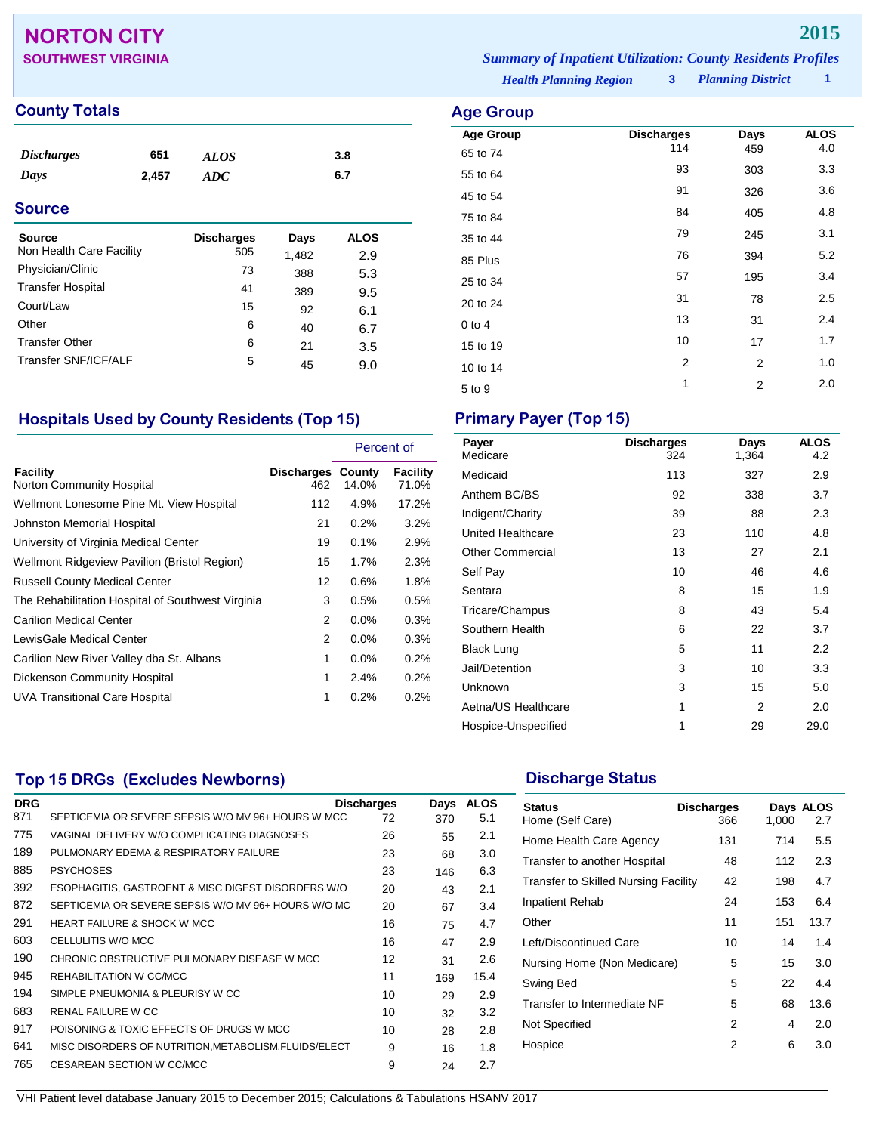## **NORTON CITY 2015**

## **County Totals Age Group**

| <b>Discharges</b><br>Days<br><b>Source</b> | 651<br>2,457 | <b>ALOS</b><br>ADC       |               | 3.8<br>6.7         |  |
|--------------------------------------------|--------------|--------------------------|---------------|--------------------|--|
| <b>Source</b><br>Non Health Care Facility  |              | <b>Discharges</b><br>505 | Days<br>1,482 | <b>ALOS</b><br>2.9 |  |
| D <sub>b</sub>                             |              | $\overline{\phantom{a}}$ |               |                    |  |

|    | 1.TUZ | 2.J |
|----|-------|-----|
| 73 | 388   | 5.3 |
| 41 | 389   | 9.5 |
| 15 | 92    | 6.1 |
| 6  | 40    | 6.7 |
| 6  | 21    | 3.5 |
| 5  | 45    | 9.0 |
|    |       |     |

## **Hospitals Used by County Residents (Top 15) Primary Payer (Top 15)**

|                                                   |                                 | Percent of |                   |
|---------------------------------------------------|---------------------------------|------------|-------------------|
| Facility<br>Norton Community Hospital             | <b>Discharges County</b><br>462 | 14.0%      | Facility<br>71.0% |
| Wellmont Lonesome Pine Mt. View Hospital          | 112                             | 4.9%       | 17.2%             |
| Johnston Memorial Hospital                        | 21                              | 0.2%       | 3.2%              |
| University of Virginia Medical Center             | 19                              | 0.1%       | 2.9%              |
| Wellmont Ridgeview Pavilion (Bristol Region)      | 15                              | 1.7%       | 2.3%              |
| <b>Russell County Medical Center</b>              | 12                              | 0.6%       | 1.8%              |
| The Rehabilitation Hospital of Southwest Virginia | 3                               | 0.5%       | 0.5%              |
| <b>Carilion Medical Center</b>                    | 2                               | $0.0\%$    | 0.3%              |
| LewisGale Medical Center                          | 2                               | $0.0\%$    | 0.3%              |
| Carilion New River Valley dba St. Albans          | 1                               | $0.0\%$    | 0.2%              |
| <b>Dickenson Community Hospital</b>               | 1                               | 2.4%       | 0.2%              |
| UVA Transitional Care Hospital                    | 1                               | 0.2%       | 0.2%              |

**SOUTHWEST VIRGINIA** *Summary of Inpatient Utilization: County Residents Profiles*

*Health Planning Region* **3**

*Planning District* **1**

| <b>Age Group</b> |                          |      |                    |
|------------------|--------------------------|------|--------------------|
| <b>Age Group</b> | <b>Discharges</b><br>114 | Days | <b>ALOS</b><br>4.0 |
| 65 to 74         |                          | 459  |                    |
| 55 to 64         | 93                       | 303  | 3.3                |
| 45 to 54         | 91                       | 326  | 3.6                |
| 75 to 84         | 84                       | 405  | 4.8                |
| 35 to 44         | 79                       | 245  | 3.1                |
| 85 Plus          | 76                       | 394  | 5.2                |
| 25 to 34         | 57                       | 195  | 3.4                |
| 20 to 24         | 31                       | 78   | 2.5                |
| $0$ to 4         | 13                       | 31   | 2.4                |
| 15 to 19         | 10                       | 17   | 1.7                |
| 10 to 14         | 2                        | 2    | 1.0                |
| 5 to 9           | 1                        | 2    | 2.0                |

| Payer<br>Medicare       | <b>Discharges</b><br>324 | Days<br>1,364  | <b>ALOS</b><br>4.2 |
|-------------------------|--------------------------|----------------|--------------------|
| Medicaid                | 113                      | 327            | 2.9                |
| Anthem BC/BS            | 92                       | 338            | 3.7                |
| Indigent/Charity        | 39                       | 88             | 2.3                |
| United Healthcare       | 23                       | 110            | 4.8                |
| <b>Other Commercial</b> | 13                       | 27             | 2.1                |
| Self Pay                | 10                       | 46             | 4.6                |
| Sentara                 | 8                        | 15             | 1.9                |
| Tricare/Champus         | 8                        | 43             | 5.4                |
| Southern Health         | 6                        | 22             | 3.7                |
| <b>Black Lung</b>       | 5                        | 11             | 2.2                |
| Jail/Detention          | 3                        | 10             | 3.3                |
| Unknown                 | 3                        | 15             | 5.0                |
| Aetna/US Healthcare     | 1                        | $\overline{2}$ | 2.0                |
| Hospice-Unspecified     | 1                        | 29             | 29.0               |

## **Top 15 DRGs (Excludes Newborns) Discharge Status Discharge Status**

| <b>DRG</b> |                                                       | <b>Discharges</b> | Days | <b>ALOS</b> |  |
|------------|-------------------------------------------------------|-------------------|------|-------------|--|
| 871        | SEPTICEMIA OR SEVERE SEPSIS W/O MV 96+ HOURS W MCC    | 72                | 370  | 5.1         |  |
| 775        | VAGINAL DELIVERY W/O COMPLICATING DIAGNOSES           | 26                | 55   | 2.1         |  |
| 189        | PULMONARY EDEMA & RESPIRATORY FAILURE                 | 23                | 68   | 3.0         |  |
| 885        | <b>PSYCHOSES</b>                                      | 23                | 146  | 6.3         |  |
| 392        | ESOPHAGITIS, GASTROENT & MISC DIGEST DISORDERS W/O    | 20                | 43   | 2.1         |  |
| 872        | SEPTICEMIA OR SEVERE SEPSIS W/O MV 96+ HOURS W/O MC   | 20                | 67   | 3.4         |  |
| 291        | <b>HEART FAILURE &amp; SHOCK W MCC</b>                | 16                | 75   | 4.7         |  |
| 603        | CELLULITIS W/O MCC                                    | 16                | 47   | 2.9         |  |
| 190        | CHRONIC OBSTRUCTIVE PULMONARY DISEASE W MCC           | 12                | 31   | 2.6         |  |
| 945        | REHABILITATION W CC/MCC                               | 11                | 169  | 15.4        |  |
| 194        | SIMPLE PNEUMONIA & PLEURISY W CC                      | 10                | 29   | 2.9         |  |
| 683        | RENAL FAILURE W CC                                    | 10                | 32   | 3.2         |  |
| 917        | POISONING & TOXIC EFFECTS OF DRUGS W MCC              | 10                | 28   | 2.8         |  |
| 641        | MISC DISORDERS OF NUTRITION, METABOLISM, FLUIDS/ELECT | 9                 | 16   | 1.8         |  |
| 765        | CESAREAN SECTION W CC/MCC                             | 9                 | 24   | 2.7         |  |
|            |                                                       |                   |      |             |  |

| Status<br>Home (Self Care)           | <b>Discharges</b><br>366 | 1,000 | Days ALOS<br>2.7 |
|--------------------------------------|--------------------------|-------|------------------|
| Home Health Care Agency              | 131                      | 714   | 5.5              |
| Transfer to another Hospital         | 48                       | 112   | 2.3              |
| Transfer to Skilled Nursing Facility | 42                       | 198   | 4.7              |
| Inpatient Rehab                      | 24                       | 153   | 6.4              |
| Other                                | 11                       | 151   | 13.7             |
| Left/Discontinued Care               | 10                       | 14    | 1.4              |
| Nursing Home (Non Medicare)          | 5                        | 15    | 3.0              |
| Swing Bed                            | 5                        | 22    | 4.4              |
| Transfer to Intermediate NF          | 5                        | 68    | 13.6             |
| Not Specified                        | 2                        | 4     | 2.0              |
| Hospice                              | 2                        | 6     | 3.0              |
|                                      |                          |       |                  |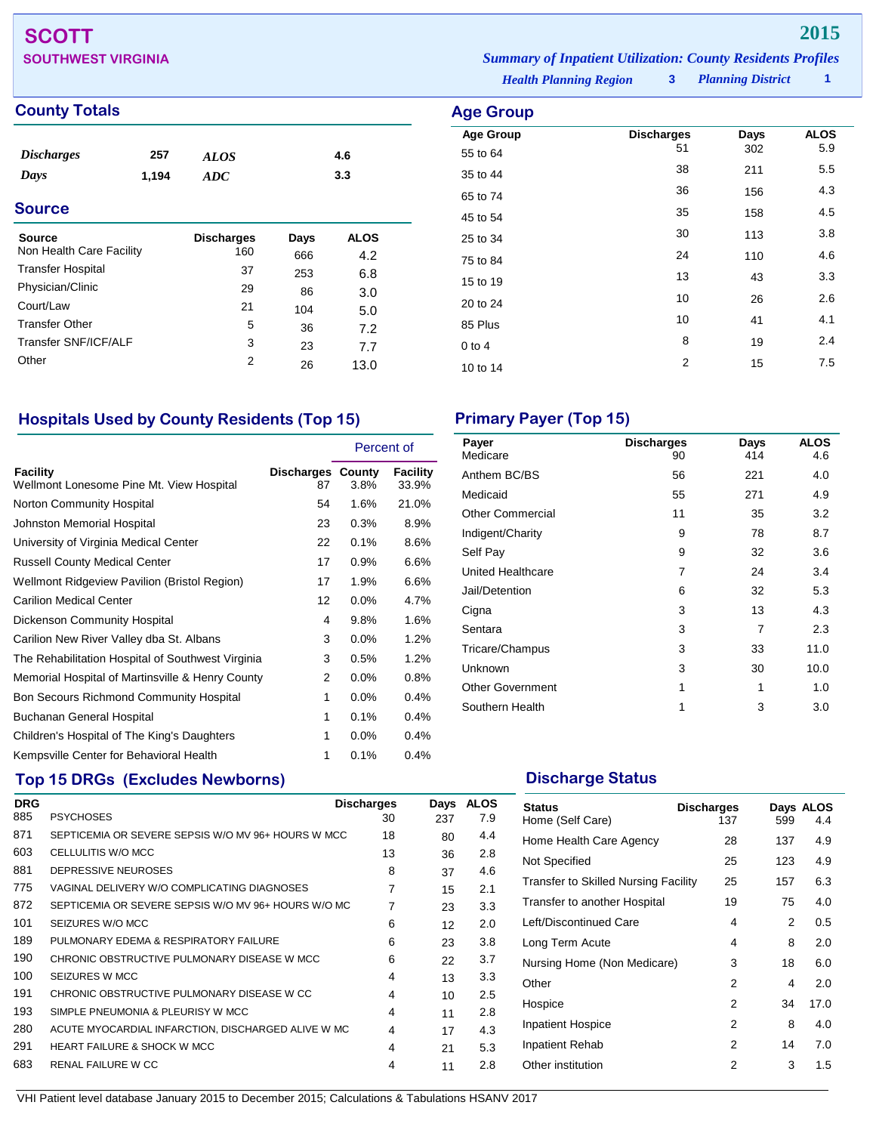# **SCOTT 2015**

| <b>SOUTHWEST VIRGINIA</b> |                               | <b>Summary of Inpatient Utilization: County Residents Profiles</b> |                     |  |
|---------------------------|-------------------------------|--------------------------------------------------------------------|---------------------|--|
|                           | <b>Health Planning Region</b> |                                                                    | 3 Planning District |  |

**Age Group Discharges Days ALOS**<br>55 to 64 51 302 5.9

35 to 44 <sup>38</sup> <sup>211</sup> 5.5 65 to 74 <sup>36</sup> <sup>156</sup> 4.3 45 to 54 and 53 to 54 and 55 and 55 and 56 and 56 and 56 and 56 and 56 and 56 and 56 and 56 and 56 and 56 and 25 to 34 and 30 113 3.8 75 to 84 <sup>24</sup> <sup>110</sup> 4.6 15 to 19 13 13 13 13 13 13 143 20 to 24 26 2.6 85 Plus 20 10 21 21 21 21 21 21 22 22 23 24 25 26 27 27 28 29 20 21 22 23 24 25 26 27 27 27 27 27 27 27 27 27 2 0 to 4  $8$  19  $2.4$ 10 to 14 2 15 7.5

## **County Totals Age Group**

| <b>Discharges</b>        | 257   | <b>ALOS</b>       |      | 4.6         |
|--------------------------|-------|-------------------|------|-------------|
| Days                     | 1,194 | ADC               |      | 3.3         |
| <b>Source</b>            |       |                   |      |             |
|                          |       |                   |      |             |
| <b>Source</b>            |       | <b>Discharges</b> | Days | <b>ALOS</b> |
| Non Health Care Facility |       | 160               | 666  | 4.2         |
| <b>Transfer Hospital</b> |       | 37                | 253  | 6.8         |
| Physician/Clinic         |       | 29                | 86   | 3.0         |
| Court/Law                |       | 21                | 104  | 5.0         |
| <b>Transfer Other</b>    |       | 5                 | 36   | 7.2         |
| Transfer SNF/ICF/ALF     |       | 3                 | 23   | 7.7         |
| Other                    |       | 2                 | 26   | 13.0        |
|                          |       |                   |      |             |

## **Hospitals Used by County Residents (Top 15) Primary Payer (Top 15)**

|                                                      |                                | Percent of |                   |
|------------------------------------------------------|--------------------------------|------------|-------------------|
| Facility<br>Wellmont Lonesome Pine Mt. View Hospital | <b>Discharges County</b><br>87 | 3.8%       | Facility<br>33.9% |
| Norton Community Hospital                            | 54                             | 1.6%       | 21.0%             |
| Johnston Memorial Hospital                           | 23                             | 0.3%       | 8.9%              |
| University of Virginia Medical Center                | 22                             | 0.1%       | 8.6%              |
| <b>Russell County Medical Center</b>                 | 17                             | 0.9%       | 6.6%              |
| Wellmont Ridgeview Pavilion (Bristol Region)         | 17                             | 1.9%       | 6.6%              |
| <b>Carilion Medical Center</b>                       | 12                             | $0.0\%$    | 4.7%              |
| <b>Dickenson Community Hospital</b>                  | 4                              | 9.8%       | 1.6%              |
| Carilion New River Valley dba St. Albans             | 3                              | 0.0%       | 1.2%              |
| The Rehabilitation Hospital of Southwest Virginia    | 3                              | 0.5%       | 1.2%              |
| Memorial Hospital of Martinsville & Henry County     | 2                              | $0.0\%$    | 0.8%              |
| Bon Secours Richmond Community Hospital              | 1                              | 0.0%       | 0.4%              |
| Buchanan General Hospital                            | 1                              | 0.1%       | 0.4%              |
| Children's Hospital of The King's Daughters          | 1                              | $0.0\%$    | 0.4%              |
| Kempsville Center for Behavioral Health              | 1                              | 0.1%       | 0.4%              |

## **Top 15 DRGs (Excludes Newborns) Discharge Status Discharge Status**

| <b>DRG</b> |                                                     | <b>Discharges</b> | Days | <b>ALOS</b> |
|------------|-----------------------------------------------------|-------------------|------|-------------|
| 885        | <b>PSYCHOSES</b>                                    | 30                | 237  | 7.9         |
| 871        | SEPTICEMIA OR SEVERE SEPSIS W/O MV 96+ HOURS W MCC  | 18                | 80   | 4.4         |
| 603        | CELLULITIS W/O MCC                                  | 13                | 36   | 2.8         |
| 881        | DEPRESSIVE NEUROSES                                 | 8                 | 37   | 4.6         |
| 775        | VAGINAL DELIVERY W/O COMPLICATING DIAGNOSES         | 7                 | 15   | 2.1         |
| 872        | SEPTICEMIA OR SEVERE SEPSIS W/O MV 96+ HOURS W/O MC | 7                 | 23   | 3.3         |
| 101        | SEIZURES W/O MCC                                    | 6                 | 12   | 2.0         |
| 189        | PULMONARY EDEMA & RESPIRATORY FAILURE               | 6                 | 23   | 3.8         |
| 190        | CHRONIC OBSTRUCTIVE PULMONARY DISEASE W MCC         | 6                 | 22   | 3.7         |
| 100        | SEIZURES W MCC                                      | 4                 | 13   | 3.3         |
| 191        | CHRONIC OBSTRUCTIVE PULMONARY DISEASE W CC          | 4                 | 10   | 2.5         |
| 193        | SIMPLE PNEUMONIA & PLEURISY W MCC                   | 4                 | 11   | 2.8         |
| 280        | ACUTE MYOCARDIAL INFARCTION, DISCHARGED ALIVE W MC  | 4                 | 17   | 4.3         |
| 291        | <b>HEART FAILURE &amp; SHOCK W MCC</b>              | 4                 | 21   | 5.3         |
| 683        | RENAL FAILURE W CC                                  | 4                 | 11   | 2.8         |

55 to 64

| Payer<br>Medicare        | <b>Discharges</b><br>90 | Days<br>414 | <b>ALOS</b><br>4.6 |
|--------------------------|-------------------------|-------------|--------------------|
| Anthem BC/BS             | 56                      | 221         | 4.0                |
| Medicaid                 | 55                      | 271         | 4.9                |
| <b>Other Commercial</b>  | 11                      | 35          | 3.2                |
| Indigent/Charity         | 9                       | 78          | 8.7                |
| Self Pay                 | 9                       | 32          | 3.6                |
| <b>United Healthcare</b> | 7                       | 24          | 3.4                |
| Jail/Detention           | 6                       | 32          | 5.3                |
| Cigna                    | 3                       | 13          | 4.3                |
| Sentara                  | 3                       | 7           | 2.3                |
| Tricare/Champus          | 3                       | 33          | 11.0               |
| Unknown                  | 3                       | 30          | 10.0               |
| <b>Other Government</b>  | 1                       | 1           | 1.0                |
| Southern Health          | 1                       | 3           | 3.0                |
|                          |                         |             |                    |

| <b>Status</b><br>Home (Self Care)           | <b>Discharges</b><br>137 | 599 | Days ALOS<br>4.4 |
|---------------------------------------------|--------------------------|-----|------------------|
| Home Health Care Agency                     | 28                       | 137 | 4.9              |
| Not Specified                               | 25                       | 123 | 4.9              |
| <b>Transfer to Skilled Nursing Facility</b> | 25                       | 157 | 6.3              |
| Transfer to another Hospital                | 19                       | 75  | 4.0              |
| Left/Discontinued Care                      | 4                        | 2   | 0.5              |
| Long Term Acute                             | 4                        | 8   | 2.0              |
| Nursing Home (Non Medicare)                 | 3                        | 18  | 6.0              |
| Other                                       | 2                        | 4   | 2.0              |
| Hospice                                     | 2                        | 34  | 17.0             |
| <b>Inpatient Hospice</b>                    | 2                        | 8   | 4.0              |
| Inpatient Rehab                             | 2                        | 14  | 7.0              |
| Other institution                           | 2                        | 3   | 1.5              |
|                                             |                          |     |                  |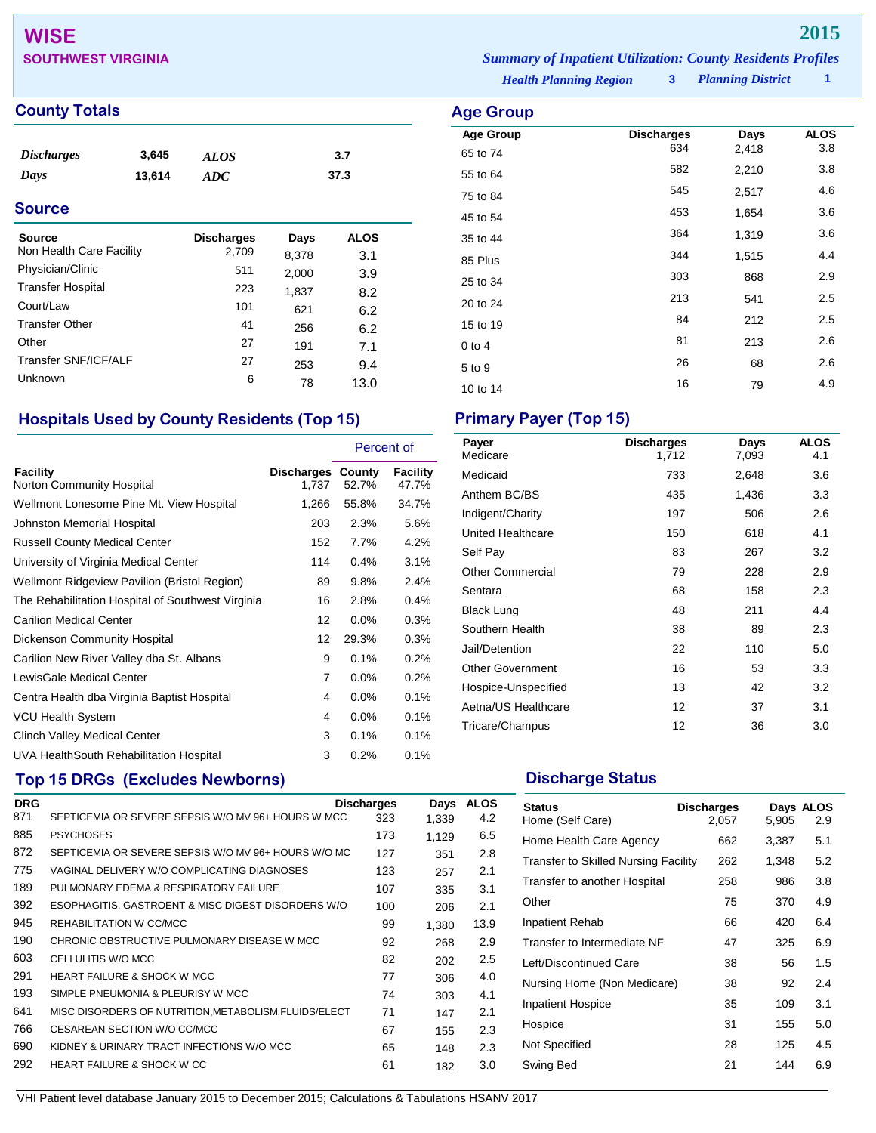# **WISE 2015**

## **County Totals Age G**

| <i><b>Discharges</b></i> | 3.645  | ALOS | 3.7  |
|--------------------------|--------|------|------|
| Days                     | 13,614 | ADC  | 37.3 |

## **Source**

| Source<br>Non Health Care Facility | <b>Discharges</b><br>2,709 | Days<br>8,378 | <b>ALOS</b><br>3.1 |
|------------------------------------|----------------------------|---------------|--------------------|
| Physician/Clinic                   | 511                        | 2,000         | 3.9                |
| <b>Transfer Hospital</b>           | 223                        | 1,837         | 8.2                |
| Court/Law                          | 101                        | 621           | 6.2                |
| <b>Transfer Other</b>              | 41                         | 256           | 6.2                |
| Other                              | 27                         | 191           | 7.1                |
| Transfer SNF/ICF/ALF               | 27                         | 253           | 9.4                |
| Unknown                            | 6                          | 78            | 13.0               |

## **Hospitals Used by County Residents (Top 15) Primary Payer (Top 15)**

|                                                     |                            |       | Percent of        |  |
|-----------------------------------------------------|----------------------------|-------|-------------------|--|
| Facility<br>Norton Community Hospital               | Discharges County<br>1,737 | 52.7% | Facility<br>47.7% |  |
| Wellmont Lonesome Pine Mt. View Hospital            | 1,266                      | 55.8% | 34.7%             |  |
| Johnston Memorial Hospital                          | 203                        | 2.3%  | 5.6%              |  |
| <b>Russell County Medical Center</b>                | 152                        | 7.7%  | 4.2%              |  |
| University of Virginia Medical Center               | 114                        | 0.4%  | 3.1%              |  |
| <b>Wellmont Ridgeview Pavilion (Bristol Region)</b> | 89                         | 9.8%  | 2.4%              |  |
| The Rehabilitation Hospital of Southwest Virginia   | 16                         | 2.8%  | 0.4%              |  |
| Carilion Medical Center                             | 12                         | 0.0%  | 0.3%              |  |
| Dickenson Community Hospital                        | 12                         | 29.3% | 0.3%              |  |
| Carilion New River Valley dba St. Albans            | 9                          | 0.1%  | 0.2%              |  |
| LewisGale Medical Center                            | 7                          | 0.0%  | 0.2%              |  |
| Centra Health dba Virginia Baptist Hospital         | 4                          | 0.0%  | 0.1%              |  |
| <b>VCU Health System</b>                            | 4                          | 0.0%  | 0.1%              |  |
| Clinch Valley Medical Center                        | 3                          | 0.1%  | 0.1%              |  |
| UVA HealthSouth Rehabilitation Hospital             | 3                          | 0.2%  | 0.1%              |  |

## **Top 15 DRGs (Excludes Newborns) Discharge Status Discharge Status**

| <b>DRG</b> |                                                       | <b>Discharges</b> | Days  | <b>ALOS</b> |
|------------|-------------------------------------------------------|-------------------|-------|-------------|
| 871        | SEPTICEMIA OR SEVERE SEPSIS W/O MV 96+ HOURS W MCC    | 323               | 1,339 | 4.2         |
| 885        | <b>PSYCHOSES</b>                                      | 173               | 1,129 | 6.5         |
| 872        | SEPTICEMIA OR SEVERE SEPSIS W/O MV 96+ HOURS W/O MC   | 127               | 351   | 2.8         |
| 775        | VAGINAL DELIVERY W/O COMPLICATING DIAGNOSES           | 123               | 257   | 2.1         |
| 189        | PULMONARY EDEMA & RESPIRATORY FAILURE                 | 107               | 335   | 3.1         |
| 392        | ESOPHAGITIS, GASTROENT & MISC DIGEST DISORDERS W/O    | 100               | 206   | 2.1         |
| 945        | REHABILITATION W CC/MCC                               | 99                | 1,380 | 13.9        |
| 190        | CHRONIC OBSTRUCTIVE PULMONARY DISEASE W MCC           | 92                | 268   | 2.9         |
| 603        | CELLULITIS W/O MCC                                    | 82                | 202   | 2.5         |
| 291        | <b>HEART FAILURE &amp; SHOCK W MCC</b>                | 77                | 306   | 4.0         |
| 193        | SIMPLE PNEUMONIA & PLEURISY W MCC                     | 74                | 303   | 4.1         |
| 641        | MISC DISORDERS OF NUTRITION, METABOLISM, FLUIDS/ELECT | 71                | 147   | 2.1         |
| 766        | CESAREAN SECTION W/O CC/MCC                           | 67                | 155   | 2.3         |
| 690        | KIDNEY & URINARY TRACT INFECTIONS W/O MCC             | 65                | 148   | 2.3         |
| 292        | <b>HEART FAILURE &amp; SHOCK W CC</b>                 | 61                | 182   | 3.0         |
|            |                                                       |                   |       |             |

**SOUTHWEST VIRGINIA** *Summary of Inpatient Utilization: County Residents Profiles*

*Health Planning Region* **3**

*Planning District* **1**

| Age Group        |                          |               |                    |
|------------------|--------------------------|---------------|--------------------|
| <b>Age Group</b> | <b>Discharges</b><br>634 | Days<br>2,418 | <b>ALOS</b><br>3.8 |
| 65 to 74         |                          |               |                    |
| 55 to 64         | 582                      | 2,210         | 3.8                |
| 75 to 84         | 545                      | 2,517         | 4.6                |
| 45 to 54         | 453                      | 1,654         | 3.6                |
| 35 to 44         | 364                      | 1,319         | 3.6                |
| 85 Plus          | 344                      | 1,515         | 4.4                |
| 25 to 34         | 303                      | 868           | 2.9                |
| 20 to 24         | 213                      | 541           | 2.5                |
| 15 to 19         | 84                       | 212           | 2.5                |
| $0$ to 4         | 81                       | 213           | 2.6                |
| 5 to 9           | 26                       | 68            | 2.6                |
| 10 to 14         | 16                       | 79            | 4.9                |

| Payer<br>Medicare       | <b>Discharges</b><br>1,712 | Days<br>7,093 | <b>ALOS</b><br>4.1 |
|-------------------------|----------------------------|---------------|--------------------|
| Medicaid                | 733                        | 2,648         | 3.6                |
| Anthem BC/BS            | 435                        | 1,436         | 3.3                |
| Indigent/Charity        | 197                        | 506           | 2.6                |
| United Healthcare       | 150                        | 618           | 4.1                |
| Self Pay                | 83                         | 267           | 3.2                |
| <b>Other Commercial</b> | 79                         | 228           | 2.9                |
| Sentara                 | 68                         | 158           | 2.3                |
| <b>Black Lung</b>       | 48                         | 211           | 4.4                |
| Southern Health         | 38                         | 89            | 2.3                |
| Jail/Detention          | 22                         | 110           | 5.0                |
| <b>Other Government</b> | 16                         | 53            | 3.3                |
| Hospice-Unspecified     | 13                         | 42            | 3.2                |
| Aetna/US Healthcare     | 12                         | 37            | 3.1                |
| Tricare/Champus         | 12                         | 36            | 3.0                |

| <b>Status</b><br>Home (Self Care)    | <b>Discharges</b><br>2,057 | 5,905 | Days ALOS<br>2.9 |
|--------------------------------------|----------------------------|-------|------------------|
| Home Health Care Agency              | 662                        | 3,387 | 5.1              |
| Transfer to Skilled Nursing Facility | 262                        | 1,348 | 5.2              |
| Transfer to another Hospital         | 258                        | 986   | 3.8              |
| Other                                | 75                         | 370   | 4.9              |
| Inpatient Rehab                      | 66                         | 420   | 6.4              |
| Transfer to Intermediate NF          | 47                         | 325   | 6.9              |
| Left/Discontinued Care               | 38                         | 56    | 1.5              |
| Nursing Home (Non Medicare)          | 38                         | 92    | 2.4              |
| <b>Inpatient Hospice</b>             | 35                         | 109   | 3.1              |
| Hospice                              | 31                         | 155   | 5.0              |
| Not Specified                        | 28                         | 125   | 4.5              |
| Swing Bed                            | 21                         | 144   | 6.9              |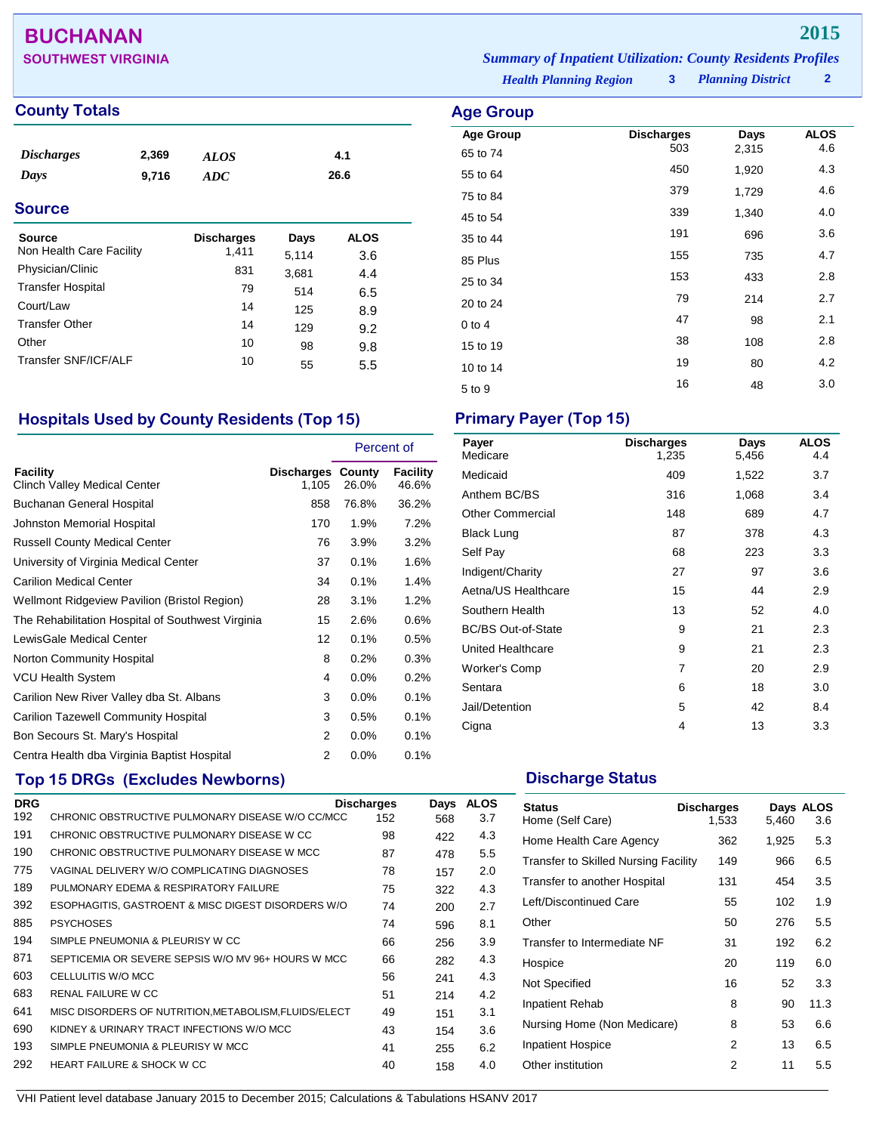## **BUCHANAN 2015**

## **County Totals Age Group Age Group Age Group**

| <b>Discharges</b><br>Days | 2,369<br>9,716 | <b>ALOS</b><br><b>ADC</b> |       | 4.1<br>26.6 |  |
|---------------------------|----------------|---------------------------|-------|-------------|--|
| <b>Source</b>             |                |                           |       |             |  |
| <b>Source</b>             |                | <b>Discharges</b>         | Days  | <b>ALOS</b> |  |
| Non Health Care Facility  |                | 1,411                     | 5,114 | 3.6         |  |
| Physician/Clinic          |                | 831                       | 3,681 | 4.4         |  |
| <b>Transfer Hospital</b>  |                | 79                        | 514   | 6.5         |  |
| Court/Law                 |                | 14                        | 125   | 8.9         |  |
| <b>Transfer Other</b>     |                | 14                        | 129   | 9.2         |  |
| Other                     |                | 10                        | 98    | 9.8         |  |
| Transfer SNF/ICF/ALF      |                | 10                        | 55    | 5.5         |  |

## **Hospitals Used by County Residents (Top 15) Primary Payer (Top 15)**

|                                                   |                            | Percent of |                   |
|---------------------------------------------------|----------------------------|------------|-------------------|
| Facility<br><b>Clinch Valley Medical Center</b>   | Discharges County<br>1,105 | 26.0%      | Facility<br>46.6% |
| Buchanan General Hospital                         | 858                        | 76.8%      | 36.2%             |
| Johnston Memorial Hospital                        | 170                        | 1.9%       | 7.2%              |
| <b>Russell County Medical Center</b>              | 76                         | 3.9%       | 3.2%              |
| University of Virginia Medical Center             | 37                         | 0.1%       | 1.6%              |
| <b>Carilion Medical Center</b>                    | 34                         | 0.1%       | 1.4%              |
| Wellmont Ridgeview Pavilion (Bristol Region)      | 28                         | 3.1%       | 1.2%              |
| The Rehabilitation Hospital of Southwest Virginia | 15                         | 2.6%       | 0.6%              |
| LewisGale Medical Center                          | 12                         | 0.1%       | 0.5%              |
| Norton Community Hospital                         | 8                          | 0.2%       | 0.3%              |
| <b>VCU Health System</b>                          | 4                          | 0.0%       | 0.2%              |
| Carilion New River Valley dba St. Albans          | 3                          | $0.0\%$    | 0.1%              |
| <b>Carilion Tazewell Community Hospital</b>       | 3                          | 0.5%       | 0.1%              |
| Bon Secours St. Mary's Hospital                   | 2                          | 0.0%       | 0.1%              |
| Centra Health dba Virginia Baptist Hospital       | 2                          | $0.0\%$    | 0.1%              |

## **Top 15 DRGs (Excludes Newborns) Discharge Status Discharge Status**

| <b>DRG</b> |                                                       | <b>Discharges</b> | Days | <b>ALOS</b> |
|------------|-------------------------------------------------------|-------------------|------|-------------|
| 192        | CHRONIC OBSTRUCTIVE PULMONARY DISEASE W/O CC/MCC      | 152               | 568  | 3.7         |
| 191        | CHRONIC OBSTRUCTIVE PULMONARY DISEASE W CC            | 98                | 422  | 4.3         |
| 190        | CHRONIC OBSTRUCTIVE PULMONARY DISEASE W MCC           | 87                | 478  | 5.5         |
| 775        | VAGINAL DELIVERY W/O COMPLICATING DIAGNOSES           | 78                | 157  | 2.0         |
| 189        | PULMONARY EDEMA & RESPIRATORY FAILURE                 | 75                | 322  | 4.3         |
| 392        | ESOPHAGITIS, GASTROENT & MISC DIGEST DISORDERS W/O    | 74                | 200  | 2.7         |
| 885        | <b>PSYCHOSES</b>                                      | 74                | 596  | 8.1         |
| 194        | SIMPLE PNEUMONIA & PLEURISY W CC                      | 66                | 256  | 3.9         |
| 871        | SEPTICEMIA OR SEVERE SEPSIS W/O MV 96+ HOURS W MCC    | 66                | 282  | 4.3         |
| 603        | CELLULITIS W/O MCC                                    | 56                | 241  | 4.3         |
| 683        | RENAL FAILURE W CC                                    | 51                | 214  | 4.2         |
| 641        | MISC DISORDERS OF NUTRITION, METABOLISM, FLUIDS/ELECT | 49                | 151  | 3.1         |
| 690        | KIDNEY & URINARY TRACT INFECTIONS W/O MCC             | 43                | 154  | 3.6         |
| 193        | SIMPLE PNEUMONIA & PLEURISY W MCC                     | 41                | 255  | 6.2         |
| 292        | <b>HEART FAILURE &amp; SHOCK W CC</b>                 | 40                | 158  | 4.0         |
|            |                                                       |                   |      |             |

| Payer<br>Medicare         | <b>Discharges</b><br>1,235 | Days<br>5,456 | <b>ALOS</b><br>4.4 |
|---------------------------|----------------------------|---------------|--------------------|
| Medicaid                  | 409                        | 1,522         | 3.7                |
| Anthem BC/BS              | 316                        | 1,068         | 3.4                |
| <b>Other Commercial</b>   | 148                        | 689           | 4.7                |
| Black Lung                | 87                         | 378           | 4.3                |
| Self Pay                  | 68                         | 223           | 3.3                |
| Indigent/Charity          | 27                         | 97            | 3.6                |
| Aetna/US Healthcare       | 15                         | 44            | 2.9                |
| Southern Health           | 13                         | 52            | 4.0                |
| <b>BC/BS Out-of-State</b> | 9                          | 21            | 2.3                |
| <b>United Healthcare</b>  | 9                          | 21            | 2.3                |
| <b>Worker's Comp</b>      | 7                          | 20            | 2.9                |
| Sentara                   | 6                          | 18            | 3.0                |
| Jail/Detention            | 5                          | 42            | 8.4                |
| Cigna                     | 4                          | 13            | 3.3                |

| <b>Status</b><br>Home (Self Care)           | <b>Discharges</b><br>1,533 | 5,460 | Days ALOS<br>3.6 |
|---------------------------------------------|----------------------------|-------|------------------|
| Home Health Care Agency                     | 362                        | 1,925 | 5.3              |
| <b>Transfer to Skilled Nursing Facility</b> | 149                        | 966   | 6.5              |
| Transfer to another Hospital                | 131                        | 454   | 3.5              |
| Left/Discontinued Care                      | 55                         | 102   | 1.9              |
| Other                                       | 50                         | 276   | 5.5              |
| Transfer to Intermediate NF                 | 31                         | 192   | 6.2              |
| Hospice                                     | 20                         | 119   | 6.0              |
| Not Specified                               | 16                         | 52    | 3.3              |
| Inpatient Rehab                             | 8                          | 90    | 11.3             |
| Nursing Home (Non Medicare)                 | 8                          | 53    | 6.6              |
| Inpatient Hospice                           | 2                          | 13    | 6.5              |
| Other institution                           | 2                          | 11    | 5.5              |

**SOUTHWEST VIRGINIA** *Summary of Inpatient Utilization: County Residents Profiles*

*Health Planning Region* **3** *Planning District* **2**

| <b>Age Group</b>             |                          |               |                    |
|------------------------------|--------------------------|---------------|--------------------|
| <b>Age Group</b><br>65 to 74 | <b>Discharges</b><br>503 | Days<br>2,315 | <b>ALOS</b><br>4.6 |
| 55 to 64                     | 450                      | 1,920         | 4.3                |
| 75 to 84                     | 379                      | 1,729         | 4.6                |
| 45 to 54                     | 339                      | 1,340         | 4.0                |
| 35 to 44                     | 191                      | 696           | 3.6                |
| 85 Plus                      | 155                      | 735           | 4.7                |
| 25 to 34                     | 153                      | 433           | 2.8                |
| 20 to 24                     | 79                       | 214           | 2.7                |
| $0$ to 4                     | 47                       | 98            | 2.1                |
| 15 to 19                     | 38                       | 108           | 2.8                |
| 10 to 14                     | 19                       | 80            | 4.2                |
| 5 to 9                       | 16                       | 48            | 3.0                |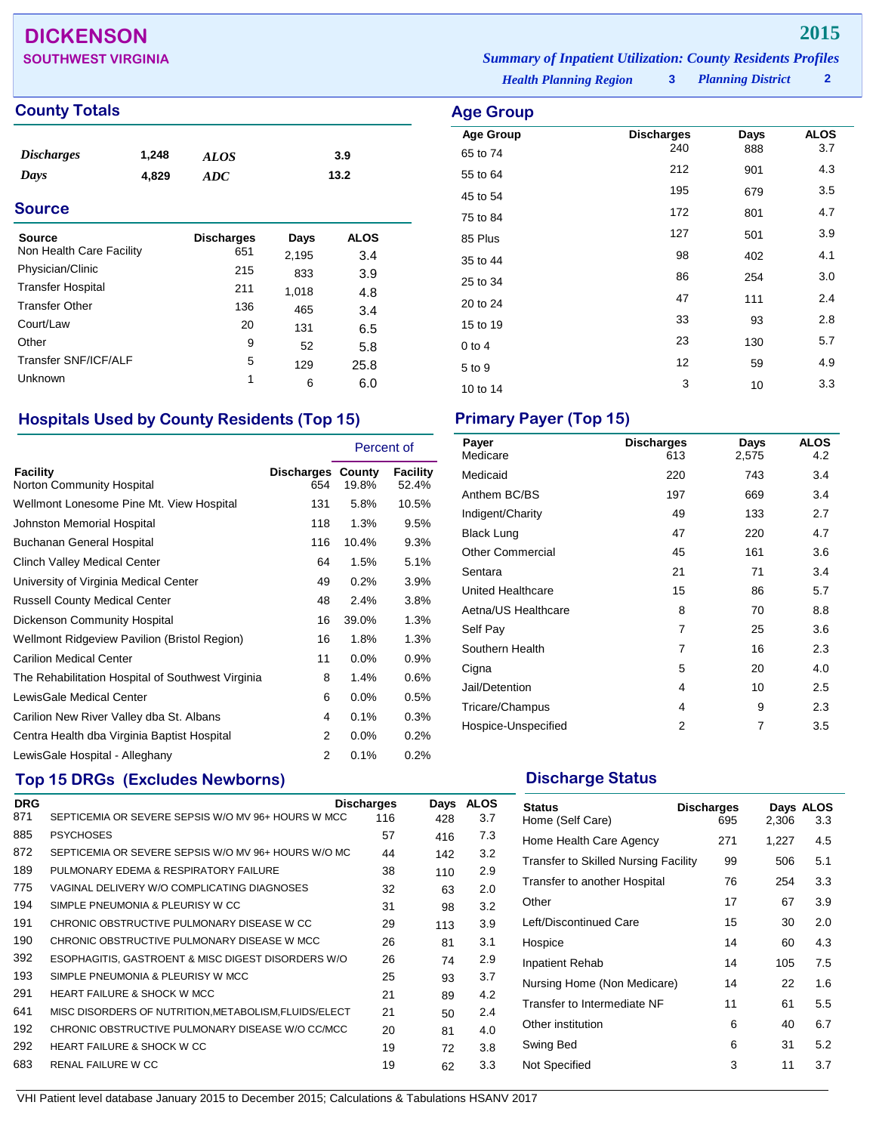## **DICKENSON 2015**

## **County Totals Age Group**

| <b>Discharges</b> | 1,248 | <b>ALOS</b> | 3.9  |  |
|-------------------|-------|-------------|------|--|
| Days              | 4.829 | ADC         | 13.2 |  |
| <b>Source</b>     |       |             |      |  |

| Source                   | <b>Discharges</b> | Days  | <b>ALOS</b> |  |
|--------------------------|-------------------|-------|-------------|--|
| Non Health Care Facility | 651               | 2,195 | 3.4         |  |
| Physician/Clinic         | 215               | 833   | 3.9         |  |
| <b>Transfer Hospital</b> | 211               | 1,018 | 4.8         |  |
| <b>Transfer Other</b>    | 136               | 465   | 3.4         |  |
| Court/Law                | 20                | 131   | 6.5         |  |
| Other                    | 9                 | 52    | 5.8         |  |
| Transfer SNF/ICF/ALF     | 5                 | 129   | 25.8        |  |
| Unknown                  | 1                 | 6     | 6.0         |  |

## **Hospitals Used by County Residents (Top 15) Primary Payer (Top 15)**

|                                                   |                                 | Percent of |                   |
|---------------------------------------------------|---------------------------------|------------|-------------------|
| <b>Facility</b><br>Norton Community Hospital      | <b>Discharges County</b><br>654 | 19.8%      | Facility<br>52.4% |
| Wellmont Lonesome Pine Mt. View Hospital          | 131                             | 5.8%       | 10.5%             |
| Johnston Memorial Hospital                        | 118                             | 1.3%       | 9.5%              |
| <b>Buchanan General Hospital</b>                  | 116                             | 10.4%      | 9.3%              |
| <b>Clinch Valley Medical Center</b>               | 64                              | 1.5%       | 5.1%              |
| University of Virginia Medical Center             | 49                              | 0.2%       | 3.9%              |
| <b>Russell County Medical Center</b>              | 48                              | 2.4%       | 3.8%              |
| Dickenson Community Hospital                      | 16                              | 39.0%      | 1.3%              |
| Wellmont Ridgeview Pavilion (Bristol Region)      | 16                              | 1.8%       | 1.3%              |
| <b>Carilion Medical Center</b>                    | 11                              | $0.0\%$    | $0.9\%$           |
| The Rehabilitation Hospital of Southwest Virginia | 8                               | 1.4%       | 0.6%              |
| LewisGale Medical Center                          | 6                               | $0.0\%$    | 0.5%              |
| Carilion New River Valley dba St. Albans          | 4                               | 0.1%       | 0.3%              |
| Centra Health dba Virginia Baptist Hospital       | 2                               | $0.0\%$    | $0.2\%$           |
| LewisGale Hospital - Alleghany                    | 2                               | 0.1%       | 0.2%              |

## **Top 15 DRGs (Excludes Newborns) Discharge Status Discharge Status**

| <b>DRG</b> |                                                       | <b>Discharges</b> | Days | <b>ALOS</b> |
|------------|-------------------------------------------------------|-------------------|------|-------------|
| 871        | SEPTICEMIA OR SEVERE SEPSIS W/O MV 96+ HOURS W MCC    | 116               | 428  | 3.7         |
| 885        | <b>PSYCHOSES</b>                                      | 57                | 416  | 7.3         |
| 872        | SEPTICEMIA OR SEVERE SEPSIS W/O MV 96+ HOURS W/O MC   | 44                | 142  | 3.2         |
| 189        | PULMONARY EDEMA & RESPIRATORY FAILURE                 | 38                | 110  | 2.9         |
| 775        | VAGINAL DELIVERY W/O COMPLICATING DIAGNOSES           | 32                | 63   | 2.0         |
| 194        | SIMPLE PNEUMONIA & PLEURISY W CC                      | 31                | 98   | 3.2         |
| 191        | CHRONIC OBSTRUCTIVE PULMONARY DISEASE W CC            | 29                | 113  | 3.9         |
| 190        | CHRONIC OBSTRUCTIVE PULMONARY DISEASE W MCC           | 26                | 81   | 3.1         |
| 392        | ESOPHAGITIS, GASTROENT & MISC DIGEST DISORDERS W/O    | 26                | 74   | 2.9         |
| 193        | SIMPLE PNEUMONIA & PLEURISY W MCC                     | 25                | 93   | 3.7         |
| 291        | <b>HEART FAILURE &amp; SHOCK W MCC</b>                | 21                | 89   | 4.2         |
| 641        | MISC DISORDERS OF NUTRITION, METABOLISM, FLUIDS/ELECT | 21                | 50   | 2.4         |
| 192        | CHRONIC OBSTRUCTIVE PULMONARY DISEASE W/O CC/MCC      | 20                | 81   | 4.0         |
| 292        | <b>HEART FAILURE &amp; SHOCK W CC</b>                 | 19                | 72   | 3.8         |
| 683        | RENAL FAILURE W CC                                    | 19                | 62   | 3.3         |

| Payer<br>Medicare       | <b>Discharges</b><br>613 | Days<br>2,575 | <b>ALOS</b><br>4.2 |
|-------------------------|--------------------------|---------------|--------------------|
| Medicaid                | 220                      | 743           | 3.4                |
| Anthem BC/BS            | 197                      | 669           | 3.4                |
| Indigent/Charity        | 49                       | 133           | 2.7                |
| <b>Black Lung</b>       | 47                       | 220           | 4.7                |
| <b>Other Commercial</b> | 45                       | 161           | 3.6                |
| Sentara                 | 21                       | 71            | 3.4                |
| United Healthcare       | 15                       | 86            | 5.7                |
| Aetna/US Healthcare     | 8                        | 70            | 8.8                |
| Self Pay                | $\overline{7}$           | 25            | 3.6                |
| Southern Health         | 7                        | 16            | 2.3                |
| Cigna                   | 5                        | 20            | 4.0                |
| Jail/Detention          | 4                        | 10            | 2.5                |
| Tricare/Champus         | 4                        | 9             | 2.3                |
| Hospice-Unspecified     | 2                        | 7             | 3.5                |

| <b>Status</b><br>Home (Self Care)           | <b>Discharges</b><br>695 | 2,306 | Days ALOS<br>3.3 |
|---------------------------------------------|--------------------------|-------|------------------|
| Home Health Care Agency                     | 271                      | 1,227 | 4.5              |
| <b>Transfer to Skilled Nursing Facility</b> | 99                       | 506   | 5.1              |
| Transfer to another Hospital                | 76                       | 254   | 3.3              |
| Other                                       | 17                       | 67    | 3.9              |
| Left/Discontinued Care                      | 15                       | 30    | 2.0              |
| Hospice                                     | 14                       | 60    | 4.3              |
| <b>Inpatient Rehab</b>                      | 14                       | 105   | 7.5              |
| Nursing Home (Non Medicare)                 | 14                       | 22    | 1.6              |
| Transfer to Intermediate NF                 | 11                       | 61    | 5.5              |
| Other institution                           | 6                        | 40    | 6.7              |
| Swing Bed                                   | 6                        | 31    | 5.2              |
| Not Specified                               | 3                        | 11    | 3.7              |

**Age Group Discharges Days ALOS** 65 to 74 <sup>240</sup> <sup>888</sup> 3.7 55 to 64 <sup>212</sup> <sup>901</sup> 4.3 45 to 54 <sup>195</sup> <sup>679</sup> 3.5 75 to 84 <sup>172</sup> <sup>801</sup> 4.7 85 Plus 2.9  $35 \text{ to } 44$   $98$   $402$   $4.1$ 25 to 34 and 254 and 254 and 254 and 254 and 3.0 20 to 24 **47** 111 2.4 15 to 19 33 93 2.8 0 to 4 23 130 5.7  $5 \text{ to } 9$   $12$   $59$   $4.9$ 10 to 14 3 10 3.3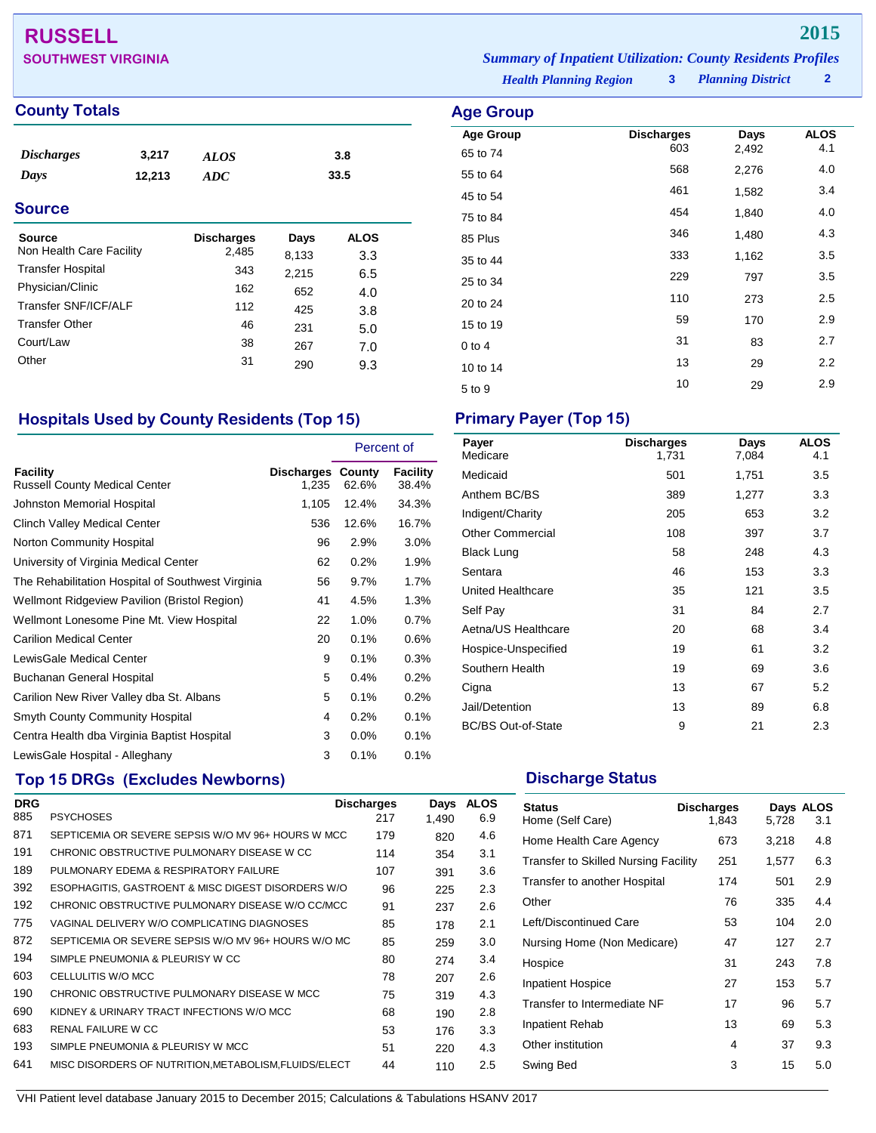## **RUSSELL 2015**

## **County Totals Age Group Age Group Age Group**

| $\sim$ $\sim$ $\sim$ |        |             | $\sim$ $\sim$ | $\cdots$ |  |
|----------------------|--------|-------------|---------------|----------|--|
| <b>Source</b>        |        |             |               |          |  |
| Days                 | 12,213 | ADC         |               | 33.5     |  |
| <b>Discharges</b>    | 3,217  | <b>ALOS</b> |               | 3.8      |  |
|                      |        |             |               |          |  |

| <b>Source</b>            | <b>Discharges</b> | Days  | <b>ALOS</b> |  |
|--------------------------|-------------------|-------|-------------|--|
| Non Health Care Facility | 2,485             | 8,133 | 3.3         |  |
| <b>Transfer Hospital</b> | 343               | 2.215 | 6.5         |  |
| Physician/Clinic         | 162               | 652   | 4.0         |  |
| Transfer SNF/ICF/ALF     | 112               | 425   | 3.8         |  |
| <b>Transfer Other</b>    | 46                | 231   | 5.0         |  |
| Court/Law                | 38                | 267   | 7.0         |  |
| Other                    | 31                | 290   | 9.3         |  |
|                          |                   |       |             |  |

## **Hospitals Used by County Residents (Top 15) Primary Payer (Top 15)**

|                                                   |                                   | Percent of |                   |
|---------------------------------------------------|-----------------------------------|------------|-------------------|
| Facility<br><b>Russell County Medical Center</b>  | <b>Discharges County</b><br>1,235 | 62.6%      | Facility<br>38.4% |
| Johnston Memorial Hospital                        | 1,105                             | 12.4%      | 34.3%             |
| Clinch Valley Medical Center                      | 536                               | 12.6%      | 16.7%             |
| Norton Community Hospital                         | 96                                | 2.9%       | 3.0%              |
| University of Virginia Medical Center             | 62                                | 0.2%       | 1.9%              |
| The Rehabilitation Hospital of Southwest Virginia | 56                                | 9.7%       | 1.7%              |
| Wellmont Ridgeview Pavilion (Bristol Region)      | 41                                | 4.5%       | 1.3%              |
| Wellmont Lonesome Pine Mt. View Hospital          | 22                                | 1.0%       | 0.7%              |
| <b>Carilion Medical Center</b>                    | 20                                | 0.1%       | 0.6%              |
| LewisGale Medical Center                          | 9                                 | 0.1%       | 0.3%              |
| Buchanan General Hospital                         | 5                                 | 0.4%       | 0.2%              |
| Carilion New River Valley dba St. Albans          | 5                                 | 0.1%       | 0.2%              |
| Smyth County Community Hospital                   | 4                                 | 0.2%       | 0.1%              |
| Centra Health dba Virginia Baptist Hospital       | 3                                 | 0.0%       | 0.1%              |
| LewisGale Hospital - Alleghany                    | 3                                 | 0.1%       | 0.1%              |

## **Top 15 DRGs (Excludes Newborns) Discharge Status Discharge Status**

| <b>DRG</b> |                                                       | <b>Discharges</b> | Days  | <b>ALOS</b> |
|------------|-------------------------------------------------------|-------------------|-------|-------------|
| 885        | <b>PSYCHOSES</b>                                      | 217               | 1,490 | 6.9         |
| 871        | SEPTICEMIA OR SEVERE SEPSIS W/O MV 96+ HOURS W MCC    | 179               | 820   | 4.6         |
| 191        | CHRONIC OBSTRUCTIVE PULMONARY DISEASE W CC            | 114               | 354   | 3.1         |
| 189        | PULMONARY EDEMA & RESPIRATORY FAILURE                 | 107               | 391   | 3.6         |
| 392        | ESOPHAGITIS, GASTROENT & MISC DIGEST DISORDERS W/O    | 96                | 225   | 2.3         |
| 192        | CHRONIC OBSTRUCTIVE PULMONARY DISEASE W/O CC/MCC      | 91                | 237   | 2.6         |
| 775        | VAGINAL DELIVERY W/O COMPLICATING DIAGNOSES           | 85                | 178   | 2.1         |
| 872        | SEPTICEMIA OR SEVERE SEPSIS W/O MV 96+ HOURS W/O MC   | 85                | 259   | 3.0         |
| 194        | SIMPLE PNEUMONIA & PLEURISY W CC                      | 80                | 274   | 3.4         |
| 603        | CELLULITIS W/O MCC                                    | 78                | 207   | 2.6         |
| 190        | CHRONIC OBSTRUCTIVE PULMONARY DISEASE W MCC           | 75                | 319   | 4.3         |
| 690        | KIDNEY & URINARY TRACT INFECTIONS W/O MCC             | 68                | 190   | 2.8         |
| 683        | RENAL FAILURE W CC                                    | 53                | 176   | 3.3         |
| 193        | SIMPLE PNEUMONIA & PLEURISY W MCC                     | 51                | 220   | 4.3         |
| 641        | MISC DISORDERS OF NUTRITION, METABOLISM, FLUIDS/ELECT | 44                | 110   | 2.5         |
|            |                                                       |                   |       |             |

**SOUTHWEST VIRGINIA** *Summary of Inpatient Utilization: County Residents Profiles*

*Health Planning Region* **3**

*Planning District* **2**

| <b>Age Group</b>    |                          |               |                    |
|---------------------|--------------------------|---------------|--------------------|
| <b>Age Group</b>    | <b>Discharges</b><br>603 | Days<br>2,492 | <b>ALOS</b><br>4.1 |
| 65 to 74            | 568                      | 2,276         | 4.0                |
| 55 to 64            | 461                      | 1,582         | 3.4                |
| 45 to 54            | 454                      | 1,840         | 4.0                |
| 75 to 84<br>85 Plus | 346                      | 1,480         | 4.3                |
| 35 to 44            | 333                      | 1,162         | 3.5                |
| 25 to 34            | 229                      | 797           | 3.5                |
| 20 to 24            | 110                      | 273           | 2.5                |
| 15 to 19            | 59                       | 170           | 2.9                |
| $0$ to $4$          | 31                       | 83            | 2.7                |
| 10 to 14            | 13                       | 29            | 2.2                |
| 5 to 9              | 10                       | 29            | 2.9                |

| Payer<br>Medicare         | <b>Discharges</b><br>1,731 | Days<br>7,084 | <b>ALOS</b><br>4.1 |
|---------------------------|----------------------------|---------------|--------------------|
| Medicaid                  | 501                        | 1,751         | 3.5                |
| Anthem BC/BS              | 389                        | 1,277         | 3.3                |
| Indigent/Charity          | 205                        | 653           | 3.2                |
| <b>Other Commercial</b>   | 108                        | 397           | 3.7                |
| Black Lung                | 58                         | 248           | 4.3                |
| Sentara                   | 46                         | 153           | 3.3                |
| <b>United Healthcare</b>  | 35                         | 121           | 3.5                |
| Self Pay                  | 31                         | 84            | 2.7                |
| Aetna/US Healthcare       | 20                         | 68            | 3.4                |
| Hospice-Unspecified       | 19                         | 61            | 3.2                |
| Southern Health           | 19                         | 69            | 3.6                |
| Cigna                     | 13                         | 67            | 5.2                |
| Jail/Detention            | 13                         | 89            | 6.8                |
| <b>BC/BS Out-of-State</b> | 9                          | 21            | 2.3                |

| <b>Status</b><br>Home (Self Care)    | <b>Discharges</b><br>1,843 | 5,728 | Days ALOS<br>3.1 |
|--------------------------------------|----------------------------|-------|------------------|
| Home Health Care Agency              | 673                        | 3,218 | 4.8              |
| Transfer to Skilled Nursing Facility | 251                        | 1,577 | 6.3              |
| Transfer to another Hospital         | 174                        | 501   | 2.9              |
| Other                                | 76                         | 335   | 4.4              |
| Left/Discontinued Care               | 53                         | 104   | 2.0              |
| Nursing Home (Non Medicare)          | 47                         | 127   | 2.7              |
| Hospice                              | 31                         | 243   | 7.8              |
| <b>Inpatient Hospice</b>             | 27                         | 153   | 5.7              |
| Transfer to Intermediate NF          | 17                         | 96    | 5.7              |
| <b>Inpatient Rehab</b>               | 13                         | 69    | 5.3              |
| Other institution                    | 4                          | 37    | 9.3              |
| Swing Bed                            | 3                          | 15    | 5.0              |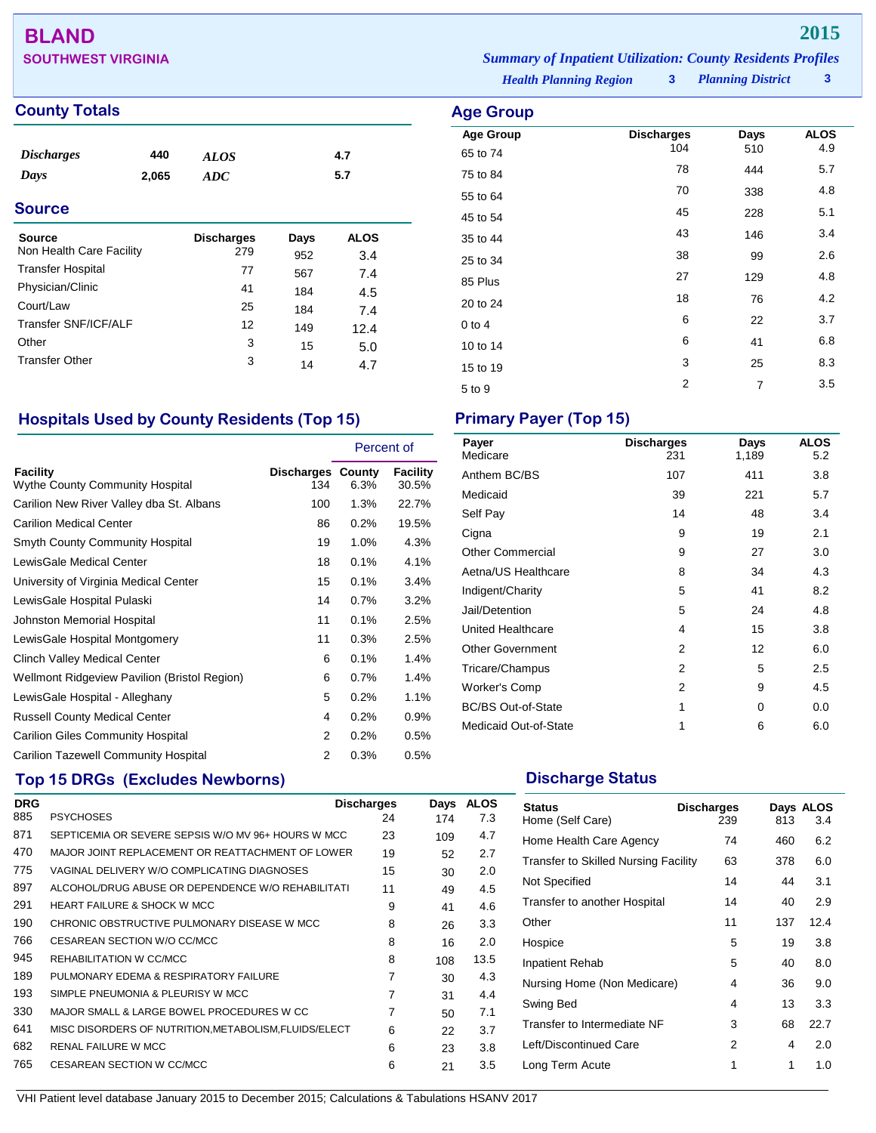# **BLAND 2015**

## **County Totals Age Group**

| <b>Discharges</b> | 440   | <b>ALOS</b> | 4.7 |  |
|-------------------|-------|-------------|-----|--|
| Days              | 2,065 | ADC         | 5.7 |  |
| <b>Source</b>     |       |             |     |  |
|                   |       |             |     |  |

| <b>Source</b>            | <b>Discharges</b> | Days | <b>ALOS</b> |  |
|--------------------------|-------------------|------|-------------|--|
| Non Health Care Facility | 279               | 952  | 3.4         |  |
| <b>Transfer Hospital</b> | 77                | 567  | 7.4         |  |
| Physician/Clinic         | 41                | 184  | 4.5         |  |
| Court/Law                | 25                | 184  | 7.4         |  |
| Transfer SNF/ICF/ALF     | 12                | 149  | 12.4        |  |
| Other                    | 3                 | 15   | 5.0         |  |
| <b>Transfer Other</b>    | 3                 | 14   | 4.7         |  |
|                          |                   |      |             |  |

## **Hospitals Used by County Residents (Top 15) Primary Payer (Top 15)**

|                                                    |                                 | Percent of |                   |
|----------------------------------------------------|---------------------------------|------------|-------------------|
| Facility<br><b>Wythe County Community Hospital</b> | <b>Discharges County</b><br>134 | 6.3%       | Facility<br>30.5% |
| Carilion New River Valley dba St. Albans           | 100                             | $1.3\%$    | 22.7%             |
| <b>Carilion Medical Center</b>                     | 86                              | 0.2%       | 19.5%             |
| <b>Smyth County Community Hospital</b>             | 19                              | 1.0%       | 4.3%              |
| LewisGale Medical Center                           | 18                              | 0.1%       | 4.1%              |
| University of Virginia Medical Center              | 15                              | 0.1%       | 3.4%              |
| LewisGale Hospital Pulaski                         | 14                              | 0.7%       | 3.2%              |
| <b>Johnston Memorial Hospital</b>                  | 11                              | 0.1%       | 2.5%              |
| LewisGale Hospital Montgomery                      | 11                              | 0.3%       | 2.5%              |
| Clinch Valley Medical Center                       | 6                               | 0.1%       | 1.4%              |
| Wellmont Ridgeview Pavilion (Bristol Region)       | 6                               | 0.7%       | 1.4%              |
| LewisGale Hospital - Alleghany                     | 5                               | 0.2%       | 1.1%              |
| <b>Russell County Medical Center</b>               | 4                               | 0.2%       | 0.9%              |
| <b>Carilion Giles Community Hospital</b>           | 2                               | 0.2%       | 0.5%              |
| <b>Carilion Tazewell Community Hospital</b>        | 2                               | 0.3%       | 0.5%              |

## **Top 15 DRGs (Excludes Newborns) Discharge Status Discharge Status**

| <b>DRG</b> |                                                       | <b>Discharges</b> | Days | <b>ALOS</b> |
|------------|-------------------------------------------------------|-------------------|------|-------------|
| 885        | <b>PSYCHOSES</b>                                      | 24                | 174  | 7.3         |
| 871        | SEPTICEMIA OR SEVERE SEPSIS W/O MV 96+ HOURS W MCC    | 23                | 109  | 4.7         |
| 470        | MAJOR JOINT REPLACEMENT OR REATTACHMENT OF LOWER      | 19                | 52   | 2.7         |
| 775        | VAGINAL DELIVERY W/O COMPLICATING DIAGNOSES           | 15                | 30   | 2.0         |
| 897        | ALCOHOL/DRUG ABUSE OR DEPENDENCE W/O REHABILITATI     | 11                | 49   | 4.5         |
| 291        | <b>HEART FAILURE &amp; SHOCK W MCC</b>                | 9                 | 41   | 4.6         |
| 190        | CHRONIC OBSTRUCTIVE PULMONARY DISEASE W MCC           | 8                 | 26   | 3.3         |
| 766        | CESAREAN SECTION W/O CC/MCC                           | 8                 | 16   | 2.0         |
| 945        | REHABILITATION W CC/MCC                               | 8                 | 108  | 13.5        |
| 189        | PULMONARY EDEMA & RESPIRATORY FAILURE                 | 7                 | 30   | 4.3         |
| 193        | SIMPLE PNEUMONIA & PLEURISY W MCC                     | 7                 | 31   | 4.4         |
| 330        | MAJOR SMALL & LARGE BOWEL PROCEDURES W CC             | 7                 | 50   | 7.1         |
| 641        | MISC DISORDERS OF NUTRITION, METABOLISM, FLUIDS/ELECT | 6                 | 22   | 3.7         |
| 682        | <b>RENAL FAILURE W MCC</b>                            | 6                 | 23   | 3.8         |
| 765        | CESAREAN SECTION W CC/MCC                             | 6                 | 21   | 3.5         |

| Payer<br>Medicare         | <b>Discharges</b><br>231 | Days<br>1,189 | <b>ALOS</b><br>5.2 |
|---------------------------|--------------------------|---------------|--------------------|
| Anthem BC/BS              | 107                      | 411           | 3.8                |
| Medicaid                  | 39                       | 221           | 5.7                |
| Self Pay                  | 14                       | 48            | 3.4                |
| Cigna                     | 9                        | 19            | 2.1                |
| <b>Other Commercial</b>   | 9                        | 27            | 3.0                |
| Aetna/US Healthcare       | 8                        | 34            | 4.3                |
| Indigent/Charity          | 5                        | 41            | 8.2                |
| Jail/Detention            | 5                        | 24            | 4.8                |
| United Healthcare         | 4                        | 15            | 3.8                |
| <b>Other Government</b>   | 2                        | 12            | 6.0                |
| Tricare/Champus           | 2                        | 5             | 2.5                |
| <b>Worker's Comp</b>      | 2                        | 9             | 4.5                |
| <b>BC/BS Out-of-State</b> | 1                        | 0             | 0.0                |
| Medicaid Out-of-State     | 1                        | 6             | 6.0                |
|                           |                          |               |                    |

| <b>Status</b><br>Home (Self Care)           | <b>Discharges</b><br>239 | 813 | Days ALOS<br>3.4 |
|---------------------------------------------|--------------------------|-----|------------------|
| Home Health Care Agency                     | 74                       | 460 | 6.2              |
| <b>Transfer to Skilled Nursing Facility</b> | 63                       | 378 | 6.0              |
| Not Specified                               | 14                       | 44  | 3.1              |
| Transfer to another Hospital                | 14                       | 40  | 2.9              |
| Other                                       | 11                       | 137 | 12.4             |
| Hospice                                     | 5                        | 19  | 3.8              |
| Inpatient Rehab                             | 5                        | 40  | 8.0              |
| Nursing Home (Non Medicare)                 | 4                        | 36  | 9.0              |
| Swing Bed                                   | 4                        | 13  | 3.3              |
| Transfer to Intermediate NF                 | 3                        | 68  | 22.7             |
| Left/Discontinued Care                      | 2                        | 4   | 2.0              |
| Long Term Acute                             | 1                        | 1   | 1.0              |

**SOUTHWEST VIRGINIA** *Summary of Inpatient Utilization: County Residents Profiles*

*Health Planning Region* **3**

| ۔ -<br>. <u>.</u> |                          |                |                    |
|-------------------|--------------------------|----------------|--------------------|
| <b>Age Group</b>  | <b>Discharges</b><br>104 | Days           | <b>ALOS</b><br>4.9 |
| 65 to 74          |                          | 510            |                    |
| 75 to 84          | 78                       | 444            | 5.7                |
| 55 to 64          | 70                       | 338            | 4.8                |
| 45 to 54          | 45                       | 228            | 5.1                |
| 35 to 44          | 43                       | 146            | 3.4                |
| 25 to 34          | 38                       | 99             | 2.6                |
| 85 Plus           | 27                       | 129            | 4.8                |
| 20 to 24          | 18                       | 76             | 4.2                |
| $0$ to $4$        | 6                        | 22             | 3.7                |
| 10 to 14          | 6                        | 41             | 6.8                |
| 15 to 19          | 3                        | 25             | 8.3                |
| 5 to 9            | 2                        | $\overline{7}$ | 3.5                |
|                   |                          |                |                    |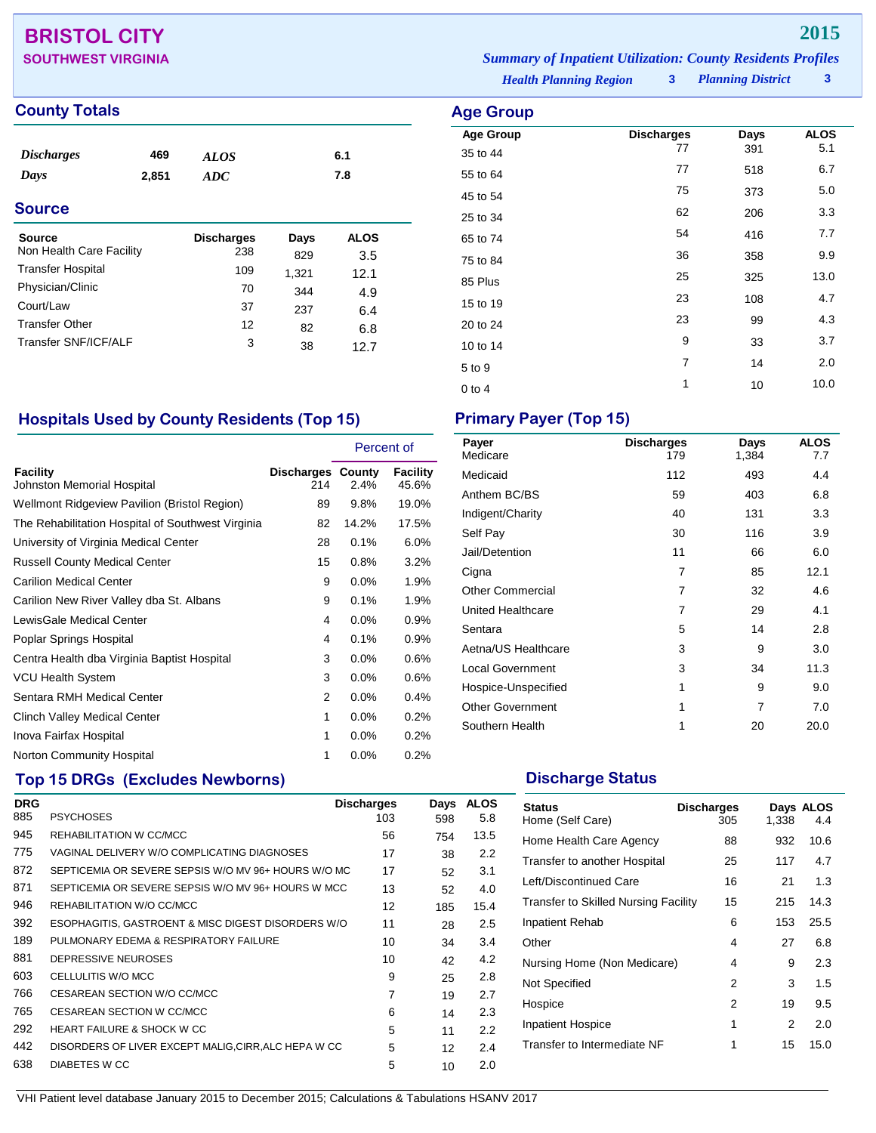## **BRISTOL CITY 2015**

| <b>SOUTHWEST VIRGINIA</b> | <b>Summary of Inpatient Utilization: County Residents Profiles</b> |                     |  |
|---------------------------|--------------------------------------------------------------------|---------------------|--|
|                           | <b>Health Planning Region</b>                                      | 3 Planning District |  |

## **County Totals Age Group**

| <i><b>Discharges</b></i><br>Days | 469<br>2,851 | <b>ALOS</b><br>ADC |       | 6.1<br>7.8  |
|----------------------------------|--------------|--------------------|-------|-------------|
| <b>Source</b>                    |              |                    |       |             |
| <b>Source</b>                    |              | <b>Discharges</b>  | Days  | <b>ALOS</b> |
| Non Health Care Facility         |              | 238                | 829   | 3.5         |
| <b>Transfer Hospital</b>         |              | 109                | 1,321 | 12.1        |
| Physician/Clinic                 |              | 70                 | 344   | 4.9         |
| Court/Law                        |              | 37                 | 237   | 6.4         |
| <b>Transfer Other</b>            |              | 12                 | 82    | 6.8         |
| Transfer SNF/ICF/ALF             |              | 3                  | 38    | 12.7        |

**Age Group Discharges Days ALOS**<br>35 to 44 77 391 5.1 35 to 44 <sup>77</sup> <sup>391</sup> 5.1 55 to 64 <sup>77</sup> <sup>518</sup> 6.7 45 to 54 <sup>75</sup> <sup>373</sup> 5.0 25 to 34 <sup>62</sup> <sup>206</sup> 3.3 65 to 74 54 54 416 7.7 75 to 84 <sup>36</sup> <sup>358</sup> 9.9 85 Plus 25 325 325 330 15 to 19 23 108 4.7 20 to 24 <sup>23</sup> <sup>99</sup> 4.3 10 to 14 **9** 33 3.7  $5 \text{ to } 9$  7 14 2.0 0 to 4  $1$  10  $10.0$ 

## **Hospitals Used by County Residents (Top 15) Primary Payer (Top 15)**

|                                                   |                                 | Percent of |                   |
|---------------------------------------------------|---------------------------------|------------|-------------------|
| Facility<br>Johnston Memorial Hospital            | <b>Discharges County</b><br>214 | 2.4%       | Facility<br>45.6% |
| Wellmont Ridgeview Pavilion (Bristol Region)      | 89                              | 9.8%       | 19.0%             |
| The Rehabilitation Hospital of Southwest Virginia | 82                              | 14.2%      | 17.5%             |
| University of Virginia Medical Center             | 28                              | 0.1%       | 6.0%              |
| <b>Russell County Medical Center</b>              | 15                              | 0.8%       | 3.2%              |
| <b>Carilion Medical Center</b>                    | 9                               | $0.0\%$    | 1.9%              |
| Carilion New River Valley dba St. Albans          | 9                               | 0.1%       | 1.9%              |
| LewisGale Medical Center                          | 4                               | 0.0%       | 0.9%              |
| Poplar Springs Hospital                           | 4                               | 0.1%       | 0.9%              |
| Centra Health dba Virginia Baptist Hospital       | 3                               | $0.0\%$    | 0.6%              |
| VCU Health System                                 | 3                               | $0.0\%$    | 0.6%              |
| Sentara RMH Medical Center                        | 2                               | 0.0%       | 0.4%              |
| <b>Clinch Valley Medical Center</b>               | 1                               | 0.0%       | 0.2%              |
| Inova Fairfax Hospital                            | 1                               | $0.0\%$    | 0.2%              |
| Norton Community Hospital                         | 1                               | 0.0%       | 0.2%              |

## **Top 15 DRGs (Excludes Newborns) Discharge Status Discharge Status**

| <b>DRG</b> |                                                      | <b>Discharges</b> | Days | <b>ALOS</b> |
|------------|------------------------------------------------------|-------------------|------|-------------|
| 885        | <b>PSYCHOSES</b>                                     | 103               | 598  | 5.8         |
| 945        | REHABILITATION W CC/MCC                              | 56                | 754  | 13.5        |
| 775        | VAGINAL DELIVERY W/O COMPLICATING DIAGNOSES          | 17                | 38   | 2.2         |
| 872        | SEPTICEMIA OR SEVERE SEPSIS W/O MV 96+ HOURS W/O MC  | 17                | 52   | 3.1         |
| 871        | SEPTICEMIA OR SEVERE SEPSIS W/O MV 96+ HOURS W MCC   | 13                | 52   | 4.0         |
| 946        | REHABILITATION W/O CC/MCC                            | 12                | 185  | 15.4        |
| 392        | ESOPHAGITIS, GASTROENT & MISC DIGEST DISORDERS W/O   | 11                | 28   | 2.5         |
| 189        | PULMONARY EDEMA & RESPIRATORY FAILURE                | 10                | 34   | 3.4         |
| 881        | DEPRESSIVE NEUROSES                                  | 10                | 42   | 4.2         |
| 603        | CELLULITIS W/O MCC                                   | 9                 | 25   | 2.8         |
| 766        | CESAREAN SECTION W/O CC/MCC                          | $\overline{7}$    | 19   | 2.7         |
| 765        | CESAREAN SECTION W CC/MCC                            | 6                 | 14   | 2.3         |
| 292        | HEART FAILURE & SHOCK W CC                           | 5                 | 11   | 2.2         |
| 442        | DISORDERS OF LIVER EXCEPT MALIG, CIRR, ALC HEPA W CC | 5                 | 12   | 2.4         |
| 638        | <b>DIABETES W CC</b>                                 | 5                 | 10   | 2.0         |

| Payer<br>Medicare       | <b>Discharges</b><br>179 | Days<br>1,384 | <b>ALOS</b><br>7.7 |
|-------------------------|--------------------------|---------------|--------------------|
| Medicaid                | 112                      | 493           | 4.4                |
| Anthem BC/BS            | 59                       | 403           | 6.8                |
| Indigent/Charity        | 40                       | 131           | 3.3                |
| Self Pay                | 30                       | 116           | 3.9                |
| Jail/Detention          | 11                       | 66            | 6.0                |
| Cigna                   | 7                        | 85            | 12.1               |
| <b>Other Commercial</b> | 7                        | 32            | 4.6                |
| United Healthcare       | 7                        | 29            | 4.1                |
| Sentara                 | 5                        | 14            | 2.8                |
| Aetna/US Healthcare     | 3                        | 9             | 3.0                |
| <b>Local Government</b> | 3                        | 34            | 11.3               |
| Hospice-Unspecified     | 1                        | 9             | 9.0                |
| <b>Other Government</b> | 1                        | 7             | 7.0                |
| Southern Health         | 1                        | 20            | 20.0               |

| <b>Status</b><br>Home (Self Care)           | <b>Discharges</b><br>305 | 1,338 | Days ALOS<br>4.4 |
|---------------------------------------------|--------------------------|-------|------------------|
| Home Health Care Agency                     | 88                       | 932   | 10.6             |
| Transfer to another Hospital                | 25                       | 117   | 4.7              |
| Left/Discontinued Care                      | 16                       | 21    | 1.3              |
| <b>Transfer to Skilled Nursing Facility</b> | 15                       | 215   | 14.3             |
| Inpatient Rehab                             | 6                        | 153   | 25.5             |
| Other                                       | 4                        | 27    | 6.8              |
| Nursing Home (Non Medicare)                 | 4                        | 9     | 2.3              |
| Not Specified                               | 2                        | 3     | 1.5              |
| Hospice                                     | 2                        | 19    | 9.5              |
| <b>Inpatient Hospice</b>                    | 1                        | 2     | 2.0              |
| Transfer to Intermediate NF                 | 1                        | 15    | 15.0             |
|                                             |                          |       |                  |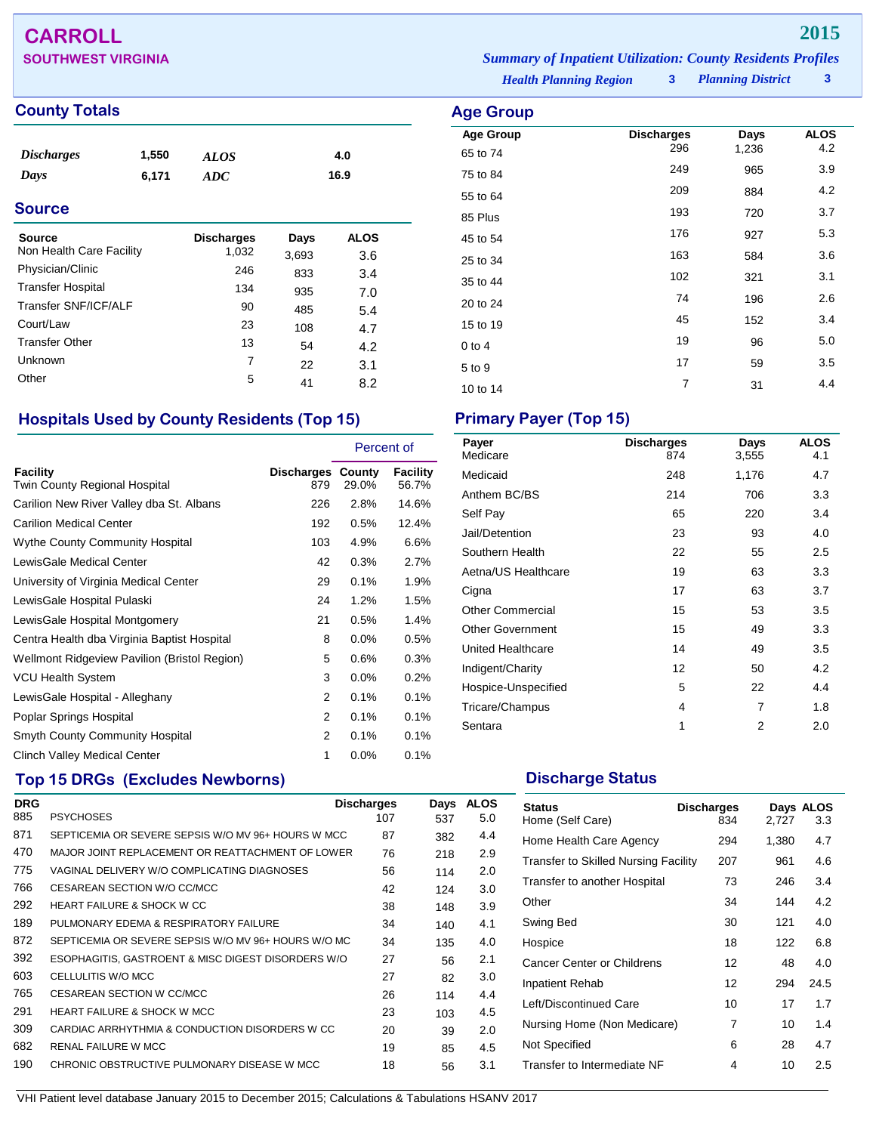# **CARROLL 2015**

**SOUTHWEST VIRGINIA** *Summary of Inpatient Utilization: County Residents Profiles*

## **County Totals Age Group**

| <i><b>Discharges</b></i> | 1,550 | <b>ALOS</b> | 4.0  |
|--------------------------|-------|-------------|------|
| Days                     | 6,171 | ADC         | 16.9 |

## **Source**

| <b>Source</b><br>Non Health Care Facility | <b>Discharges</b><br>1,032 | Days<br>3,693 | <b>ALOS</b><br>3.6 |
|-------------------------------------------|----------------------------|---------------|--------------------|
| Physician/Clinic                          | 246                        | 833           | 3.4                |
| <b>Transfer Hospital</b>                  | 134                        | 935           | 7.0                |
| Transfer SNF/ICF/ALF                      | 90                         | 485           | 5.4                |
| Court/Law                                 | 23                         | 108           | 4.7                |
| <b>Transfer Other</b>                     | 13                         | 54            | 4.2                |
| Unknown                                   | 7                          | 22            | 3.1                |
| Other                                     | 5                          | 41            | 8.2                |

## **Hospitals Used by County Residents (Top 15) Primary Payer (Top 15)**

|                                                  |                                 | Percent of |                   |
|--------------------------------------------------|---------------------------------|------------|-------------------|
| <b>Facility</b><br>Twin County Regional Hospital | <b>Discharges County</b><br>879 | 29.0%      | Facility<br>56.7% |
| Carilion New River Valley dba St. Albans         | 226                             | 2.8%       | 14.6%             |
| <b>Carilion Medical Center</b>                   | 192                             | 0.5%       | 12.4%             |
| <b>Wythe County Community Hospital</b>           | 103                             | 4.9%       | 6.6%              |
| LewisGale Medical Center                         | 42                              | 0.3%       | 2.7%              |
| University of Virginia Medical Center            | 29                              | 0.1%       | 1.9%              |
| LewisGale Hospital Pulaski                       | 24                              | 1.2%       | 1.5%              |
| LewisGale Hospital Montgomery                    | 21                              | 0.5%       | 1.4%              |
| Centra Health dba Virginia Baptist Hospital      | 8                               | 0.0%       | 0.5%              |
| Wellmont Ridgeview Pavilion (Bristol Region)     | 5                               | 0.6%       | 0.3%              |
| <b>VCU Health System</b>                         | 3                               | 0.0%       | 0.2%              |
| LewisGale Hospital - Alleghany                   | $\overline{2}$                  | 0.1%       | 0.1%              |
| Poplar Springs Hospital                          | 2                               | 0.1%       | 0.1%              |
| <b>Smyth County Community Hospital</b>           | 2                               | 0.1%       | 0.1%              |
| <b>Clinch Valley Medical Center</b>              | 1                               | 0.0%       | 0.1%              |

## **Top 15 DRGs (Excludes Newborns) Discharge Status Discharge Status**

| <b>DRG</b> |                                                     | <b>Discharges</b> | Days | <b>ALOS</b> |
|------------|-----------------------------------------------------|-------------------|------|-------------|
| 885        | <b>PSYCHOSES</b>                                    | 107               | 537  | 5.0         |
| 871        | SEPTICEMIA OR SEVERE SEPSIS W/O MV 96+ HOURS W MCC  | 87                | 382  | 4.4         |
| 470        | MAJOR JOINT REPLACEMENT OR REATTACHMENT OF LOWER    | 76                | 218  | 2.9         |
| 775        | VAGINAL DELIVERY W/O COMPLICATING DIAGNOSES         | 56                | 114  | 2.0         |
| 766        | CESAREAN SECTION W/O CC/MCC                         | 42                | 124  | 3.0         |
| 292        | <b>HEART FAILURE &amp; SHOCK W CC</b>               | 38                | 148  | 3.9         |
| 189        | PULMONARY EDEMA & RESPIRATORY FAILURE               | 34                | 140  | 4.1         |
| 872        | SEPTICEMIA OR SEVERE SEPSIS W/O MV 96+ HOURS W/O MC | 34                | 135  | 4.0         |
| 392        | ESOPHAGITIS, GASTROENT & MISC DIGEST DISORDERS W/O  | 27                | 56   | 2.1         |
| 603        | CELLULITIS W/O MCC                                  | 27                | 82   | 3.0         |
| 765        | CESAREAN SECTION W CC/MCC                           | 26                | 114  | 4.4         |
| 291        | HEART FAILURE & SHOCK W MCC                         | 23                | 103  | 4.5         |
| 309        | CARDIAC ARRHYTHMIA & CONDUCTION DISORDERS W CC      | 20                | 39   | 2.0         |
| 682        | <b>RENAL FAILURE W MCC</b>                          | 19                | 85   | 4.5         |
| 190        | CHRONIC OBSTRUCTIVE PULMONARY DISEASE W MCC         | 18                | 56   | 3.1         |

*Health Planning Region* **3**

**Age Group Discharges Days ALOS**<br>65 to 74 296 1,236 4.2 65 to 74 <sup>296</sup> 1,236 4.2 75 to 84 <sup>249</sup> <sup>965</sup> 3.9 55 to 64 <sup>209</sup> <sup>884</sup> 4.2 85 Plus 2.7 45 to 54 <sup>176</sup> <sup>927</sup> 5.3 25 to 34 <sup>163</sup> <sup>584</sup> 3.6 35 to 44 <sup>102</sup> <sup>321</sup> 3.1 20 to 24 <sup>74</sup> <sup>196</sup> 2.6 15 to 19 152 152 152 3.4  $0$  to 4  $19$  96  $5.0$  $5 \text{ to } 9$   $17$   $59$   $3.5$ 10 to 14 and 10 to 14 and 10 to 14 and 10 and 10 to 14 and 10 and 10 and 10 and 10 and 10 and 10 and 10 and 10

| Payer<br>Medicare       | <b>Discharges</b><br>874 | Days<br>3,555 | <b>ALOS</b><br>4.1 |
|-------------------------|--------------------------|---------------|--------------------|
| Medicaid                | 248                      | 1,176         | 4.7                |
| Anthem BC/BS            | 214                      | 706           | 3.3                |
| Self Pay                | 65                       | 220           | 3.4                |
| Jail/Detention          | 23                       | 93            | 4.0                |
| Southern Health         | 22                       | 55            | 2.5                |
| Aetna/US Healthcare     | 19                       | 63            | 3.3                |
| Cigna                   | 17                       | 63            | 3.7                |
| <b>Other Commercial</b> | 15                       | 53            | 3.5                |
| <b>Other Government</b> | 15                       | 49            | 3.3                |
| United Healthcare       | 14                       | 49            | 3.5                |
| Indigent/Charity        | 12                       | 50            | 4.2                |
| Hospice-Unspecified     | 5                        | 22            | 4.4                |
| Tricare/Champus         | 4                        | 7             | 1.8                |
| Sentara                 | 1                        | 2             | 2.0                |
|                         |                          |               |                    |

| <b>Status</b><br>Home (Self Care)           | <b>Discharges</b><br>834 | 2,727 | Days ALOS<br>3.3 |
|---------------------------------------------|--------------------------|-------|------------------|
| Home Health Care Agency                     | 294                      | 1,380 | 4.7              |
| <b>Transfer to Skilled Nursing Facility</b> | 207                      | 961   | 4.6              |
| Transfer to another Hospital                | 73                       | 246   | 3.4              |
| Other                                       | 34                       | 144   | 4.2              |
| Swing Bed                                   | 30                       | 121   | 4.0              |
| Hospice                                     | 18                       | 122   | 6.8              |
| <b>Cancer Center or Childrens</b>           | 12                       | 48    | 4.0              |
| Inpatient Rehab                             | 12                       | 294   | 24.5             |
| Left/Discontinued Care                      | 10                       | 17    | 1.7              |
| Nursing Home (Non Medicare)                 | 7                        | 10    | 1.4              |
| Not Specified                               | 6                        | 28    | 4.7              |
| Transfer to Intermediate NF                 | 4                        | 10    | 2.5              |

VHI Patient level database January 2015 to December 2015; Calculations & Tabulations HSANV 2017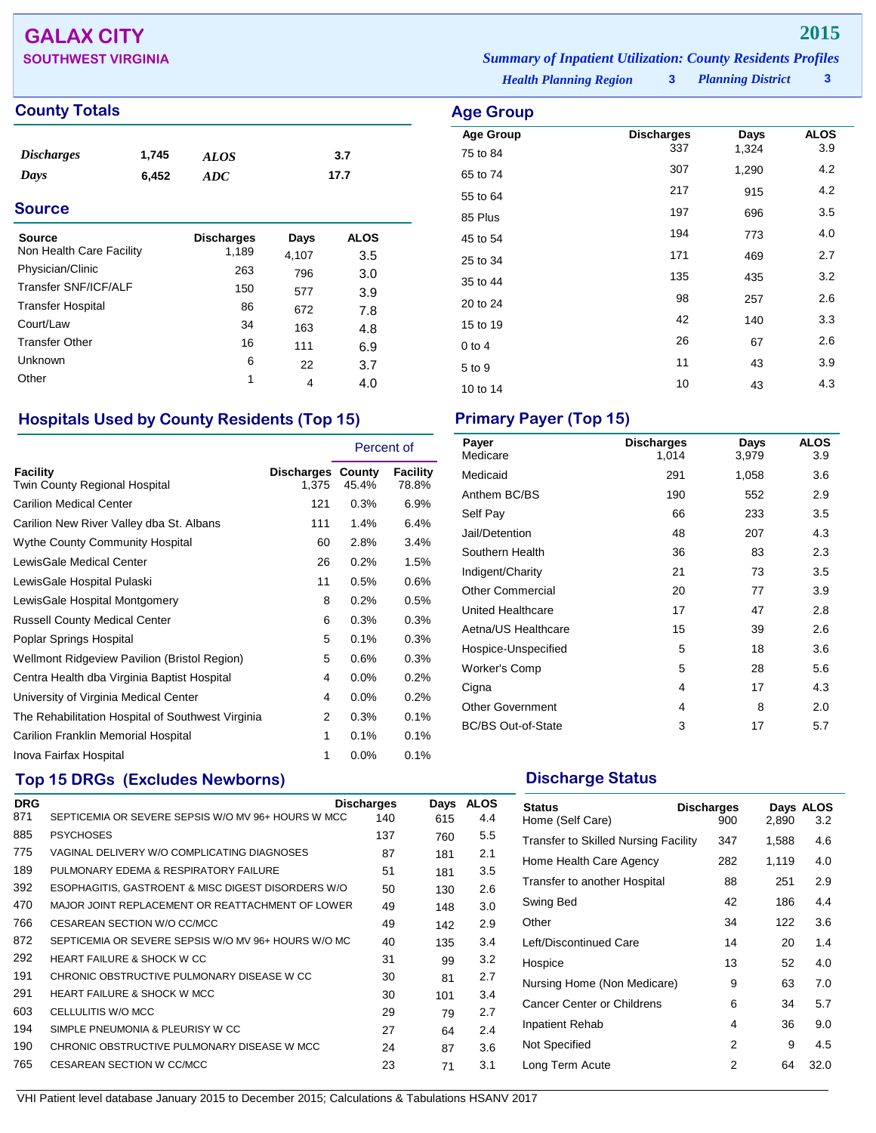# **GALAX CITY 2015**

## **County Totals Age Group**

| <i><b>Discharges</b></i> | 1,745 | <b>ALOS</b> | 3.7  |
|--------------------------|-------|-------------|------|
| Days                     | 6,452 | ADC         | 17.7 |
|                          |       |             |      |

## **Source**

| Source<br>Non Health Care Facility | <b>Discharges</b><br>1,189 | Days<br>4,107 | <b>ALOS</b><br>3.5 |
|------------------------------------|----------------------------|---------------|--------------------|
| Physician/Clinic                   | 263                        | 796           | 3.0                |
| Transfer SNF/ICF/ALF               | 150                        | 577           | 3.9                |
| <b>Transfer Hospital</b>           | 86                         | 672           | 7.8                |
| Court/Law                          | 34                         | 163           | 4.8                |
| <b>Transfer Other</b>              | 16                         | 111           | 6.9                |
| <b>Unknown</b>                     | 6                          | 22            | 3.7                |
| Other                              | 1                          | 4             | 4.0                |

## **Hospitals Used by County Residents (Top 15) Primary Payer (Top 15)**

|                                                   |                                   | Percent of |                   |
|---------------------------------------------------|-----------------------------------|------------|-------------------|
| Facility<br>Twin County Regional Hospital         | <b>Discharges County</b><br>1.375 | 45.4%      | Facility<br>78.8% |
| <b>Carilion Medical Center</b>                    | 121                               | 0.3%       | 6.9%              |
| Carilion New River Valley dba St. Albans          | 111                               | 1.4%       | 6.4%              |
| <b>Wythe County Community Hospital</b>            | 60                                | 2.8%       | 3.4%              |
| LewisGale Medical Center                          | 26                                | 0.2%       | 1.5%              |
| LewisGale Hospital Pulaski                        | 11                                | 0.5%       | 0.6%              |
| LewisGale Hospital Montgomery                     | 8                                 | 0.2%       | 0.5%              |
| <b>Russell County Medical Center</b>              | 6                                 | 0.3%       | 0.3%              |
| Poplar Springs Hospital                           | 5                                 | 0.1%       | 0.3%              |
| Wellmont Ridgeview Pavilion (Bristol Region)      | 5                                 | 0.6%       | 0.3%              |
| Centra Health dba Virginia Baptist Hospital       | 4                                 | $0.0\%$    | 0.2%              |
| University of Virginia Medical Center             | 4                                 | $0.0\%$    | 0.2%              |
| The Rehabilitation Hospital of Southwest Virginia | 2                                 | 0.3%       | 0.1%              |
| Carilion Franklin Memorial Hospital               | 1                                 | 0.1%       | 0.1%              |
| Inova Fairfax Hospital                            | 1                                 | 0.0%       | 0.1%              |

## **Top 15 DRGs (Excludes Newborns) Discharge Status Discharge Status**

| <b>DRG</b> |                                                     | <b>Discharges</b> | Days | <b>ALOS</b> |
|------------|-----------------------------------------------------|-------------------|------|-------------|
| 871        | SEPTICEMIA OR SEVERE SEPSIS W/O MV 96+ HOURS W MCC  | 140               | 615  | 4.4         |
| 885        | <b>PSYCHOSES</b>                                    | 137               | 760  | 5.5         |
| 775        | VAGINAL DELIVERY W/O COMPLICATING DIAGNOSES         | 87                | 181  | 2.1         |
| 189        | PULMONARY EDEMA & RESPIRATORY FAILURE               | 51                | 181  | 3.5         |
| 392        | ESOPHAGITIS, GASTROENT & MISC DIGEST DISORDERS W/O  | 50                | 130  | 2.6         |
| 470        | MAJOR JOINT REPLACEMENT OR REATTACHMENT OF LOWER    | 49                | 148  | 3.0         |
| 766        | CESAREAN SECTION W/O CC/MCC                         | 49                | 142  | 2.9         |
| 872        | SEPTICEMIA OR SEVERE SEPSIS W/O MV 96+ HOURS W/O MC | 40                | 135  | 3.4         |
| 292        | <b>HEART FAILURE &amp; SHOCK W CC</b>               | 31                | 99   | 3.2         |
| 191        | CHRONIC OBSTRUCTIVE PULMONARY DISEASE W CC          | 30                | 81   | 2.7         |
| 291        | <b>HEART FAILURE &amp; SHOCK W MCC</b>              | 30                | 101  | 3.4         |
| 603        | CELLULITIS W/O MCC                                  | 29                | 79   | 2.7         |
| 194        | SIMPLE PNEUMONIA & PLEURISY W CC                    | 27                | 64   | 2.4         |
| 190        | CHRONIC OBSTRUCTIVE PULMONARY DISEASE W MCC         | 24                | 87   | 3.6         |
| 765        | <b>CESAREAN SECTION W CC/MCC</b>                    | 23                | 71   | 3.1         |

**SOUTHWEST VIRGINIA** *Summary of Inpatient Utilization: County Residents Profiles*

*Health Planning Region* **3**

*Planning District* **3**

| Age Group        |                          |       |             |
|------------------|--------------------------|-------|-------------|
| <b>Age Group</b> | <b>Discharges</b><br>337 | Days  | ALOS<br>3.9 |
| 75 to 84         |                          | 1,324 |             |
| 65 to 74         | 307                      | 1,290 | 4.2         |
| 55 to 64         | 217                      | 915   | 4.2         |
| 85 Plus          | 197                      | 696   | 3.5         |
| 45 to 54         | 194                      | 773   | 4.0         |
| 25 to 34         | 171                      | 469   | 2.7         |
| 35 to 44         | 135                      | 435   | 3.2         |
| 20 to 24         | 98                       | 257   | 2.6         |
| 15 to 19         | 42                       | 140   | 3.3         |
| $0$ to $4$       | 26                       | 67    | 2.6         |
| 5 to 9           | 11                       | 43    | 3.9         |
| 10 to 14         | 10                       | 43    | 4.3         |

| Payer<br>Medicare         | <b>Discharges</b><br>1,014 | Days<br>3,979 | <b>ALOS</b><br>3.9 |
|---------------------------|----------------------------|---------------|--------------------|
| Medicaid                  | 291                        | 1,058         | 3.6                |
| Anthem BC/BS              | 190                        | 552           | 2.9                |
| Self Pay                  | 66                         | 233           | 3.5                |
| Jail/Detention            | 48                         | 207           | 4.3                |
| Southern Health           | 36                         | 83            | 2.3                |
| Indigent/Charity          | 21                         | 73            | 3.5                |
| <b>Other Commercial</b>   | 20                         | 77            | 3.9                |
| United Healthcare         | 17                         | 47            | 2.8                |
| Aetna/US Healthcare       | 15                         | 39            | 2.6                |
| Hospice-Unspecified       | 5                          | 18            | 3.6                |
| <b>Worker's Comp</b>      | 5                          | 28            | 5.6                |
| Cigna                     | 4                          | 17            | 4.3                |
| <b>Other Government</b>   | 4                          | 8             | 2.0                |
| <b>BC/BS Out-of-State</b> | 3                          | 17            | 5.7                |

| <b>Status</b><br>Home (Self Care)           | <b>Discharges</b><br>900 | 2,890 | Days ALOS<br>3.2 |
|---------------------------------------------|--------------------------|-------|------------------|
| <b>Transfer to Skilled Nursing Facility</b> | 347                      | 1,588 | 4.6              |
| Home Health Care Agency                     | 282                      | 1,119 | 4.0              |
| Transfer to another Hospital                | 88                       | 251   | 2.9              |
| Swing Bed                                   | 42                       | 186   | 4.4              |
| Other                                       | 34                       | 122   | 3.6              |
| Left/Discontinued Care                      | 14                       | 20    | 1.4              |
| Hospice                                     | 13                       | 52    | 4.0              |
| Nursing Home (Non Medicare)                 | 9                        | 63    | 7.0              |
| Cancer Center or Childrens                  | 6                        | 34    | 5.7              |
| Inpatient Rehab                             | 4                        | 36    | 9.0              |
| Not Specified                               | 2                        | 9     | 4.5              |
| Long Term Acute                             | 2                        | 64    | 32.0             |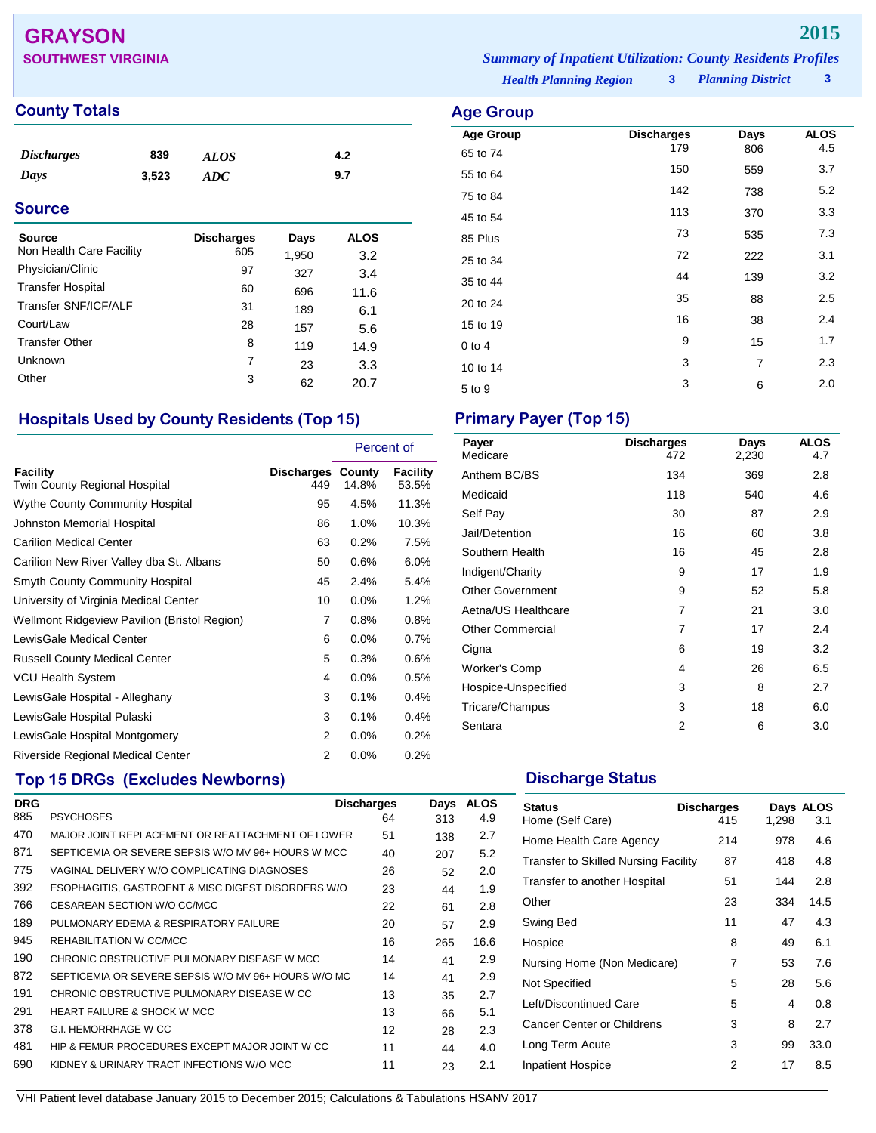## **GRAYSON 2015**

**SOUTHWEST VIRGINIA** *Summary of Inpatient Utilization: County Residents Profiles*

## **County Totals Age Group**

| <i><b>Discharges</b></i> | 839   | <b>ALOS</b> | 4.2 |
|--------------------------|-------|-------------|-----|
| Days                     | 3,523 | ADC         | 9.7 |

## **Source**

| Source<br>Non Health Care Facility | <b>Discharges</b><br>605 | Days<br>1,950 | <b>ALOS</b><br>3.2 |
|------------------------------------|--------------------------|---------------|--------------------|
| Physician/Clinic                   | 97                       | 327           | 3.4                |
| <b>Transfer Hospital</b>           | 60                       | 696           | 11.6               |
| Transfer SNF/ICF/ALF               | 31                       | 189           | 6.1                |
| Court/Law                          | 28                       | 157           | 5.6                |
| <b>Transfer Other</b>              | 8                        | 119           | 14.9               |
| Unknown                            | 7                        | 23            | 3.3                |
| Other                              | 3                        | 62            | 20.7               |

## **Hospitals Used by County Residents (Top 15) Primary Payer (Top 15)**

|                                              |                                 | Percent of |                          |
|----------------------------------------------|---------------------------------|------------|--------------------------|
| Facility<br>Twin County Regional Hospital    | <b>Discharges County</b><br>449 | 14.8%      | <b>Facility</b><br>53.5% |
| <b>Wythe County Community Hospital</b>       | 95                              | 4.5%       | 11.3%                    |
| Johnston Memorial Hospital                   | 86                              | 1.0%       | 10.3%                    |
| <b>Carilion Medical Center</b>               | 63                              | 0.2%       | 7.5%                     |
| Carilion New River Valley dba St. Albans     | 50                              | 0.6%       | 6.0%                     |
| <b>Smyth County Community Hospital</b>       | 45                              | 2.4%       | 5.4%                     |
| University of Virginia Medical Center        | 10                              | $0.0\%$    | 1.2%                     |
| Wellmont Ridgeview Pavilion (Bristol Region) | 7                               | 0.8%       | 0.8%                     |
| LewisGale Medical Center                     | 6                               | $0.0\%$    | 0.7%                     |
| <b>Russell County Medical Center</b>         | 5                               | 0.3%       | 0.6%                     |
| <b>VCU Health System</b>                     | 4                               | $0.0\%$    | 0.5%                     |
| LewisGale Hospital - Alleghany               | 3                               | 0.1%       | 0.4%                     |
| LewisGale Hospital Pulaski                   | 3                               | 0.1%       | 0.4%                     |
| LewisGale Hospital Montgomery                | 2                               | 0.0%       | 0.2%                     |
| Riverside Regional Medical Center            | 2                               | 0.0%       | 0.2%                     |

## **Top 15 DRGs (Excludes Newborns) Discharge Status Discharge Status**

| <b>DRG</b> |                                                     | <b>Discharges</b> | Days | <b>ALOS</b> |
|------------|-----------------------------------------------------|-------------------|------|-------------|
| 885        | <b>PSYCHOSES</b>                                    | 64                | 313  | 4.9         |
| 470        | MAJOR JOINT REPLACEMENT OR REATTACHMENT OF LOWER    | 51                | 138  | 2.7         |
| 871        | SEPTICEMIA OR SEVERE SEPSIS W/O MV 96+ HOURS W MCC  | 40                | 207  | 5.2         |
| 775        | VAGINAL DELIVERY W/O COMPLICATING DIAGNOSES         | 26                | 52   | 2.0         |
| 392        | ESOPHAGITIS, GASTROENT & MISC DIGEST DISORDERS W/O  | 23                | 44   | 1.9         |
| 766        | CESAREAN SECTION W/O CC/MCC                         | 22                | 61   | 2.8         |
| 189        | PULMONARY EDEMA & RESPIRATORY FAILURE               | 20                | 57   | 2.9         |
| 945        | REHABILITATION W CC/MCC                             | 16                | 265  | 16.6        |
| 190        | CHRONIC OBSTRUCTIVE PULMONARY DISEASE W MCC         | 14                | 41   | 2.9         |
| 872        | SEPTICEMIA OR SEVERE SEPSIS W/O MV 96+ HOURS W/O MC | 14                | 41   | 2.9         |
| 191        | CHRONIC OBSTRUCTIVE PULMONARY DISEASE W CC          | 13                | 35   | 2.7         |
| 291        | <b>HEART FAILURE &amp; SHOCK W MCC</b>              | 13                | 66   | 5.1         |
| 378        | G.I. HEMORRHAGE W CC                                | 12                | 28   | 2.3         |
| 481        | HIP & FEMUR PROCEDURES EXCEPT MAJOR JOINT W CC.     | 11                | 44   | 4.0         |
| 690        | KIDNEY & URINARY TRACT INFECTIONS W/O MCC           | 11                | 23   | 2.1         |

| <b>Discharges</b><br>472 | Days<br>2,230 | <b>ALOS</b><br>4.7 |
|--------------------------|---------------|--------------------|
| 134                      | 369           | 2.8                |
| 118                      | 540           | 4.6                |
| 30                       | 87            | 2.9                |
| 16                       | 60            | 3.8                |
| 16                       | 45            | 2.8                |
| 9                        | 17            | 1.9                |
| 9                        | 52            | 5.8                |
| 7                        | 21            | 3.0                |
| 7                        | 17            | 2.4                |
| 6                        | 19            | 3.2                |
| 4                        | 26            | 6.5                |
| 3                        | 8             | 2.7                |
| 3                        | 18            | 6.0                |
| 2                        | 6             | 3.0                |
|                          |               |                    |

 $5 \text{ to } 9$  3 6 2.0

| <b>Status</b><br>Home (Self Care)    | <b>Discharges</b><br>415 | 1,298 | Days ALOS<br>3.1 |
|--------------------------------------|--------------------------|-------|------------------|
| Home Health Care Agency              | 214                      | 978   | 4.6              |
| Transfer to Skilled Nursing Facility | 87                       | 418   | 4.8              |
| Transfer to another Hospital         | 51                       | 144   | 2.8              |
| Other                                | 23                       | 334   | 14.5             |
| Swing Bed                            | 11                       | 47    | 4.3              |
| Hospice                              | 8                        | 49    | 6.1              |
| Nursing Home (Non Medicare)          | 7                        | 53    | 7.6              |
| Not Specified                        | 5                        | 28    | 5.6              |
| Left/Discontinued Care               | 5                        | 4     | 0.8              |
| Cancer Center or Childrens           | 3                        | 8     | 2.7              |
| Long Term Acute                      | 3                        | 99    | 33.0             |
| <b>Inpatient Hospice</b>             | 2                        | 17    | 8.5              |

10 to 14 3 7 2.3

*Health Planning Region* **3**

**Age Group Discharges Days ALOS**<br>
And the Magnus 179 806 4.5 65 to 74 <sup>179</sup> <sup>806</sup> 4.5 55 to 64 <sup>150</sup> <sup>559</sup> 3.7 75 to 84 <sup>142</sup> <sup>738</sup> 5.2 45 to 54 <sup>113</sup> <sup>370</sup> 3.3 85 Plus <sup>73</sup> <sup>535</sup> 7.3 25 to 34 222 3.1  $35 \text{ to } 44$   $139$   $3.2$ 20 to 24 <sup>35</sup> <sup>88</sup> 2.5 15 to 19 16 16 38 2.4 0 to 4  $9$  15 1.7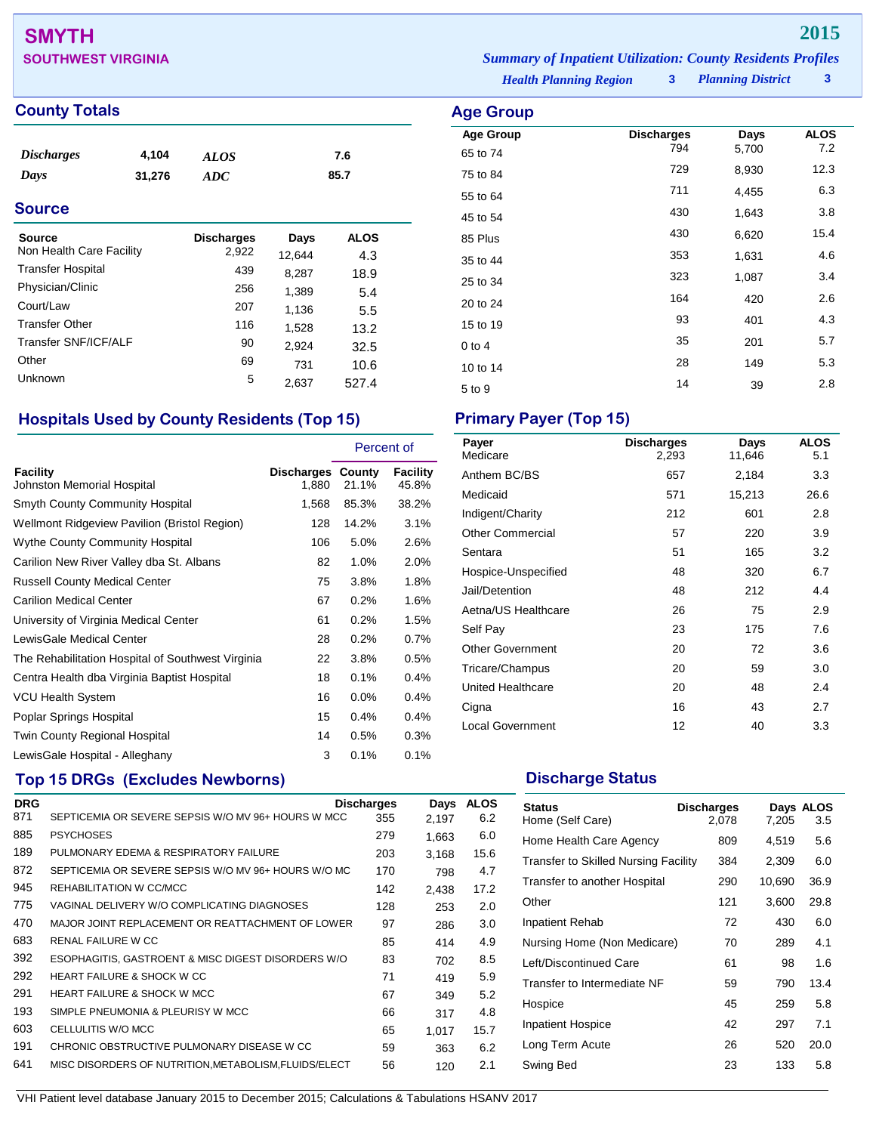# **SMYTH 2015**

## **County Totals Age Group**

| <i><b>Discharges</b></i> | 4,104  | ALOS | 7.6  |  |
|--------------------------|--------|------|------|--|
| Days                     | 31,276 | ADC  | 85.7 |  |

## **Source**

| Source<br>Non Health Care Facility | <b>Discharges</b><br>2,922 | Days<br>12,644 | <b>ALOS</b><br>4.3 |
|------------------------------------|----------------------------|----------------|--------------------|
| <b>Transfer Hospital</b>           | 439                        | 8,287          | 18.9               |
| Physician/Clinic                   | 256                        | 1,389          | 5.4                |
| Court/Law                          | 207                        | 1,136          | 5.5                |
| <b>Transfer Other</b>              | 116                        | 1,528          | 13.2               |
| Transfer SNF/ICF/ALF               | 90                         | 2,924          | 32.5               |
| Other                              | 69                         | 731            | 10.6               |
| Unknown                            | 5                          | 2.637          | 527.4              |

## **Hospitals Used by County Residents (Top 15) Primary Payer (Top 15)**

|                                                   |                                   | Percent of |                   |
|---------------------------------------------------|-----------------------------------|------------|-------------------|
| Facility<br>Johnston Memorial Hospital            | <b>Discharges County</b><br>1,880 | 21.1%      | Facility<br>45.8% |
| <b>Smyth County Community Hospital</b>            | 1,568                             | 85.3%      | 38.2%             |
| Wellmont Ridgeview Pavilion (Bristol Region)      | 128                               | 14.2%      | 3.1%              |
| <b>Wythe County Community Hospital</b>            | 106                               | 5.0%       | 2.6%              |
| Carilion New River Valley dba St. Albans          | 82                                | 1.0%       | 2.0%              |
| <b>Russell County Medical Center</b>              | 75                                | 3.8%       | 1.8%              |
| <b>Carilion Medical Center</b>                    | 67                                | 0.2%       | 1.6%              |
| University of Virginia Medical Center             | 61                                | 0.2%       | 1.5%              |
| LewisGale Medical Center                          | 28                                | 0.2%       | 0.7%              |
| The Rehabilitation Hospital of Southwest Virginia | 22                                | 3.8%       | 0.5%              |
| Centra Health dba Virginia Baptist Hospital       | 18                                | 0.1%       | 0.4%              |
| <b>VCU Health System</b>                          | 16                                | 0.0%       | 0.4%              |
| Poplar Springs Hospital                           | 15                                | 0.4%       | 0.4%              |
| Twin County Regional Hospital                     | 14                                | 0.5%       | 0.3%              |
| LewisGale Hospital - Alleghany                    | 3                                 | 0.1%       | 0.1%              |

## **Top 15 DRGs (Excludes Newborns) Discharge Status Discharge Status**

| <b>DRG</b> |                                                       | <b>Discharges</b> | Days  | <b>ALOS</b> |
|------------|-------------------------------------------------------|-------------------|-------|-------------|
| 871        | SEPTICEMIA OR SEVERE SEPSIS W/O MV 96+ HOURS W MCC    | 355               | 2,197 | 6.2         |
| 885        | <b>PSYCHOSES</b>                                      | 279               | 1.663 | 6.0         |
| 189        | PULMONARY EDEMA & RESPIRATORY FAILURE                 | 203               | 3,168 | 15.6        |
| 872        | SEPTICEMIA OR SEVERE SEPSIS W/O MV 96+ HOURS W/O MC   | 170               | 798   | 4.7         |
| 945        | REHABILITATION W CC/MCC                               | 142               | 2.438 | 17.2        |
| 775        | VAGINAL DELIVERY W/O COMPLICATING DIAGNOSES           | 128               | 253   | 2.0         |
| 470        | MAJOR JOINT REPLACEMENT OR REATTACHMENT OF LOWER      | 97                | 286   | 3.0         |
| 683        | RENAL FAILURE W CC                                    | 85                | 414   | 4.9         |
| 392        | ESOPHAGITIS, GASTROENT & MISC DIGEST DISORDERS W/O    | 83                | 702   | 8.5         |
| 292        | <b>HEART FAILURE &amp; SHOCK W CC</b>                 | 71                | 419   | 5.9         |
| 291        | <b>HEART FAILURE &amp; SHOCK W MCC</b>                | 67                | 349   | 5.2         |
| 193        | SIMPLE PNEUMONIA & PLEURISY W MCC                     | 66                | 317   | 4.8         |
| 603        | CELLULITIS W/O MCC                                    | 65                | 1.017 | 15.7        |
| 191        | CHRONIC OBSTRUCTIVE PULMONARY DISEASE W CC            | 59                | 363   | 6.2         |
| 641        | MISC DISORDERS OF NUTRITION, METABOLISM, FLUIDS/ELECT | 56                | 120   | 2.1         |
|            |                                                       |                   |       |             |

**SOUTHWEST VIRGINIA** *Summary of Inpatient Utilization: County Residents Profiles*

*Health Planning Region* **3**

*Planning District* **3**

| Age Group        |                          |       |                    |
|------------------|--------------------------|-------|--------------------|
| <b>Age Group</b> | <b>Discharges</b><br>794 | Days  | <b>ALOS</b><br>7.2 |
| 65 to 74         |                          | 5,700 |                    |
| 75 to 84         | 729                      | 8,930 | 12.3               |
| 55 to 64         | 711                      | 4,455 | 6.3                |
| 45 to 54         | 430                      | 1,643 | 3.8                |
| 85 Plus          | 430                      | 6,620 | 15.4               |
| 35 to 44         | 353                      | 1,631 | 4.6                |
| 25 to 34         | 323                      | 1,087 | 3.4                |
| 20 to 24         | 164                      | 420   | 2.6                |
| 15 to 19         | 93                       | 401   | 4.3                |
| $0$ to $4$       | 35                       | 201   | 5.7                |
| 10 to 14         | 28                       | 149   | 5.3                |
| 5 to 9           | 14                       | 39    | 2.8                |
|                  |                          |       |                    |

| Payer<br>Medicare       | <b>Discharges</b><br>2,293 | Days<br>11,646 | <b>ALOS</b><br>5.1 |
|-------------------------|----------------------------|----------------|--------------------|
| Anthem BC/BS            | 657                        | 2,184          | 3.3                |
| Medicaid                | 571                        | 15,213         | 26.6               |
| Indigent/Charity        | 212                        | 601            | 2.8                |
| <b>Other Commercial</b> | 57                         | 220            | 3.9                |
| Sentara                 | 51                         | 165            | 3.2                |
| Hospice-Unspecified     | 48                         | 320            | 6.7                |
| Jail/Detention          | 48                         | 212            | 4.4                |
| Aetna/US Healthcare     | 26                         | 75             | 2.9                |
| Self Pay                | 23                         | 175            | 7.6                |
| <b>Other Government</b> | 20                         | 72             | 3.6                |
| Tricare/Champus         | 20                         | 59             | 3.0                |
| United Healthcare       | 20                         | 48             | 2.4                |
| Cigna                   | 16                         | 43             | 2.7                |
| <b>Local Government</b> | 12                         | 40             | 3.3                |

| <b>Status</b><br>Home (Self Care)           | <b>Discharges</b><br>2.078 | 7,205  | Days ALOS<br>3.5 |
|---------------------------------------------|----------------------------|--------|------------------|
| Home Health Care Agency                     | 809                        | 4,519  | 5.6              |
| <b>Transfer to Skilled Nursing Facility</b> | 384                        | 2,309  | 6.0              |
| Transfer to another Hospital                | 290                        | 10,690 | 36.9             |
| Other                                       | 121                        | 3,600  | 29.8             |
| Inpatient Rehab                             | 72                         | 430    | 6.0              |
| Nursing Home (Non Medicare)                 | 70                         | 289    | 4.1              |
| Left/Discontinued Care                      | 61                         | 98     | 1.6              |
| Transfer to Intermediate NF                 | 59                         | 790    | 13.4             |
| Hospice                                     | 45                         | 259    | 5.8              |
| <b>Inpatient Hospice</b>                    | 42                         | 297    | 7.1              |
| Long Term Acute                             | 26                         | 520    | 20.0             |
| Swing Bed                                   | 23                         | 133    | 5.8              |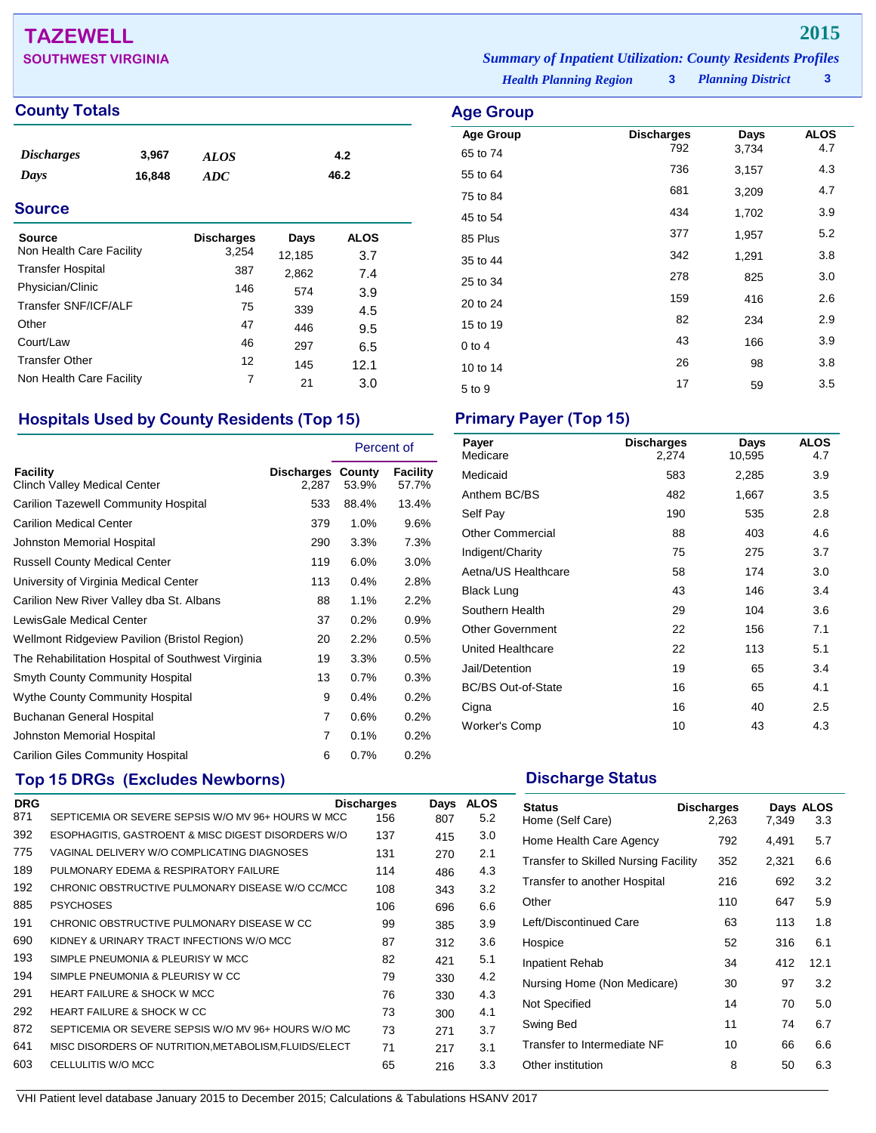## **TAZEWELL 2015**

## **County Totals Age Group**

| <i><b>Discharges</b></i> | 3,967  | ALOS | 4.2  |
|--------------------------|--------|------|------|
| Days                     | 16,848 | ADC  | 46.2 |

## **Source**

| Source<br>Non Health Care Facility | <b>Discharges</b><br>3,254 | Days<br>12,185 | ALOS       |  |
|------------------------------------|----------------------------|----------------|------------|--|
| <b>Transfer Hospital</b>           | 387                        | 2,862          | 3.7<br>7.4 |  |
| Physician/Clinic                   | 146                        | 574            | 3.9        |  |
| Transfer SNF/ICF/ALF               | 75                         | 339            | 4.5        |  |
| Other                              | 47                         | 446            | 9.5        |  |
| Court/Law                          | 46                         | 297            | 6.5        |  |
| <b>Transfer Other</b>              | 12                         | 145            | 12.1       |  |
| Non Health Care Facility           | 7                          | 21             | 3.0        |  |

## **Hospitals Used by County Residents (Top 15) Primary Payer (Top 15)**

|                                                     |                     | Percent of      |                   |
|-----------------------------------------------------|---------------------|-----------------|-------------------|
| Facility<br><b>Clinch Valley Medical Center</b>     | Discharges<br>2,287 | County<br>53.9% | Facility<br>57.7% |
| <b>Carilion Tazewell Community Hospital</b>         | 533                 | 88.4%           | 13.4%             |
| <b>Carilion Medical Center</b>                      | 379                 | 1.0%            | 9.6%              |
| Johnston Memorial Hospital                          | 290                 | 3.3%            | 7.3%              |
| <b>Russell County Medical Center</b>                | 119                 | 6.0%            | $3.0\%$           |
| University of Virginia Medical Center               | 113                 | 0.4%            | 2.8%              |
| Carilion New River Valley dba St. Albans            | 88                  | 1.1%            | 2.2%              |
| LewisGale Medical Center                            | 37                  | 0.2%            | 0.9%              |
| <b>Wellmont Ridgeview Pavilion (Bristol Region)</b> | 20                  | 2.2%            | 0.5%              |
| The Rehabilitation Hospital of Southwest Virginia   | 19                  | 3.3%            | 0.5%              |
| Smyth County Community Hospital                     | 13                  | 0.7%            | 0.3%              |
| Wythe County Community Hospital                     | 9                   | 0.4%            | 0.2%              |
| Buchanan General Hospital                           | 7                   | 0.6%            | 0.2%              |
| Johnston Memorial Hospital                          | 7                   | 0.1%            | 0.2%              |
| <b>Carilion Giles Community Hospital</b>            | 6                   | 0.7%            | 0.2%              |

## **Top 15 DRGs (Excludes Newborns) Discharge Status Discharge Status**

| <b>DRG</b> |                                                       | <b>Discharges</b> | Days | <b>ALOS</b> |
|------------|-------------------------------------------------------|-------------------|------|-------------|
| 871        | SEPTICEMIA OR SEVERE SEPSIS W/O MV 96+ HOURS W MCC    | 156               | 807  | 5.2         |
| 392        | ESOPHAGITIS, GASTROENT & MISC DIGEST DISORDERS W/O    | 137               | 415  | 3.0         |
| 775        | VAGINAL DELIVERY W/O COMPLICATING DIAGNOSES           | 131               | 270  | 2.1         |
| 189        | PULMONARY EDEMA & RESPIRATORY FAILURE                 | 114               | 486  | 4.3         |
| 192        | CHRONIC OBSTRUCTIVE PULMONARY DISEASE W/O CC/MCC      | 108               | 343  | 3.2         |
| 885        | <b>PSYCHOSES</b>                                      | 106               | 696  | 6.6         |
| 191        | CHRONIC OBSTRUCTIVE PULMONARY DISEASE W CC            | 99                | 385  | 3.9         |
| 690        | KIDNEY & URINARY TRACT INFECTIONS W/O MCC             | 87                | 312  | 3.6         |
| 193        | SIMPLE PNEUMONIA & PLEURISY W MCC                     | 82                | 421  | 5.1         |
| 194        | SIMPLE PNEUMONIA & PLEURISY W CC                      | 79                | 330  | 4.2         |
| 291        | <b>HEART FAILURE &amp; SHOCK W MCC</b>                | 76                | 330  | 4.3         |
| 292        | <b>HEART FAILURE &amp; SHOCK W CC</b>                 | 73                | 300  | 4.1         |
| 872        | SEPTICEMIA OR SEVERE SEPSIS W/O MV 96+ HOURS W/O MC   | 73                | 271  | 3.7         |
| 641        | MISC DISORDERS OF NUTRITION, METABOLISM, FLUIDS/ELECT | 71                | 217  | 3.1         |
| 603        | CELLULITIS W/O MCC                                    | 65                | 216  | 3.3         |

**SOUTHWEST VIRGINIA** *Summary of Inpatient Utilization: County Residents Profiles*

*Health Planning Region* **3**

*Planning District* **3**

| Age Group        |                   |       |             |
|------------------|-------------------|-------|-------------|
| <b>Age Group</b> | <b>Discharges</b> | Days  | <b>ALOS</b> |
| 65 to 74         | 792               | 3,734 | 4.7         |
| 55 to 64         | 736               | 3,157 | 4.3         |
| 75 to 84         | 681               | 3,209 | 4.7         |
| 45 to 54         | 434               | 1,702 | 3.9         |
| 85 Plus          | 377               | 1,957 | 5.2         |
| 35 to 44         | 342               | 1,291 | 3.8         |
| 25 to 34         | 278               | 825   | 3.0         |
| 20 to 24         | 159               | 416   | 2.6         |
| 15 to 19         | 82                | 234   | 2.9         |
| $0$ to $4$       | 43                | 166   | 3.9         |
| 10 to 14         | 26                | 98    | 3.8         |
| 5 to 9           | 17                | 59    | 3.5         |

| Payer<br>Medicare         | <b>Discharges</b><br>2,274 | Days<br>10,595 | <b>ALOS</b><br>4.7 |
|---------------------------|----------------------------|----------------|--------------------|
| Medicaid                  | 583                        | 2,285          | 3.9                |
| Anthem BC/BS              | 482                        | 1,667          | 3.5                |
| Self Pay                  | 190                        | 535            | 2.8                |
| <b>Other Commercial</b>   | 88                         | 403            | 4.6                |
| Indigent/Charity          | 75                         | 275            | 3.7                |
| Aetna/US Healthcare       | 58                         | 174            | 3.0                |
| <b>Black Lung</b>         | 43                         | 146            | 3.4                |
| Southern Health           | 29                         | 104            | 3.6                |
| <b>Other Government</b>   | 22                         | 156            | 7.1                |
| United Healthcare         | 22                         | 113            | 5.1                |
| Jail/Detention            | 19                         | 65             | 3.4                |
| <b>BC/BS Out-of-State</b> | 16                         | 65             | 4.1                |
| Cigna                     | 16                         | 40             | 2.5                |
| Worker's Comp             | 10                         | 43             | 4.3                |

| <b>Status</b><br>Home (Self Care)           | <b>Discharges</b><br>2,263 | 7,349 | Days ALOS<br>3.3 |
|---------------------------------------------|----------------------------|-------|------------------|
| Home Health Care Agency                     | 792                        | 4,491 | 5.7              |
| <b>Transfer to Skilled Nursing Facility</b> | 352                        | 2,321 | 6.6              |
| Transfer to another Hospital                | 216                        | 692   | 3.2              |
| Other                                       | 110                        | 647   | 5.9              |
| Left/Discontinued Care                      | 63                         | 113   | 1.8              |
| Hospice                                     | 52                         | 316   | 6.1              |
| Inpatient Rehab                             | 34                         | 412   | 12.1             |
| Nursing Home (Non Medicare)                 | 30                         | 97    | 3.2              |
| Not Specified                               | 14                         | 70    | 5.0              |
| Swing Bed                                   | 11                         | 74    | 6.7              |
| Transfer to Intermediate NF                 | 10                         | 66    | 6.6              |
| Other institution                           | 8                          | 50    | 6.3              |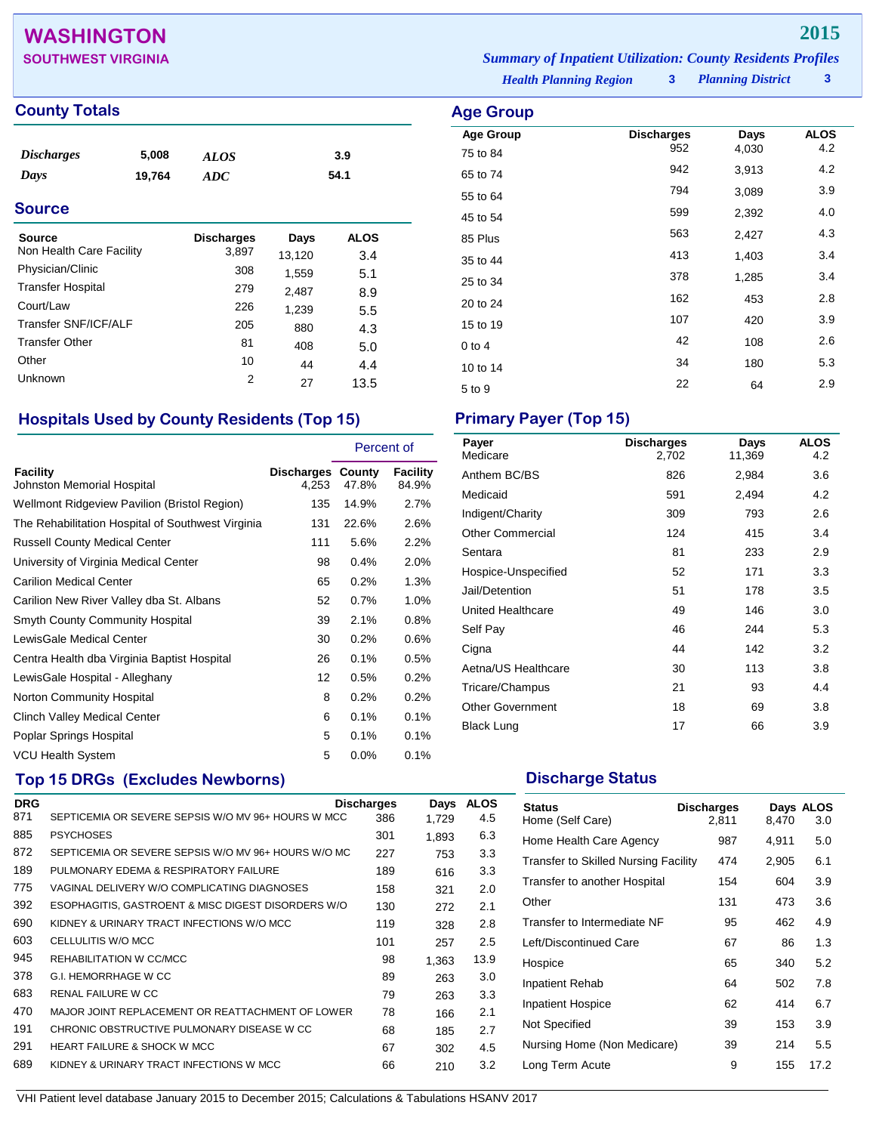## **WASHINGTON 2015**

## **County Totals Age Group Age Group**

| <i>Discharges</i><br>Days | 5,008<br>19,764 | <b>ALOS</b><br><b>ADC</b> |        | 3.9<br>54.1 |  |
|---------------------------|-----------------|---------------------------|--------|-------------|--|
| <b>Source</b>             |                 |                           |        |             |  |
| <b>Source</b>             |                 | <b>Discharges</b>         | Days   | <b>ALOS</b> |  |
| Non Health Care Facility  |                 | 3,897                     | 13,120 | 3.4         |  |
| Physician/Clinic          |                 | 308                       | 1,559  | 5.1         |  |
| <b>Transfer Hospital</b>  |                 | 279                       | 2,487  | 8.9         |  |
| Court/Law                 |                 | 226                       | 1,239  | 5.5         |  |
| Transfer SNF/ICF/ALF      |                 | 205                       | 880    | 4.3         |  |
| <b>Transfer Other</b>     |                 | 81                        | 408    | 5.0         |  |
| Other                     |                 | 10                        | 44     | 4.4         |  |
| Unknown                   |                 | 2                         | 27     | 13.5        |  |

## **Hospitals Used by County Residents (Top 15) Primary Payer (Top 15)**

|                                                   |                                   | Percent of |                   |
|---------------------------------------------------|-----------------------------------|------------|-------------------|
| Facility<br>Johnston Memorial Hospital            | <b>Discharges County</b><br>4.253 | 47.8%      | Facility<br>84.9% |
| Wellmont Ridgeview Pavilion (Bristol Region)      | 135                               | 14.9%      | 2.7%              |
| The Rehabilitation Hospital of Southwest Virginia | 131                               | 22.6%      | 2.6%              |
| <b>Russell County Medical Center</b>              | 111                               | 5.6%       | 2.2%              |
| University of Virginia Medical Center             | 98                                | 0.4%       | 2.0%              |
| <b>Carilion Medical Center</b>                    | 65                                | 0.2%       | 1.3%              |
| Carilion New River Valley dba St. Albans          | 52                                | 0.7%       | 1.0%              |
| Smyth County Community Hospital                   | 39                                | 2.1%       | 0.8%              |
| LewisGale Medical Center                          | 30                                | 0.2%       | $0.6\%$           |
| Centra Health dba Virginia Baptist Hospital       | 26                                | 0.1%       | 0.5%              |
| LewisGale Hospital - Alleghany                    | 12                                | 0.5%       | $0.2\%$           |
| Norton Community Hospital                         | 8                                 | 0.2%       | 0.2%              |
| Clinch Valley Medical Center                      | 6                                 | 0.1%       | 0.1%              |
| Poplar Springs Hospital                           | 5                                 | 0.1%       | 0.1%              |
| <b>VCU Health System</b>                          | 5                                 | 0.0%       | 0.1%              |

## **Top 15 DRGs (Excludes Newborns) Discharge Status Discharge Status**

| <b>DRG</b> |                                                     | <b>Discharges</b> | Days  | <b>ALOS</b> |
|------------|-----------------------------------------------------|-------------------|-------|-------------|
| 871        | SEPTICEMIA OR SEVERE SEPSIS W/O MV 96+ HOURS W MCC  | 386               | 1.729 | 4.5         |
| 885        | <b>PSYCHOSES</b>                                    | 301               | 1.893 | 6.3         |
| 872        | SEPTICEMIA OR SEVERE SEPSIS W/O MV 96+ HOURS W/O MC | 227               | 753   | 3.3         |
| 189        | PULMONARY EDEMA & RESPIRATORY FAILURE               | 189               | 616   | 3.3         |
| 775        | VAGINAL DELIVERY W/O COMPLICATING DIAGNOSES         | 158               | 321   | 2.0         |
| 392        | ESOPHAGITIS, GASTROENT & MISC DIGEST DISORDERS W/O  | 130               | 272   | 2.1         |
| 690        | KIDNEY & URINARY TRACT INFECTIONS W/O MCC           | 119               | 328   | 2.8         |
| 603        | CELLULITIS W/O MCC                                  | 101               | 257   | 2.5         |
| 945        | REHABILITATION W CC/MCC                             | 98                | 1.363 | 13.9        |
| 378        | <b>G.I. HEMORRHAGE W CC</b>                         | 89                | 263   | 3.0         |
| 683        | <b>RENAL FAILURE W CC</b>                           | 79                | 263   | 3.3         |
| 470        | MAJOR JOINT REPLACEMENT OR REATTACHMENT OF LOWER    | 78                | 166   | 2.1         |
| 191        | CHRONIC OBSTRUCTIVE PULMONARY DISEASE W CC          | 68                | 185   | 2.7         |
| 291        | <b>HEART FAILURE &amp; SHOCK W MCC</b>              | 67                | 302   | 4.5         |
| 689        | KIDNEY & URINARY TRACT INFECTIONS W MCC             | 66                | 210   | 3.2         |

## **SOUTHWEST VIRGINIA** *Summary of Inpatient Utilization: County Residents Profiles*

*Health Planning Region* **3**

*Planning District* **3**

| Age Group        |                          |       |                    |
|------------------|--------------------------|-------|--------------------|
| <b>Age Group</b> | <b>Discharges</b><br>952 | Days  | <b>ALOS</b><br>4.2 |
| 75 to 84         |                          | 4,030 |                    |
| 65 to 74         | 942                      | 3,913 | 4.2                |
| 55 to 64         | 794                      | 3,089 | 3.9                |
| 45 to 54         | 599                      | 2,392 | 4.0                |
| 85 Plus          | 563                      | 2,427 | 4.3                |
| 35 to 44         | 413                      | 1,403 | 3.4                |
| 25 to 34         | 378                      | 1,285 | 3.4                |
| 20 to 24         | 162                      | 453   | 2.8                |
| 15 to 19         | 107                      | 420   | 3.9                |
| $0$ to 4         | 42                       | 108   | 2.6                |
| 10 to 14         | 34                       | 180   | 5.3                |
| 5 to 9           | 22                       | 64    | 2.9                |
|                  |                          |       |                    |

| Payer<br>Medicare       | <b>Discharges</b><br>2,702 | Days<br>11,369 | <b>ALOS</b><br>4.2 |
|-------------------------|----------------------------|----------------|--------------------|
| Anthem BC/BS            | 826                        | 2,984          | 3.6                |
| Medicaid                | 591                        | 2,494          | 4.2                |
| Indigent/Charity        | 309                        | 793            | 2.6                |
| <b>Other Commercial</b> | 124                        | 415            | 3.4                |
| Sentara                 | 81                         | 233            | 2.9                |
| Hospice-Unspecified     | 52                         | 171            | 3.3                |
| Jail/Detention          | 51                         | 178            | 3.5                |
| United Healthcare       | 49                         | 146            | 3.0                |
| Self Pay                | 46                         | 244            | 5.3                |
| Cigna                   | 44                         | 142            | 3.2                |
| Aetna/US Healthcare     | 30                         | 113            | 3.8                |
| Tricare/Champus         | 21                         | 93             | 4.4                |
| <b>Other Government</b> | 18                         | 69             | 3.8                |
| <b>Black Lung</b>       | 17                         | 66             | 3.9                |

| <b>Status</b><br>Home (Self Care)    | <b>Discharges</b><br>2,811 | 8,470 | Days ALOS<br>3.0 |
|--------------------------------------|----------------------------|-------|------------------|
| Home Health Care Agency              | 987                        | 4,911 | 5.0              |
| Transfer to Skilled Nursing Facility | 474                        | 2,905 | 6.1              |
| Transfer to another Hospital         | 154                        | 604   | 3.9              |
| Other                                | 131                        | 473   | 3.6              |
| Transfer to Intermediate NF          | 95                         | 462   | 4.9              |
| Left/Discontinued Care               | 67                         | 86    | 1.3              |
| Hospice                              | 65                         | 340   | 5.2              |
| Inpatient Rehab                      | 64                         | 502   | 7.8              |
| <b>Inpatient Hospice</b>             | 62                         | 414   | 6.7              |
| Not Specified                        | 39                         | 153   | 3.9              |
| Nursing Home (Non Medicare)          | 39                         | 214   | 5.5              |
| Long Term Acute                      | 9                          | 155   | 17.2             |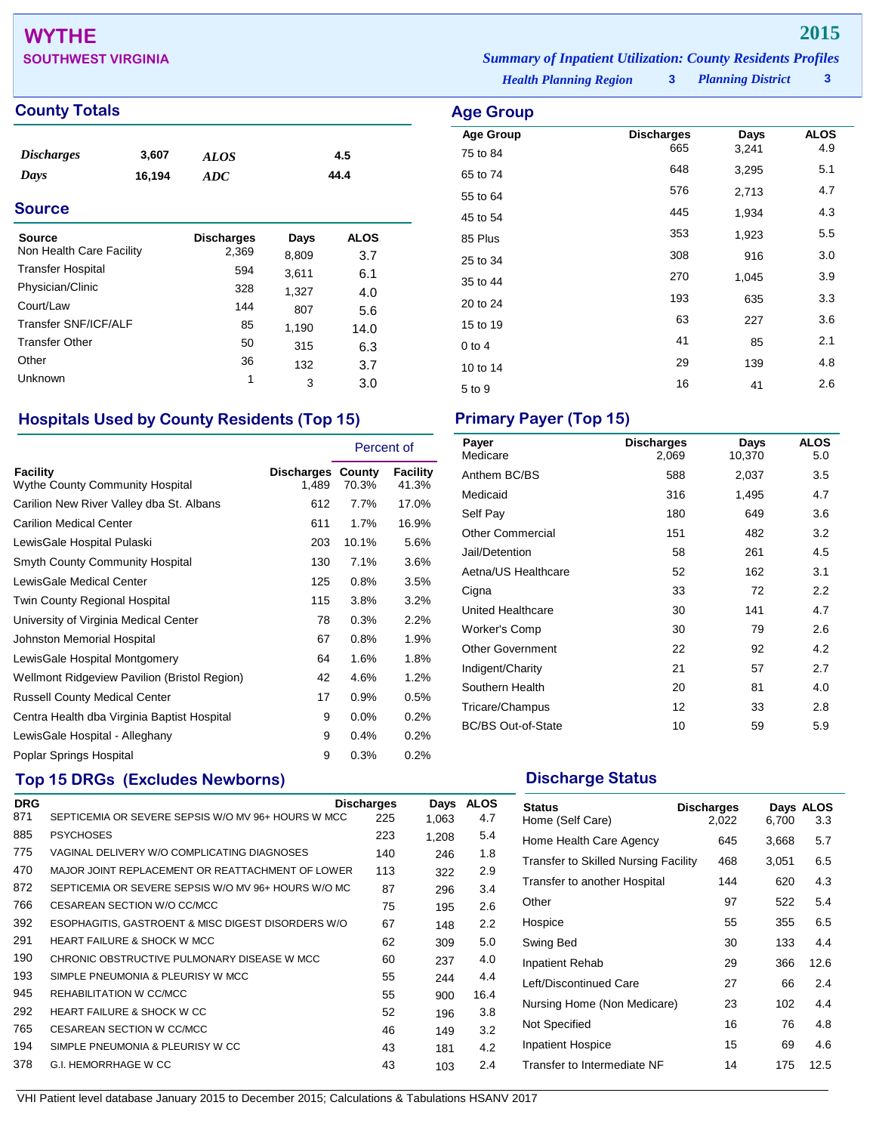# **WYTHE 2015**

## **County Totals Age Group Age Group**

| <i><b>Discharges</b></i> | 3,607  | ALOS | 4.5  |
|--------------------------|--------|------|------|
| Days                     | 16.194 | ADC  | 44.4 |

## **Source**

| Source                   | <b>Discharges</b> | Days  | ALOS |
|--------------------------|-------------------|-------|------|
| Non Health Care Facility | 2,369             | 8,809 | 3.7  |
| <b>Transfer Hospital</b> | 594               | 3,611 | 6.1  |
| Physician/Clinic         | 328               | 1,327 | 4.0  |
| Court/Law                | 144               | 807   | 5.6  |
| Transfer SNF/ICF/ALF     | 85                | 1,190 | 14.0 |
| <b>Transfer Other</b>    | 50                | 315   | 6.3  |
| Other                    | 36                | 132   | 3.7  |
| Unknown                  | 1                 | 3     | 3.0  |

## **Hospitals Used by County Residents (Top 15) Primary Payer (Top 15)**

|                                                    |                                   | Percent of |                   |
|----------------------------------------------------|-----------------------------------|------------|-------------------|
| Facility<br><b>Wythe County Community Hospital</b> | <b>Discharges County</b><br>1,489 | 70.3%      | Facility<br>41.3% |
| Carilion New River Valley dba St. Albans           | 612                               | 7.7%       | 17.0%             |
| <b>Carilion Medical Center</b>                     | 611                               | 1.7%       | 16.9%             |
| LewisGale Hospital Pulaski                         | 203                               | 10.1%      | 5.6%              |
| <b>Smyth County Community Hospital</b>             | 130                               | 7.1%       | 3.6%              |
| LewisGale Medical Center                           | 125                               | $0.8\%$    | 3.5%              |
| Twin County Regional Hospital                      | 115                               | 3.8%       | 3.2%              |
| University of Virginia Medical Center              | 78                                | 0.3%       | 2.2%              |
| Johnston Memorial Hospital                         | 67                                | 0.8%       | 1.9%              |
| LewisGale Hospital Montgomery                      | 64                                | 1.6%       | 1.8%              |
| Wellmont Ridgeview Pavilion (Bristol Region)       | 42                                | 4.6%       | 1.2%              |
| <b>Russell County Medical Center</b>               | 17                                | $0.9\%$    | 0.5%              |
| Centra Health dba Virginia Baptist Hospital        | 9                                 | 0.0%       | 0.2%              |
| LewisGale Hospital - Alleghany                     | 9                                 | 0.4%       | 0.2%              |
| Poplar Springs Hospital                            | 9                                 | 0.3%       | 0.2%              |

## **Top 15 DRGs (Excludes Newborns) Discharge Status Discharge Status**

|                                                     |     | Days                                                                  | <b>ALOS</b> |
|-----------------------------------------------------|-----|-----------------------------------------------------------------------|-------------|
| SEPTICEMIA OR SEVERE SEPSIS W/O MV 96+ HOURS W MCC  | 225 | 1,063                                                                 | 4.7         |
| <b>PSYCHOSES</b>                                    | 223 | 1,208                                                                 | 5.4         |
| VAGINAL DELIVERY W/O COMPLICATING DIAGNOSES         | 140 | 246                                                                   | 1.8         |
|                                                     | 113 | 322                                                                   | 2.9         |
| SEPTICEMIA OR SEVERE SEPSIS W/O MV 96+ HOURS W/O MC | 87  | 296                                                                   | 3.4         |
| CESAREAN SECTION W/O CC/MCC                         | 75  | 195                                                                   | 2.6         |
| ESOPHAGITIS, GASTROENT & MISC DIGEST DISORDERS W/O  | 67  | 148                                                                   | 2.2         |
| HEART FAILURE & SHOCK W MCC                         | 62  | 309                                                                   | 5.0         |
| CHRONIC OBSTRUCTIVE PULMONARY DISEASE W MCC         | 60  | 237                                                                   | 4.0         |
| SIMPLE PNEUMONIA & PLEURISY W MCC                   | 55  | 244                                                                   | 4.4         |
| REHABILITATION W CC/MCC                             | 55  | 900                                                                   | 16.4        |
| <b>HEART FAILURE &amp; SHOCK W CC</b>               | 52  | 196                                                                   | 3.8         |
| CESAREAN SECTION W CC/MCC                           | 46  | 149                                                                   | 3.2         |
| SIMPLE PNEUMONIA & PLEURISY W CC                    | 43  | 181                                                                   | 4.2         |
| G.I. HEMORRHAGE W CC                                | 43  | 103                                                                   | 2.4         |
|                                                     |     | <b>Discharges</b><br>MAJOR JOINT REPLACEMENT OR REATTACHMENT OF LOWER |             |

**SOUTHWEST VIRGINIA** *Summary of Inpatient Utilization: County Residents Profiles*

*Health Planning Region* **3**

| Age Group        |                          |       |             |
|------------------|--------------------------|-------|-------------|
| <b>Age Group</b> | <b>Discharges</b><br>665 | Days  | <b>ALOS</b> |
| 75 to 84         |                          | 3,241 | 4.9         |
| 65 to 74         | 648                      | 3,295 | 5.1         |
| 55 to 64         | 576                      | 2,713 | 4.7         |
| 45 to 54         | 445                      | 1,934 | 4.3         |
| 85 Plus          | 353                      | 1,923 | 5.5         |
| 25 to 34         | 308                      | 916   | 3.0         |
| 35 to 44         | 270                      | 1,045 | 3.9         |
| 20 to 24         | 193                      | 635   | 3.3         |
| 15 to 19         | 63                       | 227   | 3.6         |
| $0$ to $4$       | 41                       | 85    | 2.1         |
| 10 to 14         | 29                       | 139   | 4.8         |
| 5 to 9           | 16                       | 41    | 2.6         |
|                  |                          |       |             |

| Payer<br>Medicare         | <b>Discharges</b><br>2,069 | Days<br>10,370 | <b>ALOS</b><br>5.0 |
|---------------------------|----------------------------|----------------|--------------------|
| Anthem BC/BS              | 588                        | 2,037          | 3.5                |
| Medicaid                  | 316                        | 1,495          | 4.7                |
| Self Pay                  | 180                        | 649            | 3.6                |
| <b>Other Commercial</b>   | 151                        | 482            | 3.2                |
| Jail/Detention            | 58                         | 261            | 4.5                |
| Aetna/US Healthcare       | 52                         | 162            | 3.1                |
| Cigna                     | 33                         | 72             | 2.2                |
| United Healthcare         | 30                         | 141            | 4.7                |
| Worker's Comp             | 30                         | 79             | 2.6                |
| <b>Other Government</b>   | 22                         | 92             | 4.2                |
| Indigent/Charity          | 21                         | 57             | 2.7                |
| Southern Health           | 20                         | 81             | 4.0                |
| Tricare/Champus           | 12                         | 33             | 2.8                |
| <b>BC/BS Out-of-State</b> | 10                         | 59             | 5.9                |

| <b>Status</b><br>Home (Self Care)    | <b>Discharges</b><br>2,022 | 6,700 | Days ALOS<br>3.3 |
|--------------------------------------|----------------------------|-------|------------------|
| Home Health Care Agency              | 645                        | 3,668 | 5.7              |
| Transfer to Skilled Nursing Facility | 468                        | 3,051 | 6.5              |
| Transfer to another Hospital         | 144                        | 620   | 4.3              |
| Other                                | 97                         | 522   | 5.4              |
| Hospice                              | 55                         | 355   | 6.5              |
| Swing Bed                            | 30                         | 133   | 4.4              |
| Inpatient Rehab                      | 29                         | 366   | 12.6             |
| Left/Discontinued Care               | 27                         | 66    | 2.4              |
| Nursing Home (Non Medicare)          | 23                         | 102   | 4.4              |
| Not Specified                        | 16                         | 76    | 4.8              |
| <b>Inpatient Hospice</b>             | 15                         | 69    | 4.6              |
| Transfer to Intermediate NF          | 14                         | 175   | 12.5             |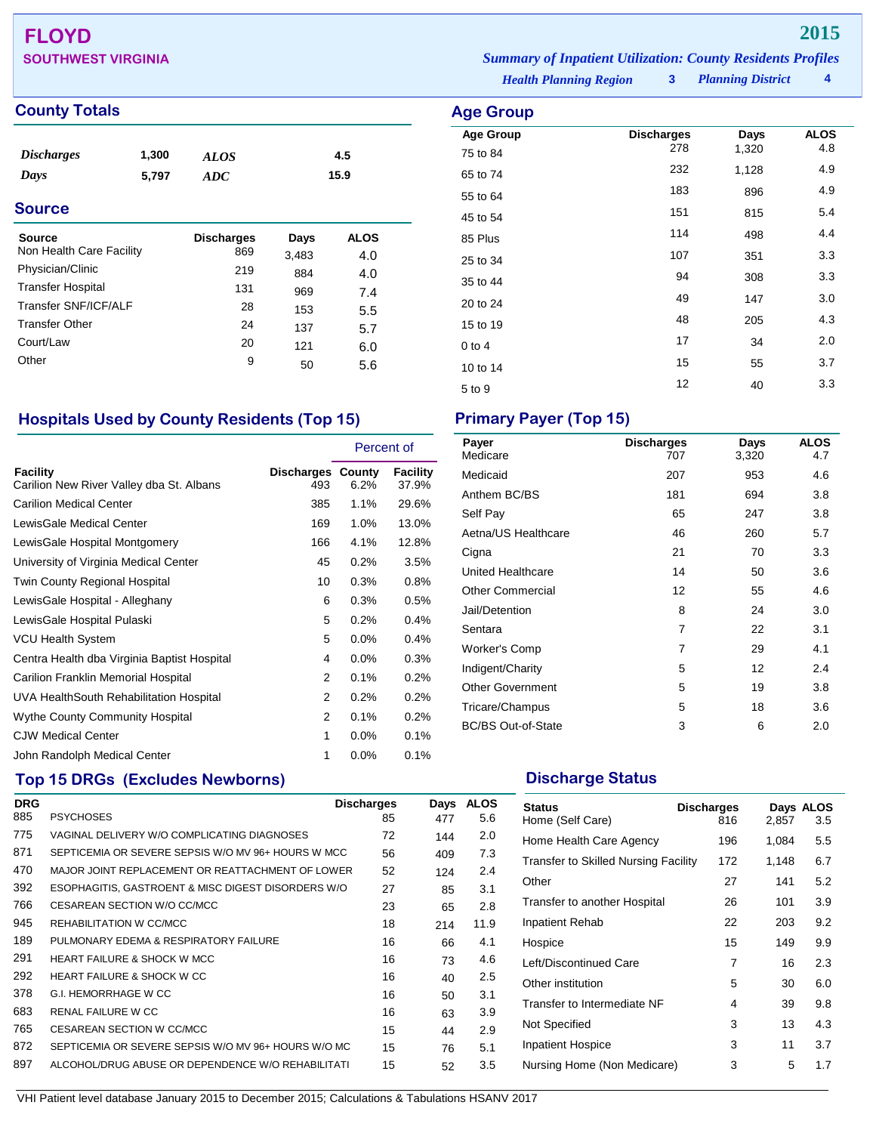## **FLOYD 2015 SOUTHWEST VIRGINIA** *Summary of Inpatient Utilization: County Residents Profiles*

## **County Totals Age Group Age Group**

| <b>Discharges</b> | 1,300 | <b>ALOS</b> | 4.5  |
|-------------------|-------|-------------|------|
| Days              | 5,797 | ADC         | 15.9 |
| <b>Source</b>     |       |             |      |

| <b>Source</b>            | <b>Discharges</b> | Days  | <b>ALOS</b> |
|--------------------------|-------------------|-------|-------------|
| Non Health Care Facility | 869               | 3,483 | 4.0         |
| Physician/Clinic         | 219               | 884   | 4.0         |
| <b>Transfer Hospital</b> | 131               | 969   | 7.4         |
| Transfer SNF/ICF/ALF     | 28                | 153   | 5.5         |
| <b>Transfer Other</b>    | 24                | 137   | 5.7         |
| Court/Law                | 20                | 121   | 6.0         |
| Other                    | 9                 | 50    | 5.6         |

## **Hospitals Used by County Residents (Top 15) Primary Payer (Top 15)**

|                                                      |                                 | Percent of |                   |
|------------------------------------------------------|---------------------------------|------------|-------------------|
| Facility<br>Carilion New River Valley dba St. Albans | <b>Discharges County</b><br>493 | $6.2\%$    | Facility<br>37.9% |
| <b>Carilion Medical Center</b>                       | 385                             | $1.1\%$    | 29.6%             |
| LewisGale Medical Center                             | 169                             | 1.0%       | 13.0%             |
| LewisGale Hospital Montgomery                        | 166                             | 4.1%       | 12.8%             |
| University of Virginia Medical Center                | 45                              | 0.2%       | 3.5%              |
| Twin County Regional Hospital                        | 10                              | 0.3%       | 0.8%              |
| LewisGale Hospital - Alleghany                       | 6                               | 0.3%       | 0.5%              |
| LewisGale Hospital Pulaski                           | 5                               | 0.2%       | 0.4%              |
| <b>VCU Health System</b>                             | 5                               | $0.0\%$    | 0.4%              |
| Centra Health dba Virginia Baptist Hospital          | 4                               | $0.0\%$    | 0.3%              |
| Carilion Franklin Memorial Hospital                  | 2                               | 0.1%       | 0.2%              |
| UVA HealthSouth Rehabilitation Hospital              | 2                               | 0.2%       | 0.2%              |
| <b>Wythe County Community Hospital</b>               | 2                               | 0.1%       | 0.2%              |
| <b>CJW Medical Center</b>                            | 1                               | 0.0%       | 0.1%              |
| John Randolph Medical Center                         | 1                               | $0.0\%$    | 0.1%              |

## **Top 15 DRGs (Excludes Newborns) Discharge Status Discharge Status**

| <b>DRG</b> |                                                     | <b>Discharges</b> | Days | <b>ALOS</b> |
|------------|-----------------------------------------------------|-------------------|------|-------------|
| 885        | <b>PSYCHOSES</b>                                    | 85                | 477  | 5.6         |
| 775        | VAGINAL DELIVERY W/O COMPLICATING DIAGNOSES         | 72                | 144  | 2.0         |
| 871        | SEPTICEMIA OR SEVERE SEPSIS W/O MV 96+ HOURS W MCC  | 56                | 409  | 7.3         |
| 470        | MAJOR JOINT REPLACEMENT OR REATTACHMENT OF LOWER    | 52                | 124  | 2.4         |
| 392        | ESOPHAGITIS, GASTROENT & MISC DIGEST DISORDERS W/O  | 27                | 85   | 3.1         |
| 766        | CESAREAN SECTION W/O CC/MCC                         | 23                | 65   | 2.8         |
| 945        | REHABILITATION W CC/MCC                             | 18                | 214  | 11.9        |
| 189        | PULMONARY EDEMA & RESPIRATORY FAILURE               | 16                | 66   | 4.1         |
| 291        | <b>HEART FAILURE &amp; SHOCK W MCC</b>              | 16                | 73   | 4.6         |
| 292        | <b>HEART FAILURE &amp; SHOCK W CC</b>               | 16                | 40   | 2.5         |
| 378        | G.I. HEMORRHAGE W CC                                | 16                | 50   | 3.1         |
| 683        | RENAL FAILURE W CC                                  | 16                | 63   | 3.9         |
| 765        | CESAREAN SECTION W CC/MCC                           | 15                | 44   | 2.9         |
| 872        | SEPTICEMIA OR SEVERE SEPSIS W/O MV 96+ HOURS W/O MC | 15                | 76   | 5.1         |
| 897        | ALCOHOL/DRUG ABUSE OR DEPENDENCE W/O REHABILITATI   | 15                | 52   | 3.5         |

| Payer<br>Medicare         | <b>Discharges</b><br>707 | Days<br>3,320 | <b>ALOS</b><br>4.7 |
|---------------------------|--------------------------|---------------|--------------------|
| Medicaid                  | 207                      | 953           | 4.6                |
| Anthem BC/BS              | 181                      | 694           | 3.8                |
| Self Pay                  | 65                       | 247           | 3.8                |
| Aetna/US Healthcare       | 46                       | 260           | 5.7                |
| Cigna                     | 21                       | 70            | 3.3                |
| United Healthcare         | 14                       | 50            | 3.6                |
| <b>Other Commercial</b>   | 12                       | 55            | 4.6                |
| Jail/Detention            | 8                        | 24            | 3.0                |
| Sentara                   | 7                        | 22            | 3.1                |
| Worker's Comp             | 7                        | 29            | 4.1                |
| Indigent/Charity          | 5                        | 12            | 2.4                |
| <b>Other Government</b>   | 5                        | 19            | 3.8                |
| Tricare/Champus           | 5                        | 18            | 3.6                |
| <b>BC/BS Out-of-State</b> | 3                        | 6             | 2.0                |

| <b>Status</b><br>Home (Self Care)           | <b>Discharges</b><br>816 | 2,857 | Days ALOS<br>3.5 |
|---------------------------------------------|--------------------------|-------|------------------|
| Home Health Care Agency                     | 196                      | 1,084 | 5.5              |
| <b>Transfer to Skilled Nursing Facility</b> | 172                      | 1,148 | 6.7              |
| Other                                       | 27                       | 141   | 5.2              |
| Transfer to another Hospital                | 26                       | 101   | 3.9              |
| Inpatient Rehab                             | 22                       | 203   | 9.2              |
| Hospice                                     | 15                       | 149   | 9.9              |
| Left/Discontinued Care                      | 7                        | 16    | 2.3              |
| Other institution                           | 5                        | 30    | 6.0              |
| Transfer to Intermediate NF                 | 4                        | 39    | 9.8              |
| Not Specified                               | 3                        | 13    | 4.3              |
| <b>Inpatient Hospice</b>                    | 3                        | 11    | 3.7              |
| Nursing Home (Non Medicare)                 | 3                        | 5     | 1.7              |

*Health Planning Region* **3**

| <b>Age Group</b> |                   |       |             |
|------------------|-------------------|-------|-------------|
| <b>Age Group</b> | <b>Discharges</b> | Days  | <b>ALOS</b> |
| 75 to 84         | 278               | 1,320 | 4.8         |
| 65 to 74         | 232               | 1,128 | 4.9         |
| 55 to 64         | 183               | 896   | 4.9         |
| 45 to 54         | 151               | 815   | 5.4         |
| 85 Plus          | 114               | 498   | 4.4         |
| 25 to 34         | 107               | 351   | 3.3         |
| 35 to 44         | 94                | 308   | 3.3         |
| 20 to 24         | 49                | 147   | 3.0         |
| 15 to 19         | 48                | 205   | 4.3         |
| $0$ to 4         | 17                | 34    | 2.0         |
| 10 to 14         | 15                | 55    | 3.7         |
| 5 to 9           | 12                | 40    | 3.3         |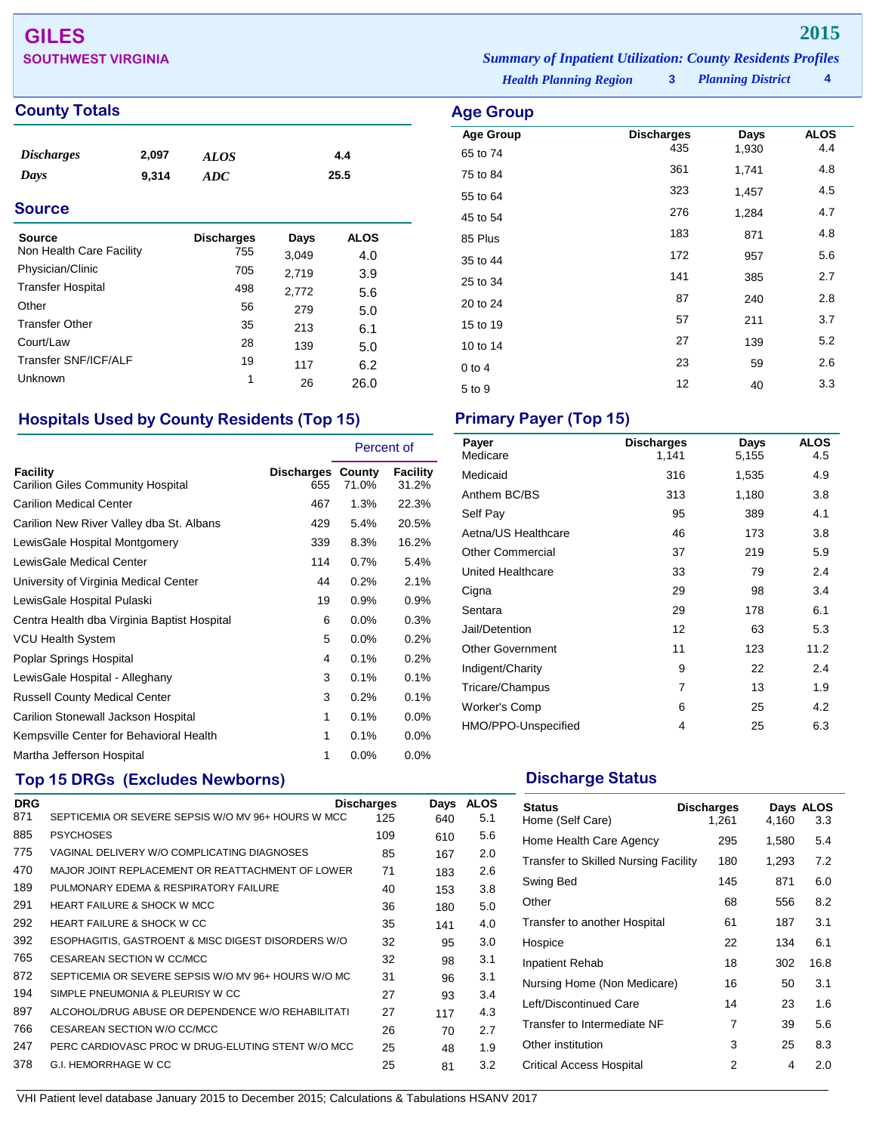## **GILES 2015 SOUTHWEST VIRGINIA** *Summary of Inpatient Utilization: County Residents Profiles*

## **County Totals Age Group**

| <i><b>Discharges</b></i> | 2,097 | ALOS | 4.4  |
|--------------------------|-------|------|------|
| Days                     | 9.314 | ADC  | 25.5 |

## **Source**

| Source<br>Non Health Care Facility | <b>Discharges</b><br>755 | Days<br>3,049 | <b>ALOS</b><br>4.0 |
|------------------------------------|--------------------------|---------------|--------------------|
| Physician/Clinic                   | 705                      | 2,719         | 3.9                |
| <b>Transfer Hospital</b>           | 498                      | 2,772         | 5.6                |
| Other                              | 56                       | 279           | 5.0                |
| <b>Transfer Other</b>              | 35                       | 213           | 6.1                |
| Court/Law                          | 28                       | 139           | 5.0                |
| Transfer SNF/ICF/ALF               | 19                       | 117           | 6.2                |
| Unknown                            | 1                        | 26            | 26.0               |

## **Hospitals Used by County Residents (Top 15) Primary Payer (Top 15)**

|                                                             |                          | Percent of |                   |
|-------------------------------------------------------------|--------------------------|------------|-------------------|
| <b>Facility</b><br><b>Carilion Giles Community Hospital</b> | Discharges County<br>655 | 71.0%      | Facility<br>31.2% |
| <b>Carilion Medical Center</b>                              | 467                      | 1.3%       | 22.3%             |
| Carilion New River Valley dba St. Albans                    | 429                      | 5.4%       | 20.5%             |
| LewisGale Hospital Montgomery                               | 339                      | 8.3%       | 16.2%             |
| LewisGale Medical Center                                    | 114                      | 0.7%       | 5.4%              |
| University of Virginia Medical Center                       | 44                       | 0.2%       | 2.1%              |
| LewisGale Hospital Pulaski                                  | 19                       | 0.9%       | $0.9\%$           |
| Centra Health dba Virginia Baptist Hospital                 | 6                        | $0.0\%$    | 0.3%              |
| <b>VCU Health System</b>                                    | 5                        | 0.0%       | 0.2%              |
| Poplar Springs Hospital                                     | 4                        | 0.1%       | 0.2%              |
| LewisGale Hospital - Alleghany                              | 3                        | 0.1%       | 0.1%              |
| <b>Russell County Medical Center</b>                        | 3                        | 0.2%       | 0.1%              |
| Carilion Stonewall Jackson Hospital                         | 1                        | 0.1%       | $0.0\%$           |
| Kempsville Center for Behavioral Health                     | 1                        | 0.1%       | $0.0\%$           |
| Martha Jefferson Hospital                                   | 1                        | $0.0\%$    | $0.0\%$           |

## **Top 15 DRGs (Excludes Newborns) Discharge Status Discharge Status**

| <b>DRG</b> |                                                     | <b>Discharges</b> | Days | <b>ALOS</b> |
|------------|-----------------------------------------------------|-------------------|------|-------------|
| 871        | SEPTICEMIA OR SEVERE SEPSIS W/O MV 96+ HOURS W MCC  | 125               | 640  | 5.1         |
| 885        | <b>PSYCHOSES</b>                                    | 109               | 610  | 5.6         |
| 775        | VAGINAL DELIVERY W/O COMPLICATING DIAGNOSES         | 85                | 167  | 2.0         |
| 470        | MAJOR JOINT REPLACEMENT OR REATTACHMENT OF LOWER    | 71                | 183  | 2.6         |
| 189        | PULMONARY EDEMA & RESPIRATORY FAILURE               | 40                | 153  | 3.8         |
| 291        | <b>HEART FAILURE &amp; SHOCK W MCC</b>              | 36                | 180  | 5.0         |
| 292        | <b>HEART FAILURE &amp; SHOCK W CC</b>               | 35                | 141  | 4.0         |
| 392        | ESOPHAGITIS, GASTROENT & MISC DIGEST DISORDERS W/O  | 32                | 95   | 3.0         |
| 765        | CESAREAN SECTION W CC/MCC                           | 32                | 98   | 3.1         |
| 872        | SEPTICEMIA OR SEVERE SEPSIS W/O MV 96+ HOURS W/O MC | 31                | 96   | 3.1         |
| 194        | SIMPLE PNEUMONIA & PLEURISY W CC                    | 27                | 93   | 3.4         |
| 897        | ALCOHOL/DRUG ABUSE OR DEPENDENCE W/O REHABILITATI   | 27                | 117  | 4.3         |
| 766        | CESAREAN SECTION W/O CC/MCC                         | 26                | 70   | 2.7         |
| 247        | PERC CARDIOVASC PROC W DRUG-ELUTING STENT W/O MCC   | 25                | 48   | 1.9         |
| 378        | G.I. HEMORRHAGE W CC                                | 25                | 81   | 3.2         |
|            |                                                     |                   |      |             |

| Payer<br>Medicare       | <b>Discharges</b><br>1,141 | Days<br>5,155 | <b>ALOS</b><br>4.5 |
|-------------------------|----------------------------|---------------|--------------------|
| Medicaid                | 316                        | 1,535         | 4.9                |
| Anthem BC/BS            | 313                        | 1,180         | 3.8                |
| Self Pay                | 95                         | 389           | 4.1                |
| Aetna/US Healthcare     | 46                         | 173           | 3.8                |
| <b>Other Commercial</b> | 37                         | 219           | 5.9                |
| United Healthcare       | 33                         | 79            | 2.4                |
| Cigna                   | 29                         | 98            | 3.4                |
| Sentara                 | 29                         | 178           | 6.1                |
| Jail/Detention          | 12                         | 63            | 5.3                |
| <b>Other Government</b> | 11                         | 123           | 11.2               |
| Indigent/Charity        | 9                          | 22            | 2.4                |
| Tricare/Champus         | 7                          | 13            | 1.9                |
| Worker's Comp           | 6                          | 25            | 4.2                |
| HMO/PPO-Unspecified     | 4                          | 25            | 6.3                |

| <b>Status</b><br>Home (Self Care)           | <b>Discharges</b><br>1,261 | 4,160 | Days ALOS<br>3.3 |
|---------------------------------------------|----------------------------|-------|------------------|
| Home Health Care Agency                     | 295                        | 1,580 | 5.4              |
| <b>Transfer to Skilled Nursing Facility</b> | 180                        | 1,293 | 7.2              |
| Swing Bed                                   | 145                        | 871   | 6.0              |
| Other                                       | 68                         | 556   | 8.2              |
| Transfer to another Hospital                | 61                         | 187   | 3.1              |
| Hospice                                     | 22                         | 134   | 6.1              |
| Inpatient Rehab                             | 18                         | 302   | 16.8             |
| Nursing Home (Non Medicare)                 | 16                         | 50    | 3.1              |
| Left/Discontinued Care                      | 14                         | 23    | 1.6              |
| Transfer to Intermediate NF                 | 7                          | 39    | 5.6              |
| Other institution                           | 3                          | 25    | 8.3              |
| <b>Critical Access Hospital</b>             | 2                          | 4     | 2.0              |

**Age Group Discharges Days ALOS**<br>65 to 74 4.4 45 1,930 4.4 65 to 74 <sup>435</sup> 1,930 4.4 75 to 84 <sup>361</sup> 1,741 4.8 55 to 64 <sup>323</sup> 1,457 4.5 45 to 54 <sup>276</sup> 1,284 4.7 85 Plus <sup>183</sup> <sup>871</sup> 4.8 35 to 44 <sup>172</sup> <sup>957</sup> 5.6 25 to 34 <sup>141</sup> <sup>385</sup> 2.7 20 to 24 20 2.8 15 to 19 10 10 11 12 12 11 13.7 10 to 14 27 139 5.2 0 to 4 23 59 2.6  $5 \text{ to } 9$   $12$   $40$   $3.3$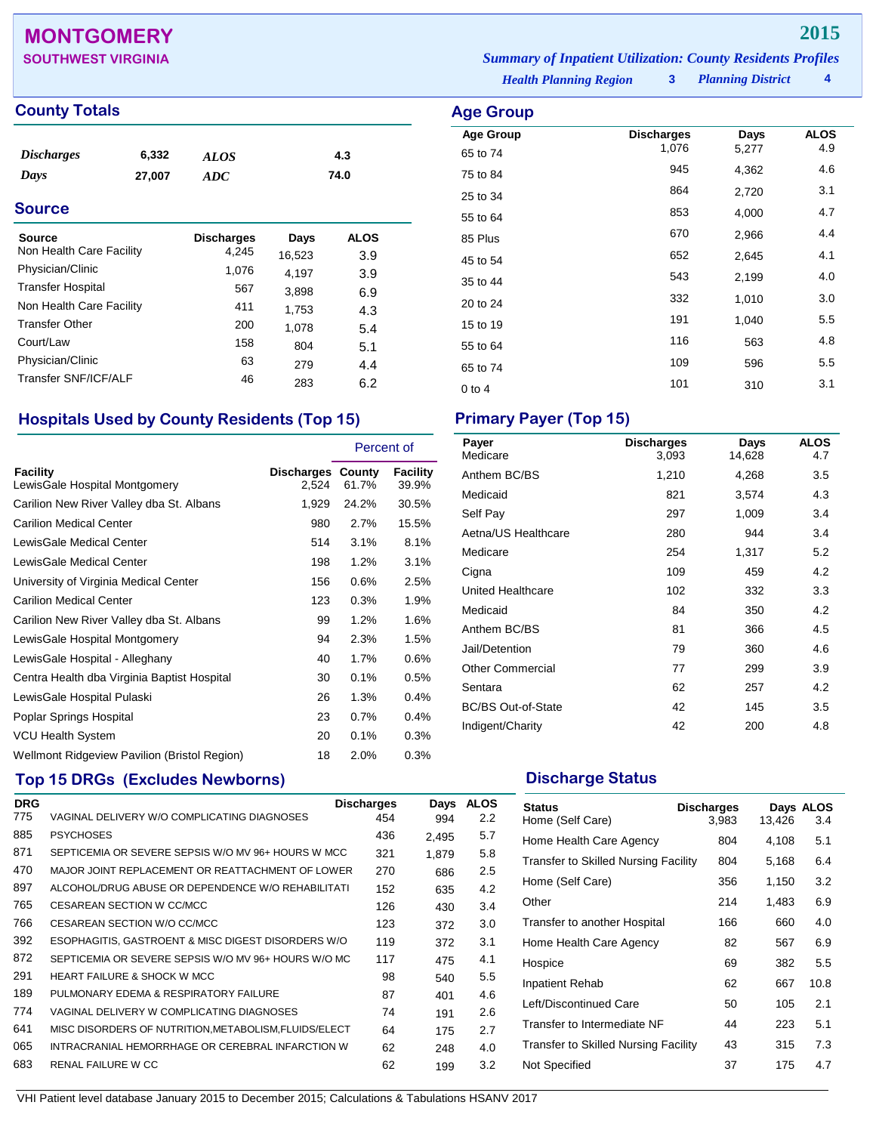## **MONTGOMERY 2015**

## **County Totals Age Group**

| <i><b>Discharges</b></i> | 6,332  | <b>ALOS</b> | 4.3  |
|--------------------------|--------|-------------|------|
| Days                     | 27,007 | ADC         | 74.0 |

## **Source**

| Source                   | <b>Discharges</b> | Days   | ALOS |
|--------------------------|-------------------|--------|------|
| Non Health Care Facility | 4,245             | 16,523 | 3.9  |
| Physician/Clinic         | 1,076             | 4.197  | 3.9  |
| <b>Transfer Hospital</b> | 567               | 3,898  | 6.9  |
| Non Health Care Facility | 411               | 1,753  | 4.3  |
| <b>Transfer Other</b>    | 200               | 1,078  | 5.4  |
| Court/Law                | 158               | 804    | 5.1  |
| Physician/Clinic         | 63                | 279    | 4.4  |
| Transfer SNF/ICF/ALF     | 46                | 283    | 6.2  |

## **Hospitals Used by County Residents (Top 15) Primary Payer (Top 15)**

|                                              |                            | Percent of |                   |
|----------------------------------------------|----------------------------|------------|-------------------|
| Facility<br>LewisGale Hospital Montgomery    | Discharges County<br>2,524 | 61.7%      | Facility<br>39.9% |
| Carilion New River Valley dba St. Albans     | 1,929                      | 24.2%      | 30.5%             |
| <b>Carilion Medical Center</b>               | 980                        | 2.7%       | 15.5%             |
| LewisGale Medical Center                     | 514                        | 3.1%       | 8.1%              |
| LewisGale Medical Center                     | 198                        | 1.2%       | 3.1%              |
| University of Virginia Medical Center        | 156                        | 0.6%       | 2.5%              |
| <b>Carilion Medical Center</b>               | 123                        | 0.3%       | 1.9%              |
| Carilion New River Valley dba St. Albans     | 99                         | 1.2%       | 1.6%              |
| LewisGale Hospital Montgomery                | 94                         | 2.3%       | 1.5%              |
| LewisGale Hospital - Alleghany               | 40                         | 1.7%       | 0.6%              |
| Centra Health dba Virginia Baptist Hospital  | 30                         | 0.1%       | 0.5%              |
| LewisGale Hospital Pulaski                   | 26                         | 1.3%       | 0.4%              |
| Poplar Springs Hospital                      | 23                         | 0.7%       | 0.4%              |
| VCU Health System                            | 20                         | 0.1%       | 0.3%              |
| Wellmont Ridgeview Pavilion (Bristol Region) | 18                         | 2.0%       | 0.3%              |

## **Top 15 DRGs (Excludes Newborns) Discharge Status Discharge Status**

| <b>DRG</b> |                                                     | <b>Discharges</b> | Days  | <b>ALOS</b>   |
|------------|-----------------------------------------------------|-------------------|-------|---------------|
| 775        | VAGINAL DELIVERY W/O COMPLICATING DIAGNOSES         | 454               | 994   | $2.2^{\circ}$ |
| 885        | <b>PSYCHOSES</b>                                    | 436               | 2,495 | 5.7           |
| 871        | SEPTICEMIA OR SEVERE SEPSIS W/O MV 96+ HOURS W MCC  | 321               | 1.879 | 5.8           |
| 470        | MAJOR JOINT REPLACEMENT OR REATTACHMENT OF LOWER    | 270               | 686   | 2.5           |
| 897        | ALCOHOL/DRUG ABUSE OR DEPENDENCE W/O REHABILITATI   | 152               | 635   | 4.2           |
| 765        | CESAREAN SECTION W CC/MCC                           | 126               | 430   | 3.4           |
| 766        | CESAREAN SECTION W/O CC/MCC                         | 123               | 372   | 3.0           |
| 392        | ESOPHAGITIS, GASTROENT & MISC DIGEST DISORDERS W/O  | 119               | 372   | 3.1           |
| 872        | SEPTICEMIA OR SEVERE SEPSIS W/O MV 96+ HOURS W/O MC | 117               | 475   | 4.1           |
| 291        | <b>HEART FAILURE &amp; SHOCK W MCC</b>              | 98                | 540   | 5.5           |
| 189        | PULMONARY EDEMA & RESPIRATORY FAILURE               | 87                | 401   | 4.6           |
| 774        | VAGINAL DELIVERY W COMPLICATING DIAGNOSES           | 74                | 191   | 2.6           |
| 641        | MISC DISORDERS OF NUTRITION.METABOLISM.FLUIDS/ELECT | 64                | 175   | 2.7           |
| 065        | INTRACRANIAL HEMORRHAGE OR CEREBRAL INFARCTION W    | 62                | 248   | 4.0           |
| 683        | RENAL FAILURE W CC                                  | 62                | 199   | 3.2           |
|            |                                                     |                   |       |               |

**SOUTHWEST VIRGINIA** *Summary of Inpatient Utilization: County Residents Profiles*

*Health Planning Region* **3**

*Planning District* **4**

| Age Group        |                   |       |             |
|------------------|-------------------|-------|-------------|
| <b>Age Group</b> | <b>Discharges</b> | Days  | <b>ALOS</b> |
| 65 to 74         | 1,076             | 5,277 | 4.9         |
| 75 to 84         | 945               | 4,362 | 4.6         |
| 25 to 34         | 864               | 2,720 | 3.1         |
| 55 to 64         | 853               | 4,000 | 4.7         |
| 85 Plus          | 670               | 2,966 | 4.4         |
| 45 to 54         | 652               | 2,645 | 4.1         |
| 35 to 44         | 543               | 2,199 | 4.0         |
| 20 to 24         | 332               | 1,010 | 3.0         |
| 15 to 19         | 191               | 1,040 | 5.5         |
| 55 to 64         | 116               | 563   | 4.8         |
| 65 to 74         | 109               | 596   | 5.5         |
| $0$ to 4         | 101               | 310   | 3.1         |

| Payer<br>Medicare         | <b>Discharges</b><br>3,093 | Days<br>14,628 | <b>ALOS</b><br>4.7 |
|---------------------------|----------------------------|----------------|--------------------|
| Anthem BC/BS              | 1,210                      | 4,268          | 3.5                |
| Medicaid                  | 821                        | 3,574          | 4.3                |
| Self Pay                  | 297                        | 1,009          | 3.4                |
| Aetna/US Healthcare       | 280                        | 944            | 3.4                |
| Medicare                  | 254                        | 1,317          | 5.2                |
| Cigna                     | 109                        | 459            | 4.2                |
| United Healthcare         | 102                        | 332            | 3.3                |
| Medicaid                  | 84                         | 350            | 4.2                |
| Anthem BC/BS              | 81                         | 366            | 4.5                |
| Jail/Detention            | 79                         | 360            | 4.6                |
| <b>Other Commercial</b>   | 77                         | 299            | 3.9                |
| Sentara                   | 62                         | 257            | 4.2                |
| <b>BC/BS Out-of-State</b> | 42                         | 145            | 3.5                |
| Indigent/Charity          | 42                         | 200            | 4.8                |

| <b>Status</b><br>Home (Self Care)           | <b>Discharges</b><br>3,983 | 13,426 | Days ALOS<br>3.4 |
|---------------------------------------------|----------------------------|--------|------------------|
| Home Health Care Agency                     | 804                        | 4,108  | 5.1              |
| <b>Transfer to Skilled Nursing Facility</b> | 804                        | 5,168  | 6.4              |
| Home (Self Care)                            | 356                        | 1,150  | 3.2              |
| Other                                       | 214                        | 1,483  | 6.9              |
| Transfer to another Hospital                | 166                        | 660    | 4.0              |
| Home Health Care Agency                     | 82                         | 567    | 6.9              |
| Hospice                                     | 69                         | 382    | 5.5              |
| Inpatient Rehab                             | 62                         | 667    | 10.8             |
| Left/Discontinued Care                      | 50                         | 105    | 2.1              |
| Transfer to Intermediate NF                 | 44                         | 223    | 5.1              |
| Transfer to Skilled Nursing Facility        | 43                         | 315    | 7.3              |
| Not Specified                               | 37                         | 175    | 4.7              |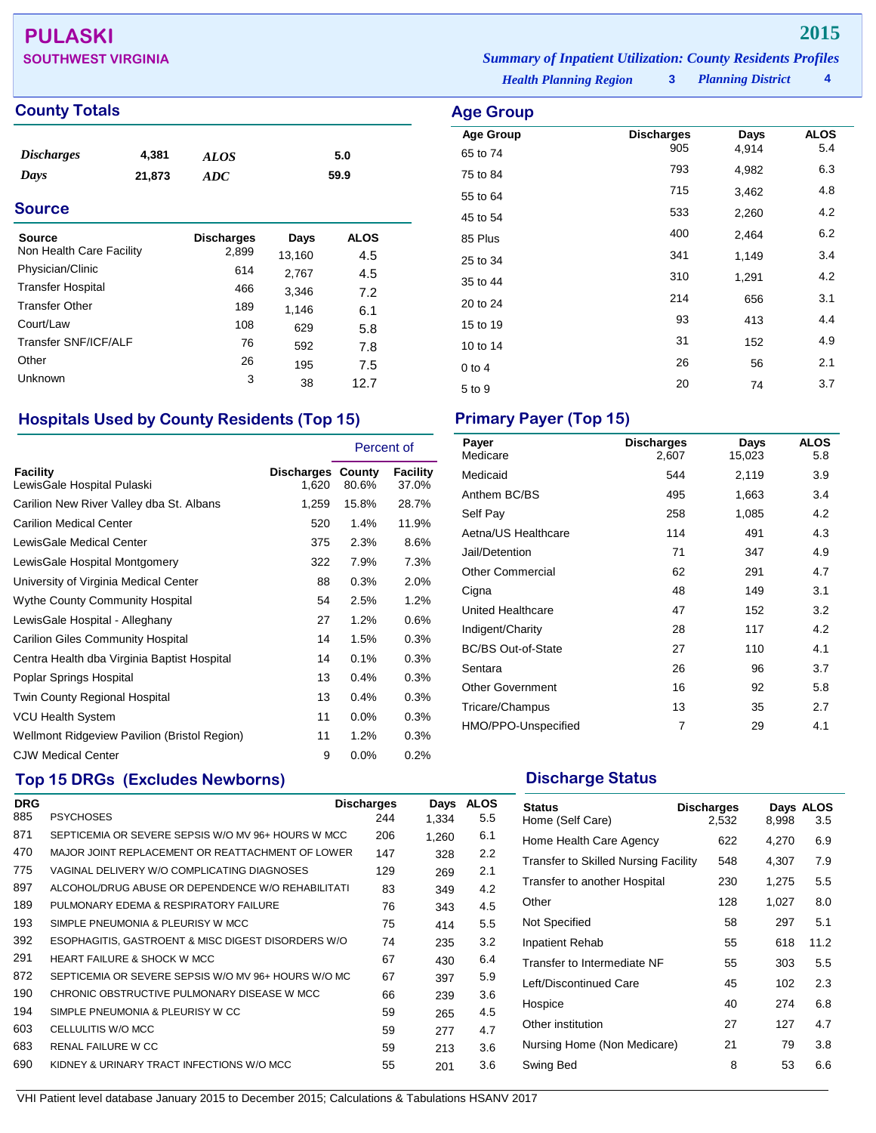# **PULASKI 2015**

## **County Totals Age Group**

| <i><b>Discharges</b></i> | 4,381  | <b>ALOS</b> | 5.0  |
|--------------------------|--------|-------------|------|
| Days                     | 21,873 | ADC         | 59.9 |

## **Source**

| Source<br>Non Health Care Facility | <b>Discharges</b><br>2,899 | Days<br>13,160 | <b>ALOS</b><br>4.5 |
|------------------------------------|----------------------------|----------------|--------------------|
| Physician/Clinic                   | 614                        | 2,767          | 4.5                |
| <b>Transfer Hospital</b>           | 466                        | 3,346          | 7.2                |
| <b>Transfer Other</b>              | 189                        | 1,146          | 6.1                |
| Court/Law                          | 108                        | 629            | 5.8                |
| Transfer SNF/ICF/ALF               | 76                         | 592            | 7.8                |
| Other                              | 26                         | 195            | 7.5                |
| Unknown                            | 3                          | 38             | 12.7               |

## **Hospitals Used by County Residents (Top 15) Primary Payer (Top 15)**

|                                              |                            | Percent of |                          |
|----------------------------------------------|----------------------------|------------|--------------------------|
| Facility<br>LewisGale Hospital Pulaski       | Discharges County<br>1,620 | 80.6%      | <b>Facility</b><br>37.0% |
| Carilion New River Valley dba St. Albans     | 1,259                      | 15.8%      | 28.7%                    |
| <b>Carilion Medical Center</b>               | 520                        | 1.4%       | 11.9%                    |
| LewisGale Medical Center                     | 375                        | 2.3%       | 8.6%                     |
| LewisGale Hospital Montgomery                | 322                        | 7.9%       | 7.3%                     |
| University of Virginia Medical Center        | 88                         | 0.3%       | 2.0%                     |
| <b>Wythe County Community Hospital</b>       | 54                         | 2.5%       | 1.2%                     |
| LewisGale Hospital - Alleghany               | 27                         | 1.2%       | 0.6%                     |
| <b>Carilion Giles Community Hospital</b>     | 14                         | 1.5%       | 0.3%                     |
| Centra Health dba Virginia Baptist Hospital  | 14                         | 0.1%       | 0.3%                     |
| Poplar Springs Hospital                      | 13                         | 0.4%       | 0.3%                     |
| Twin County Regional Hospital                | 13                         | 0.4%       | 0.3%                     |
| VCU Health System                            | 11                         | 0.0%       | 0.3%                     |
| Wellmont Ridgeview Pavilion (Bristol Region) | 11                         | 1.2%       | 0.3%                     |
| <b>CJW Medical Center</b>                    | 9                          | 0.0%       | 0.2%                     |

## **Top 15 DRGs (Excludes Newborns) Discharge Status Discharge Status**

| <b>DRG</b> |                                                     | <b>Discharges</b> | Days  | <b>ALOS</b>   |
|------------|-----------------------------------------------------|-------------------|-------|---------------|
| 885        | <b>PSYCHOSES</b>                                    | 244               | 1.334 | 5.5           |
| 871        | SEPTICEMIA OR SEVERE SEPSIS W/O MV 96+ HOURS W MCC  | 206               | 1,260 | 6.1           |
| 470        | MAJOR JOINT REPLACEMENT OR REATTACHMENT OF LOWER    | 147               | 328   | $2.2^{\circ}$ |
| 775        | VAGINAL DELIVERY W/O COMPLICATING DIAGNOSES         | 129               | 269   | 2.1           |
| 897        | ALCOHOL/DRUG ABUSE OR DEPENDENCE W/O REHABILITATI   | 83                | 349   | 4.2           |
| 189        | PULMONARY EDEMA & RESPIRATORY FAILURE               | 76                | 343   | 4.5           |
| 193        | SIMPLE PNEUMONIA & PLEURISY W MCC                   | 75                | 414   | 5.5           |
| 392        | ESOPHAGITIS, GASTROENT & MISC DIGEST DISORDERS W/O  | 74                | 235   | 3.2           |
| 291        | HEART FAILURE & SHOCK W MCC                         | 67                | 430   | 6.4           |
| 872        | SEPTICEMIA OR SEVERE SEPSIS W/O MV 96+ HOURS W/O MC | 67                | 397   | 5.9           |
| 190        | CHRONIC OBSTRUCTIVE PULMONARY DISEASE W MCC         | 66                | 239   | 3.6           |
| 194        | SIMPLE PNEUMONIA & PLEURISY W CC                    | 59                | 265   | 4.5           |
| 603        | CELLULITIS W/O MCC                                  | 59                | 277   | 4.7           |
| 683        | RENAL FAILURE W CC                                  | 59                | 213   | 3.6           |
| 690        | KIDNEY & URINARY TRACT INFECTIONS W/O MCC           | 55                | 201   | 3.6           |

| Payer<br>Medicare         | <b>Discharges</b><br>2,607 | Days<br>15,023 | <b>ALOS</b><br>5.8 |
|---------------------------|----------------------------|----------------|--------------------|
| Medicaid                  | 544                        | 2,119          | 3.9                |
| Anthem BC/BS              | 495                        | 1,663          | 3.4                |
| Self Pay                  | 258                        | 1,085          | 4.2                |
| Aetna/US Healthcare       | 114                        | 491            | 4.3                |
| Jail/Detention            | 71                         | 347            | 4.9                |
| <b>Other Commercial</b>   | 62                         | 291            | 4.7                |
| Cigna                     | 48                         | 149            | 3.1                |
| United Healthcare         | 47                         | 152            | 3.2                |
| Indigent/Charity          | 28                         | 117            | 4.2                |
| <b>BC/BS Out-of-State</b> | 27                         | 110            | 4.1                |
| Sentara                   | 26                         | 96             | 3.7                |
| <b>Other Government</b>   | 16                         | 92             | 5.8                |
| Tricare/Champus           | 13                         | 35             | 2.7                |
| HMO/PPO-Unspecified       | 7                          | 29             | 4.1                |

| <b>Status</b><br>Home (Self Care)           | <b>Discharges</b><br>2.532 | 8,998 | Days ALOS<br>3.5 |
|---------------------------------------------|----------------------------|-------|------------------|
| Home Health Care Agency                     | 622                        | 4,270 | 6.9              |
| <b>Transfer to Skilled Nursing Facility</b> | 548                        | 4,307 | 7.9              |
| Transfer to another Hospital                | 230                        | 1,275 | 5.5              |
| Other                                       | 128                        | 1,027 | 8.0              |
| Not Specified                               | 58                         | 297   | 5.1              |
| <b>Inpatient Rehab</b>                      | 55                         | 618   | 11.2             |
| Transfer to Intermediate NF                 | 55                         | 303   | 5.5              |
| Left/Discontinued Care                      | 45                         | 102   | 2.3              |
| Hospice                                     | 40                         | 274   | 6.8              |
| Other institution                           | 27                         | 127   | 4.7              |
| Nursing Home (Non Medicare)                 | 21                         | 79    | 3.8              |
| Swing Bed                                   | 8                          | 53    | 6.6              |

VHI Patient level database January 2015 to December 2015; Calculations & Tabulations HSANV 2017

**SOUTHWEST VIRGINIA** *Summary of Inpatient Utilization: County Residents Profiles*

*Health Planning Region* **3**

| ngu urum         |                   |       |             |
|------------------|-------------------|-------|-------------|
| <b>Age Group</b> | <b>Discharges</b> | Days  | <b>ALOS</b> |
| 65 to 74         | 905               | 4,914 | 5.4         |
| 75 to 84         | 793               | 4,982 | 6.3         |
| 55 to 64         | 715               | 3,462 | 4.8         |
| 45 to 54         | 533               | 2,260 | 4.2         |
| 85 Plus          | 400               | 2,464 | 6.2         |
| 25 to 34         | 341               | 1,149 | 3.4         |
| 35 to 44         | 310               | 1,291 | 4.2         |
| 20 to 24         | 214               | 656   | 3.1         |
| 15 to 19         | 93                | 413   | 4.4         |
| 10 to 14         | 31                | 152   | 4.9         |
| $0$ to 4         | 26                | 56    | 2.1         |
| 5 to 9           | 20                | 74    | 3.7         |
|                  |                   |       |             |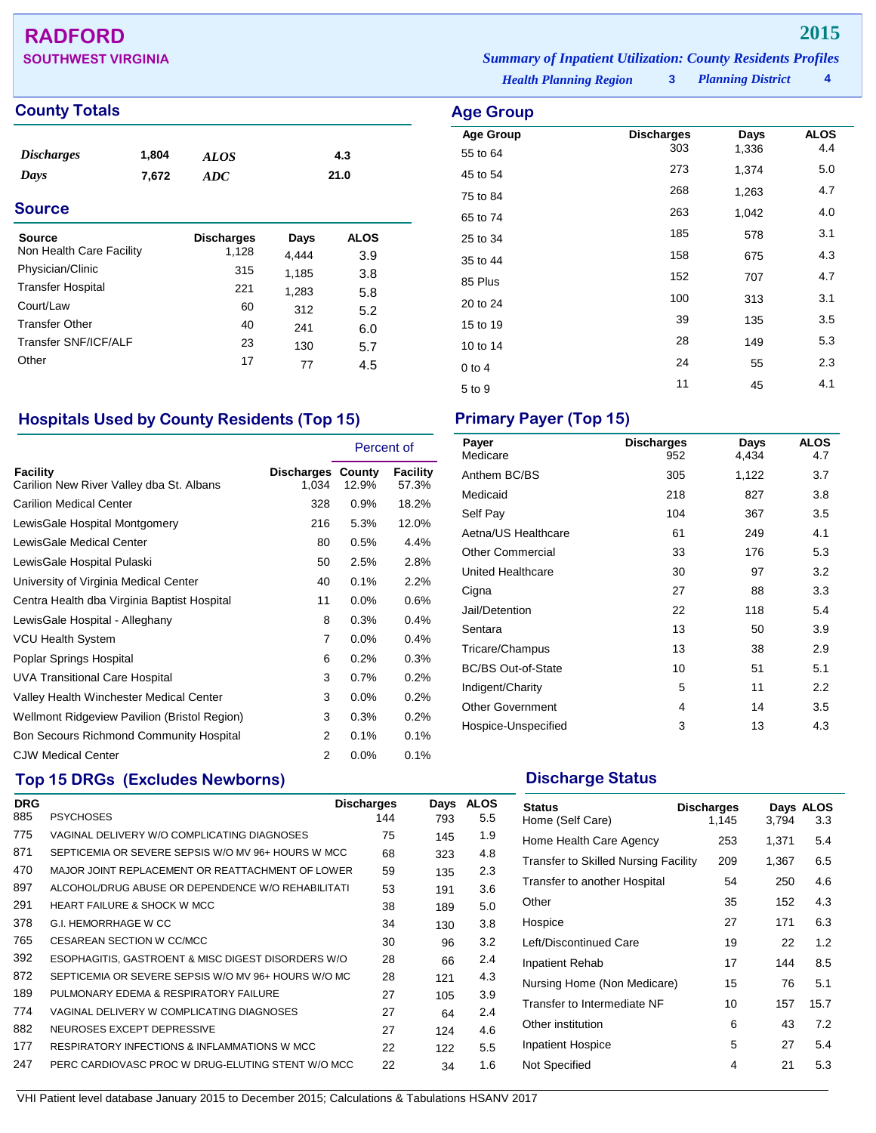## **RADFORD 2015**

## **County Totals Age Group Age Group Age Group**

| <i><b>Discharges</b></i><br>Days<br><b>Source</b> | 1,804<br>7,672 | <b>ALOS</b><br><b>ADC</b>  |               | 4.3<br>21.0        |  |
|---------------------------------------------------|----------------|----------------------------|---------------|--------------------|--|
| <b>Source</b><br>Non Health Care Facility         |                | <b>Discharges</b><br>1,128 | Days<br>4.444 | <b>ALOS</b><br>3.9 |  |
| Physician/Clinic                                  |                | 315                        | 1,185         | 3.8                |  |
| <b>Transfer Hospital</b>                          |                | 221                        | 1,283         | 5.8                |  |
| Court/Law                                         |                | 60                         | 312           | 5.2                |  |
| <b>Transfer Other</b>                             |                | 40                         | 241           | 6.0                |  |

**SOUTHWEST VIRGINIA** *Summary of Inpatient Utilization: County Residents Profiles*

*Health Planning Region* **3**

*Planning District* **4**

| <b>Age Group</b>             |                          |               |                    |
|------------------------------|--------------------------|---------------|--------------------|
| <b>Age Group</b><br>55 to 64 | <b>Discharges</b><br>303 | Days<br>1,336 | <b>ALOS</b><br>4.4 |
| 45 to 54                     | 273                      | 1,374         | 5.0                |
| 75 to 84                     | 268                      | 1,263         | 4.7                |
| 65 to 74                     | 263                      | 1,042         | 4.0                |
| 25 to 34                     | 185                      | 578           | 3.1                |
| 35 to 44                     | 158                      | 675           | 4.3                |
| 85 Plus                      | 152                      | 707           | 4.7                |
| 20 to 24                     | 100                      | 313           | 3.1                |
| 15 to 19                     | 39                       | 135           | 3.5                |
| 10 to 14                     | 28                       | 149           | 5.3                |
| $0$ to 4                     | 24                       | 55            | 2.3                |
| 5 to 9                       | 11                       | 45            | 4.1                |

## **Hospitals Used by County Residents (Top 15) Primary Payer (Top 15)**

Transfer SNF/ICF/ALF 23 130 5.7<br>Other 17 77 4.5 Other 17 77 4.5

|                                                             |                                   | Percent of |                   |
|-------------------------------------------------------------|-----------------------------------|------------|-------------------|
| <b>Facility</b><br>Carilion New River Valley dba St. Albans | <b>Discharges County</b><br>1,034 | 12.9%      | Facility<br>57.3% |
| <b>Carilion Medical Center</b>                              | 328                               | 0.9%       | 18.2%             |
| LewisGale Hospital Montgomery                               | 216                               | 5.3%       | 12.0%             |
| LewisGale Medical Center                                    | 80                                | 0.5%       | 4.4%              |
| LewisGale Hospital Pulaski                                  | 50                                | 2.5%       | 2.8%              |
| University of Virginia Medical Center                       | 40                                | 0.1%       | 2.2%              |
| Centra Health dba Virginia Baptist Hospital                 | 11                                | $0.0\%$    | 0.6%              |
| LewisGale Hospital - Alleghany                              | 8                                 | 0.3%       | 0.4%              |
| VCU Health System                                           | 7                                 | $0.0\%$    | 0.4%              |
| Poplar Springs Hospital                                     | 6                                 | 0.2%       | $0.3\%$           |
| UVA Transitional Care Hospital                              | 3                                 | 0.7%       | $0.2\%$           |
| Valley Health Winchester Medical Center                     | 3                                 | $0.0\%$    | 0.2%              |
| Wellmont Ridgeview Pavilion (Bristol Region)                | 3                                 | 0.3%       | 0.2%              |
| Bon Secours Richmond Community Hospital                     | 2                                 | 0.1%       | 0.1%              |
| <b>CJW Medical Center</b>                                   | 2                                 | 0.0%       | 0.1%              |

## **Top 15 DRGs (Excludes Newborns) Discharge Status Discharge Status**

| <b>DRG</b> |                                                     | <b>Discharges</b> | Days | <b>ALOS</b> |
|------------|-----------------------------------------------------|-------------------|------|-------------|
| 885        | <b>PSYCHOSES</b>                                    | 144               | 793  | 5.5         |
| 775        | VAGINAL DELIVERY W/O COMPLICATING DIAGNOSES         | 75                | 145  | 1.9         |
| 871        | SEPTICEMIA OR SEVERE SEPSIS W/O MV 96+ HOURS W MCC  | 68                | 323  | 4.8         |
| 470        | MAJOR JOINT REPLACEMENT OR REATTACHMENT OF LOWER    | 59                | 135  | 2.3         |
| 897        | ALCOHOL/DRUG ABUSE OR DEPENDENCE W/O REHABILITATI   | 53                | 191  | 3.6         |
| 291        | HEART FAILURE & SHOCK W MCC                         | 38                | 189  | 5.0         |
| 378        | G.I. HEMORRHAGE W CC                                | 34                | 130  | 3.8         |
| 765        | CESAREAN SECTION W CC/MCC                           | 30                | 96   | 3.2         |
| 392        | ESOPHAGITIS, GASTROENT & MISC DIGEST DISORDERS W/O  | 28                | 66   | 2.4         |
| 872        | SEPTICEMIA OR SEVERE SEPSIS W/O MV 96+ HOURS W/O MC | 28                | 121  | 4.3         |
| 189        | PULMONARY EDEMA & RESPIRATORY FAILURE               | 27                | 105  | 3.9         |
| 774        | VAGINAL DELIVERY W COMPLICATING DIAGNOSES           | 27                | 64   | 2.4         |
| 882        | NEUROSES EXCEPT DEPRESSIVE                          | 27                | 124  | 4.6         |
| 177        | RESPIRATORY INFECTIONS & INFLAMMATIONS W MCC        | 22                | 122  | 5.5         |
| 247        | PERC CARDIOVASC PROC W DRUG-ELUTING STENT W/O MCC   | 22                | 34   | 1.6         |

| <b>Discharges</b><br>952 | Days<br>4,434 | <b>ALOS</b><br>4.7 |
|--------------------------|---------------|--------------------|
| 305                      | 1,122         | 3.7                |
| 218                      | 827           | 3.8                |
| 104                      | 367           | 3.5                |
| 61                       | 249           | 4.1                |
| 33                       | 176           | 5.3                |
| 30                       | 97            | 3.2                |
| 27                       | 88            | 3.3                |
| 22                       | 118           | 5.4                |
| 13                       | 50            | 3.9                |
| 13                       | 38            | 2.9                |
| 10                       | 51            | 5.1                |
| 5                        | 11            | 2.2                |
| 4                        | 14            | 3.5                |
| 3                        | 13            | 4.3                |
|                          |               |                    |

| <b>Status</b><br>Home (Self Care)    | <b>Discharges</b><br>1,145 | 3,794 | Days ALOS<br>3.3 |
|--------------------------------------|----------------------------|-------|------------------|
| Home Health Care Agency              | 253                        | 1,371 | 5.4              |
| Transfer to Skilled Nursing Facility | 209                        | 1,367 | 6.5              |
| Transfer to another Hospital         | 54                         | 250   | 4.6              |
| Other                                | 35                         | 152   | 4.3              |
| Hospice                              | 27                         | 171   | 6.3              |
| Left/Discontinued Care               | 19                         | 22    | 1.2              |
| Inpatient Rehab                      | 17                         | 144   | 8.5              |
| Nursing Home (Non Medicare)          | 15                         | 76    | 5.1              |
| Transfer to Intermediate NF          | 10                         | 157   | 15.7             |
| Other institution                    | 6                          | 43    | 7.2              |
| Inpatient Hospice                    | 5                          | 27    | 5.4              |
| Not Specified                        | 4                          | 21    | 5.3              |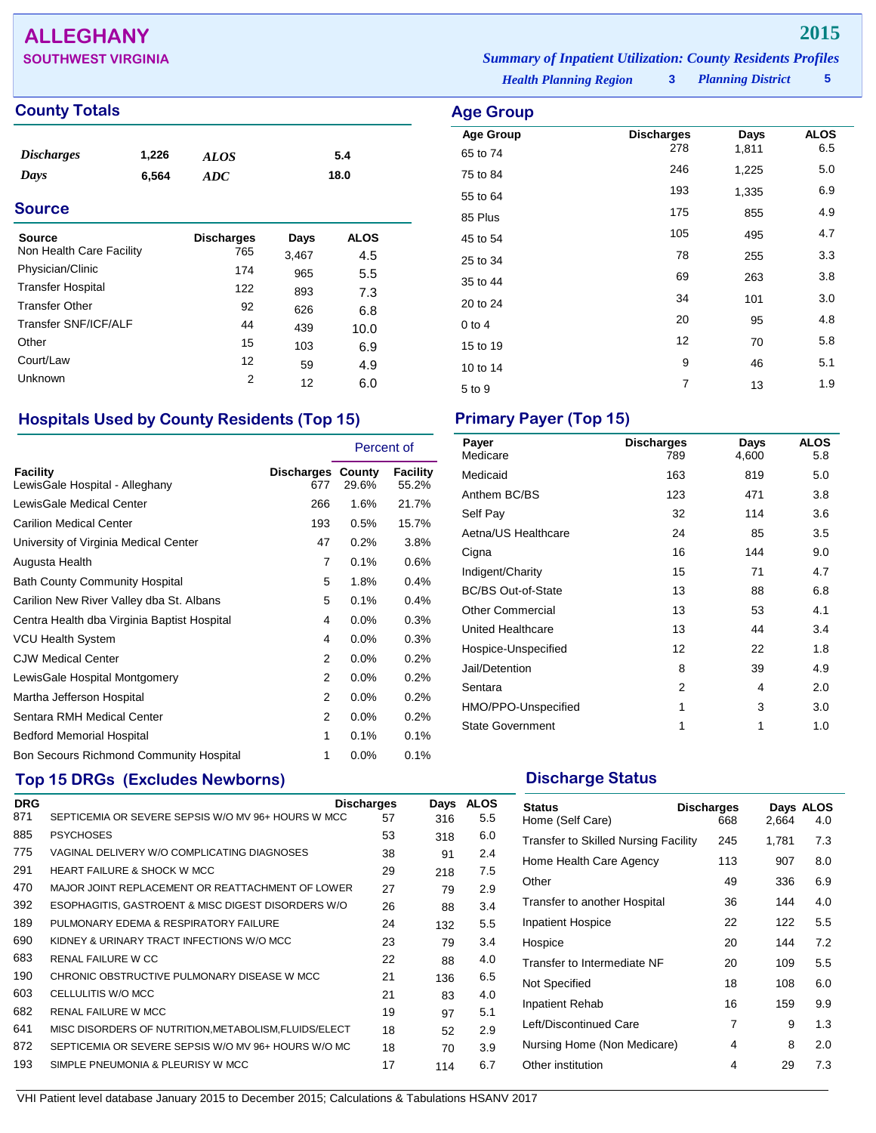## **ALLEGHANY 2015**

## **County Totals Age Group**

| <i><b>Discharges</b></i> | 1,226 | <b>ALOS</b> | 5.4  |
|--------------------------|-------|-------------|------|
| Days                     | 6,564 | ADC         | 18.0 |
|                          |       |             |      |

## **Source**

| Source<br>Non Health Care Facility | <b>Discharges</b><br>765 | Days       | <b>ALOS</b> |  |
|------------------------------------|--------------------------|------------|-------------|--|
| Physician/Clinic                   | 174                      | 3,467      | 4.5         |  |
| <b>Transfer Hospital</b>           | 122                      | 965        | 5.5         |  |
| <b>Transfer Other</b>              | 92                       | 893<br>626 | 7.3         |  |
| Transfer SNF/ICF/ALF               | 44                       | 439        | 6.8<br>10.0 |  |
| Other                              | 15                       | 103        | 6.9         |  |
| Court/Law                          | 12                       | 59         | 4.9         |  |
| Unknown                            | 2                        | 12         | 6.0         |  |
|                                    |                          |            |             |  |

## **Hospitals Used by County Residents (Top 15) Primary Payer (Top 15)**

|                                                   |                                 | Percent of |                   |
|---------------------------------------------------|---------------------------------|------------|-------------------|
| <b>Facility</b><br>LewisGale Hospital - Alleghany | <b>Discharges County</b><br>677 | 29.6%      | Facility<br>55.2% |
| LewisGale Medical Center                          | 266                             | 1.6%       | 21.7%             |
| <b>Carilion Medical Center</b>                    | 193                             | 0.5%       | 15.7%             |
| University of Virginia Medical Center             | 47                              | 0.2%       | 3.8%              |
| Augusta Health                                    | 7                               | 0.1%       | 0.6%              |
| <b>Bath County Community Hospital</b>             | 5                               | 1.8%       | 0.4%              |
| Carilion New River Valley dba St. Albans          | 5                               | 0.1%       | 0.4%              |
| Centra Health dba Virginia Baptist Hospital       | 4                               | $0.0\%$    | 0.3%              |
| <b>VCU Health System</b>                          | 4                               | 0.0%       | 0.3%              |
| <b>CJW Medical Center</b>                         | 2                               | $0.0\%$    | 0.2%              |
| LewisGale Hospital Montgomery                     | 2                               | $0.0\%$    | 0.2%              |
| Martha Jefferson Hospital                         | 2                               | $0.0\%$    | 0.2%              |
| Sentara RMH Medical Center                        | 2                               | 0.0%       | 0.2%              |
| <b>Bedford Memorial Hospital</b>                  | 1                               | 0.1%       | 0.1%              |
| Bon Secours Richmond Community Hospital           | 1                               | $0.0\%$    | 0.1%              |

## **Top 15 DRGs (Excludes Newborns) Discharge Status Discharge Status**

| <b>DRG</b> |                                                       | <b>Discharges</b> | Days | <b>ALOS</b> |
|------------|-------------------------------------------------------|-------------------|------|-------------|
| 871        | SEPTICEMIA OR SEVERE SEPSIS W/O MV 96+ HOURS W MCC    | 57                | 316  | 5.5         |
| 885        | <b>PSYCHOSES</b>                                      | 53                | 318  | 6.0         |
| 775        | VAGINAL DELIVERY W/O COMPLICATING DIAGNOSES           | 38                | 91   | 2.4         |
| 291        | <b>HEART FAILURE &amp; SHOCK W MCC</b>                | 29                | 218  | 7.5         |
| 470        | MAJOR JOINT REPLACEMENT OR REATTACHMENT OF LOWER      | 27                | 79   | 2.9         |
| 392        | ESOPHAGITIS, GASTROENT & MISC DIGEST DISORDERS W/O    | 26                | 88   | 3.4         |
| 189        | PULMONARY EDEMA & RESPIRATORY FAILURE                 | 24                | 132  | 5.5         |
| 690        | KIDNEY & URINARY TRACT INFECTIONS W/O MCC             | 23                | 79   | 3.4         |
| 683        | RENAL FAILURE W CC                                    | 22                | 88   | 4.0         |
| 190        | CHRONIC OBSTRUCTIVE PULMONARY DISEASE W MCC           | 21                | 136  | 6.5         |
| 603        | CELLULITIS W/O MCC                                    | 21                | 83   | 4.0         |
| 682        | <b>RENAL FAILURE W MCC</b>                            | 19                | 97   | 5.1         |
| 641        | MISC DISORDERS OF NUTRITION, METABOLISM, FLUIDS/ELECT | 18                | 52   | 2.9         |
| 872        | SEPTICEMIA OR SEVERE SEPSIS W/O MV 96+ HOURS W/O MC   | 18                | 70   | 3.9         |
| 193        | SIMPLE PNEUMONIA & PLEURISY W MCC                     | 17                | 114  | 6.7         |
|            |                                                       |                   |      |             |

**SOUTHWEST VIRGINIA** *Summary of Inpatient Utilization: County Residents Profiles*

*Health Planning Region* **3**

*Planning District* **5**

| Age Group            |                          |               |                    |
|----------------------|--------------------------|---------------|--------------------|
| <b>Age Group</b>     | <b>Discharges</b><br>278 | Days<br>1,811 | <b>ALOS</b><br>6.5 |
| 65 to 74<br>75 to 84 | 246                      | 1,225         | 5.0                |
| 55 to 64             | 193                      | 1,335         | 6.9                |
| 85 Plus              | 175                      | 855           | 4.9                |
| 45 to 54             | 105                      | 495           | 4.7                |
| 25 to 34             | 78                       | 255           | 3.3                |
| 35 to 44             | 69                       | 263           | 3.8                |
| 20 to 24             | 34                       | 101           | 3.0                |
| $0$ to 4             | 20                       | 95            | 4.8                |
| 15 to 19             | 12                       | 70            | 5.8                |
| 10 to 14             | 9                        | 46            | 5.1                |
| 5 to 9               | $\overline{7}$           | 13            | 1.9                |

| Payer<br>Medicare         | <b>Discharges</b><br>789 | Days<br>4,600 | <b>ALOS</b><br>5.8 |
|---------------------------|--------------------------|---------------|--------------------|
| Medicaid                  | 163                      | 819           | 5.0                |
| Anthem BC/BS              | 123                      | 471           | 3.8                |
| Self Pay                  | 32                       | 114           | 3.6                |
| Aetna/US Healthcare       | 24                       | 85            | 3.5                |
| Cigna                     | 16                       | 144           | 9.0                |
| Indigent/Charity          | 15                       | 71            | 4.7                |
| <b>BC/BS Out-of-State</b> | 13                       | 88            | 6.8                |
| <b>Other Commercial</b>   | 13                       | 53            | 4.1                |
| United Healthcare         | 13                       | 44            | 3.4                |
| Hospice-Unspecified       | 12                       | 22            | 1.8                |
| Jail/Detention            | 8                        | 39            | 4.9                |
| Sentara                   | 2                        | 4             | 2.0                |
| HMO/PPO-Unspecified       | 1                        | 3             | 3.0                |
| <b>State Government</b>   | 1                        | 1             | 1.0                |

| <b>Status</b><br>Home (Self Care)           | <b>Discharges</b><br>668 | 2,664 | Days ALOS<br>4.0 |
|---------------------------------------------|--------------------------|-------|------------------|
| <b>Transfer to Skilled Nursing Facility</b> | 245                      | 1,781 | 7.3              |
| Home Health Care Agency                     | 113                      | 907   | 8.0              |
| Other                                       | 49                       | 336   | 6.9              |
| Transfer to another Hospital                | 36                       | 144   | 4.0              |
| <b>Inpatient Hospice</b>                    | 22                       | 122   | 5.5              |
| Hospice                                     | 20                       | 144   | 7.2              |
| Transfer to Intermediate NF                 | 20                       | 109   | 5.5              |
| Not Specified                               | 18                       | 108   | 6.0              |
| Inpatient Rehab                             | 16                       | 159   | 9.9              |
| Left/Discontinued Care                      | 7                        | 9     | 1.3              |
| Nursing Home (Non Medicare)                 | 4                        | 8     | 2.0              |
| Other institution                           | 4                        | 29    | 7.3              |
|                                             |                          |       |                  |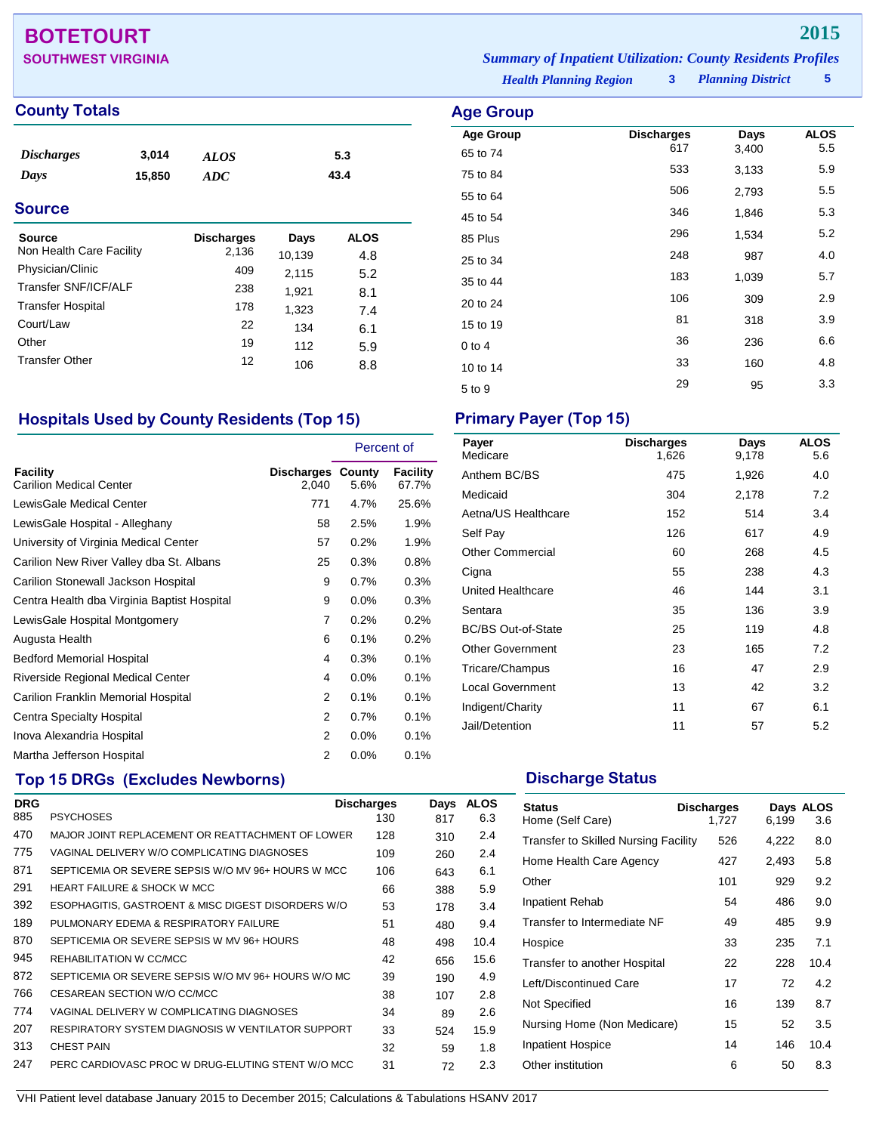## **BOTETOURT 2015**

## **County Totals**

| <b>Discharges</b><br>Days<br><b>Source</b> | 3,014<br>15,850 | <b>ALOS</b><br>ADC |        | 5.3<br>43.4 |  |
|--------------------------------------------|-----------------|--------------------|--------|-------------|--|
| Source                                     |                 | <b>Discharges</b>  | Days   | <b>ALOS</b> |  |
| Non Health Care Facility                   |                 | 2,136              | 10,139 | 4.8         |  |
| Physician/Clinic                           |                 | 409                | 2,115  | 5.2         |  |
| <b>Transfer SNF/ICF/ALF</b>                |                 | 238                | 1,921  | 8.1         |  |
| <b>Transfer Hospital</b>                   |                 | 178                | 1.323  | 7 A         |  |

*Health Planning Region* **3 SOUTHWEST VIRGINIA** *Summary of Inpatient Utilization: County Residents Profiles*

## *Planning District* **5**

| <b>Age Group</b>             |                          |               |                    |
|------------------------------|--------------------------|---------------|--------------------|
| <b>Age Group</b><br>65 to 74 | <b>Discharges</b><br>617 | Days<br>3,400 | <b>ALOS</b><br>5.5 |
| 75 to 84                     | 533                      | 3,133         | 5.9                |
| 55 to 64                     | 506                      | 2,793         | 5.5                |
| 45 to 54                     | 346                      | 1,846         | 5.3                |
| 85 Plus                      | 296                      | 1,534         | 5.2                |
| 25 to 34                     | 248                      | 987           | 4.0                |
| 35 to 44                     | 183                      | 1,039         | 5.7                |
| 20 to 24                     | 106                      | 309           | 2.9                |
| 15 to 19                     | 81                       | 318           | 3.9                |
| $0$ to 4                     | 36                       | 236           | 6.6                |
| 10 to 14                     | 33                       | 160           | 4.8                |
| 5 to 9                       | 29                       | 95            | 3.3                |

## **Hospitals Used by County Residents (Top 15) Primary Payer (Top 15)**

Transfer Hospital 178 1,323 7.4<br>Court/Law 22 134 6.1 Court/Law 22 134 6.1<br>Other 19 112 5.0 Other 19 112 5.9 Transfer Other 12 106 8.8

|                                             |                            | Percent of |                   |
|---------------------------------------------|----------------------------|------------|-------------------|
| Facility<br><b>Carilion Medical Center</b>  | Discharges County<br>2,040 | 5.6%       | Facility<br>67.7% |
| LewisGale Medical Center                    | 771                        | 4.7%       | 25.6%             |
| LewisGale Hospital - Alleghany              | 58                         | 2.5%       | 1.9%              |
| University of Virginia Medical Center       | 57                         | 0.2%       | 1.9%              |
| Carilion New River Valley dba St. Albans    | 25                         | 0.3%       | 0.8%              |
| Carilion Stonewall Jackson Hospital         | 9                          | 0.7%       | 0.3%              |
| Centra Health dba Virginia Baptist Hospital | 9                          | 0.0%       | 0.3%              |
| LewisGale Hospital Montgomery               | $\overline{7}$             | 0.2%       | 0.2%              |
| Augusta Health                              | 6                          | 0.1%       | 0.2%              |
| <b>Bedford Memorial Hospital</b>            | 4                          | 0.3%       | 0.1%              |
| Riverside Regional Medical Center           | 4                          | 0.0%       | 0.1%              |
| Carilion Franklin Memorial Hospital         | 2                          | 0.1%       | 0.1%              |
| Centra Specialty Hospital                   | 2                          | 0.7%       | 0.1%              |
| Inova Alexandria Hospital                   | 2                          | 0.0%       | 0.1%              |
| Martha Jefferson Hospital                   | 2                          | 0.0%       | 0.1%              |

## **Top 15 DRGs (Excludes Newborns) Discharge Status Discharge Status**

| <b>DRG</b> |                                                     | <b>Discharges</b> | Days | <b>ALOS</b> |
|------------|-----------------------------------------------------|-------------------|------|-------------|
| 885        | <b>PSYCHOSES</b>                                    | 130               | 817  | 6.3         |
| 470        | MAJOR JOINT REPLACEMENT OR REATTACHMENT OF LOWER    | 128               | 310  | 2.4         |
| 775        | VAGINAL DELIVERY W/O COMPLICATING DIAGNOSES         | 109               | 260  | 2.4         |
| 871        | SEPTICEMIA OR SEVERE SEPSIS W/O MV 96+ HOURS W MCC  | 106               | 643  | 6.1         |
| 291        | <b>HEART FAILURE &amp; SHOCK W MCC</b>              | 66                | 388  | 5.9         |
| 392        | ESOPHAGITIS, GASTROENT & MISC DIGEST DISORDERS W/O  | 53                | 178  | 3.4         |
| 189        | PULMONARY EDEMA & RESPIRATORY FAILURE               | 51                | 480  | 9.4         |
| 870        | SEPTICEMIA OR SEVERE SEPSIS W MV 96+ HOURS          | 48                | 498  | 10.4        |
| 945        | REHABILITATION W CC/MCC                             | 42                | 656  | 15.6        |
| 872        | SEPTICEMIA OR SEVERE SEPSIS W/O MV 96+ HOURS W/O MC | 39                | 190  | 4.9         |
| 766        | CESAREAN SECTION W/O CC/MCC                         | 38                | 107  | 2.8         |
| 774        | VAGINAL DELIVERY W COMPLICATING DIAGNOSES           | 34                | 89   | 2.6         |
| 207        | RESPIRATORY SYSTEM DIAGNOSIS W VENTILATOR SUPPORT   | 33                | 524  | 15.9        |
| 313        | <b>CHEST PAIN</b>                                   | 32                | 59   | 1.8         |
| 247        | PERC CARDIOVASC PROC W DRUG-ELUTING STENT W/O MCC   | 31                | 72   | 2.3         |

| Payer<br>Medicare         | <b>Discharges</b><br>1,626 | Days<br>9,178 | <b>ALOS</b><br>5.6 |
|---------------------------|----------------------------|---------------|--------------------|
| Anthem BC/BS              | 475                        | 1,926         | 4.0                |
| Medicaid                  | 304                        | 2,178         | 7.2                |
| Aetna/US Healthcare       | 152                        | 514           | 3.4                |
| Self Pay                  | 126                        | 617           | 4.9                |
| <b>Other Commercial</b>   | 60                         | 268           | 4.5                |
| Cigna                     | 55                         | 238           | 4.3                |
| <b>United Healthcare</b>  | 46                         | 144           | 3.1                |
| Sentara                   | 35                         | 136           | 3.9                |
| <b>BC/BS Out-of-State</b> | 25                         | 119           | 4.8                |
| <b>Other Government</b>   | 23                         | 165           | 7.2                |
| Tricare/Champus           | 16                         | 47            | 2.9                |
| <b>Local Government</b>   | 13                         | 42            | 3.2                |
| Indigent/Charity          | 11                         | 67            | 6.1                |
| Jail/Detention            | 11                         | 57            | 5.2                |

| <b>Status</b><br>Home (Self Care)           | <b>Discharges</b><br>1.727 | 6,199 | Days ALOS<br>3.6 |
|---------------------------------------------|----------------------------|-------|------------------|
| <b>Transfer to Skilled Nursing Facility</b> | 526                        | 4,222 | 8.0              |
| Home Health Care Agency                     | 427                        | 2,493 | 5.8              |
| Other                                       | 101                        | 929   | 9.2              |
| Inpatient Rehab                             | 54                         | 486   | 9.0              |
| Transfer to Intermediate NF                 | 49                         | 485   | 9.9              |
| Hospice                                     | 33                         | 235   | 7.1              |
| Transfer to another Hospital                | 22                         | 228   | 10.4             |
| Left/Discontinued Care                      | 17                         | 72    | 4.2              |
| Not Specified                               | 16                         | 139   | 8.7              |
| Nursing Home (Non Medicare)                 | 15                         | 52    | 3.5              |
| Inpatient Hospice                           | 14                         | 146   | 10.4             |
| Other institution                           | 6                          | 50    | 8.3              |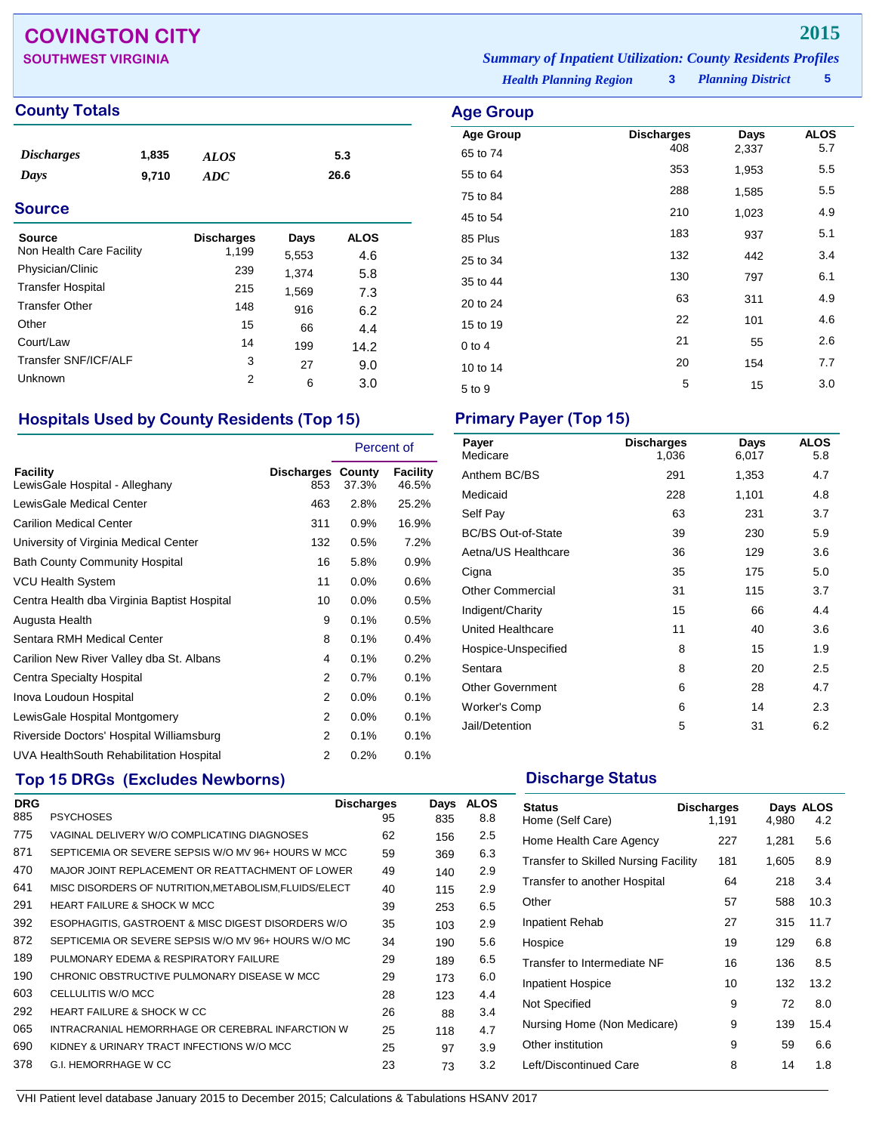## **COVINGTON CITY 2015**

## **County Totals Age Group**

| <i>Discharges</i> | 1,835 | <b>ALOS</b> | 5.3  |
|-------------------|-------|-------------|------|
| Days              | 9,710 | ADC         | 26.6 |
|                   |       |             |      |

## **Source**

| Source                   | <b>Discharges</b> | Days  | <b>ALOS</b> |
|--------------------------|-------------------|-------|-------------|
| Non Health Care Facility | 1,199             | 5,553 | 4.6         |
| Physician/Clinic         | 239               | 1.374 | 5.8         |
| <b>Transfer Hospital</b> | 215               | 1,569 | 7.3         |
| <b>Transfer Other</b>    | 148               | 916   | 6.2         |
| Other                    | 15                | 66    | 4.4         |
| Court/Law                | 14                | 199   | 14.2        |
| Transfer SNF/ICF/ALF     | 3                 | 27    | 9.0         |
| Unknown                  | 2                 | 6     | 3.0         |

## **Hospitals Used by County Residents (Top 15) Primary Payer (Top 15)**

|                                             |                                 | Percent of |                   |
|---------------------------------------------|---------------------------------|------------|-------------------|
| Facility<br>LewisGale Hospital - Alleghany  | <b>Discharges County</b><br>853 | 37.3%      | Facility<br>46.5% |
| LewisGale Medical Center                    | 463                             | 2.8%       | 25.2%             |
| <b>Carilion Medical Center</b>              | 311                             | 0.9%       | 16.9%             |
| University of Virginia Medical Center       | 132                             | 0.5%       | 7.2%              |
| <b>Bath County Community Hospital</b>       | 16                              | 5.8%       | $0.9\%$           |
| <b>VCU Health System</b>                    | 11                              | $0.0\%$    | 0.6%              |
| Centra Health dba Virginia Baptist Hospital | 10                              | $0.0\%$    | 0.5%              |
| Augusta Health                              | 9                               | 0.1%       | 0.5%              |
| Sentara RMH Medical Center                  | 8                               | 0.1%       | 0.4%              |
| Carilion New River Valley dba St. Albans    | 4                               | 0.1%       | 0.2%              |
| Centra Specialty Hospital                   | $\overline{2}$                  | 0.7%       | 0.1%              |
| Inova Loudoun Hospital                      | 2                               | 0.0%       | 0.1%              |
| LewisGale Hospital Montgomery               | 2                               | 0.0%       | 0.1%              |
| Riverside Doctors' Hospital Williamsburg    | 2                               | 0.1%       | 0.1%              |
| UVA HealthSouth Rehabilitation Hospital     | 2                               | 0.2%       | 0.1%              |

## **Top 15 DRGs (Excludes Newborns) Discharge Status Discharge Status**

| <b>DRG</b> |                                                       | <b>Discharges</b> | Days | <b>ALOS</b> |
|------------|-------------------------------------------------------|-------------------|------|-------------|
| 885        | <b>PSYCHOSES</b>                                      | 95                | 835  | 8.8         |
| 775        | VAGINAL DELIVERY W/O COMPLICATING DIAGNOSES           | 62                | 156  | 2.5         |
| 871        | SEPTICEMIA OR SEVERE SEPSIS W/O MV 96+ HOURS W MCC    | 59                | 369  | 6.3         |
| 470        | MAJOR JOINT REPLACEMENT OR REATTACHMENT OF LOWER      | 49                | 140  | 2.9         |
| 641        | MISC DISORDERS OF NUTRITION, METABOLISM, FLUIDS/ELECT | 40                | 115  | 2.9         |
| 291        | <b>HEART FAILURE &amp; SHOCK W MCC</b>                | 39                | 253  | 6.5         |
| 392        | ESOPHAGITIS, GASTROENT & MISC DIGEST DISORDERS W/O    | 35                | 103  | 2.9         |
| 872        | SEPTICEMIA OR SEVERE SEPSIS W/O MV 96+ HOURS W/O MC   | 34                | 190  | 5.6         |
| 189        | PULMONARY EDEMA & RESPIRATORY FAILURE                 | 29                | 189  | 6.5         |
| 190        | CHRONIC OBSTRUCTIVE PULMONARY DISEASE W MCC           | 29                | 173  | 6.0         |
| 603        | CELLULITIS W/O MCC                                    | 28                | 123  | 4.4         |
| 292        | <b>HEART FAILURE &amp; SHOCK W CC</b>                 | 26                | 88   | 3.4         |
| 065        | INTRACRANIAL HEMORRHAGE OR CEREBRAL INFARCTION W      | 25                | 118  | 4.7         |
| 690        | KIDNEY & URINARY TRACT INFECTIONS W/O MCC             | 25                | 97   | 3.9         |
| 378        | <b>G.I. HEMORRHAGE W CC</b>                           | 23                | 73   | 3.2         |

*Planning District* **5 SOUTHWEST VIRGINIA** *Summary of Inpatient Utilization: County Residents Profiles*

*Health Planning Region* **3**

| ge Group                     |                          |               |                    |
|------------------------------|--------------------------|---------------|--------------------|
| <b>Age Group</b><br>65 to 74 | <b>Discharges</b><br>408 | Days<br>2,337 | <b>ALOS</b><br>5.7 |
| 55 to 64                     | 353                      | 1,953         | 5.5                |
| 75 to 84                     | 288                      | 1,585         | 5.5                |
| 45 to 54                     | 210                      | 1,023         | 4.9                |
| 85 Plus                      | 183                      | 937           | 5.1                |
| 25 to 34                     | 132                      | 442           | 3.4                |
| 35 to 44                     | 130                      | 797           | 6.1                |
| 20 to 24                     | 63                       | 311           | 4.9                |
| 15 to 19                     | 22                       | 101           | 4.6                |
| 0 to 4                       | 21                       | 55            | 2.6                |
| 10 to 14                     | 20                       | 154           | 7.7                |
| 5 to 9                       | 5                        | 15            | 3.0                |

| Payer<br>Medicare         | <b>Discharges</b><br>1,036 | Days<br>6,017 | <b>ALOS</b><br>5.8 |
|---------------------------|----------------------------|---------------|--------------------|
| Anthem BC/BS              | 291                        | 1,353         | 4.7                |
| Medicaid                  | 228                        | 1,101         | 4.8                |
| Self Pay                  | 63                         | 231           | 3.7                |
| <b>BC/BS Out-of-State</b> | 39                         | 230           | 5.9                |
| Aetna/US Healthcare       | 36                         | 129           | 3.6                |
| Cigna                     | 35                         | 175           | 5.0                |
| <b>Other Commercial</b>   | 31                         | 115           | 3.7                |
| Indigent/Charity          | 15                         | 66            | 4.4                |
| United Healthcare         | 11                         | 40            | 3.6                |
| Hospice-Unspecified       | 8                          | 15            | 1.9                |
| Sentara                   | 8                          | 20            | 2.5                |
| <b>Other Government</b>   | 6                          | 28            | 4.7                |
| Worker's Comp             | 6                          | 14            | 2.3                |
| Jail/Detention            | 5                          | 31            | 6.2                |

| <b>Status</b><br>Home (Self Care)           | <b>Discharges</b><br>1,191 | 4,980 | Days ALOS<br>4.2 |
|---------------------------------------------|----------------------------|-------|------------------|
| Home Health Care Agency                     | 227                        | 1,281 | 5.6              |
| <b>Transfer to Skilled Nursing Facility</b> | 181                        | 1,605 | 8.9              |
| Transfer to another Hospital                | 64                         | 218   | 3.4              |
| Other                                       | 57                         | 588   | 10.3             |
| Inpatient Rehab                             | 27                         | 315   | 11.7             |
| Hospice                                     | 19                         | 129   | 6.8              |
| Transfer to Intermediate NF                 | 16                         | 136   | 8.5              |
| <b>Inpatient Hospice</b>                    | 10                         | 132   | 13.2             |
| Not Specified                               | 9                          | 72    | 8.0              |
| Nursing Home (Non Medicare)                 | 9                          | 139   | 15.4             |
| Other institution                           | 9                          | 59    | 6.6              |
| Left/Discontinued Care                      | 8                          | 14    | 1.8              |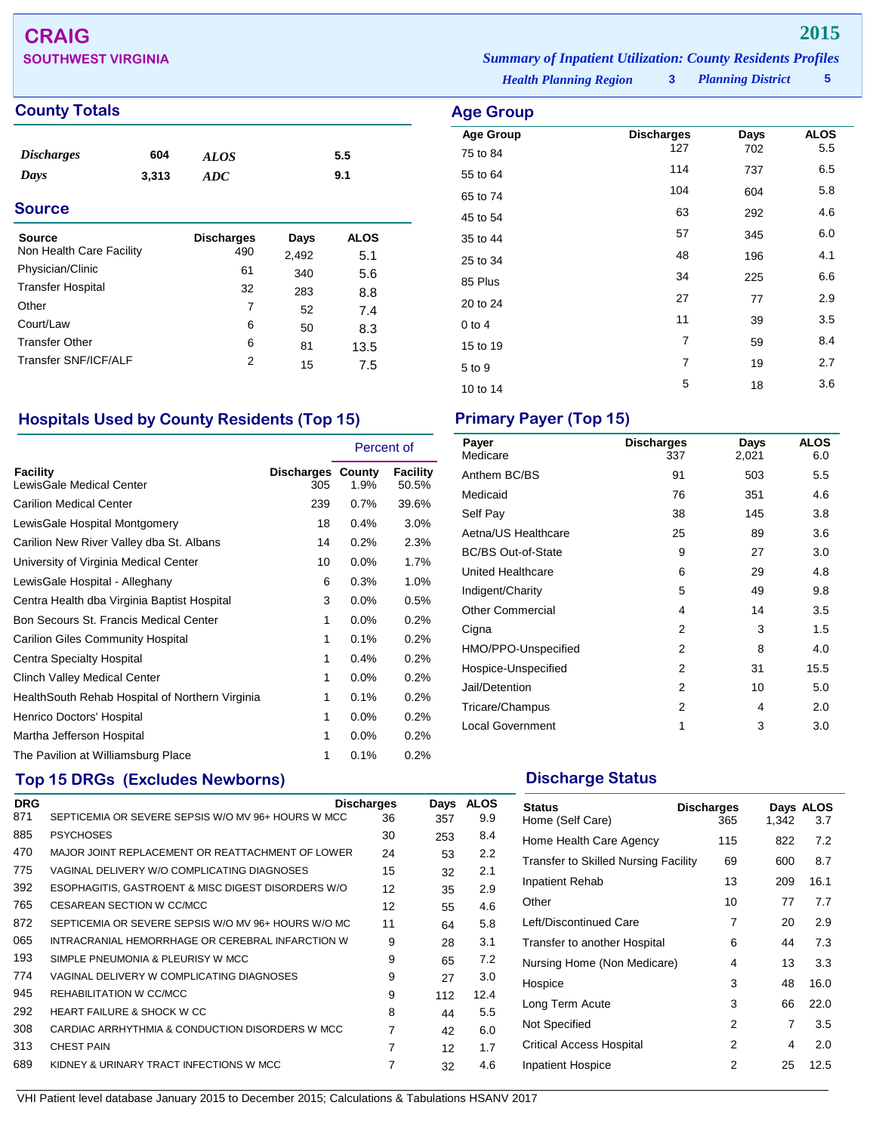# **CRAIG 2015**

## **County Totals Age Group**

| <i><b>Discharges</b></i> | 604   | <b>ALOS</b> | 5.5 |  |
|--------------------------|-------|-------------|-----|--|
| Days                     | 3,313 | ADC.        | 9.1 |  |
| <b>Source</b>            |       |             |     |  |

| <b>Discharges</b> | Days  | ALOS |
|-------------------|-------|------|
| 490               | 2,492 | 5.1  |
| 61                | 340   | 5.6  |
| 32                | 283   | 8.8  |
| 7                 | 52    | 7.4  |
| 6                 | 50    | 8.3  |
| 6                 | 81    | 13.5 |
| 2                 | 15    | 7.5  |
|                   |       |      |

## **Hospitals Used by County Residents (Top 15) Primary Payer (Top 15)**

|                                                  |                                 | Percent of |                   |
|--------------------------------------------------|---------------------------------|------------|-------------------|
| Facility<br>LewisGale Medical Center             | <b>Discharges County</b><br>305 | 1.9%       | Facility<br>50.5% |
| <b>Carilion Medical Center</b>                   | 239                             | 0.7%       | 39.6%             |
| LewisGale Hospital Montgomery                    | 18                              | 0.4%       | 3.0%              |
| Carilion New River Valley dba St. Albans         | 14                              | 0.2%       | 2.3%              |
| University of Virginia Medical Center            | 10                              | 0.0%       | 1.7%              |
| LewisGale Hospital - Alleghany                   | 6                               | 0.3%       | 1.0%              |
| Centra Health dba Virginia Baptist Hospital      | 3                               | $0.0\%$    | 0.5%              |
| Bon Secours St. Francis Medical Center           | 1                               | 0.0%       | 0.2%              |
| Carilion Giles Community Hospital                | 1                               | 0.1%       | 0.2%              |
| <b>Centra Specialty Hospital</b>                 | 1                               | 0.4%       | 0.2%              |
| Clinch Valley Medical Center                     | 1                               | 0.0%       | 0.2%              |
| Health South Rehab Hospital of Northern Virginia | 1                               | 0.1%       | 0.2%              |
| Henrico Doctors' Hospital                        | 1                               | $0.0\%$    | 0.2%              |
| Martha Jefferson Hospital                        | 1                               | 0.0%       | 0.2%              |
| The Pavilion at Williamsburg Place               | 1                               | 0.1%       | 0.2%              |

## **Top 15 DRGs (Excludes Newborns) Discharge Status Discharge Status**

| <b>DRG</b> |                                                     | <b>Discharges</b> | Days | <b>ALOS</b> |
|------------|-----------------------------------------------------|-------------------|------|-------------|
| 871        | SEPTICEMIA OR SEVERE SEPSIS W/O MV 96+ HOURS W MCC  | 36                | 357  | 9.9         |
| 885        | <b>PSYCHOSES</b>                                    | 30                | 253  | 8.4         |
| 470        | MAJOR JOINT REPLACEMENT OR REATTACHMENT OF LOWER    | 24                | 53   | 2.2         |
| 775        | VAGINAL DELIVERY W/O COMPLICATING DIAGNOSES         | 15                | 32   | 2.1         |
| 392        | ESOPHAGITIS, GASTROENT & MISC DIGEST DISORDERS W/O  | 12                | 35   | 2.9         |
| 765        | CESAREAN SECTION W CC/MCC                           | 12                | 55   | 4.6         |
| 872        | SEPTICEMIA OR SEVERE SEPSIS W/O MV 96+ HOURS W/O MC | 11                | 64   | 5.8         |
| 065        | INTRACRANIAL HEMORRHAGE OR CEREBRAL INFARCTION W    | 9                 | 28   | 3.1         |
| 193        | SIMPLE PNEUMONIA & PLEURISY W MCC                   | 9                 | 65   | 7.2         |
| 774        | VAGINAL DELIVERY W COMPLICATING DIAGNOSES           | 9                 | 27   | 3.0         |
| 945        | REHABILITATION W CC/MCC                             | 9                 | 112  | 12.4        |
| 292        | <b>HEART FAILURE &amp; SHOCK W CC</b>               | 8                 | 44   | 5.5         |
| 308        | CARDIAC ARRHYTHMIA & CONDUCTION DISORDERS W MCC     | 7                 | 42   | 6.0         |
| 313        | <b>CHEST PAIN</b>                                   | 7                 | 12   | 1.7         |
| 689        | KIDNEY & URINARY TRACT INFECTIONS W MCC             | 7                 | 32   | 4.6         |
|            |                                                     |                   |      |             |

*Planning District* **5 SOUTHWEST VIRGINIA** *Summary of Inpatient Utilization: County Residents Profiles*

*Health Planning Region* **3**

| ge Group         |                   |      |             |
|------------------|-------------------|------|-------------|
| <b>Age Group</b> | <b>Discharges</b> | Days | <b>ALOS</b> |
| 75 to 84         | 127               | 702  | 5.5         |
| 55 to 64         | 114               | 737  | 6.5         |
| 65 to 74         | 104               | 604  | 5.8         |
| 45 to 54         | 63                | 292  | 4.6         |
| 35 to 44         | 57                | 345  | 6.0         |
| 25 to 34         | 48                | 196  | 4.1         |
| 85 Plus          | 34                | 225  | 6.6         |
| 20 to 24         | 27                | 77   | 2.9         |
| $0$ to $4$       | 11                | 39   | 3.5         |
| 15 to 19         | $\overline{7}$    | 59   | 8.4         |
| 5 to 9           | $\overline{7}$    | 19   | 2.7         |
| 10 to 14         | 5                 | 18   | 3.6         |

| Payer<br>Medicare         | <b>Discharges</b><br>337 | Days<br>2,021 | <b>ALOS</b><br>6.0 |
|---------------------------|--------------------------|---------------|--------------------|
| Anthem BC/BS              | 91                       | 503           | 5.5                |
| Medicaid                  | 76                       | 351           | 4.6                |
| Self Pay                  | 38                       | 145           | 3.8                |
| Aetna/US Healthcare       | 25                       | 89            | 3.6                |
| <b>BC/BS Out-of-State</b> | 9                        | 27            | 3.0                |
| United Healthcare         | 6                        | 29            | 4.8                |
| Indigent/Charity          | 5                        | 49            | 9.8                |
| <b>Other Commercial</b>   | 4                        | 14            | 3.5                |
| Cigna                     | 2                        | 3             | 1.5                |
| HMO/PPO-Unspecified       | 2                        | 8             | 4.0                |
| Hospice-Unspecified       | 2                        | 31            | 15.5               |
| Jail/Detention            | 2                        | 10            | 5.0                |
| Tricare/Champus           | 2                        | 4             | 2.0                |
| <b>Local Government</b>   | 1                        | 3             | 3.0                |

| <b>Status</b><br>Home (Self Care)           | <b>Discharges</b><br>365 | 1,342 | Days ALOS<br>3.7 |
|---------------------------------------------|--------------------------|-------|------------------|
| Home Health Care Agency                     | 115                      | 822   | 7.2              |
| <b>Transfer to Skilled Nursing Facility</b> | 69                       | 600   | 8.7              |
| <b>Inpatient Rehab</b>                      | 13                       | 209   | 16.1             |
| Other                                       | 10                       | 77    | 7.7              |
| Left/Discontinued Care                      | 7                        | 20    | 2.9              |
| Transfer to another Hospital                | 6                        | 44    | 7.3              |
| Nursing Home (Non Medicare)                 | 4                        | 13    | 3.3              |
| Hospice                                     | 3                        | 48    | 16.0             |
| Long Term Acute                             | 3                        | 66    | 22.0             |
| Not Specified                               | 2                        | 7     | 3.5              |
| <b>Critical Access Hospital</b>             | 2                        | 4     | 2.0              |
| <b>Inpatient Hospice</b>                    | 2                        | 25    | 12.5             |
|                                             |                          |       |                  |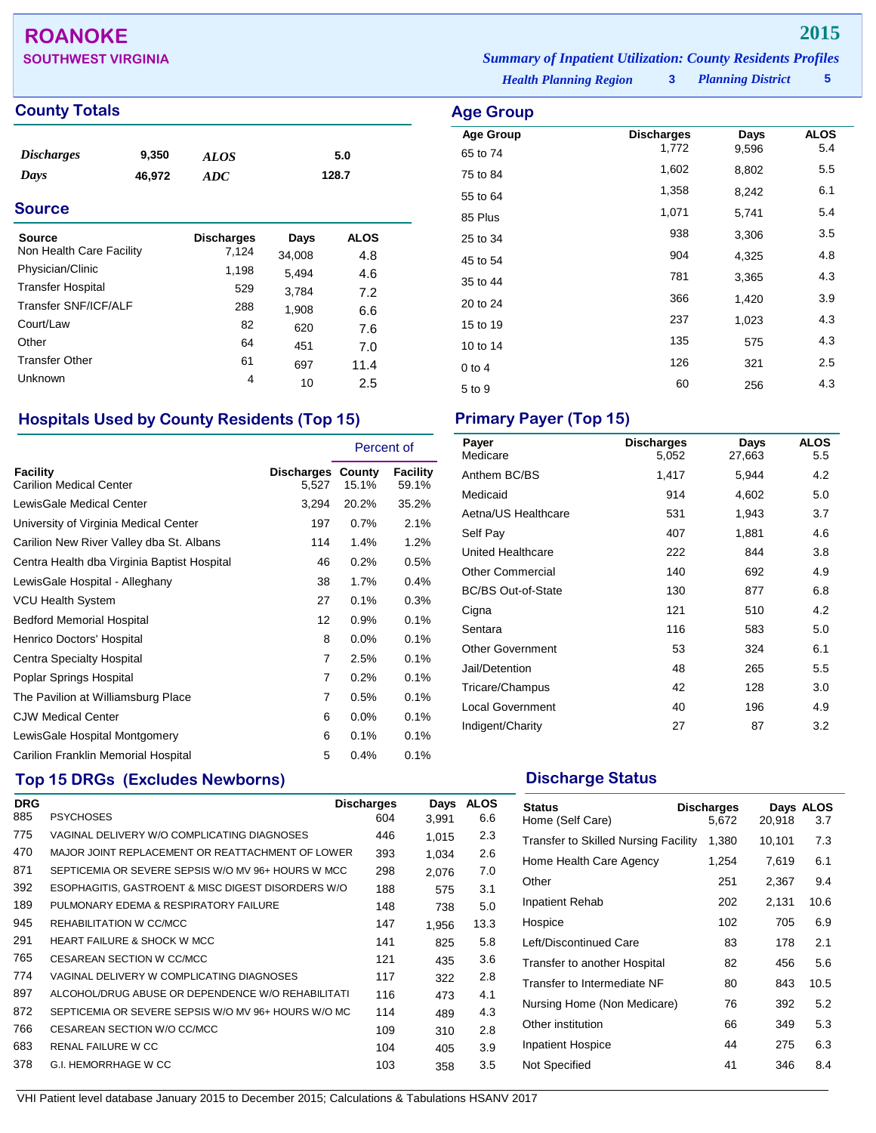## **ROANOKE 2015**

## **County Totals Age Group**

| <i>Discharges</i> | 9,350  | <b>ALOS</b> | 5.0   |
|-------------------|--------|-------------|-------|
| Days              | 46,972 | <b>ADC</b>  | 128.7 |

## **Source**

| Source<br>Non Health Care Facility | <b>Discharges</b><br>7,124 | Days<br>34,008 | <b>ALOS</b><br>4.8 |
|------------------------------------|----------------------------|----------------|--------------------|
| Physician/Clinic                   | 1,198                      | 5.494          | 4.6                |
| <b>Transfer Hospital</b>           | 529                        | 3,784          | 7.2                |
| Transfer SNF/ICF/ALF               | 288                        | 1,908          | 6.6                |
| Court/Law                          | 82                         | 620            | 7.6                |
| Other                              | 64                         | 451            | 7.0                |
| <b>Transfer Other</b>              | 61                         | 697            | 11.4               |
| Unknown                            | 4                          | 10             | 2.5                |

## **Hospitals Used by County Residents (Top 15) Primary Payer (Top 15)**

|                                                   |                            | Percent of |                   |
|---------------------------------------------------|----------------------------|------------|-------------------|
| <b>Facility</b><br><b>Carilion Medical Center</b> | Discharges County<br>5,527 | 15.1%      | Facility<br>59.1% |
| LewisGale Medical Center                          | 3,294                      | 20.2%      | 35.2%             |
| University of Virginia Medical Center             | 197                        | 0.7%       | 2.1%              |
| Carilion New River Valley dba St. Albans          | 114                        | 1.4%       | 1.2%              |
| Centra Health dba Virginia Baptist Hospital       | 46                         | 0.2%       | 0.5%              |
| LewisGale Hospital - Alleghany                    | 38                         | 1.7%       | 0.4%              |
| <b>VCU Health System</b>                          | 27                         | 0.1%       | 0.3%              |
| <b>Bedford Memorial Hospital</b>                  | 12                         | 0.9%       | 0.1%              |
| Henrico Doctors' Hospital                         | 8                          | 0.0%       | 0.1%              |
| Centra Specialty Hospital                         | 7                          | 2.5%       | 0.1%              |
| Poplar Springs Hospital                           | $\overline{7}$             | 0.2%       | 0.1%              |
| The Pavilion at Williamsburg Place                | 7                          | 0.5%       | 0.1%              |
| <b>CJW Medical Center</b>                         | 6                          | 0.0%       | 0.1%              |
| LewisGale Hospital Montgomery                     | 6                          | 0.1%       | 0.1%              |
| Carilion Franklin Memorial Hospital               | 5                          | 0.4%       | 0.1%              |

## **Top 15 DRGs (Excludes Newborns) Discharge Status Discharge Status**

| <b>DRG</b> |                                                     | <b>Discharges</b> | Days  | <b>ALOS</b> |
|------------|-----------------------------------------------------|-------------------|-------|-------------|
| 885        | <b>PSYCHOSES</b>                                    | 604               | 3.991 | 6.6         |
| 775        | VAGINAL DELIVERY W/O COMPLICATING DIAGNOSES         | 446               | 1.015 | 2.3         |
| 470        | MAJOR JOINT REPLACEMENT OR REATTACHMENT OF LOWER    | 393               | 1.034 | 2.6         |
| 871        | SEPTICEMIA OR SEVERE SEPSIS W/O MV 96+ HOURS W MCC  | 298               | 2.076 | 7.0         |
| 392        | ESOPHAGITIS, GASTROENT & MISC DIGEST DISORDERS W/O  | 188               | 575   | 3.1         |
| 189        | PULMONARY EDEMA & RESPIRATORY FAILURE               | 148               | 738   | 5.0         |
| 945        | REHABILITATION W CC/MCC                             | 147               | 1.956 | 13.3        |
| 291        | <b>HEART FAILURE &amp; SHOCK W MCC</b>              | 141               | 825   | 5.8         |
| 765        | CESAREAN SECTION W CC/MCC                           | 121               | 435   | 3.6         |
| 774        | VAGINAL DELIVERY W COMPLICATING DIAGNOSES           | 117               | 322   | 2.8         |
| 897        | ALCOHOL/DRUG ABUSE OR DEPENDENCE W/O REHABILITATI   | 116               | 473   | 4.1         |
| 872        | SEPTICEMIA OR SEVERE SEPSIS W/O MV 96+ HOURS W/O MC | 114               | 489   | 4.3         |
| 766        | CESAREAN SECTION W/O CC/MCC                         | 109               | 310   | 2.8         |
| 683        | RENAL FAILURE W CC                                  | 104               | 405   | 3.9         |
| 378        | G.I. HEMORRHAGE W CC                                | 103               | 358   | 3.5         |

**SOUTHWEST VIRGINIA** *Summary of Inpatient Utilization: County Residents Profiles*

*Health Planning Region* **3**

*Planning District* **5**

| Age Group        |                            |       |                    |
|------------------|----------------------------|-------|--------------------|
| <b>Age Group</b> | <b>Discharges</b><br>1,772 | Days  | <b>ALOS</b><br>5.4 |
| 65 to 74         |                            | 9,596 |                    |
| 75 to 84         | 1,602                      | 8,802 | 5.5                |
| 55 to 64         | 1,358                      | 8,242 | 6.1                |
| 85 Plus          | 1,071                      | 5,741 | 5.4                |
| 25 to 34         | 938                        | 3,306 | 3.5                |
| 45 to 54         | 904                        | 4,325 | 4.8                |
| 35 to 44         | 781                        | 3,365 | 4.3                |
| 20 to 24         | 366                        | 1,420 | 3.9                |
| 15 to 19         | 237                        | 1,023 | 4.3                |
| 10 to 14         | 135                        | 575   | 4.3                |
| $0$ to 4         | 126                        | 321   | 2.5                |
| 5 to 9           | 60                         | 256   | 4.3                |

| <b>Discharges</b><br>5,052 | Days<br>27,663 | <b>ALOS</b><br>5.5 |
|----------------------------|----------------|--------------------|
| 1,417                      | 5,944          | 4.2                |
| 914                        | 4,602          | 5.0                |
| 531                        | 1,943          | 3.7                |
| 407                        | 1,881          | 4.6                |
| 222                        | 844            | 3.8                |
| 140                        | 692            | 4.9                |
| 130                        | 877            | 6.8                |
| 121                        | 510            | 4.2                |
| 116                        | 583            | 5.0                |
| 53                         | 324            | 6.1                |
| 48                         | 265            | 5.5                |
| 42                         | 128            | 3.0                |
| 40                         | 196            | 4.9                |
| 27                         | 87             | 3.2                |
|                            |                |                    |

| <b>Status</b><br>Home (Self Care)    | <b>Discharges</b><br>5.672 | 20,918 | Days ALOS<br>3.7 |
|--------------------------------------|----------------------------|--------|------------------|
| Transfer to Skilled Nursing Facility | 1,380                      | 10,101 | 7.3              |
| Home Health Care Agency              | 1,254                      | 7,619  | 6.1              |
| Other                                | 251                        | 2,367  | 9.4              |
| Inpatient Rehab                      | 202                        | 2,131  | 10.6             |
| Hospice                              | 102                        | 705    | 6.9              |
| Left/Discontinued Care               | 83                         | 178    | 2.1              |
| Transfer to another Hospital         | 82                         | 456    | 5.6              |
| Transfer to Intermediate NF          | 80                         | 843    | 10.5             |
| Nursing Home (Non Medicare)          | 76                         | 392    | 5.2              |
| Other institution                    | 66                         | 349    | 5.3              |
| Inpatient Hospice                    | 44                         | 275    | 6.3              |
| Not Specified                        | 41                         | 346    | 8.4              |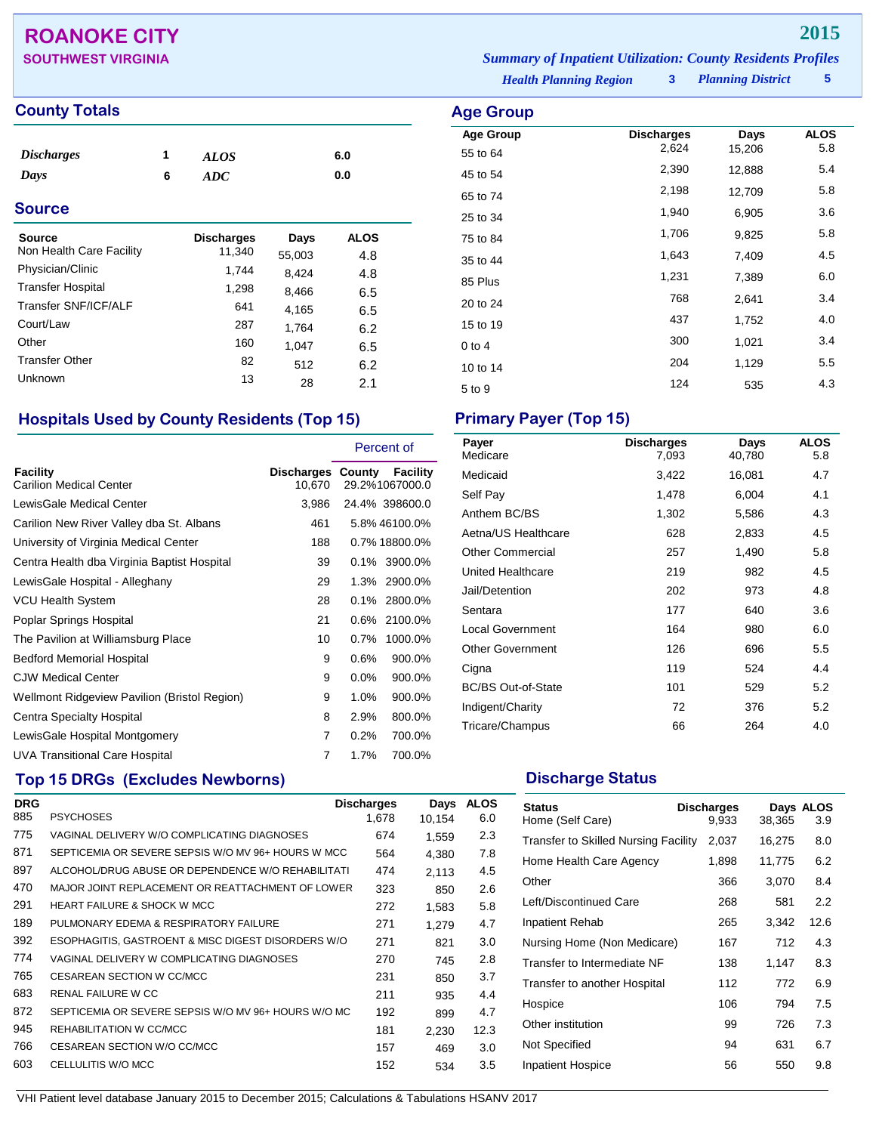## **ROANOKE CITY 2015**

## **County Totals Age Group Age Group**

| <i><b>Discharges</b></i><br>Days | 1<br>6 | <b>ALOS</b><br>ADC |        | 6.0<br>0.0  |  |
|----------------------------------|--------|--------------------|--------|-------------|--|
| <b>Source</b>                    |        |                    |        |             |  |
| Source                           |        | <b>Discharges</b>  | Days   | <b>ALOS</b> |  |
| Non Health Care Facility         |        | 11,340             | 55,003 | 4.8         |  |
| Physician/Clinic                 |        | 1,744              | 8,424  | 4.8         |  |
| <b>Transfer Hospital</b>         |        | 1,298              | 8,466  | 6.5         |  |
| Transfer SNF/ICF/ALF             |        | 641                | 4,165  | 6.5         |  |
| Court/Law                        |        | 287                | 1,764  | 6.2         |  |
| Other                            |        | 160                | 1,047  | 6.5         |  |
| <b>Transfer Other</b>            |        | 82                 | 512    | 6.2         |  |
| Unknown                          |        | 13                 | 28     | つり          |  |

## **Hospitals Used by County Residents (Top 15) Primary Payer (Top 15)**

Unknown <sup>13</sup> <sup>28</sup> 2.1

|                                              |                             | Percent of                        |
|----------------------------------------------|-----------------------------|-----------------------------------|
| Facility<br><b>Carilion Medical Center</b>   | Discharges County<br>10,670 | <b>Facility</b><br>29.2%1067000.0 |
| LewisGale Medical Center                     | 3,986                       | 24.4% 398600.0                    |
| Carilion New River Valley dba St. Albans     | 461                         | 5.8% 46100.0%                     |
| University of Virginia Medical Center        | 188                         | 0.7% 18800.0%                     |
| Centra Health dba Virginia Baptist Hospital  | 39                          | 0.1% 3900.0%                      |
| LewisGale Hospital - Alleghany               | 29                          | 1.3% 2900.0%                      |
| VCU Health System                            | 28                          | 2800.0%<br>$0.1\%$                |
| Poplar Springs Hospital                      | 21                          | 2100.0%<br>0.6%                   |
| The Pavilion at Williamsburg Place           | 10                          | 0.7%<br>1000.0%                   |
| <b>Bedford Memorial Hospital</b>             | 9                           | 0.6%<br>900.0%                    |
| <b>CJW Medical Center</b>                    | 9                           | $0.0\%$<br>900.0%                 |
| Wellmont Ridgeview Pavilion (Bristol Region) | 9                           | $1.0\%$<br>900.0%                 |
| Centra Specialty Hospital                    | 8                           | 2.9%<br>800.0%                    |
| LewisGale Hospital Montgomery                | 7                           | 0.2%<br>700.0%                    |
| <b>UVA Transitional Care Hospital</b>        | 7                           | 1.7%<br>700.0%                    |

## **Top 15 DRGs (Excludes Newborns) Discharge Status Discharge Status**

| <b>DRG</b> |                                                     | <b>Discharges</b> | Days   | <b>ALOS</b> |
|------------|-----------------------------------------------------|-------------------|--------|-------------|
| 885        | <b>PSYCHOSES</b>                                    | 1.678             | 10.154 | 6.0         |
| 775        | VAGINAL DELIVERY W/O COMPLICATING DIAGNOSES         | 674               | 1.559  | 2.3         |
| 871        | SEPTICEMIA OR SEVERE SEPSIS W/O MV 96+ HOURS W MCC  | 564               | 4,380  | 7.8         |
| 897        | ALCOHOL/DRUG ABUSE OR DEPENDENCE W/O REHABILITATI   | 474               | 2.113  | 4.5         |
| 470        | MAJOR JOINT REPLACEMENT OR REATTACHMENT OF LOWER    | 323               | 850    | 2.6         |
| 291        | <b>HEART FAILURE &amp; SHOCK W MCC</b>              | 272               | 1,583  | 5.8         |
| 189        | PULMONARY EDEMA & RESPIRATORY FAILURE               | 271               | 1.279  | 4.7         |
| 392        | ESOPHAGITIS, GASTROENT & MISC DIGEST DISORDERS W/O  | 271               | 821    | 3.0         |
| 774        | VAGINAL DELIVERY W COMPLICATING DIAGNOSES           | 270               | 745    | 2.8         |
| 765        | CESAREAN SECTION W CC/MCC                           | 231               | 850    | 3.7         |
| 683        | <b>RENAL FAILURE W CC</b>                           | 211               | 935    | 4.4         |
| 872        | SEPTICEMIA OR SEVERE SEPSIS W/O MV 96+ HOURS W/O MC | 192               | 899    | 4.7         |
| 945        | REHABILITATION W CC/MCC                             | 181               | 2.230  | 12.3        |
| 766        | CESAREAN SECTION W/O CC/MCC                         | 157               | 469    | 3.0         |
| 603        | CELLULITIS W/O MCC                                  | 152               | 534    | 3.5         |
|            |                                                     |                   |        |             |

**SOUTHWEST VIRGINIA** *Summary of Inpatient Utilization: County Residents Profiles*

*Health Planning Region* **3**

*Planning District* **5**

| Age Group        |                            |                |                    |
|------------------|----------------------------|----------------|--------------------|
| <b>Age Group</b> | <b>Discharges</b><br>2,624 | Days<br>15,206 | <b>ALOS</b><br>5.8 |
| 55 to 64         |                            |                |                    |
| 45 to 54         | 2,390                      | 12,888         | 5.4                |
| 65 to 74         | 2,198                      | 12,709         | 5.8                |
| 25 to 34         | 1,940                      | 6,905          | 3.6                |
| 75 to 84         | 1,706                      | 9,825          | 5.8                |
| 35 to 44         | 1,643                      | 7,409          | 4.5                |
| 85 Plus          | 1,231                      | 7,389          | 6.0                |
| 20 to 24         | 768                        | 2,641          | 3.4                |
| 15 to 19         | 437                        | 1,752          | 4.0                |
| $0$ to $4$       | 300                        | 1,021          | 3.4                |
| 10 to 14         | 204                        | 1,129          | 5.5                |
| 5 to 9           | 124                        | 535            | 4.3                |

| Payer<br>Medicare         | <b>Discharges</b><br>7.093 | Days<br>40,780 | <b>ALOS</b><br>5.8 |
|---------------------------|----------------------------|----------------|--------------------|
| Medicaid                  | 3,422                      | 16,081         | 4.7                |
| Self Pay                  | 1,478                      | 6,004          | 4.1                |
| Anthem BC/BS              | 1,302                      | 5,586          | 4.3                |
| Aetna/US Healthcare       | 628                        | 2,833          | 4.5                |
| <b>Other Commercial</b>   | 257                        | 1,490          | 5.8                |
| United Healthcare         | 219                        | 982            | 4.5                |
| Jail/Detention            | 202                        | 973            | 4.8                |
| Sentara                   | 177                        | 640            | 3.6                |
| <b>Local Government</b>   | 164                        | 980            | 6.0                |
| <b>Other Government</b>   | 126                        | 696            | 5.5                |
| Cigna                     | 119                        | 524            | 4.4                |
| <b>BC/BS Out-of-State</b> | 101                        | 529            | 5.2                |
| Indigent/Charity          | 72                         | 376            | 5.2                |
| Tricare/Champus           | 66                         | 264            | 4.0                |

| <b>Status</b><br>Home (Self Care)    | <b>Discharges</b><br>9.933 | 38,365 | Days ALOS<br>3.9 |
|--------------------------------------|----------------------------|--------|------------------|
| Transfer to Skilled Nursing Facility | 2,037                      | 16,275 | 8.0              |
| Home Health Care Agency              | 1,898                      | 11,775 | 6.2              |
| Other                                | 366                        | 3,070  | 8.4              |
| Left/Discontinued Care               | 268                        | 581    | 2.2              |
| Inpatient Rehab                      | 265                        | 3,342  | 12.6             |
| Nursing Home (Non Medicare)          | 167                        | 712    | 4.3              |
| Transfer to Intermediate NF          | 138                        | 1,147  | 8.3              |
| Transfer to another Hospital         | 112                        | 772    | 6.9              |
| Hospice                              | 106                        | 794    | 7.5              |
| Other institution                    | 99                         | 726    | 7.3              |
| Not Specified                        | 94                         | 631    | 6.7              |
| Inpatient Hospice                    | 56                         | 550    | 9.8              |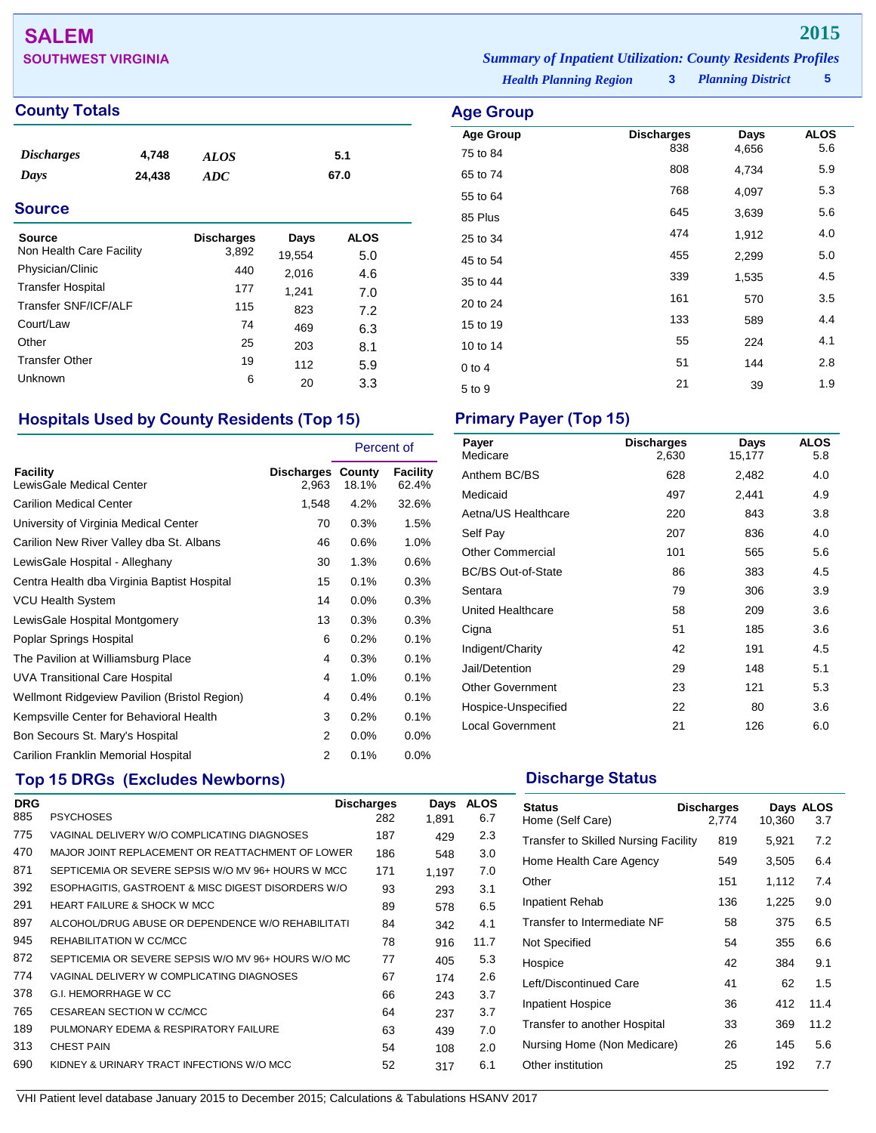# **SALEM 2015**

## **County Totals Age Group**

| <i><b>Discharges</b></i> | 4,748  | ALOS | 5.1  |
|--------------------------|--------|------|------|
| Days                     | 24,438 | ADC  | 67.0 |

## **Source**

| Source<br>Non Health Care Facility | <b>Discharges</b><br>3,892 | Days<br>19,554 | <b>ALOS</b><br>5.0 |
|------------------------------------|----------------------------|----------------|--------------------|
| Physician/Clinic                   | 440                        | 2,016          | 4.6                |
| <b>Transfer Hospital</b>           | 177                        | 1,241          | 7.0                |
| Transfer SNF/ICF/ALF               | 115                        | 823            | 7.2                |
| Court/Law                          | 74                         | 469            | 6.3                |
| Other                              | 25                         | 203            | 8.1                |
| <b>Transfer Other</b>              | 19                         | 112            | 5.9                |
| Unknown                            | 6                          | 20             | 3.3                |

## **Hospitals Used by County Residents (Top 15) Primary Payer (Top 15)**

|                                              |                            | Percent of |                          |
|----------------------------------------------|----------------------------|------------|--------------------------|
| <b>Facility</b><br>LewisGale Medical Center  | Discharges County<br>2,963 | 18.1%      | <b>Facility</b><br>62.4% |
| <b>Carilion Medical Center</b>               | 1,548                      | 4.2%       | 32.6%                    |
| University of Virginia Medical Center        | 70                         | 0.3%       | 1.5%                     |
| Carilion New River Valley dba St. Albans     | 46                         | 0.6%       | 1.0%                     |
| LewisGale Hospital - Alleghany               | 30                         | 1.3%       | 0.6%                     |
| Centra Health dba Virginia Baptist Hospital  | 15                         | 0.1%       | 0.3%                     |
| <b>VCU Health System</b>                     | 14                         | $0.0\%$    | 0.3%                     |
| LewisGale Hospital Montgomery                | 13                         | 0.3%       | 0.3%                     |
| Poplar Springs Hospital                      | 6                          | 0.2%       | 0.1%                     |
| The Pavilion at Williamsburg Place           | 4                          | 0.3%       | 0.1%                     |
| <b>UVA Transitional Care Hospital</b>        | 4                          | 1.0%       | 0.1%                     |
| Wellmont Ridgeview Pavilion (Bristol Region) | 4                          | 0.4%       | 0.1%                     |
| Kempsville Center for Behavioral Health      | 3                          | 0.2%       | 0.1%                     |
| Bon Secours St. Mary's Hospital              | 2                          | 0.0%       | $0.0\%$                  |
| Carilion Franklin Memorial Hospital          | 2                          | 0.1%       | $0.0\%$                  |

## **Top 15 DRGs (Excludes Newborns) Discharge Status Discharge Status**

| <b>DRG</b> |                                                     | <b>Discharges</b> | Days  | <b>ALOS</b> |
|------------|-----------------------------------------------------|-------------------|-------|-------------|
| 885        | <b>PSYCHOSES</b>                                    | 282               | 1.891 | 6.7         |
| 775        | VAGINAL DELIVERY W/O COMPLICATING DIAGNOSES         | 187               | 429   | 2.3         |
| 470        | MAJOR JOINT REPLACEMENT OR REATTACHMENT OF LOWER    | 186               | 548   | 3.0         |
| 871        | SEPTICEMIA OR SEVERE SEPSIS W/O MV 96+ HOURS W MCC  | 171               | 1,197 | 7.0         |
| 392        | ESOPHAGITIS, GASTROENT & MISC DIGEST DISORDERS W/O  | 93                | 293   | 3.1         |
| 291        | <b>HEART FAILURE &amp; SHOCK W MCC</b>              | 89                | 578   | 6.5         |
| 897        | ALCOHOL/DRUG ABUSE OR DEPENDENCE W/O REHABILITATI   | 84                | 342   | 4.1         |
| 945        | REHABILITATION W CC/MCC                             | 78                | 916   | 11.7        |
| 872        | SEPTICEMIA OR SEVERE SEPSIS W/O MV 96+ HOURS W/O MC | 77                | 405   | 5.3         |
| 774        | VAGINAL DELIVERY W COMPLICATING DIAGNOSES           | 67                | 174   | 2.6         |
| 378        | G.I. HEMORRHAGE W CC                                | 66                | 243   | 3.7         |
| 765        | CESAREAN SECTION W CC/MCC                           | 64                | 237   | 3.7         |
| 189        | PULMONARY EDEMA & RESPIRATORY FAILURE               | 63                | 439   | 7.0         |
| 313        | <b>CHEST PAIN</b>                                   | 54                | 108   | 2.0         |
| 690        | KIDNEY & URINARY TRACT INFECTIONS W/O MCC           | 52                | 317   | 6.1         |

| Payer<br>Medicare         | <b>Discharges</b><br>2,630 | Days<br>15,177 | <b>ALOS</b><br>5.8 |
|---------------------------|----------------------------|----------------|--------------------|
| Anthem BC/BS              | 628                        | 2,482          | 4.0                |
| Medicaid                  | 497                        | 2,441          | 4.9                |
| Aetna/US Healthcare       | 220                        | 843            | 3.8                |
| Self Pay                  | 207                        | 836            | 4.0                |
| <b>Other Commercial</b>   | 101                        | 565            | 5.6                |
| <b>BC/BS Out-of-State</b> | 86                         | 383            | 4.5                |
| Sentara                   | 79                         | 306            | 3.9                |
| United Healthcare         | 58                         | 209            | 3.6                |
| Cigna                     | 51                         | 185            | 3.6                |
| Indigent/Charity          | 42                         | 191            | 4.5                |
| Jail/Detention            | 29                         | 148            | 5.1                |
| <b>Other Government</b>   | 23                         | 121            | 5.3                |
| Hospice-Unspecified       | 22                         | 80             | 3.6                |
| <b>Local Government</b>   | 21                         | 126            | 6.0                |

| <b>Status</b><br>Home (Self Care)    | <b>Discharges</b><br>2,774 | 10,360 | Days ALOS<br>3.7 |
|--------------------------------------|----------------------------|--------|------------------|
| Transfer to Skilled Nursing Facility | 819                        | 5,921  | 7.2              |
| Home Health Care Agency              | 549                        | 3,505  | 6.4              |
| Other                                | 151                        | 1,112  | 7.4              |
| Inpatient Rehab                      | 136                        | 1,225  | 9.0              |
| Transfer to Intermediate NF          | 58                         | 375    | 6.5              |
| Not Specified                        | 54                         | 355    | 6.6              |
| Hospice                              | 42                         | 384    | 9.1              |
| Left/Discontinued Care               | 41                         | 62     | 1.5              |
| Inpatient Hospice                    | 36                         | 412    | 11.4             |
| Transfer to another Hospital         | 33                         | 369    | 11.2             |
| Nursing Home (Non Medicare)          | 26                         | 145    | 5.6              |
| Other institution                    | 25                         | 192    | 7.7              |

VHI Patient level database January 2015 to December 2015; Calculations & Tabulations HSANV 2017

**SOUTHWEST VIRGINIA** *Summary of Inpatient Utilization: County Residents Profiles*

*Health Planning Region* **3**

| $-5 - 1 - 5 - 7$ |                   |       |             |
|------------------|-------------------|-------|-------------|
| <b>Age Group</b> | <b>Discharges</b> | Days  | <b>ALOS</b> |
| 75 to 84         | 838               | 4,656 | 5.6         |
| 65 to 74         | 808               | 4,734 | 5.9         |
| 55 to 64         | 768               | 4,097 | 5.3         |
| 85 Plus          | 645               | 3,639 | 5.6         |
| 25 to 34         | 474               | 1,912 | 4.0         |
| 45 to 54         | 455               | 2,299 | 5.0         |
| 35 to 44         | 339               | 1,535 | 4.5         |
| 20 to 24         | 161               | 570   | 3.5         |
| 15 to 19         | 133               | 589   | 4.4         |
| 10 to 14         | 55                | 224   | 4.1         |
| $0$ to 4         | 51                | 144   | 2.8         |
| 5 to 9           | 21                | 39    | 1.9         |
|                  |                   |       |             |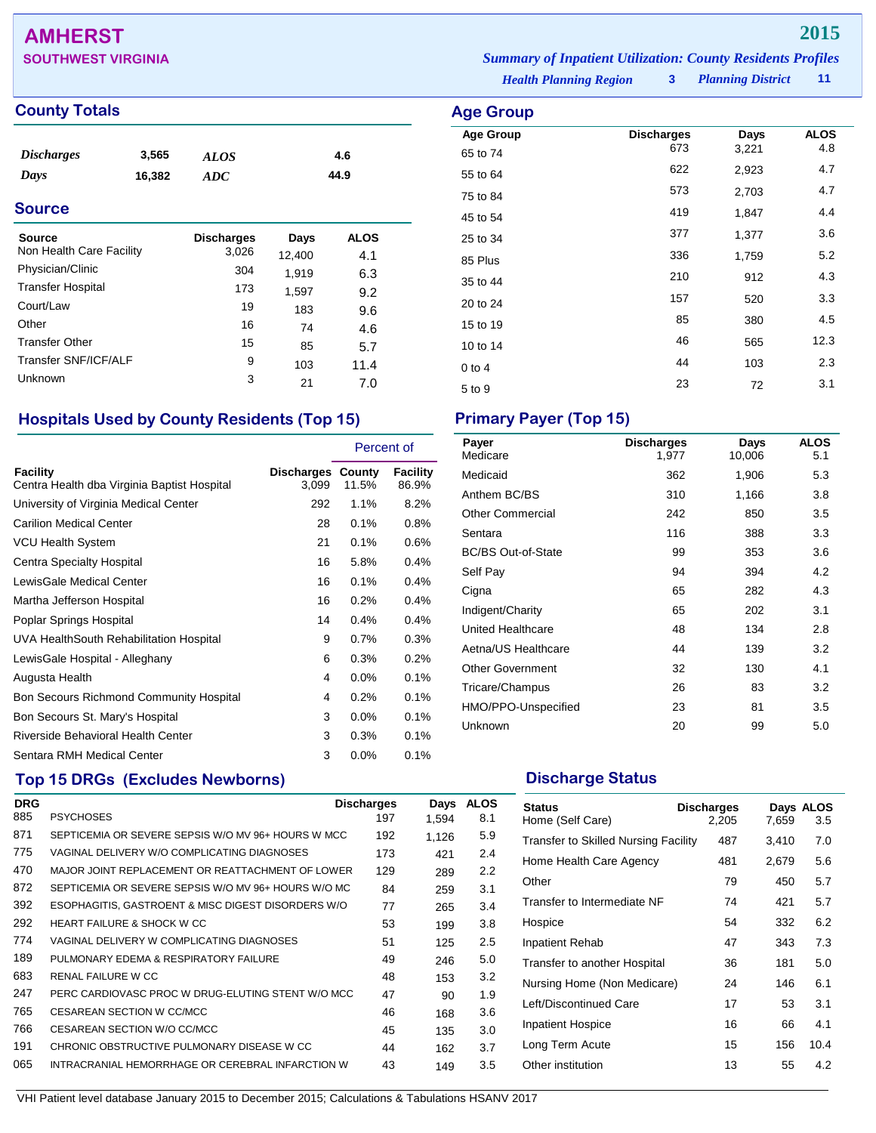## **AMHERST 2015**

**SOUTHWEST VIRGINIA** *Summary of Inpatient Utilization: County Residents Profiles*

## **County Totals Age Group**

| <i>Discharges</i> | 3,565  | <b>ALOS</b> | 4.6  |
|-------------------|--------|-------------|------|
| Days              | 16,382 | ADC         | 44.9 |

## **Source**

| Source<br>Non Health Care Facility | <b>Discharges</b><br>3,026 | Days<br>12,400 | <b>ALOS</b><br>4.1 |
|------------------------------------|----------------------------|----------------|--------------------|
| Physician/Clinic                   | 304                        | 1.919          | 6.3                |
| <b>Transfer Hospital</b>           | 173                        | 1,597          | 9.2                |
| Court/Law                          | 19                         | 183            | 9.6                |
| Other                              | 16                         | 74             | 4.6                |
| <b>Transfer Other</b>              | 15                         | 85             | 5.7                |
| Transfer SNF/ICF/ALF               | 9                          | 103            | 11.4               |
| Unknown                            | 3                          | 21             | 7.0                |

## **Hospitals Used by County Residents (Top 15) Primary Payer (Top 15)**

|                                                         |                                   | Percent of |                   |
|---------------------------------------------------------|-----------------------------------|------------|-------------------|
| Facility<br>Centra Health dba Virginia Baptist Hospital | <b>Discharges County</b><br>3,099 | 11.5%      | Facility<br>86.9% |
| University of Virginia Medical Center                   | 292                               | 1.1%       | 8.2%              |
| <b>Carilion Medical Center</b>                          | 28                                | 0.1%       | 0.8%              |
| VCU Health System                                       | 21                                | 0.1%       | 0.6%              |
| Centra Specialty Hospital                               | 16                                | 5.8%       | 0.4%              |
| LewisGale Medical Center                                | 16                                | 0.1%       | 0.4%              |
| Martha Jefferson Hospital                               | 16                                | 0.2%       | 0.4%              |
| Poplar Springs Hospital                                 | 14                                | 0.4%       | 0.4%              |
| UVA HealthSouth Rehabilitation Hospital                 | 9                                 | 0.7%       | 0.3%              |
| LewisGale Hospital - Alleghany                          | 6                                 | 0.3%       | 0.2%              |
| Augusta Health                                          | 4                                 | $0.0\%$    | 0.1%              |
| <b>Bon Secours Richmond Community Hospital</b>          | 4                                 | 0.2%       | 0.1%              |
| Bon Secours St. Mary's Hospital                         | 3                                 | 0.0%       | 0.1%              |
| Riverside Behavioral Health Center                      | 3                                 | 0.3%       | 0.1%              |
| Sentara RMH Medical Center                              | 3                                 | 0.0%       | 0.1%              |

## **Top 15 DRGs (Excludes Newborns) Discharge Status Discharge Status**

| <b>DRG</b> |                                                     | <b>Discharges</b> | Days  | <b>ALOS</b> |
|------------|-----------------------------------------------------|-------------------|-------|-------------|
| 885        | <b>PSYCHOSES</b>                                    | 197               | 1,594 | 8.1         |
| 871        | SEPTICEMIA OR SEVERE SEPSIS W/O MV 96+ HOURS W MCC  | 192               | 1,126 | 5.9         |
| 775        | VAGINAL DELIVERY W/O COMPLICATING DIAGNOSES         | 173               | 421   | 2.4         |
| 470        | MAJOR JOINT REPLACEMENT OR REATTACHMENT OF LOWER    | 129               | 289   | 2.2         |
| 872        | SEPTICEMIA OR SEVERE SEPSIS W/O MV 96+ HOURS W/O MC | 84                | 259   | 3.1         |
| 392        | ESOPHAGITIS, GASTROENT & MISC DIGEST DISORDERS W/O  | 77                | 265   | 3.4         |
| 292        | <b>HEART FAILURE &amp; SHOCK W CC</b>               | 53                | 199   | 3.8         |
| 774        | VAGINAL DELIVERY W COMPLICATING DIAGNOSES           | 51                | 125   | 2.5         |
| 189        | PULMONARY EDEMA & RESPIRATORY FAILURE               | 49                | 246   | 5.0         |
| 683        | RENAL FAILURE W CC                                  | 48                | 153   | 3.2         |
| 247        | PERC CARDIOVASC PROC W DRUG-ELUTING STENT W/O MCC   | 47                | 90    | 1.9         |
| 765        | CESAREAN SECTION W CC/MCC                           | 46                | 168   | 3.6         |
| 766        | CESAREAN SECTION W/O CC/MCC                         | 45                | 135   | 3.0         |
| 191        | CHRONIC OBSTRUCTIVE PULMONARY DISEASE W CC          | 44                | 162   | 3.7         |
| 065        | INTRACRANIAL HEMORRHAGE OR CEREBRAL INFARCTION W    | 43                | 149   | 3.5         |

| Payer<br>Medicare         | <b>Discharges</b><br>1,977 | Days<br>10,006 | <b>ALOS</b><br>5.1 |
|---------------------------|----------------------------|----------------|--------------------|
| Medicaid                  | 362                        | 1,906          | 5.3                |
| Anthem BC/BS              | 310                        | 1,166          | 3.8                |
| Other Commercial          | 242                        | 850            | 3.5                |
| Sentara                   | 116                        | 388            | 3.3                |
| <b>BC/BS Out-of-State</b> | 99                         | 353            | 3.6                |
| Self Pay                  | 94                         | 394            | 4.2                |
| Cigna                     | 65                         | 282            | 4.3                |
| Indigent/Charity          | 65                         | 202            | 3.1                |
| United Healthcare         | 48                         | 134            | 2.8                |
| Aetna/US Healthcare       | 44                         | 139            | 3.2                |
| <b>Other Government</b>   | 32                         | 130            | 4.1                |
| Tricare/Champus           | 26                         | 83             | 3.2                |
| HMO/PPO-Unspecified       | 23                         | 81             | 3.5                |
| Unknown                   | 20                         | 99             | 5.0                |

| <b>Status</b><br>Home (Self Care)    | <b>Discharges</b><br>2.205 | 7,659 | Days ALOS<br>3.5 |
|--------------------------------------|----------------------------|-------|------------------|
| Transfer to Skilled Nursing Facility | 487                        | 3,410 | 7.0              |
| Home Health Care Agency              | 481                        | 2,679 | 5.6              |
| Other                                | 79                         | 450   | 5.7              |
| Transfer to Intermediate NF          | 74                         | 421   | 5.7              |
| Hospice                              | 54                         | 332   | 6.2              |
| <b>Inpatient Rehab</b>               | 47                         | 343   | 7.3              |
| Transfer to another Hospital         | 36                         | 181   | 5.0              |
| Nursing Home (Non Medicare)          | 24                         | 146   | 6.1              |
| Left/Discontinued Care               | 17                         | 53    | 3.1              |
| <b>Inpatient Hospice</b>             | 16                         | 66    | 4.1              |
| Long Term Acute                      | 15                         | 156   | 10.4             |
| Other institution                    | 13                         | 55    | 4.2              |

VHI Patient level database January 2015 to December 2015; Calculations & Tabulations HSANV 2017

*Health Planning Region* **3**

| nye Gruup        |                   |       |             |
|------------------|-------------------|-------|-------------|
| <b>Age Group</b> | <b>Discharges</b> | Days  | <b>ALOS</b> |
| 65 to 74         | 673               | 3,221 | 4.8         |
| 55 to 64         | 622               | 2,923 | 4.7         |
| 75 to 84         | 573               | 2,703 | 4.7         |
| 45 to 54         | 419               | 1,847 | 4.4         |
| 25 to 34         | 377               | 1,377 | 3.6         |
| 85 Plus          | 336               | 1,759 | 5.2         |
| 35 to 44         | 210               | 912   | 4.3         |
| 20 to 24         | 157               | 520   | 3.3         |
| 15 to 19         | 85                | 380   | 4.5         |
| 10 to 14         | 46                | 565   | 12.3        |
| $0$ to 4         | 44                | 103   | 2.3         |
| 5 to 9           | 23                | 72    | 3.1         |
|                  |                   |       |             |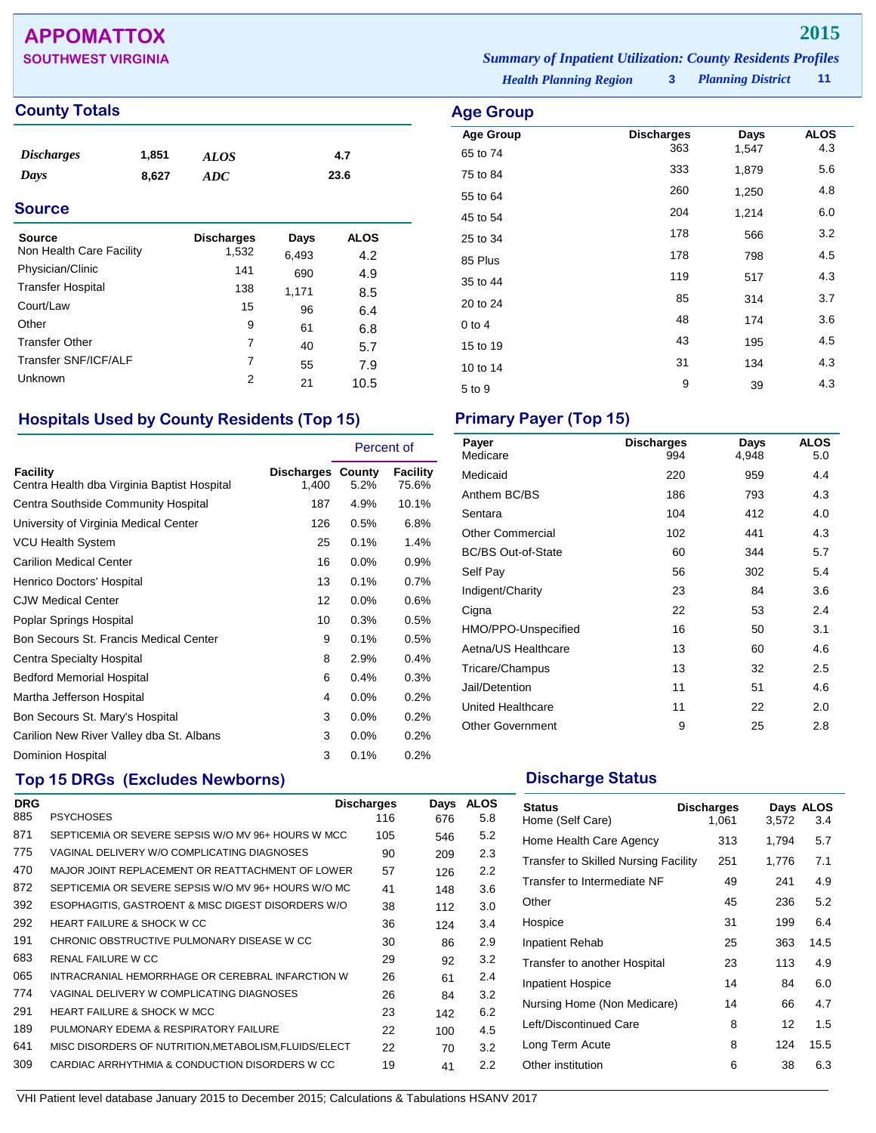## **APPOMATTOX 2015**

## **County Totals Age Group**

| <i>Discharges</i> | 1,851 | <b>ALOS</b> | 4.7  |  |
|-------------------|-------|-------------|------|--|
| Days              | 8,627 | ADC         | 23.6 |  |
| <b>Source</b>     |       |             |      |  |

| Source<br>Non Health Care Facility | <b>Discharges</b> | Days  | <b>ALOS</b> |
|------------------------------------|-------------------|-------|-------------|
|                                    | 1,532             | 6,493 | 4.2         |
| Physician/Clinic                   | 141               | 690   | 4.9         |
| <b>Transfer Hospital</b>           | 138               | 1,171 | 8.5         |
| Court/Law                          | 15                | 96    | 6.4         |
| Other                              | 9                 | 61    | 6.8         |
| <b>Transfer Other</b>              | 7                 | 40    | 5.7         |
| Transfer SNF/ICF/ALF               | 7                 | 55    | 7.9         |
| Unknown                            | 2                 | 21    | 10.5        |

## **Hospitals Used by County Residents (Top 15) Primary Payer (Top 15)**

|                                                         |                            | Percent of |                   |
|---------------------------------------------------------|----------------------------|------------|-------------------|
| Facility<br>Centra Health dba Virginia Baptist Hospital | Discharges County<br>1,400 | 5.2%       | Facility<br>75.6% |
| Centra Southside Community Hospital                     | 187                        | 4.9%       | 10.1%             |
| University of Virginia Medical Center                   | 126                        | 0.5%       | 6.8%              |
| <b>VCU Health System</b>                                | 25                         | 0.1%       | 1.4%              |
| <b>Carilion Medical Center</b>                          | 16                         | 0.0%       | 0.9%              |
| Henrico Doctors' Hospital                               | 13                         | 0.1%       | 0.7%              |
| <b>CJW Medical Center</b>                               | 12                         | 0.0%       | 0.6%              |
| Poplar Springs Hospital                                 | 10                         | 0.3%       | 0.5%              |
| Bon Secours St. Francis Medical Center                  | 9                          | 0.1%       | 0.5%              |
| Centra Specialty Hospital                               | 8                          | 2.9%       | 0.4%              |
| <b>Bedford Memorial Hospital</b>                        | 6                          | 0.4%       | 0.3%              |
| Martha Jefferson Hospital                               | 4                          | 0.0%       | 0.2%              |
| Bon Secours St. Mary's Hospital                         | 3                          | $0.0\%$    | 0.2%              |
| Carilion New River Valley dba St. Albans                | 3                          | 0.0%       | 0.2%              |
| Dominion Hospital                                       | 3                          | 0.1%       | 0.2%              |

## **Top 15 DRGs (Excludes Newborns) Discharge Status Discharge Status**

| <b>DRG</b> |                                                       | <b>Discharges</b> | Days | <b>ALOS</b> |
|------------|-------------------------------------------------------|-------------------|------|-------------|
| 885        | <b>PSYCHOSES</b>                                      | 116               | 676  | 5.8         |
| 871        | SEPTICEMIA OR SEVERE SEPSIS W/O MV 96+ HOURS W MCC    | 105               | 546  | 5.2         |
| 775        | VAGINAL DELIVERY W/O COMPLICATING DIAGNOSES           | 90                | 209  | 2.3         |
| 470        | MAJOR JOINT REPLACEMENT OR REATTACHMENT OF LOWER      | 57                | 126  | 2.2         |
| 872        | SEPTICEMIA OR SEVERE SEPSIS W/O MV 96+ HOURS W/O MC   | 41                | 148  | 3.6         |
| 392        | ESOPHAGITIS, GASTROENT & MISC DIGEST DISORDERS W/O    | 38                | 112  | 3.0         |
| 292        | <b>HEART FAILURE &amp; SHOCK W CC</b>                 | 36                | 124  | 3.4         |
| 191        | CHRONIC OBSTRUCTIVE PULMONARY DISEASE W CC            | 30                | 86   | 2.9         |
| 683        | RENAL FAILURE W CC                                    | 29                | 92   | 3.2         |
| 065        | INTRACRANIAL HEMORRHAGE OR CEREBRAL INFARCTION W      | 26                | 61   | 2.4         |
| 774        | VAGINAL DELIVERY W COMPLICATING DIAGNOSES             | 26                | 84   | 3.2         |
| 291        | HEART FAILURE & SHOCK W MCC                           | 23                | 142  | 6.2         |
| 189        | PULMONARY EDEMA & RESPIRATORY FAILURE                 | 22                | 100  | 4.5         |
| 641        | MISC DISORDERS OF NUTRITION, METABOLISM, FLUIDS/ELECT | 22                | 70   | 3.2         |
| 309        | CARDIAC ARRHYTHMIA & CONDUCTION DISORDERS W CC        | 19                | 41   | 2.2         |

| Payer<br>Medicare         | <b>Discharges</b><br>994 | Days<br>4,948 | <b>ALOS</b><br>5.0 |
|---------------------------|--------------------------|---------------|--------------------|
| Medicaid                  | 220                      | 959           | 4.4                |
| Anthem BC/BS              | 186                      | 793           | 4.3                |
| Sentara                   | 104                      | 412           | 4.0                |
| <b>Other Commercial</b>   | 102                      | 441           | 4.3                |
| <b>BC/BS Out-of-State</b> | 60                       | 344           | 5.7                |
| Self Pay                  | 56                       | 302           | 5.4                |
| Indigent/Charity          | 23                       | 84            | 3.6                |
| Cigna                     | 22                       | 53            | 2.4                |
| HMO/PPO-Unspecified       | 16                       | 50            | 3.1                |
| Aetna/US Healthcare       | 13                       | 60            | 4.6                |
| Tricare/Champus           | 13                       | 32            | 2.5                |
| Jail/Detention            | 11                       | 51            | 4.6                |
| United Healthcare         | 11                       | 22            | 2.0                |
| <b>Other Government</b>   | 9                        | 25            | 2.8                |

| <b>Status</b><br>Home (Self Care)    | <b>Discharges</b><br>1,061 | 3,572 | Days ALOS<br>3.4 |
|--------------------------------------|----------------------------|-------|------------------|
| Home Health Care Agency              | 313                        | 1,794 | 5.7              |
| Transfer to Skilled Nursing Facility | 251                        | 1,776 | 7.1              |
| Transfer to Intermediate NF          | 49                         | 241   | 4.9              |
| Other                                | 45                         | 236   | 5.2              |
| Hospice                              | 31                         | 199   | 6.4              |
| Inpatient Rehab                      | 25                         | 363   | 14.5             |
| Transfer to another Hospital         | 23                         | 113   | 4.9              |
| Inpatient Hospice                    | 14                         | 84    | 6.0              |
| Nursing Home (Non Medicare)          | 14                         | 66    | 4.7              |
| Left/Discontinued Care               | 8                          | 12    | 1.5              |
| Long Term Acute                      | 8                          | 124   | 15.5             |
| Other institution                    | 6                          | 38    | 6.3              |

**Age Group Discharges Days ALOS**<br>65 to 74 **1.547 1.547 4.3** 65 to 74 <sup>363</sup> 1,547 4.3 75 to 84 <sup>333</sup> 1,879 5.6 55 to 64 <sup>260</sup> 1,250 4.8 45 to 54 <sup>204</sup> 1,214 6.0 25 to 34 <sup>178</sup> <sup>566</sup> 3.2 85 Plus <sup>178</sup> <sup>798</sup> 4.5 35 to 44 <sup>119</sup> <sup>517</sup> 4.3 20 to 24 **85** 314 3.7 0 to 4  $\frac{48}{174}$  3.6 15 to 19 105 195 195 195 196 196 196 196 197 198 199 199 199 199 199 199 199 199 1 10 to 14 134 134 134 134 134 134 134 135  $5 \text{ to } 9$   $39$   $4.3$ 

*Health Planning Region* **3**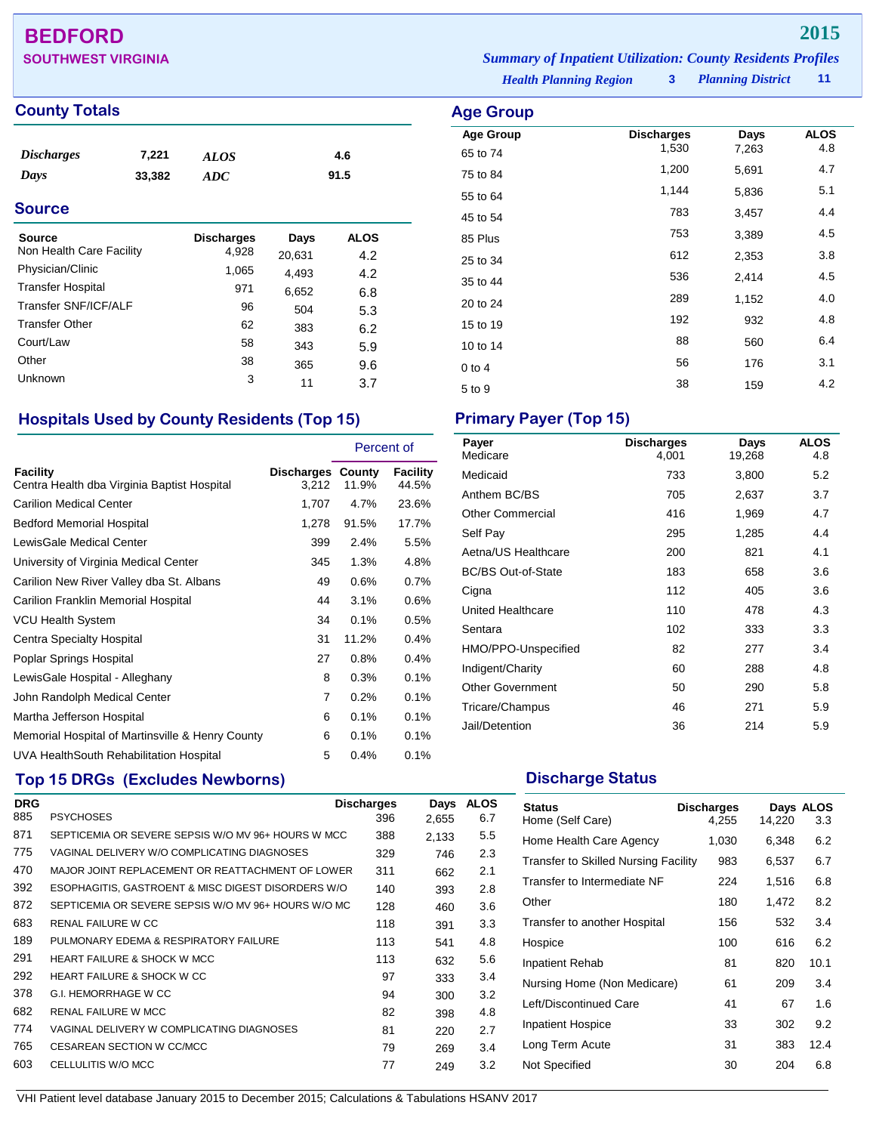## **BEDFORD 2015**

## **County Totals Age Group**

| <i><b>Discharges</b></i> | 7,221  | ALOS | 4.6  |
|--------------------------|--------|------|------|
| Days                     | 33,382 | ADC  | 91.5 |

## **Source**

| Source                   | <b>Discharges</b> | Days   | <b>ALOS</b> |
|--------------------------|-------------------|--------|-------------|
| Non Health Care Facility | 4,928             | 20,631 | 4.2         |
| Physician/Clinic         | 1,065             | 4,493  | 4.2         |
| <b>Transfer Hospital</b> | 971               | 6,652  | 6.8         |
| Transfer SNF/ICF/ALF     | 96                | 504    | 5.3         |
| <b>Transfer Other</b>    | 62                | 383    | 6.2         |
| Court/Law                | 58                | 343    | 5.9         |
| Other                    | 38                | 365    | 9.6         |
| Unknown                  | 3                 | 11     | 3.7         |

## **Hospitals Used by County Residents (Top 15) Primary Payer (Top 15)**

|                                                         |                                   | Percent of |                          |
|---------------------------------------------------------|-----------------------------------|------------|--------------------------|
| Facility<br>Centra Health dba Virginia Baptist Hospital | <b>Discharges County</b><br>3,212 | 11.9%      | <b>Facility</b><br>44.5% |
| <b>Carilion Medical Center</b>                          | 1,707                             | 4.7%       | 23.6%                    |
| <b>Bedford Memorial Hospital</b>                        | 1,278                             | 91.5%      | 17.7%                    |
| LewisGale Medical Center                                | 399                               | 2.4%       | 5.5%                     |
| University of Virginia Medical Center                   | 345                               | 1.3%       | 4.8%                     |
| Carilion New River Valley dba St. Albans                | 49                                | 0.6%       | 0.7%                     |
| Carilion Franklin Memorial Hospital                     | 44                                | 3.1%       | 0.6%                     |
| <b>VCU Health System</b>                                | 34                                | 0.1%       | 0.5%                     |
| Centra Specialty Hospital                               | 31                                | 11.2%      | 0.4%                     |
| Poplar Springs Hospital                                 | 27                                | 0.8%       | 0.4%                     |
| LewisGale Hospital - Alleghany                          | 8                                 | 0.3%       | 0.1%                     |
| John Randolph Medical Center                            | 7                                 | 0.2%       | 0.1%                     |
| Martha Jefferson Hospital                               | 6                                 | 0.1%       | 0.1%                     |
| Memorial Hospital of Martinsville & Henry County        | 6                                 | 0.1%       | 0.1%                     |
| UVA HealthSouth Rehabilitation Hospital                 | 5                                 | 0.4%       | 0.1%                     |

## **Top 15 DRGs (Excludes Newborns) Discharge Status Discharge Status**

|                                             |     | Days                                                                                                                                                                                                                                     | <b>ALOS</b> |
|---------------------------------------------|-----|------------------------------------------------------------------------------------------------------------------------------------------------------------------------------------------------------------------------------------------|-------------|
| <b>PSYCHOSES</b>                            | 396 | 2,655                                                                                                                                                                                                                                    | 6.7         |
|                                             | 388 | 2,133                                                                                                                                                                                                                                    | 5.5         |
| VAGINAL DELIVERY W/O COMPLICATING DIAGNOSES | 329 | 746                                                                                                                                                                                                                                      | 2.3         |
|                                             | 311 | 662                                                                                                                                                                                                                                      | 2.1         |
|                                             | 140 | 393                                                                                                                                                                                                                                      | 2.8         |
|                                             | 128 | 460                                                                                                                                                                                                                                      | 3.6         |
| <b>RENAL FAILURE W CC</b>                   | 118 | 391                                                                                                                                                                                                                                      | 3.3         |
| PULMONARY EDEMA & RESPIRATORY FAILURE       | 113 | 541                                                                                                                                                                                                                                      | 4.8         |
| <b>HEART FAILURE &amp; SHOCK W MCC</b>      | 113 | 632                                                                                                                                                                                                                                      | 5.6         |
| <b>HEART FAILURE &amp; SHOCK W CC</b>       | 97  | 333                                                                                                                                                                                                                                      | 3.4         |
| G.I. HEMORRHAGE W CC                        | 94  | 300                                                                                                                                                                                                                                      | 3.2         |
| <b>RENAL FAILURE W MCC</b>                  | 82  | 398                                                                                                                                                                                                                                      | 4.8         |
| VAGINAL DELIVERY W COMPLICATING DIAGNOSES   | 81  | 220                                                                                                                                                                                                                                      | 2.7         |
| CESAREAN SECTION W CC/MCC                   | 79  | 269                                                                                                                                                                                                                                      | 3.4         |
| CELLULITIS W/O MCC                          | 77  | 249                                                                                                                                                                                                                                      | 3.2         |
|                                             |     | <b>Discharges</b><br>SEPTICEMIA OR SEVERE SEPSIS W/O MV 96+ HOURS W MCC<br>MAJOR JOINT REPLACEMENT OR REATTACHMENT OF LOWER<br>ESOPHAGITIS, GASTROENT & MISC DIGEST DISORDERS W/O<br>SEPTICEMIA OR SEVERE SEPSIS W/O MV 96+ HOURS W/O MC |             |

*Planning District* **11 SOUTHWEST VIRGINIA** *Summary of Inpatient Utilization: County Residents Profiles*

*Health Planning Region* **3**

| <b>Age Group</b>     |                            |               |                    |
|----------------------|----------------------------|---------------|--------------------|
| <b>Age Group</b>     | <b>Discharges</b><br>1,530 | Days<br>7,263 | <b>ALOS</b><br>4.8 |
| 65 to 74             | 1,200                      | 5,691         | 4.7                |
| 75 to 84<br>55 to 64 | 1,144                      | 5,836         | 5.1                |
| 45 to 54             | 783                        | 3,457         | 4.4                |
| 85 Plus              | 753                        | 3,389         | 4.5                |
| 25 to 34             | 612                        | 2,353         | 3.8                |
| 35 to 44             | 536                        | 2,414         | 4.5                |
| 20 to 24             | 289                        | 1,152         | 4.0                |
| 15 to 19             | 192                        | 932           | 4.8                |
| 10 to 14             | 88                         | 560           | 6.4                |
| $0$ to 4             | 56                         | 176           | 3.1                |
| 5 to 9               | 38                         | 159           | 4.2                |

| Payer<br>Medicare         | <b>Discharges</b><br>4,001 | Days<br>19,268 | <b>ALOS</b><br>4.8 |
|---------------------------|----------------------------|----------------|--------------------|
| Medicaid                  | 733                        | 3,800          | 5.2                |
| Anthem BC/BS              | 705                        | 2,637          | 3.7                |
| <b>Other Commercial</b>   | 416                        | 1,969          | 4.7                |
| Self Pay                  | 295                        | 1,285          | 4.4                |
| Aetna/US Healthcare       | 200                        | 821            | 4.1                |
| <b>BC/BS Out-of-State</b> | 183                        | 658            | 3.6                |
| Cigna                     | 112                        | 405            | 3.6                |
| United Healthcare         | 110                        | 478            | 4.3                |
| Sentara                   | 102                        | 333            | 3.3                |
| HMO/PPO-Unspecified       | 82                         | 277            | 3.4                |
| Indigent/Charity          | 60                         | 288            | 4.8                |
| <b>Other Government</b>   | 50                         | 290            | 5.8                |
| Tricare/Champus           | 46                         | 271            | 5.9                |
| Jail/Detention            | 36                         | 214            | 5.9                |

| Status<br>Home (Self Care)                  | <b>Discharges</b><br>4,255 | 14,220 | Days ALOS<br>3.3 |
|---------------------------------------------|----------------------------|--------|------------------|
| Home Health Care Agency                     | 1,030                      | 6,348  | 6.2              |
| <b>Transfer to Skilled Nursing Facility</b> | 983                        | 6,537  | 6.7              |
| Transfer to Intermediate NF                 | 224                        | 1,516  | 6.8              |
| Other                                       | 180                        | 1,472  | 8.2              |
| Transfer to another Hospital                | 156                        | 532    | 3.4              |
| Hospice                                     | 100                        | 616    | 6.2              |
| Inpatient Rehab                             | 81                         | 820    | 10.1             |
| Nursing Home (Non Medicare)                 | 61                         | 209    | 3.4              |
| Left/Discontinued Care                      | 41                         | 67     | 1.6              |
| Inpatient Hospice                           | 33                         | 302    | 9.2              |
| Long Term Acute                             | 31                         | 383    | 12.4             |
| Not Specified                               | 30                         | 204    | 6.8              |
|                                             |                            |        |                  |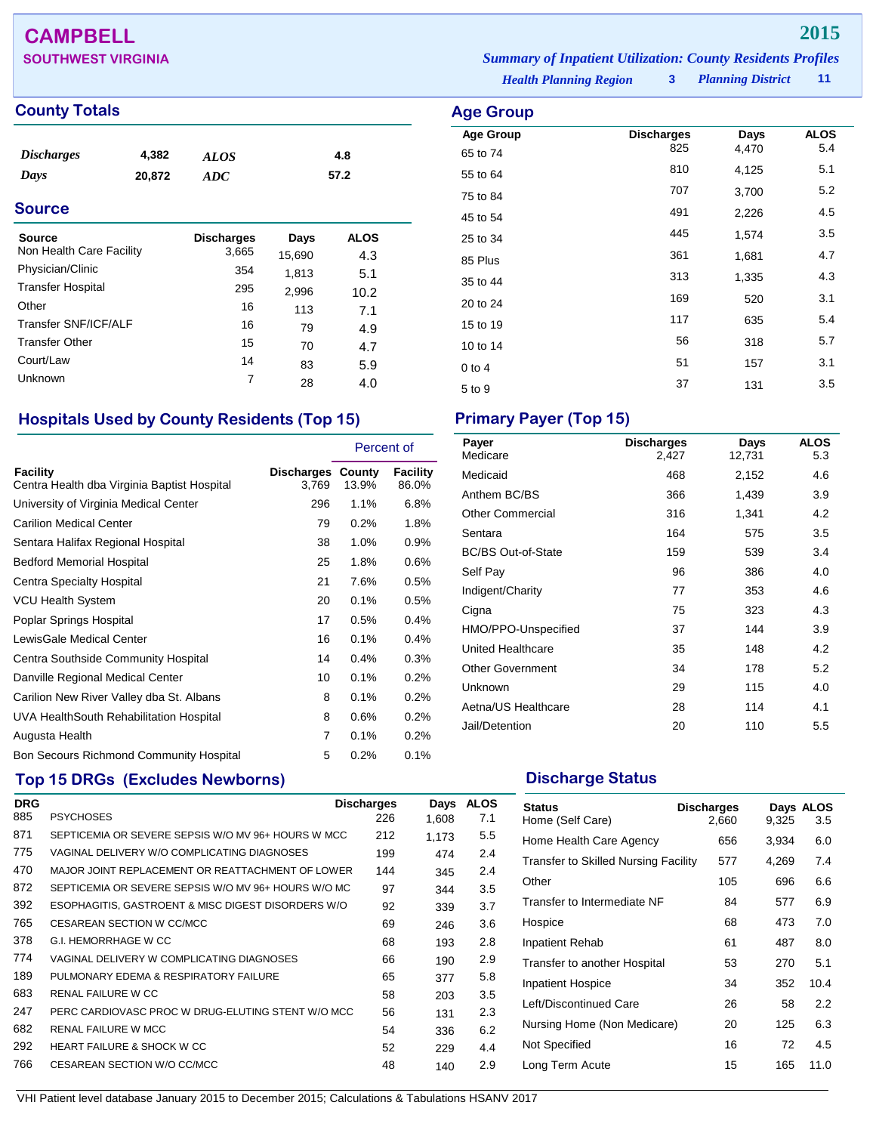## **CAMPBELL 2015**

## **County Totals Age Group**

| <i><b>Discharges</b></i> | 4,382  | ALOS | 4.8  |
|--------------------------|--------|------|------|
| Days                     | 20,872 | ADC  | 57.2 |

## **Source**

| Source<br>Non Health Care Facility | <b>Discharges</b><br>3,665 | Days<br>15,690 | ALOS<br>4.3 |
|------------------------------------|----------------------------|----------------|-------------|
| Physician/Clinic                   | 354                        | 1,813          | 5.1         |
| <b>Transfer Hospital</b>           | 295                        | 2,996          | 10.2        |
| Other                              | 16                         | 113            | 7.1         |
| Transfer SNF/ICF/ALF               | 16                         | 79             | 4.9         |
| <b>Transfer Other</b>              | 15                         | 70             | 4.7         |
| Court/Law                          | 14                         | 83             | 5.9         |
| <b>Unknown</b>                     | 7                          | 28             | 4.0         |

## **Hospitals Used by County Residents (Top 15) Primary Payer (Top 15)**

|                                                                |                                   | Percent of |                   |
|----------------------------------------------------------------|-----------------------------------|------------|-------------------|
| <b>Facility</b><br>Centra Health dba Virginia Baptist Hospital | <b>Discharges County</b><br>3,769 | 13.9%      | Facility<br>86.0% |
| University of Virginia Medical Center                          | 296                               | 1.1%       | 6.8%              |
| <b>Carilion Medical Center</b>                                 | 79                                | 0.2%       | 1.8%              |
| Sentara Halifax Regional Hospital                              | 38                                | 1.0%       | 0.9%              |
| <b>Bedford Memorial Hospital</b>                               | 25                                | 1.8%       | 0.6%              |
| Centra Specialty Hospital                                      | 21                                | 7.6%       | $0.5\%$           |
| <b>VCU Health System</b>                                       | 20                                | 0.1%       | 0.5%              |
| Poplar Springs Hospital                                        | 17                                | 0.5%       | 0.4%              |
| LewisGale Medical Center                                       | 16                                | 0.1%       | 0.4%              |
| Centra Southside Community Hospital                            | 14                                | 0.4%       | $0.3\%$           |
| Danville Regional Medical Center                               | 10                                | 0.1%       | $0.2\%$           |
| Carilion New River Valley dba St. Albans                       | 8                                 | 0.1%       | 0.2%              |
| UVA HealthSouth Rehabilitation Hospital                        | 8                                 | 0.6%       | $0.2\%$           |
| Augusta Health                                                 | 7                                 | 0.1%       | 0.2%              |
| Bon Secours Richmond Community Hospital                        | 5                                 | 0.2%       | 0.1%              |

## **Top 15 DRGs (Excludes Newborns) Discharge Status Discharge Status**

| <b>DRG</b> |                                                     | <b>Discharges</b> | Days  | <b>ALOS</b> |
|------------|-----------------------------------------------------|-------------------|-------|-------------|
| 885        | <b>PSYCHOSES</b>                                    | 226               | 1.608 | 7.1         |
| 871        | SEPTICEMIA OR SEVERE SEPSIS W/O MV 96+ HOURS W MCC  | 212               | 1.173 | 5.5         |
| 775        | VAGINAL DELIVERY W/O COMPLICATING DIAGNOSES         | 199               | 474   | 2.4         |
| 470        | MAJOR JOINT REPLACEMENT OR REATTACHMENT OF LOWER    | 144               | 345   | 2.4         |
| 872        | SEPTICEMIA OR SEVERE SEPSIS W/O MV 96+ HOURS W/O MC | 97                | 344   | 3.5         |
| 392        | ESOPHAGITIS, GASTROENT & MISC DIGEST DISORDERS W/O  | 92                | 339   | 3.7         |
| 765        | CESAREAN SECTION W CC/MCC                           | 69                | 246   | 3.6         |
| 378        | G.I. HEMORRHAGE W CC                                | 68                | 193   | 2.8         |
| 774        | VAGINAL DELIVERY W COMPLICATING DIAGNOSES           | 66                | 190   | 2.9         |
| 189        | PULMONARY EDEMA & RESPIRATORY FAILURE               | 65                | 377   | 5.8         |
| 683        | RENAL FAILURE W CC                                  | 58                | 203   | 3.5         |
| 247        | PERC CARDIOVASC PROC W DRUG-ELUTING STENT W/O MCC   | 56                | 131   | 2.3         |
| 682        | <b>RENAL FAILURE W MCC</b>                          | 54                | 336   | 6.2         |
| 292        | <b>HEART FAILURE &amp; SHOCK W CC</b>               | 52                | 229   | 4.4         |
| 766        | CESAREAN SECTION W/O CC/MCC                         | 48                | 140   | 2.9         |

**SOUTHWEST VIRGINIA** *Summary of Inpatient Utilization: County Residents Profiles*

*Health Planning Region* **3**

*Planning District* **11**

| Age Group            |                          |               |                    |
|----------------------|--------------------------|---------------|--------------------|
| <b>Age Group</b>     | <b>Discharges</b><br>825 | Days<br>4,470 | <b>ALOS</b><br>5.4 |
| 65 to 74<br>55 to 64 | 810                      | 4,125         | 5.1                |
| 75 to 84             | 707                      | 3,700         | 5.2                |
| 45 to 54             | 491                      | 2,226         | 4.5                |
| 25 to 34             | 445                      | 1,574         | 3.5                |
| 85 Plus              | 361                      | 1,681         | 4.7                |
| 35 to 44             | 313                      | 1,335         | 4.3                |
| 20 to 24             | 169                      | 520           | 3.1                |
| 15 to 19             | 117                      | 635           | 5.4                |
| 10 to 14             | 56                       | 318           | 5.7                |
| $0$ to 4             | 51                       | 157           | 3.1                |
| 5 to 9               | 37                       | 131           | 3.5                |

| Payer<br>Medicare         | <b>Discharges</b><br>2,427 | Days<br>12,731 | <b>ALOS</b><br>5.3 |
|---------------------------|----------------------------|----------------|--------------------|
| Medicaid                  | 468                        | 2,152          | 4.6                |
| Anthem BC/BS              | 366                        | 1,439          | 3.9                |
| <b>Other Commercial</b>   | 316                        | 1,341          | 4.2                |
| Sentara                   | 164                        | 575            | 3.5                |
| <b>BC/BS Out-of-State</b> | 159                        | 539            | 3.4                |
| Self Pay                  | 96                         | 386            | 4.0                |
| Indigent/Charity          | 77                         | 353            | 4.6                |
| Cigna                     | 75                         | 323            | 4.3                |
| HMO/PPO-Unspecified       | 37                         | 144            | 3.9                |
| <b>United Healthcare</b>  | 35                         | 148            | 4.2                |
| <b>Other Government</b>   | 34                         | 178            | 5.2                |
| Unknown                   | 29                         | 115            | 4.0                |
| Aetna/US Healthcare       | 28                         | 114            | 4.1                |
| Jail/Detention            | 20                         | 110            | 5.5                |

| <b>Status</b><br>Home (Self Care)           | <b>Discharges</b><br>2,660 | 9,325 | Days ALOS<br>3.5 |
|---------------------------------------------|----------------------------|-------|------------------|
| Home Health Care Agency                     | 656                        | 3,934 | 6.0              |
| <b>Transfer to Skilled Nursing Facility</b> | 577                        | 4,269 | 7.4              |
| Other                                       | 105                        | 696   | 6.6              |
| Transfer to Intermediate NF                 | 84                         | 577   | 6.9              |
| Hospice                                     | 68                         | 473   | 7.0              |
| <b>Inpatient Rehab</b>                      | 61                         | 487   | 8.0              |
| Transfer to another Hospital                | 53                         | 270   | 5.1              |
| Inpatient Hospice                           | 34                         | 352   | 10.4             |
| Left/Discontinued Care                      | 26                         | 58    | 2.2              |
| Nursing Home (Non Medicare)                 | 20                         | 125   | 6.3              |
| Not Specified                               | 16                         | 72    | 4.5              |
| Long Term Acute                             | 15                         | 165   | 11.0             |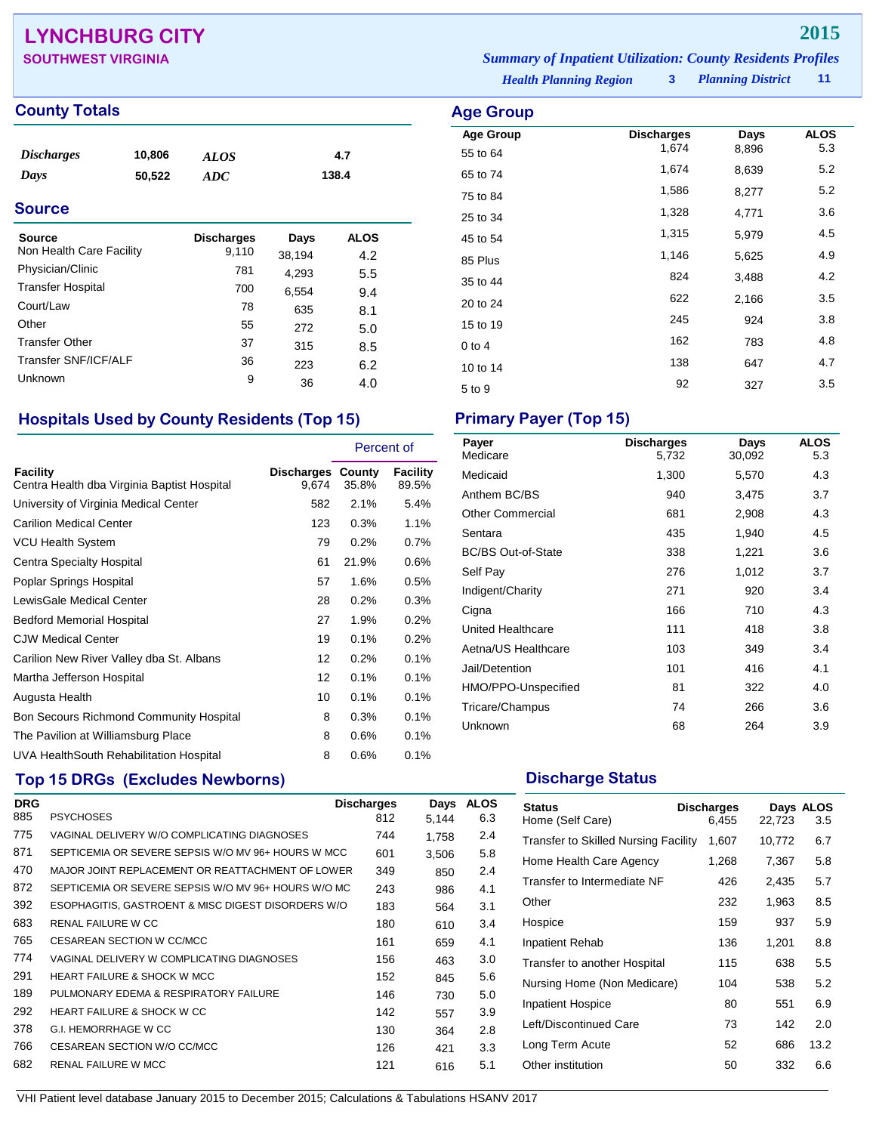## **LYNCHBURG CITY 2015**

| <b>SOUTHWEST VIRGINIA</b> | <b>Summary of Inpatient Utilization: County Residents Profiles</b> |                     |       |
|---------------------------|--------------------------------------------------------------------|---------------------|-------|
|                           | <b>Health Planning Region</b>                                      | 3 Planning District | $-11$ |

Age Group **Discharges** Days ALOS<br>55 to 64 1,674 8,896 5.3 55 to 64 1,674 8,896 5.3 65 to 74 1,674 8,639 5.2 75 to 84 **1,586** 8,277 5.2 25 to 34 1,328 4,771 3.6 45 to 54 1,315 5,979 4.5 85 Plus 1,146 5,625 4.9 35 to 44 <sup>824</sup> 3,488 4.2 20 to 24 <sup>622</sup> 2,166 3.5 15 to 19 <sup>245</sup> <sup>924</sup> 3.8 0 to 4 162 783 4.8 10 to 14 **138** 647 4.7 5 to 9 327 327 3.5

## **County Totals Age Group**

| <i>Discharges</i> | 10,806 | <b>ALOS</b> | 4.7   |
|-------------------|--------|-------------|-------|
| Days              | 50,522 | ADC         | 138.4 |

## **Source**

| Source                   | <b>Discharges</b> | Days   | <b>ALOS</b> |
|--------------------------|-------------------|--------|-------------|
| Non Health Care Facility | 9,110             | 38,194 | 4.2         |
| Physician/Clinic         | 781               | 4,293  | 5.5         |
| <b>Transfer Hospital</b> | 700               | 6,554  | 9.4         |
| Court/Law                | 78                | 635    | 8.1         |
| Other                    | 55                | 272    | 5.0         |
| <b>Transfer Other</b>    | 37                | 315    | 8.5         |
| Transfer SNF/ICF/ALF     | 36                | 223    | 6.2         |
| Unknown                  | 9                 | 36     | 4.0         |

## **Hospitals Used by County Residents (Top 15) Primary Payer (Top 15)**

|                                                         |                            | Percent of |                          |
|---------------------------------------------------------|----------------------------|------------|--------------------------|
| Facility<br>Centra Health dba Virginia Baptist Hospital | Discharges County<br>9,674 | 35.8%      | <b>Facility</b><br>89.5% |
| University of Virginia Medical Center                   | 582                        | 2.1%       | 5.4%                     |
| <b>Carilion Medical Center</b>                          | 123                        | 0.3%       | 1.1%                     |
| <b>VCU Health System</b>                                | 79                         | 0.2%       | 0.7%                     |
| Centra Specialty Hospital                               | 61                         | 21.9%      | 0.6%                     |
| Poplar Springs Hospital                                 | 57                         | 1.6%       | 0.5%                     |
| LewisGale Medical Center                                | 28                         | 0.2%       | 0.3%                     |
| <b>Bedford Memorial Hospital</b>                        | 27                         | 1.9%       | 0.2%                     |
| <b>CJW Medical Center</b>                               | 19                         | 0.1%       | 0.2%                     |
| Carilion New River Valley dba St. Albans                | 12                         | 0.2%       | 0.1%                     |
| Martha Jefferson Hospital                               | 12                         | 0.1%       | 0.1%                     |
| Augusta Health                                          | 10                         | 0.1%       | 0.1%                     |
| Bon Secours Richmond Community Hospital                 | 8                          | 0.3%       | 0.1%                     |
| The Pavilion at Williamsburg Place                      | 8                          | 0.6%       | 0.1%                     |
| UVA HealthSouth Rehabilitation Hospital                 | 8                          | 0.6%       | 0.1%                     |

## **Top 15 DRGs (Excludes Newborns) Discharge Status Discharge Status**

| <b>DRG</b> |                                                     | <b>Discharges</b> | Days  | <b>ALOS</b> |
|------------|-----------------------------------------------------|-------------------|-------|-------------|
| 885        | <b>PSYCHOSES</b>                                    | 812               | 5.144 | 6.3         |
| 775        | VAGINAL DELIVERY W/O COMPLICATING DIAGNOSES         | 744               | 1.758 | 2.4         |
| 871        | SEPTICEMIA OR SEVERE SEPSIS W/O MV 96+ HOURS W MCC  | 601               | 3.506 | 5.8         |
| 470        | MAJOR JOINT REPLACEMENT OR REATTACHMENT OF LOWER    | 349               | 850   | 2.4         |
| 872        | SEPTICEMIA OR SEVERE SEPSIS W/O MV 96+ HOURS W/O MC | 243               | 986   | 4.1         |
| 392        | ESOPHAGITIS, GASTROENT & MISC DIGEST DISORDERS W/O  | 183               | 564   | 3.1         |
| 683        | <b>RENAL FAILURE W CC</b>                           | 180               | 610   | 3.4         |
| 765        | CESAREAN SECTION W CC/MCC                           | 161               | 659   | 4.1         |
| 774        | VAGINAL DELIVERY W COMPLICATING DIAGNOSES           | 156               | 463   | 3.0         |
| 291        | <b>HEART FAILURE &amp; SHOCK W MCC</b>              | 152               | 845   | 5.6         |
| 189        | PULMONARY EDEMA & RESPIRATORY FAILURE               | 146               | 730   | 5.0         |
| 292        | HEART FAILURE & SHOCK W CC                          | 142               | 557   | 3.9         |
| 378        | G.I. HEMORRHAGE W CC                                | 130               | 364   | 2.8         |
| 766        | CESAREAN SECTION W/O CC/MCC                         | 126               | 421   | 3.3         |
| 682        | <b>RENAL FAILURE W MCC</b>                          | 121               | 616   | 5.1         |

| Payer<br>Medicare         | <b>Discharges</b><br>5.732 | Days<br>30,092 | <b>ALOS</b><br>5.3 |
|---------------------------|----------------------------|----------------|--------------------|
| Medicaid                  | 1,300                      | 5,570          | 4.3                |
| Anthem BC/BS              | 940                        | 3,475          | 3.7                |
| <b>Other Commercial</b>   | 681                        | 2,908          | 4.3                |
| Sentara                   | 435                        | 1,940          | 4.5                |
| <b>BC/BS Out-of-State</b> | 338                        | 1,221          | 3.6                |
| Self Pay                  | 276                        | 1,012          | 3.7                |
| Indigent/Charity          | 271                        | 920            | 3.4                |
| Cigna                     | 166                        | 710            | 4.3                |
| United Healthcare         | 111                        | 418            | 3.8                |
| Aetna/US Healthcare       | 103                        | 349            | 3.4                |
| Jail/Detention            | 101                        | 416            | 4.1                |
| HMO/PPO-Unspecified       | 81                         | 322            | 4.0                |
| Tricare/Champus           | 74                         | 266            | 3.6                |
| Unknown                   | 68                         | 264            | 3.9                |

| <b>Status</b><br>Home (Self Care)           | <b>Discharges</b><br>6,455 | 22,723 | Days ALOS<br>3.5 |
|---------------------------------------------|----------------------------|--------|------------------|
| <b>Transfer to Skilled Nursing Facility</b> | 1,607                      | 10,772 | 6.7              |
| Home Health Care Agency                     | 1,268                      | 7,367  | 5.8              |
| Transfer to Intermediate NF                 | 426                        | 2,435  | 5.7              |
| Other                                       | 232                        | 1,963  | 8.5              |
| Hospice                                     | 159                        | 937    | 5.9              |
| Inpatient Rehab                             | 136                        | 1,201  | 8.8              |
| Transfer to another Hospital                | 115                        | 638    | 5.5              |
| Nursing Home (Non Medicare)                 | 104                        | 538    | 5.2              |
| <b>Inpatient Hospice</b>                    | 80                         | 551    | 6.9              |
| Left/Discontinued Care                      | 73                         | 142    | 2.0              |
| Long Term Acute                             | 52                         | 686    | 13.2             |
| Other institution                           | 50                         | 332    | 6.6              |
|                                             |                            |        |                  |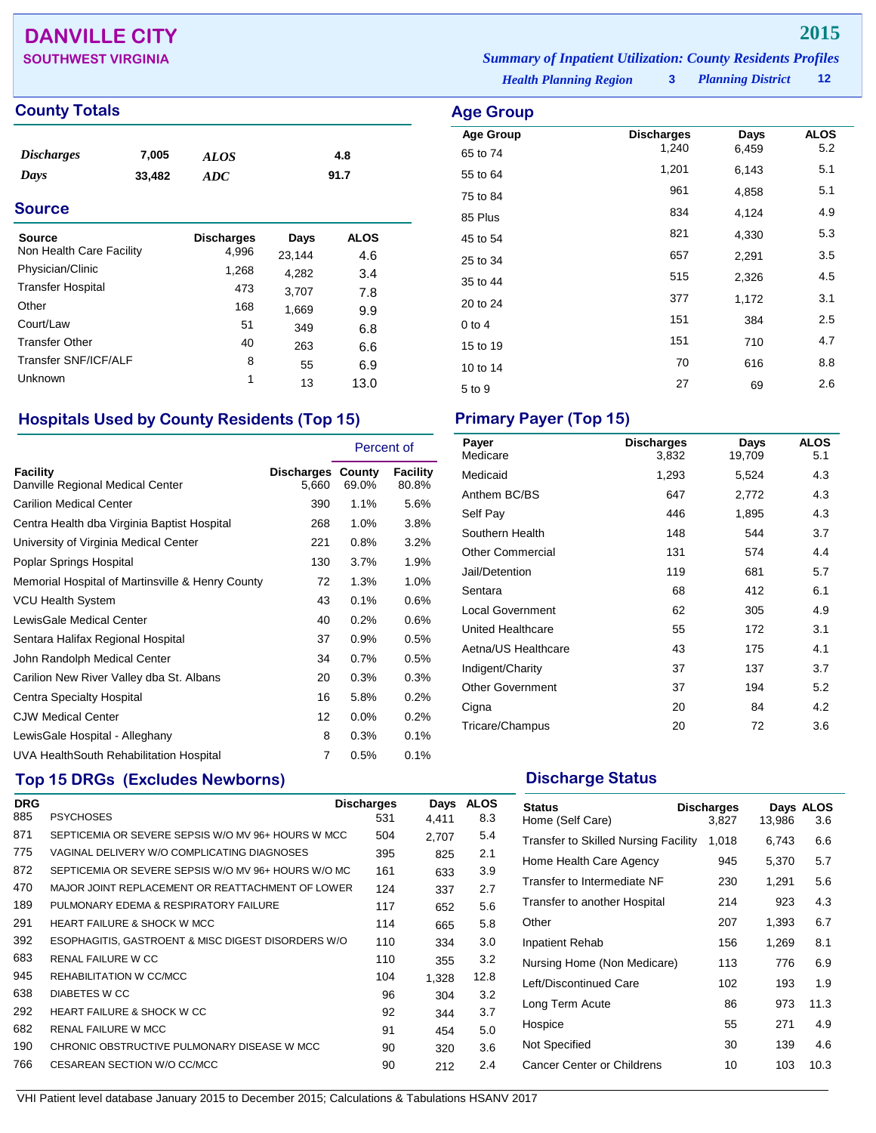## **DANVILLE CITY 2015**

| <b>SOUTHWEST VIRGINIA</b> | <b>Summary of Inpatient Utilization: County Residents Profiles</b> |                            |       |
|---------------------------|--------------------------------------------------------------------|----------------------------|-------|
|                           | <b>Health Planning Region</b>                                      | <b>3</b> Planning District | $-12$ |

**Age Group Discharges Days ALOS**<br>65 to 74 **1**,240 **6**,459 **5.2** 65 to 74 1,240 6,459 5.2 55 to 64 1,201 6,143 5.1 75 to 84 <sup>961</sup> 4,858 5.1 85 Plus 2012 1.124 2.9 45 to 54 **821** 4,330 5.3 25 to 34 <sup>657</sup> 2,291 3.5 35 to 44 **515** 2,326 4.5 20 to 24 377 1,172 3.1 0 to 4  $151$   $384$   $2.5$ 15 to 19 <sup>151</sup> <sup>710</sup> 4.7 10 to 14 **70** 616 8.8 5 to 9 <sup>27</sup> <sup>69</sup> 2.6

## **County Totals Age Group**

| <b>Discharges</b> | 7,005  | <b>ALOS</b> | 4.8  |
|-------------------|--------|-------------|------|
| Days              | 33,482 | ADC         | 91.7 |
|                   |        |             |      |

## **Source**

| Source<br>Non Health Care Facility | <b>Discharges</b><br>4,996 | Days<br>23,144 | <b>ALOS</b><br>4.6 |
|------------------------------------|----------------------------|----------------|--------------------|
| Physician/Clinic                   | 1,268                      | 4,282          | 3.4                |
| <b>Transfer Hospital</b>           | 473                        | 3,707          | 7.8                |
| Other                              | 168                        | 1,669          | 9.9                |
| Court/Law                          | 51                         | 349            | 6.8                |
| <b>Transfer Other</b>              | 40                         | 263            | 6.6                |
| Transfer SNF/ICF/ALF               | 8                          | 55             | 6.9                |
| Unknown                            | 1                          | 13             | 13.0               |

## **Hospitals Used by County Residents (Top 15) Primary Payer (Top 15)**

|                                                  |                                   | Percent of |                   |
|--------------------------------------------------|-----------------------------------|------------|-------------------|
| Facility<br>Danville Regional Medical Center     | <b>Discharges County</b><br>5,660 | 69.0%      | Facility<br>80.8% |
| <b>Carilion Medical Center</b>                   | 390                               | 1.1%       | 5.6%              |
| Centra Health dba Virginia Baptist Hospital      | 268                               | 1.0%       | 3.8%              |
| University of Virginia Medical Center            | 221                               | 0.8%       | 3.2%              |
| Poplar Springs Hospital                          | 130                               | 3.7%       | 1.9%              |
| Memorial Hospital of Martinsville & Henry County | 72                                | 1.3%       | 1.0%              |
| <b>VCU Health System</b>                         | 43                                | 0.1%       | 0.6%              |
| LewisGale Medical Center                         | 40                                | 0.2%       | 0.6%              |
| Sentara Halifax Regional Hospital                | 37                                | 0.9%       | 0.5%              |
| John Randolph Medical Center                     | 34                                | 0.7%       | 0.5%              |
| Carilion New River Valley dba St. Albans         | 20                                | 0.3%       | $0.3\%$           |
| Centra Specialty Hospital                        | 16                                | 5.8%       | 0.2%              |
| <b>CJW Medical Center</b>                        | 12                                | $0.0\%$    | 0.2%              |
| LewisGale Hospital - Alleghany                   | 8                                 | 0.3%       | 0.1%              |
| UVA HealthSouth Rehabilitation Hospital          | 7                                 | 0.5%       | 0.1%              |

## **Top 15 DRGs (Excludes Newborns) Discharge Status Discharge Status**

| <b>DRG</b> |                                                     | <b>Discharges</b> | Days  | <b>ALOS</b> |
|------------|-----------------------------------------------------|-------------------|-------|-------------|
| 885        | <b>PSYCHOSES</b>                                    | 531               | 4.411 | 8.3         |
| 871        | SEPTICEMIA OR SEVERE SEPSIS W/O MV 96+ HOURS W MCC  | 504               | 2.707 | 5.4         |
| 775        | VAGINAL DELIVERY W/O COMPLICATING DIAGNOSES         | 395               | 825   | 2.1         |
| 872        | SEPTICEMIA OR SEVERE SEPSIS W/O MV 96+ HOURS W/O MC | 161               | 633   | 3.9         |
| 470        | MAJOR JOINT REPLACEMENT OR REATTACHMENT OF LOWER    | 124               | 337   | 2.7         |
| 189        | PULMONARY EDEMA & RESPIRATORY FAILURE               | 117               | 652   | 5.6         |
| 291        | <b>HEART FAILURE &amp; SHOCK W MCC</b>              | 114               | 665   | 5.8         |
| 392        | ESOPHAGITIS, GASTROENT & MISC DIGEST DISORDERS W/O  | 110               | 334   | 3.0         |
| 683        | RENAL FAILURE W CC                                  | 110               | 355   | 3.2         |
| 945        | REHABILITATION W CC/MCC                             | 104               | 1,328 | 12.8        |
| 638        | <b>DIABETES W CC</b>                                | 96                | 304   | 3.2         |
| 292        | <b>HEART FAILURE &amp; SHOCK W CC</b>               | 92                | 344   | 3.7         |
| 682        | <b>RENAL FAILURE W MCC</b>                          | 91                | 454   | 5.0         |
| 190        | CHRONIC OBSTRUCTIVE PULMONARY DISEASE W MCC         | 90                | 320   | 3.6         |
| 766        | CESAREAN SECTION W/O CC/MCC                         | 90                | 212   | 2.4         |

| Payer<br>Medicare       | <b>Discharges</b><br>3,832 | Days<br>19,709 | <b>ALOS</b><br>5.1 |
|-------------------------|----------------------------|----------------|--------------------|
| Medicaid                | 1,293                      | 5,524          | 4.3                |
| Anthem BC/BS            | 647                        | 2,772          | 4.3                |
| Self Pay                | 446                        | 1,895          | 4.3                |
| Southern Health         | 148                        | 544            | 3.7                |
| <b>Other Commercial</b> | 131                        | 574            | 4.4                |
| Jail/Detention          | 119                        | 681            | 5.7                |
| Sentara                 | 68                         | 412            | 6.1                |
| <b>Local Government</b> | 62                         | 305            | 4.9                |
| United Healthcare       | 55                         | 172            | 3.1                |
| Aetna/US Healthcare     | 43                         | 175            | 4.1                |
| Indigent/Charity        | 37                         | 137            | 3.7                |
| <b>Other Government</b> | 37                         | 194            | 5.2                |
| Cigna                   | 20                         | 84             | 4.2                |
| Tricare/Champus         | 20                         | 72             | 3.6                |

| <b>Status</b><br>Home (Self Care)    | <b>Discharges</b><br>3.827 | 13,986 | Days ALOS<br>3.6 |
|--------------------------------------|----------------------------|--------|------------------|
| Transfer to Skilled Nursing Facility | 1,018                      | 6,743  | 6.6              |
| Home Health Care Agency              | 945                        | 5,370  | 5.7              |
| Transfer to Intermediate NF          | 230                        | 1,291  | 5.6              |
| Transfer to another Hospital         | 214                        | 923    | 4.3              |
| Other                                | 207                        | 1,393  | 6.7              |
| Inpatient Rehab                      | 156                        | 1,269  | 8.1              |
| Nursing Home (Non Medicare)          | 113                        | 776    | 6.9              |
| Left/Discontinued Care               | 102                        | 193    | 1.9              |
| Long Term Acute                      | 86                         | 973    | 11.3             |
| Hospice                              | 55                         | 271    | 4.9              |
| Not Specified                        | 30                         | 139    | 4.6              |
| Cancer Center or Childrens           | 10                         | 103    | 10.3             |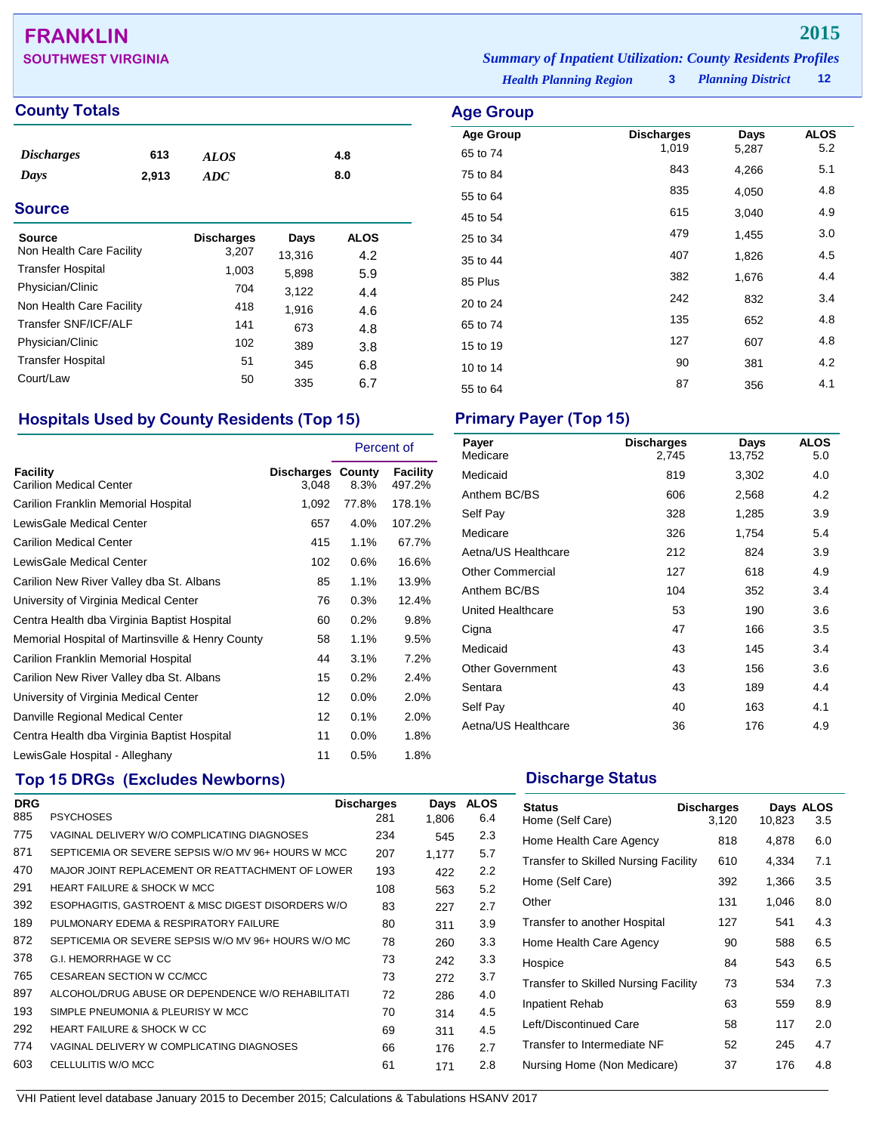## **FRANKLIN 2015**

## **County Totals Age Group**

| <i><b>Discharges</b></i> | 613   | <b>ALOS</b> | 4.8 |
|--------------------------|-------|-------------|-----|
| Days                     | 2,913 | ADC         | 8.0 |

## **Source**

| <b>Source</b>            | <b>Discharges</b> | Days   | ALOS |
|--------------------------|-------------------|--------|------|
| Non Health Care Facility | 3,207             | 13,316 | 4.2  |
| <b>Transfer Hospital</b> | 1,003             | 5,898  | 5.9  |
| Physician/Clinic         | 704               | 3,122  | 4.4  |
| Non Health Care Facility | 418               | 1,916  | 4.6  |
| Transfer SNF/ICF/ALF     | 141               | 673    | 4.8  |
| Physician/Clinic         | 102               | 389    | 3.8  |
| <b>Transfer Hospital</b> | 51                | 345    | 6.8  |
| Court/Law                | 50                | 335    | 6.7  |

## **Hospitals Used by County Residents (Top 15) Primary Payer (Top 15)**

|                                                  |                                   | Percent of |                    |
|--------------------------------------------------|-----------------------------------|------------|--------------------|
| <b>Facility</b><br>Carilion Medical Center       | <b>Discharges County</b><br>3,048 | 8.3%       | Facility<br>497.2% |
| Carilion Franklin Memorial Hospital              | 1,092                             | 77.8%      | 178.1%             |
| LewisGale Medical Center                         | 657                               | 4.0%       | 107.2%             |
| Carilion Medical Center                          | 415                               | 1.1%       | 67.7%              |
| LewisGale Medical Center                         | 102                               | 0.6%       | 16.6%              |
| Carilion New River Valley dba St. Albans         | 85                                | 1.1%       | 13.9%              |
| University of Virginia Medical Center            | 76                                | 0.3%       | 12.4%              |
| Centra Health dba Virginia Baptist Hospital      | 60                                | 0.2%       | 9.8%               |
| Memorial Hospital of Martinsville & Henry County | 58                                | 1.1%       | 9.5%               |
| Carilion Franklin Memorial Hospital              | 44                                | 3.1%       | 7.2%               |
| Carilion New River Valley dba St. Albans         | 15                                | 0.2%       | 2.4%               |
| University of Virginia Medical Center            | 12                                | 0.0%       | 2.0%               |
| Danville Regional Medical Center                 | 12                                | 0.1%       | 2.0%               |
| Centra Health dba Virginia Baptist Hospital      | 11                                | 0.0%       | 1.8%               |
| LewisGale Hospital - Alleghany                   | 11                                | 0.5%       | 1.8%               |

## **Top 15 DRGs (Excludes Newborns) Discharge Status Discharge Status**

| <b>DRG</b> |                                                     | <b>Discharges</b> | Days  | <b>ALOS</b> |
|------------|-----------------------------------------------------|-------------------|-------|-------------|
| 885        | <b>PSYCHOSES</b>                                    | 281               | 1,806 | 6.4         |
| 775        | VAGINAL DELIVERY W/O COMPLICATING DIAGNOSES         | 234               | 545   | 2.3         |
| 871        | SEPTICEMIA OR SEVERE SEPSIS W/O MV 96+ HOURS W MCC  | 207               | 1.177 | 5.7         |
| 470        | MAJOR JOINT REPLACEMENT OR REATTACHMENT OF LOWER    | 193               | 422   | 2.2         |
| 291        | <b>HEART FAILURE &amp; SHOCK W MCC</b>              | 108               | 563   | 5.2         |
| 392        | ESOPHAGITIS, GASTROENT & MISC DIGEST DISORDERS W/O  | 83                | 227   | 2.7         |
| 189        | PULMONARY EDEMA & RESPIRATORY FAILURE               | 80                | 311   | 3.9         |
| 872        | SEPTICEMIA OR SEVERE SEPSIS W/O MV 96+ HOURS W/O MC | 78                | 260   | 3.3         |
| 378        | G.I. HEMORRHAGE W CC                                | 73                | 242   | 3.3         |
| 765        | CESAREAN SECTION W CC/MCC                           | 73                | 272   | 3.7         |
| 897        | ALCOHOL/DRUG ABUSE OR DEPENDENCE W/O REHABILITATI   | 72                | 286   | 4.0         |
| 193        | SIMPLE PNEUMONIA & PLEURISY W MCC                   | 70                | 314   | 4.5         |
| 292        | HEART FAILURE & SHOCK W CC                          | 69                | 311   | 4.5         |
| 774        | VAGINAL DELIVERY W COMPLICATING DIAGNOSES           | 66                | 176   | 2.7         |
| 603        | CELLULITIS W/O MCC                                  | 61                | 171   | 2.8         |

*Health Planning Region* **3** *Planning District* **12 SOUTHWEST VIRGINIA** *Summary of Inpatient Utilization: County Residents Profiles*

| $\cdots$ $\cdots$           |  |  |
|-----------------------------|--|--|
| <i><u><b>strict</b></u></i> |  |  |

| nya orom         |                   |       |             |
|------------------|-------------------|-------|-------------|
| <b>Age Group</b> | <b>Discharges</b> | Days  | <b>ALOS</b> |
| 65 to 74         | 1,019             | 5,287 | 5.2         |
| 75 to 84         | 843               | 4,266 | 5.1         |
| 55 to 64         | 835               | 4,050 | 4.8         |
| 45 to 54         | 615               | 3,040 | 4.9         |
| 25 to 34         | 479               | 1,455 | 3.0         |
| 35 to 44         | 407               | 1,826 | 4.5         |
| 85 Plus          | 382               | 1,676 | 4.4         |
| 20 to 24         | 242               | 832   | 3.4         |
| 65 to 74         | 135               | 652   | 4.8         |
| 15 to 19         | 127               | 607   | 4.8         |
| 10 to 14         | 90                | 381   | 4.2         |
| 55 to 64         | 87                | 356   | 4.1         |
|                  |                   |       |             |

| Payer<br>Medicare       | <b>Discharges</b><br>2,745 | Days<br>13,752 | <b>ALOS</b><br>5.0 |
|-------------------------|----------------------------|----------------|--------------------|
| Medicaid                | 819                        | 3,302          | 4.0                |
| Anthem BC/BS            | 606                        | 2,568          | 4.2                |
| Self Pay                | 328                        | 1,285          | 3.9                |
| Medicare                | 326                        | 1,754          | 5.4                |
| Aetna/US Healthcare     | 212                        | 824            | 3.9                |
| <b>Other Commercial</b> | 127                        | 618            | 4.9                |
| Anthem BC/BS            | 104                        | 352            | 3.4                |
| United Healthcare       | 53                         | 190            | 3.6                |
| Cigna                   | 47                         | 166            | 3.5                |
| Medicaid                | 43                         | 145            | 3.4                |
| <b>Other Government</b> | 43                         | 156            | 3.6                |
| Sentara                 | 43                         | 189            | 4.4                |
| Self Pay                | 40                         | 163            | 4.1                |
| Aetna/US Healthcare     | 36                         | 176            | 4.9                |

| <b>Status</b><br>Home (Self Care)           | <b>Discharges</b><br>3,120 | 10,823 | Days ALOS<br>3.5 |
|---------------------------------------------|----------------------------|--------|------------------|
| Home Health Care Agency                     | 818                        | 4,878  | 6.0              |
| <b>Transfer to Skilled Nursing Facility</b> | 610                        | 4,334  | 7.1              |
| Home (Self Care)                            | 392                        | 1,366  | 3.5              |
| Other                                       | 131                        | 1,046  | 8.0              |
| Transfer to another Hospital                | 127                        | 541    | 4.3              |
| Home Health Care Agency                     | 90                         | 588    | 6.5              |
| Hospice                                     | 84                         | 543    | 6.5              |
| <b>Transfer to Skilled Nursing Facility</b> | 73                         | 534    | 7.3              |
| <b>Inpatient Rehab</b>                      | 63                         | 559    | 8.9              |
| Left/Discontinued Care                      | 58                         | 117    | 2.0              |
| Transfer to Intermediate NF                 | 52                         | 245    | 4.7              |
| Nursing Home (Non Medicare)                 | 37                         | 176    | 4.8              |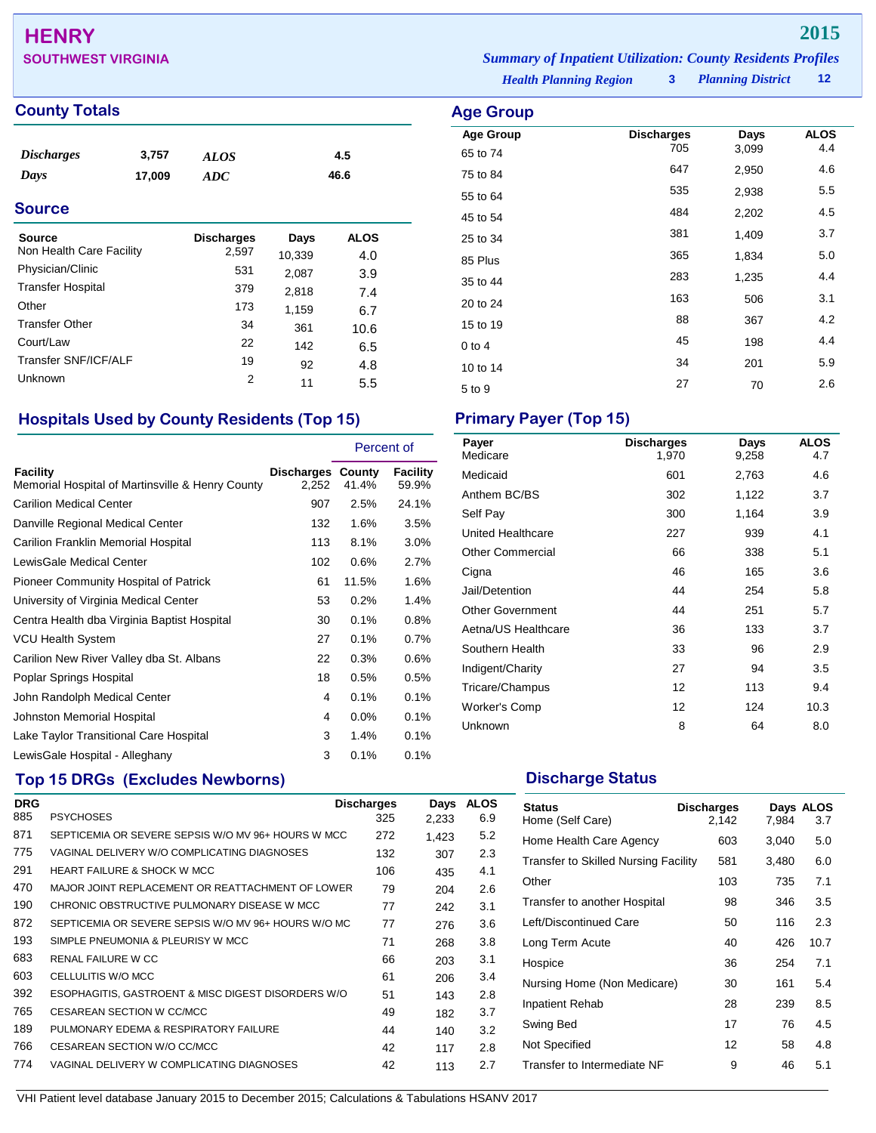# **HENRY 2015**

## **County Totals Age Group Age Group**

| <i><b>Discharges</b></i> | 3,757  | ALOS | 4.5  |
|--------------------------|--------|------|------|
| Days                     | 17,009 | ADC  | 46.6 |

## **Source**

| Source<br>Non Health Care Facility | <b>Discharges</b><br>2,597 | Days<br>10,339 | <b>ALOS</b><br>4.0 |
|------------------------------------|----------------------------|----------------|--------------------|
| Physician/Clinic                   | 531                        | 2,087          | 3.9                |
| <b>Transfer Hospital</b>           | 379                        | 2,818          | 7.4                |
| Other                              | 173                        | 1,159          | 6.7                |
| <b>Transfer Other</b>              | 34                         | 361            | 10.6               |
| Court/Law                          | 22                         | 142            | 6.5                |
| Transfer SNF/ICF/ALF               | 19                         | 92             | 4.8                |
| Unknown                            | 2                          | 11             | 5.5                |

## **Hospitals Used by County Residents (Top 15) Primary Payer (Top 15)**

|                                                              |                                   | Percent of |                   |
|--------------------------------------------------------------|-----------------------------------|------------|-------------------|
| Facility<br>Memorial Hospital of Martinsville & Henry County | <b>Discharges County</b><br>2,252 | 41.4%      | Facility<br>59.9% |
| <b>Carilion Medical Center</b>                               | 907                               | 2.5%       | 24.1%             |
| Danville Regional Medical Center                             | 132                               | $1.6\%$    | 3.5%              |
| Carilion Franklin Memorial Hospital                          | 113                               | 8.1%       | 3.0%              |
| LewisGale Medical Center                                     | 102                               | 0.6%       | 2.7%              |
| Pioneer Community Hospital of Patrick                        | 61                                | 11.5%      | 1.6%              |
| University of Virginia Medical Center                        | 53                                | 0.2%       | 1.4%              |
| Centra Health dba Virginia Baptist Hospital                  | 30                                | 0.1%       | 0.8%              |
| VCU Health System                                            | 27                                | 0.1%       | 0.7%              |
| Carilion New River Valley dba St. Albans                     | 22                                | 0.3%       | 0.6%              |
| Poplar Springs Hospital                                      | 18                                | 0.5%       | 0.5%              |
| John Randolph Medical Center                                 | 4                                 | 0.1%       | 0.1%              |
| Johnston Memorial Hospital                                   | 4                                 | 0.0%       | 0.1%              |
| Lake Taylor Transitional Care Hospital                       | 3                                 | 1.4%       | 0.1%              |
| LewisGale Hospital - Alleghany                               | 3                                 | 0.1%       | 0.1%              |

## **Top 15 DRGs (Excludes Newborns) Discharge Status Discharge Status**

| <b>DRG</b> |                                                     | <b>Discharges</b> | Days  | <b>ALOS</b> |
|------------|-----------------------------------------------------|-------------------|-------|-------------|
| 885        | <b>PSYCHOSES</b>                                    | 325               | 2,233 | 6.9         |
| 871        | SEPTICEMIA OR SEVERE SEPSIS W/O MV 96+ HOURS W MCC  | 272               | 1,423 | 5.2         |
| 775        | VAGINAL DELIVERY W/O COMPLICATING DIAGNOSES         | 132               | 307   | 2.3         |
| 291        | <b>HEART FAILURE &amp; SHOCK W MCC</b>              | 106               | 435   | 4.1         |
| 470        | MAJOR JOINT REPLACEMENT OR REATTACHMENT OF LOWER    | 79                | 204   | 2.6         |
| 190        | CHRONIC OBSTRUCTIVE PULMONARY DISEASE W MCC         | 77                | 242   | 3.1         |
| 872        | SEPTICEMIA OR SEVERE SEPSIS W/O MV 96+ HOURS W/O MC | 77                | 276   | 3.6         |
| 193        | SIMPLE PNEUMONIA & PLEURISY W MCC                   | 71                | 268   | 3.8         |
| 683        | RENAL FAILURE W CC                                  | 66                | 203   | 3.1         |
| 603        | CELLULITIS W/O MCC                                  | 61                | 206   | 3.4         |
| 392        | ESOPHAGITIS, GASTROENT & MISC DIGEST DISORDERS W/O  | 51                | 143   | 2.8         |
| 765        | CESAREAN SECTION W CC/MCC                           | 49                | 182   | 3.7         |
| 189        | PULMONARY EDEMA & RESPIRATORY FAILURE               | 44                | 140   | 3.2         |
| 766        | CESAREAN SECTION W/O CC/MCC                         | 42                | 117   | 2.8         |
| 774        | VAGINAL DELIVERY W COMPLICATING DIAGNOSES           | 42                | 113   | 2.7         |

*Planning District* **12 SOUTHWEST VIRGINIA** *Summary of Inpatient Utilization: County Residents Profiles*

*Health Planning Region* **3**

| Age Group        |                          |               |                    |
|------------------|--------------------------|---------------|--------------------|
| <b>Age Group</b> | <b>Discharges</b><br>705 | Days<br>3,099 | <b>ALOS</b><br>4.4 |
| 65 to 74         | 647                      |               | 4.6                |
| 75 to 84         |                          | 2,950         |                    |
| 55 to 64         | 535                      | 2,938         | 5.5                |
| 45 to 54         | 484                      | 2,202         | 4.5                |
| 25 to 34         | 381                      | 1,409         | 3.7                |
| 85 Plus          | 365                      | 1,834         | 5.0                |
| 35 to 44         | 283                      | 1,235         | 4.4                |
| 20 to 24         | 163                      | 506           | 3.1                |
| 15 to 19         | 88                       | 367           | 4.2                |
| $0$ to 4         | 45                       | 198           | 4.4                |
| 10 to 14         | 34                       | 201           | 5.9                |
| 5 to 9           | 27                       | 70            | 2.6                |

| Payer<br>Medicare       | <b>Discharges</b><br>1.970 | Days<br>9,258 | <b>ALOS</b><br>4.7 |
|-------------------------|----------------------------|---------------|--------------------|
| Medicaid                | 601                        | 2,763         | 4.6                |
| Anthem BC/BS            | 302                        | 1,122         | 3.7                |
| Self Pay                | 300                        | 1,164         | 3.9                |
| United Healthcare       | 227                        | 939           | 4.1                |
| Other Commercial        | 66                         | 338           | 5.1                |
| Cigna                   | 46                         | 165           | 3.6                |
| Jail/Detention          | 44                         | 254           | 5.8                |
| <b>Other Government</b> | 44                         | 251           | 5.7                |
| Aetna/US Healthcare     | 36                         | 133           | 3.7                |
| Southern Health         | 33                         | 96            | 2.9                |
| Indigent/Charity        | 27                         | 94            | 3.5                |
| Tricare/Champus         | 12                         | 113           | 9.4                |
| Worker's Comp           | 12                         | 124           | 10.3               |
| Unknown                 | 8                          | 64            | 8.0                |

| <b>Status</b><br>Home (Self Care)           | <b>Discharges</b><br>2.142 | 7.984 | Days ALOS<br>3.7 |
|---------------------------------------------|----------------------------|-------|------------------|
| Home Health Care Agency                     | 603                        | 3,040 | 5.0              |
| <b>Transfer to Skilled Nursing Facility</b> | 581                        | 3,480 | 6.0              |
| Other                                       | 103                        | 735   | 7.1              |
| Transfer to another Hospital                | 98                         | 346   | 3.5              |
| Left/Discontinued Care                      | 50                         | 116   | 2.3              |
| Long Term Acute                             | 40                         | 426   | 10.7             |
| Hospice                                     | 36                         | 254   | 7.1              |
| Nursing Home (Non Medicare)                 | 30                         | 161   | 5.4              |
| <b>Inpatient Rehab</b>                      | 28                         | 239   | 8.5              |
| Swing Bed                                   | 17                         | 76    | 4.5              |
| Not Specified                               | 12                         | 58    | 4.8              |
| Transfer to Intermediate NF                 | 9                          | 46    | 5.1              |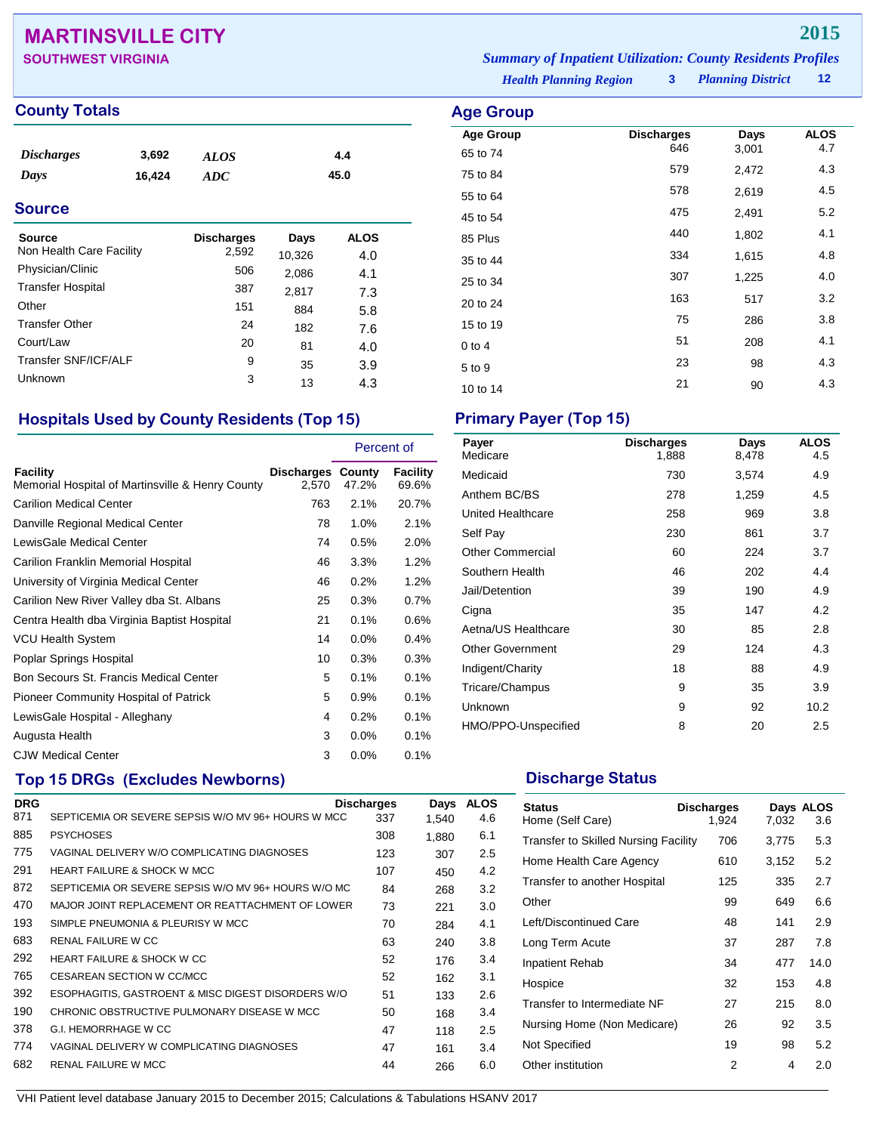## **MARTINSVILLE CITY 2015**

| <b>SOUTHWEST VIRGINIA</b> | <b>Summary of Inpatient Utilization: County Residents Profiles</b> |                        |  |
|---------------------------|--------------------------------------------------------------------|------------------------|--|
|                           | <b>Health Planning Region</b>                                      | 3 Planning District 12 |  |

**Age Group Discharges Days ALOS**<br>65 to 74 646 3,001 4.7 65 to 74 <sup>646</sup> 3,001 4.7 75 to 84 <sup>579</sup> 2,472 4.3 55 to 64 <sup>578</sup> 2,619 4.5 45 to 54 <sup>475</sup> 2,491 5.2 85 Plus <sup>440</sup> 1,802 4.1 35 to 44 <sup>334</sup> 1,615 4.8 25 to 34 <sup>307</sup> 1,225 4.0 20 to 24 <sup>163</sup> <sup>517</sup> 3.2 15 to 19 <sup>75</sup> <sup>286</sup> 3.8 0 to 4  $\overline{51}$  208  $\overline{4.1}$  $5 \text{ to } 9$   $98$   $4.3$ 10 to 14 21 90 4.3

## **County Totals Age Group**

| <i><b>Discharges</b></i> | 3,692  | <b>ALOS</b> | 4.4  |  |
|--------------------------|--------|-------------|------|--|
| Days                     | 16,424 | ADC.        | 45.0 |  |
| <b>Source</b>            |        |             |      |  |

| Source                   | <b>Discharges</b> | Days   | ALOS |
|--------------------------|-------------------|--------|------|
| Non Health Care Facility | 2,592             | 10,326 | 4.0  |
| Physician/Clinic         | 506               | 2,086  | 4.1  |
| <b>Transfer Hospital</b> | 387               | 2,817  | 7.3  |
| Other                    | 151               | 884    | 5.8  |
| <b>Transfer Other</b>    | 24                | 182    | 7.6  |
| Court/Law                | 20                | 81     | 4.0  |
| Transfer SNF/ICF/ALF     | 9                 | 35     | 3.9  |
| Unknown                  | 3                 | 13     | 4.3  |

## **Hospitals Used by County Residents (Top 15) Primary Payer (Top 15)**

|                                                              |                                   | Percent of |                   |
|--------------------------------------------------------------|-----------------------------------|------------|-------------------|
| Facility<br>Memorial Hospital of Martinsville & Henry County | <b>Discharges County</b><br>2,570 | 47.2%      | Facility<br>69.6% |
| <b>Carilion Medical Center</b>                               | 763                               | 2.1%       | 20.7%             |
| Danville Regional Medical Center                             | 78                                | 1.0%       | 2.1%              |
| LewisGale Medical Center                                     | 74                                | 0.5%       | 2.0%              |
| Carilion Franklin Memorial Hospital                          | 46                                | 3.3%       | 1.2%              |
| University of Virginia Medical Center                        | 46                                | 0.2%       | 1.2%              |
| Carilion New River Valley dba St. Albans                     | 25                                | 0.3%       | 0.7%              |
| Centra Health dba Virginia Baptist Hospital                  | 21                                | 0.1%       | 0.6%              |
| <b>VCU Health System</b>                                     | 14                                | $0.0\%$    | 0.4%              |
| Poplar Springs Hospital                                      | 10                                | 0.3%       | 0.3%              |
| Bon Secours St. Francis Medical Center                       | 5                                 | 0.1%       | 0.1%              |
| Pioneer Community Hospital of Patrick                        | 5                                 | 0.9%       | 0.1%              |
| LewisGale Hospital - Alleghany                               | 4                                 | 0.2%       | 0.1%              |
| Augusta Health                                               | 3                                 | $0.0\%$    | 0.1%              |
| <b>CJW Medical Center</b>                                    | 3                                 | 0.0%       | 0.1%              |

## **Top 15 DRGs (Excludes Newborns) Discharge Status Discharge Status**

| <b>DRG</b> |                                                     | <b>Discharges</b> | Days  | <b>ALOS</b> |
|------------|-----------------------------------------------------|-------------------|-------|-------------|
| 871        | SEPTICEMIA OR SEVERE SEPSIS W/O MV 96+ HOURS W MCC  | 337               | 1.540 | 4.6         |
| 885        | <b>PSYCHOSES</b>                                    | 308               | 1.880 | 6.1         |
| 775        | VAGINAL DELIVERY W/O COMPLICATING DIAGNOSES         | 123               | 307   | 2.5         |
| 291        | <b>HEART FAILURE &amp; SHOCK W MCC</b>              | 107               | 450   | 4.2         |
| 872        | SEPTICEMIA OR SEVERE SEPSIS W/O MV 96+ HOURS W/O MC | 84                | 268   | 3.2         |
| 470        | MAJOR JOINT REPLACEMENT OR REATTACHMENT OF LOWER    | 73                | 221   | 3.0         |
| 193        | SIMPLE PNEUMONIA & PLEURISY W MCC                   | 70                | 284   | 4.1         |
| 683        | RENAL FAILURE W CC                                  | 63                | 240   | 3.8         |
| 292        | <b>HEART FAILURE &amp; SHOCK W CC</b>               | 52                | 176   | 3.4         |
| 765        | CESAREAN SECTION W CC/MCC                           | 52                | 162   | 3.1         |
| 392        | ESOPHAGITIS, GASTROENT & MISC DIGEST DISORDERS W/O  | 51                | 133   | 2.6         |
| 190        | CHRONIC OBSTRUCTIVE PULMONARY DISEASE W MCC         | 50                | 168   | 3.4         |
| 378        | G.I. HEMORRHAGE W CC                                | 47                | 118   | 2.5         |
| 774        | VAGINAL DELIVERY W COMPLICATING DIAGNOSES           | 47                | 161   | 3.4         |
| 682        | <b>RENAL FAILURE W MCC</b>                          | 44                | 266   | 6.0         |

| Payer<br>Medicare       | <b>Discharges</b><br>1,888 | Days<br>8,478 | <b>ALOS</b><br>4.5 |
|-------------------------|----------------------------|---------------|--------------------|
| Medicaid                | 730                        | 3,574         | 4.9                |
| Anthem BC/BS            | 278                        | 1,259         | 4.5                |
| United Healthcare       | 258                        | 969           | 3.8                |
| Self Pay                | 230                        | 861           | 3.7                |
| <b>Other Commercial</b> | 60                         | 224           | 3.7                |
| Southern Health         | 46                         | 202           | 4.4                |
| Jail/Detention          | 39                         | 190           | 4.9                |
| Cigna                   | 35                         | 147           | 4.2                |
| Aetna/US Healthcare     | 30                         | 85            | 2.8                |
| <b>Other Government</b> | 29                         | 124           | 4.3                |
| Indigent/Charity        | 18                         | 88            | 4.9                |
| Tricare/Champus         | 9                          | 35            | 3.9                |
| Unknown                 | 9                          | 92            | 10.2               |
| HMO/PPO-Unspecified     | 8                          | 20            | 2.5                |

| <b>Status</b><br>Home (Self Care)    | <b>Discharges</b><br>1,924 | 7,032 | Days ALOS<br>3.6 |
|--------------------------------------|----------------------------|-------|------------------|
| Transfer to Skilled Nursing Facility | 706                        | 3,775 | 5.3              |
| Home Health Care Agency              | 610                        | 3,152 | 5.2              |
| Transfer to another Hospital         | 125                        | 335   | 2.7              |
| Other                                | 99                         | 649   | 6.6              |
| Left/Discontinued Care               | 48                         | 141   | 2.9              |
| Long Term Acute                      | 37                         | 287   | 7.8              |
| <b>Inpatient Rehab</b>               | 34                         | 477   | 14.0             |
| Hospice                              | 32                         | 153   | 4.8              |
| Transfer to Intermediate NF          | 27                         | 215   | 8.0              |
| Nursing Home (Non Medicare)          | 26                         | 92    | 3.5              |
| Not Specified                        | 19                         | 98    | 5.2              |
| Other institution                    | 2                          | 4     | 2.0              |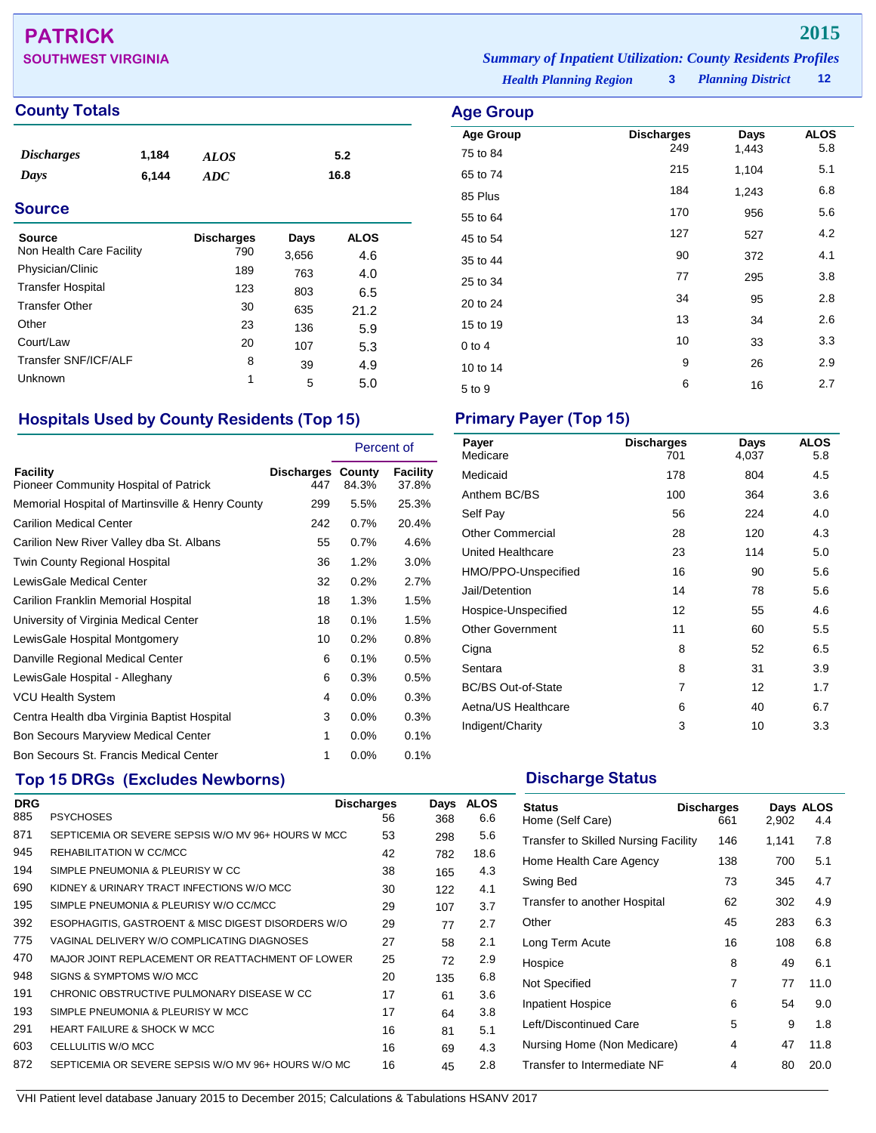# **PATRICK 2015**

## **County Totals Age Group**

| <i><b>Discharges</b></i> | 1,184 | ALOS | 5.2  |
|--------------------------|-------|------|------|
| Days                     | 6.144 | ADC  | 16.8 |

## **Source**

| Source<br>Non Health Care Facility | <b>Discharges</b><br>790 | Days<br>3,656 | <b>ALOS</b><br>4.6 |
|------------------------------------|--------------------------|---------------|--------------------|
| Physician/Clinic                   | 189                      | 763           | 4.0                |
| <b>Transfer Hospital</b>           | 123                      | 803           | 6.5                |
| <b>Transfer Other</b>              | 30                       | 635           | 21.2               |
| Other                              | 23                       | 136           | 5.9                |
| Court/Law                          | 20                       | 107           | 5.3                |
| Transfer SNF/ICF/ALF               | 8                        | 39            | 4.9                |
| Unknown                            | 1                        | 5             | 5.0                |

## **Hospitals Used by County Residents (Top 15) Primary Payer (Top 15)**

|                                                   |                                 | Percent of |                   |
|---------------------------------------------------|---------------------------------|------------|-------------------|
| Facility<br>Pioneer Community Hospital of Patrick | <b>Discharges County</b><br>447 | 84.3%      | Facility<br>37.8% |
| Memorial Hospital of Martinsville & Henry County  | 299                             | 5.5%       | 25.3%             |
| <b>Carilion Medical Center</b>                    | 242                             | 0.7%       | 20.4%             |
| Carilion New River Valley dba St. Albans          | 55                              | 0.7%       | 4.6%              |
| Twin County Regional Hospital                     | 36                              | 1.2%       | 3.0%              |
| LewisGale Medical Center                          | 32                              | 0.2%       | 2.7%              |
| Carilion Franklin Memorial Hospital               | 18                              | 1.3%       | 1.5%              |
| University of Virginia Medical Center             | 18                              | 0.1%       | 1.5%              |
| LewisGale Hospital Montgomery                     | 10                              | 0.2%       | 0.8%              |
| Danville Regional Medical Center                  | 6                               | 0.1%       | 0.5%              |
| LewisGale Hospital - Alleghany                    | 6                               | 0.3%       | 0.5%              |
| <b>VCU Health System</b>                          | 4                               | $0.0\%$    | 0.3%              |
| Centra Health dba Virginia Baptist Hospital       | 3                               | $0.0\%$    | 0.3%              |
| <b>Bon Secours Maryview Medical Center</b>        | 1                               | $0.0\%$    | 0.1%              |
| Bon Secours St. Francis Medical Center            | 1                               | 0.0%       | 0.1%              |

## **Top 15 DRGs (Excludes Newborns) Discharge Status Discharge Status**

| <b>DRG</b> |                                                     | <b>Discharges</b> | Days | <b>ALOS</b> |
|------------|-----------------------------------------------------|-------------------|------|-------------|
| 885        | <b>PSYCHOSES</b>                                    | 56                | 368  | 6.6         |
| 871        | SEPTICEMIA OR SEVERE SEPSIS W/O MV 96+ HOURS W MCC  | 53                | 298  | 5.6         |
| 945        | REHABILITATION W CC/MCC                             | 42                | 782  | 18.6        |
| 194        | SIMPLE PNEUMONIA & PLEURISY W CC                    | 38                | 165  | 4.3         |
| 690        | KIDNEY & URINARY TRACT INFECTIONS W/O MCC           | 30                | 122  | 4.1         |
| 195        | SIMPLE PNEUMONIA & PLEURISY W/O CC/MCC              | 29                | 107  | 3.7         |
| 392        | ESOPHAGITIS, GASTROENT & MISC DIGEST DISORDERS W/O  | 29                | 77   | 2.7         |
| 775        | VAGINAL DELIVERY W/O COMPLICATING DIAGNOSES         | 27                | 58   | 2.1         |
| 470        | MAJOR JOINT REPLACEMENT OR REATTACHMENT OF LOWER    | 25                | 72   | 2.9         |
| 948        | SIGNS & SYMPTOMS W/O MCC                            | 20                | 135  | 6.8         |
| 191        | CHRONIC OBSTRUCTIVE PULMONARY DISEASE W CC          | 17                | 61   | 3.6         |
| 193        | SIMPLE PNEUMONIA & PLEURISY W MCC                   | 17                | 64   | 3.8         |
| 291        | <b>HEART FAILURE &amp; SHOCK W MCC</b>              | 16                | 81   | 5.1         |
| 603        | CELLULITIS W/O MCC                                  | 16                | 69   | 4.3         |
| 872        | SEPTICEMIA OR SEVERE SEPSIS W/O MV 96+ HOURS W/O MC | 16                | 45   | 2.8         |

*Health Planning Region* **3** *Planning District* **12 SOUTHWEST VIRGINIA** *Summary of Inpatient Utilization: County Residents Profiles*

| ge Group                     |                          |               |                    |
|------------------------------|--------------------------|---------------|--------------------|
| <b>Age Group</b><br>75 to 84 | <b>Discharges</b><br>249 | Days<br>1,443 | <b>ALOS</b><br>5.8 |
| 65 to 74                     | 215                      | 1,104         | 5.1                |
| 85 Plus                      | 184                      | 1,243         | 6.8                |
| 55 to 64                     | 170                      | 956           | 5.6                |
| 45 to 54                     | 127                      | 527           | 4.2                |
| 35 to 44                     | 90                       | 372           | 4.1                |
| 25 to 34                     | 77                       | 295           | 3.8                |
| 20 to 24                     | 34                       | 95            | 2.8                |
| 15 to 19                     | 13                       | 34            | 2.6                |
| $0$ to $4$                   | 10                       | 33            | 3.3                |
| 10 to 14                     | 9                        | 26            | 2.9                |
| 5 to 9                       | 6                        | 16            | 2.7                |

| Payer<br>Medicare         | <b>Discharges</b><br>701 | Days<br>4,037 | <b>ALOS</b><br>5.8 |
|---------------------------|--------------------------|---------------|--------------------|
| Medicaid                  | 178                      | 804           | 4.5                |
| Anthem BC/BS              | 100                      | 364           | 3.6                |
| Self Pay                  | 56                       | 224           | 4.0                |
| <b>Other Commercial</b>   | 28                       | 120           | 4.3                |
| United Healthcare         | 23                       | 114           | 5.0                |
| HMO/PPO-Unspecified       | 16                       | 90            | 5.6                |
| Jail/Detention            | 14                       | 78            | 5.6                |
| Hospice-Unspecified       | 12                       | 55            | 4.6                |
| <b>Other Government</b>   | 11                       | 60            | 5.5                |
| Cigna                     | 8                        | 52            | 6.5                |
| Sentara                   | 8                        | 31            | 3.9                |
| <b>BC/BS Out-of-State</b> | 7                        | 12            | 1.7                |
| Aetna/US Healthcare       | 6                        | 40            | 6.7                |
| Indigent/Charity          | 3                        | 10            | 3.3                |

| <b>Status</b><br>Home (Self Care)           | <b>Discharges</b><br>661 | 2,902 | Days ALOS<br>4.4 |
|---------------------------------------------|--------------------------|-------|------------------|
| <b>Transfer to Skilled Nursing Facility</b> | 146                      | 1,141 | 7.8              |
| Home Health Care Agency                     | 138                      | 700   | 5.1              |
| Swing Bed                                   | 73                       | 345   | 4.7              |
| Transfer to another Hospital                | 62                       | 302   | 4.9              |
| Other                                       | 45                       | 283   | 6.3              |
| Long Term Acute                             | 16                       | 108   | 6.8              |
| Hospice                                     | 8                        | 49    | 6.1              |
| Not Specified                               | 7                        | 77    | 11.0             |
| Inpatient Hospice                           | 6                        | 54    | 9.0              |
| Left/Discontinued Care                      | 5                        | 9     | 1.8              |
| Nursing Home (Non Medicare)                 | 4                        | 47    | 11.8             |
| Transfer to Intermediate NF                 | 4                        | 80    | 20.0             |